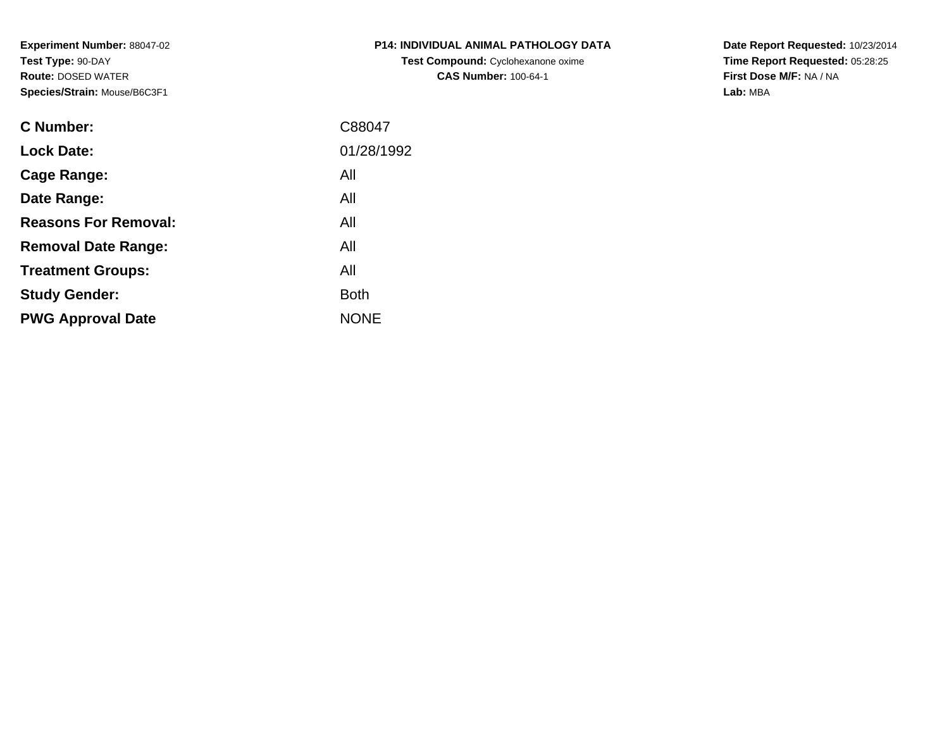**Experiment Number:** 88047-02**Test Type:** 90-DAY **Route:** DOSED WATER**Species/Strain:** Mouse/B6C3F1

| <b>C Number:</b>            | C88047      |
|-----------------------------|-------------|
| <b>Lock Date:</b>           | 01/28/1992  |
| <b>Cage Range:</b>          | All         |
| Date Range:                 | All         |
| <b>Reasons For Removal:</b> | All         |
| <b>Removal Date Range:</b>  | All         |
| <b>Treatment Groups:</b>    | All         |
| <b>Study Gender:</b>        | <b>Both</b> |
| <b>PWG Approval Date</b>    | <b>NONE</b> |
|                             |             |

## **P14: INDIVIDUAL ANIMAL PATHOLOGY DATATest Compound:** Cyclohexanone oxime**CAS Number:** 100-64-1

**Date Report Requested:** 10/23/2014 **Time Report Requested:** 05:28:25**First Dose M/F:** NA / NA**Lab:** MBA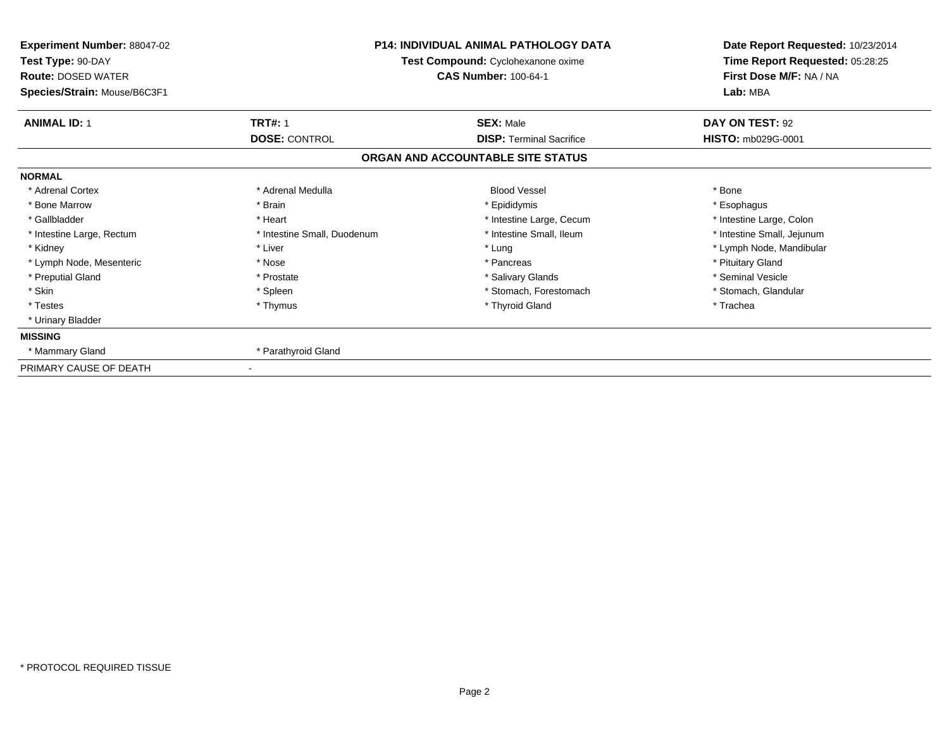| <b>Experiment Number: 88047-02</b><br>Test Type: 90-DAY<br><b>Route: DOSED WATER</b><br>Species/Strain: Mouse/B6C3F1 |                             | <b>P14: INDIVIDUAL ANIMAL PATHOLOGY DATA</b><br>Test Compound: Cyclohexanone oxime<br><b>CAS Number: 100-64-1</b> | Date Report Requested: 10/23/2014<br>Time Report Requested: 05:28:25<br>First Dose M/F: NA / NA<br>Lab: MBA |
|----------------------------------------------------------------------------------------------------------------------|-----------------------------|-------------------------------------------------------------------------------------------------------------------|-------------------------------------------------------------------------------------------------------------|
| <b>ANIMAL ID: 1</b>                                                                                                  | <b>TRT#: 1</b>              | <b>SEX: Male</b>                                                                                                  | DAY ON TEST: 92                                                                                             |
|                                                                                                                      | <b>DOSE: CONTROL</b>        | <b>DISP: Terminal Sacrifice</b>                                                                                   | <b>HISTO: mb029G-0001</b>                                                                                   |
|                                                                                                                      |                             | ORGAN AND ACCOUNTABLE SITE STATUS                                                                                 |                                                                                                             |
| <b>NORMAL</b>                                                                                                        |                             |                                                                                                                   |                                                                                                             |
| * Adrenal Cortex                                                                                                     | * Adrenal Medulla           | <b>Blood Vessel</b>                                                                                               | * Bone                                                                                                      |
| * Bone Marrow                                                                                                        | * Brain                     | * Epididymis                                                                                                      | * Esophagus                                                                                                 |
| * Gallbladder                                                                                                        | * Heart                     | * Intestine Large, Cecum                                                                                          | * Intestine Large, Colon                                                                                    |
| * Intestine Large, Rectum                                                                                            | * Intestine Small, Duodenum | * Intestine Small, Ileum                                                                                          | * Intestine Small, Jejunum                                                                                  |
| * Kidney                                                                                                             | * Liver                     | * Lung                                                                                                            | * Lymph Node, Mandibular                                                                                    |
| * Lymph Node, Mesenteric                                                                                             | * Nose                      | * Pancreas                                                                                                        | * Pituitary Gland                                                                                           |
| * Preputial Gland                                                                                                    | * Prostate                  | * Salivary Glands                                                                                                 | * Seminal Vesicle                                                                                           |
| * Skin                                                                                                               | * Spleen                    | * Stomach. Forestomach                                                                                            | * Stomach, Glandular                                                                                        |
| * Testes                                                                                                             | * Thymus                    | * Thyroid Gland                                                                                                   | * Trachea                                                                                                   |
| * Urinary Bladder                                                                                                    |                             |                                                                                                                   |                                                                                                             |
| <b>MISSING</b>                                                                                                       |                             |                                                                                                                   |                                                                                                             |
| * Mammary Gland                                                                                                      | * Parathyroid Gland         |                                                                                                                   |                                                                                                             |
| PRIMARY CAUSE OF DEATH                                                                                               |                             |                                                                                                                   |                                                                                                             |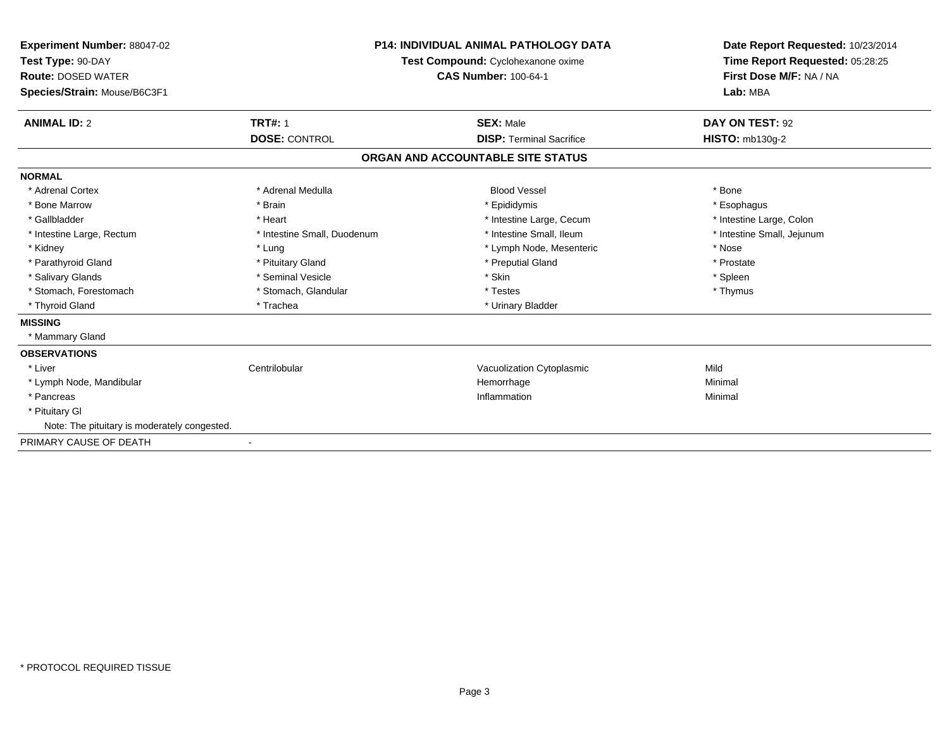| Experiment Number: 88047-02<br>Test Type: 90-DAY<br><b>Route: DOSED WATER</b><br>Species/Strain: Mouse/B6C3F1 |                             | P14: INDIVIDUAL ANIMAL PATHOLOGY DATA<br>Test Compound: Cyclohexanone oxime<br><b>CAS Number: 100-64-1</b> | Date Report Requested: 10/23/2014<br>Time Report Requested: 05:28:25<br>First Dose M/F: NA / NA<br>Lab: MBA |
|---------------------------------------------------------------------------------------------------------------|-----------------------------|------------------------------------------------------------------------------------------------------------|-------------------------------------------------------------------------------------------------------------|
| <b>ANIMAL ID: 2</b>                                                                                           | <b>TRT#: 1</b>              | <b>SEX: Male</b>                                                                                           | DAY ON TEST: 92                                                                                             |
|                                                                                                               | <b>DOSE: CONTROL</b>        | <b>DISP: Terminal Sacrifice</b>                                                                            | <b>HISTO: mb130g-2</b>                                                                                      |
|                                                                                                               |                             | ORGAN AND ACCOUNTABLE SITE STATUS                                                                          |                                                                                                             |
| <b>NORMAL</b>                                                                                                 |                             |                                                                                                            |                                                                                                             |
| * Adrenal Cortex                                                                                              | * Adrenal Medulla           | <b>Blood Vessel</b>                                                                                        | * Bone                                                                                                      |
| * Bone Marrow                                                                                                 | * Brain                     | * Epididymis                                                                                               | * Esophagus                                                                                                 |
| * Gallbladder                                                                                                 | * Heart                     | * Intestine Large, Cecum                                                                                   | * Intestine Large, Colon                                                                                    |
| * Intestine Large, Rectum                                                                                     | * Intestine Small, Duodenum | * Intestine Small. Ileum                                                                                   | * Intestine Small, Jejunum                                                                                  |
| * Kidney                                                                                                      | * Lung                      | * Lymph Node, Mesenteric                                                                                   | * Nose                                                                                                      |
| * Parathyroid Gland                                                                                           | * Pituitary Gland           | * Preputial Gland                                                                                          | * Prostate                                                                                                  |
| * Salivary Glands                                                                                             | * Seminal Vesicle           | * Skin                                                                                                     | * Spleen                                                                                                    |
| * Stomach, Forestomach                                                                                        | * Stomach, Glandular        | * Testes                                                                                                   | * Thymus                                                                                                    |
| * Thyroid Gland                                                                                               | * Trachea                   | * Urinary Bladder                                                                                          |                                                                                                             |
| <b>MISSING</b>                                                                                                |                             |                                                                                                            |                                                                                                             |
| * Mammary Gland                                                                                               |                             |                                                                                                            |                                                                                                             |
| <b>OBSERVATIONS</b>                                                                                           |                             |                                                                                                            |                                                                                                             |
| * Liver                                                                                                       | Centrilobular               | Vacuolization Cytoplasmic                                                                                  | Mild                                                                                                        |
| * Lymph Node, Mandibular                                                                                      |                             | Hemorrhage                                                                                                 | Minimal                                                                                                     |
| * Pancreas                                                                                                    |                             | Inflammation                                                                                               | Minimal                                                                                                     |
| * Pituitary Gl                                                                                                |                             |                                                                                                            |                                                                                                             |
| Note: The pituitary is moderately congested.                                                                  |                             |                                                                                                            |                                                                                                             |
| PRIMARY CAUSE OF DEATH                                                                                        |                             |                                                                                                            |                                                                                                             |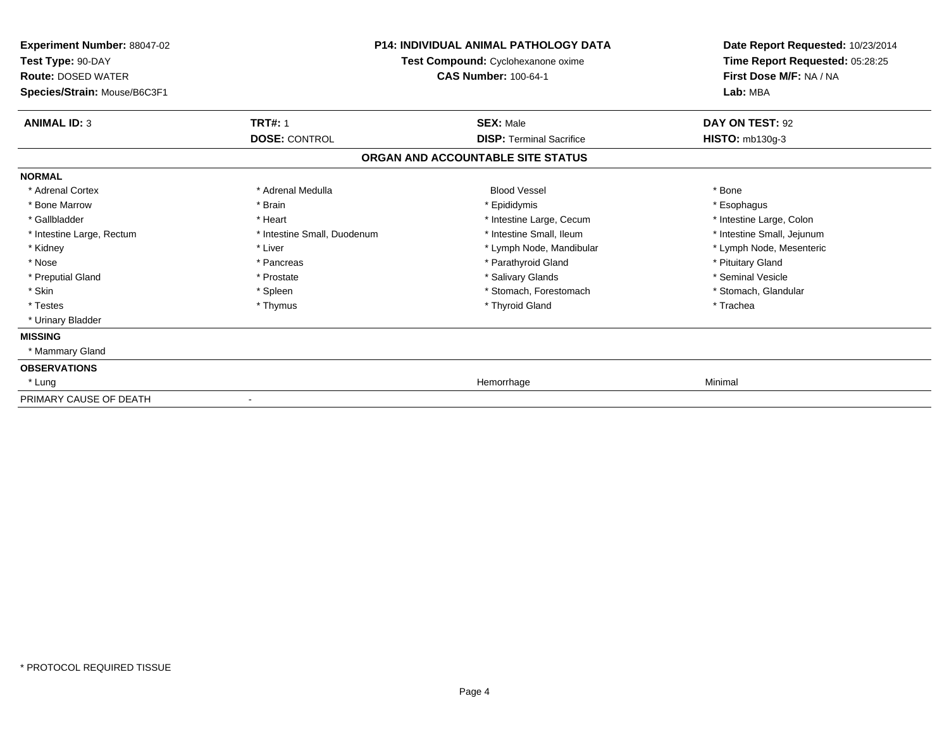| <b>Experiment Number: 88047-02</b><br>Test Type: 90-DAY<br><b>Route: DOSED WATER</b><br>Species/Strain: Mouse/B6C3F1 | <b>P14: INDIVIDUAL ANIMAL PATHOLOGY DATA</b><br>Test Compound: Cyclohexanone oxime<br><b>CAS Number: 100-64-1</b> |                                   | Date Report Requested: 10/23/2014<br>Time Report Requested: 05:28:25<br>First Dose M/F: NA / NA<br>Lab: MBA |
|----------------------------------------------------------------------------------------------------------------------|-------------------------------------------------------------------------------------------------------------------|-----------------------------------|-------------------------------------------------------------------------------------------------------------|
| <b>ANIMAL ID: 3</b>                                                                                                  | <b>TRT#: 1</b>                                                                                                    | <b>SEX: Male</b>                  | DAY ON TEST: 92                                                                                             |
|                                                                                                                      | <b>DOSE: CONTROL</b>                                                                                              | <b>DISP: Terminal Sacrifice</b>   | <b>HISTO: mb130g-3</b>                                                                                      |
|                                                                                                                      |                                                                                                                   | ORGAN AND ACCOUNTABLE SITE STATUS |                                                                                                             |
| <b>NORMAL</b>                                                                                                        |                                                                                                                   |                                   |                                                                                                             |
| * Adrenal Cortex                                                                                                     | * Adrenal Medulla                                                                                                 | <b>Blood Vessel</b>               | * Bone                                                                                                      |
| * Bone Marrow                                                                                                        | * Brain                                                                                                           | * Epididymis                      | * Esophagus                                                                                                 |
| * Gallbladder                                                                                                        | * Heart                                                                                                           | * Intestine Large, Cecum          | * Intestine Large, Colon                                                                                    |
| * Intestine Large, Rectum                                                                                            | * Intestine Small, Duodenum                                                                                       | * Intestine Small, Ileum          | * Intestine Small, Jejunum                                                                                  |
| * Kidney                                                                                                             | * Liver                                                                                                           | * Lymph Node, Mandibular          | * Lymph Node, Mesenteric                                                                                    |
| * Nose                                                                                                               | * Pancreas                                                                                                        | * Parathyroid Gland               | * Pituitary Gland                                                                                           |
| * Preputial Gland                                                                                                    | * Prostate                                                                                                        | * Salivary Glands                 | * Seminal Vesicle                                                                                           |
| * Skin                                                                                                               | * Spleen                                                                                                          | * Stomach, Forestomach            | * Stomach, Glandular                                                                                        |
| * Testes                                                                                                             | * Thymus                                                                                                          | * Thyroid Gland                   | * Trachea                                                                                                   |
| * Urinary Bladder                                                                                                    |                                                                                                                   |                                   |                                                                                                             |
| <b>MISSING</b>                                                                                                       |                                                                                                                   |                                   |                                                                                                             |
| * Mammary Gland                                                                                                      |                                                                                                                   |                                   |                                                                                                             |
| <b>OBSERVATIONS</b>                                                                                                  |                                                                                                                   |                                   |                                                                                                             |
| * Lung                                                                                                               |                                                                                                                   | Hemorrhage                        | Minimal                                                                                                     |
| PRIMARY CAUSE OF DEATH                                                                                               |                                                                                                                   |                                   |                                                                                                             |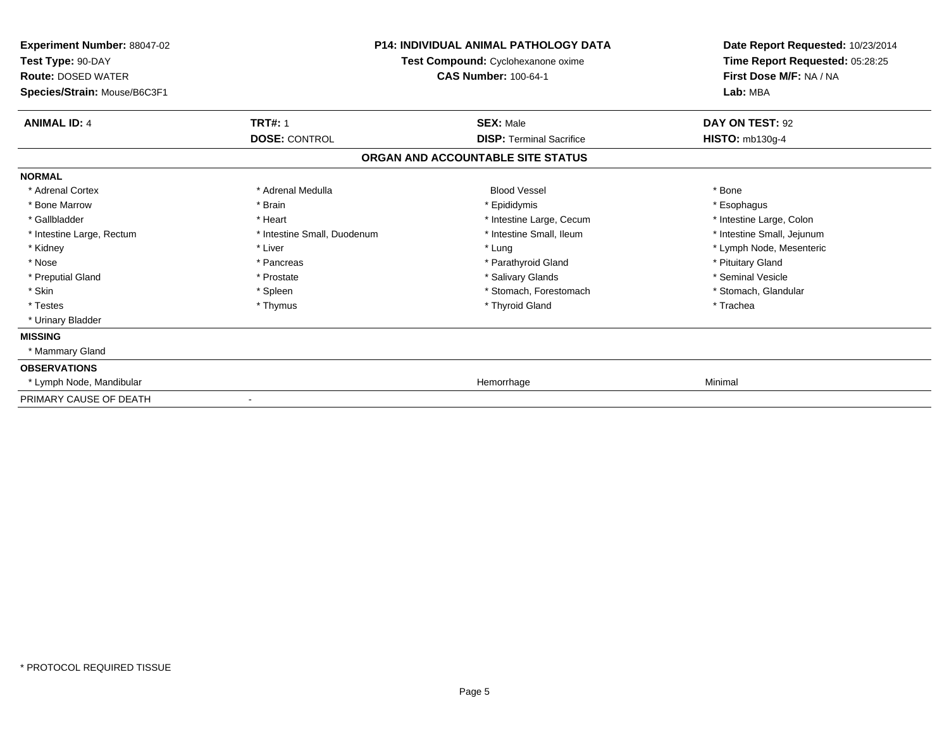| Experiment Number: 88047-02<br>Test Type: 90-DAY<br><b>Route: DOSED WATER</b><br>Species/Strain: Mouse/B6C3F1 | <b>P14: INDIVIDUAL ANIMAL PATHOLOGY DATA</b><br>Test Compound: Cyclohexanone oxime<br><b>CAS Number: 100-64-1</b> |                                   | Date Report Requested: 10/23/2014<br>Time Report Requested: 05:28:25<br>First Dose M/F: NA / NA<br>Lab: MBA |
|---------------------------------------------------------------------------------------------------------------|-------------------------------------------------------------------------------------------------------------------|-----------------------------------|-------------------------------------------------------------------------------------------------------------|
| <b>ANIMAL ID: 4</b>                                                                                           | <b>TRT#: 1</b>                                                                                                    | <b>SEX: Male</b>                  | DAY ON TEST: 92                                                                                             |
|                                                                                                               | <b>DOSE: CONTROL</b>                                                                                              | <b>DISP: Terminal Sacrifice</b>   | <b>HISTO: mb130g-4</b>                                                                                      |
|                                                                                                               |                                                                                                                   | ORGAN AND ACCOUNTABLE SITE STATUS |                                                                                                             |
| <b>NORMAL</b>                                                                                                 |                                                                                                                   |                                   |                                                                                                             |
| * Adrenal Cortex                                                                                              | * Adrenal Medulla                                                                                                 | <b>Blood Vessel</b>               | * Bone                                                                                                      |
| * Bone Marrow                                                                                                 | * Brain                                                                                                           | * Epididymis                      | * Esophagus                                                                                                 |
| * Gallbladder                                                                                                 | * Heart                                                                                                           | * Intestine Large, Cecum          | * Intestine Large, Colon                                                                                    |
| * Intestine Large, Rectum                                                                                     | * Intestine Small, Duodenum                                                                                       | * Intestine Small, Ileum          | * Intestine Small, Jejunum                                                                                  |
| * Kidney                                                                                                      | * Liver                                                                                                           | * Lung                            | * Lymph Node, Mesenteric                                                                                    |
| * Nose                                                                                                        | * Pancreas                                                                                                        | * Parathyroid Gland               | * Pituitary Gland                                                                                           |
| * Preputial Gland                                                                                             | * Prostate                                                                                                        | * Salivary Glands                 | * Seminal Vesicle                                                                                           |
| * Skin                                                                                                        | * Spleen                                                                                                          | * Stomach, Forestomach            | * Stomach, Glandular                                                                                        |
| * Testes                                                                                                      | * Thymus                                                                                                          | * Thyroid Gland                   | * Trachea                                                                                                   |
| * Urinary Bladder                                                                                             |                                                                                                                   |                                   |                                                                                                             |
| <b>MISSING</b>                                                                                                |                                                                                                                   |                                   |                                                                                                             |
| * Mammary Gland                                                                                               |                                                                                                                   |                                   |                                                                                                             |
| <b>OBSERVATIONS</b>                                                                                           |                                                                                                                   |                                   |                                                                                                             |
| * Lymph Node, Mandibular                                                                                      |                                                                                                                   | Hemorrhage                        | Minimal                                                                                                     |
| PRIMARY CAUSE OF DEATH                                                                                        |                                                                                                                   |                                   |                                                                                                             |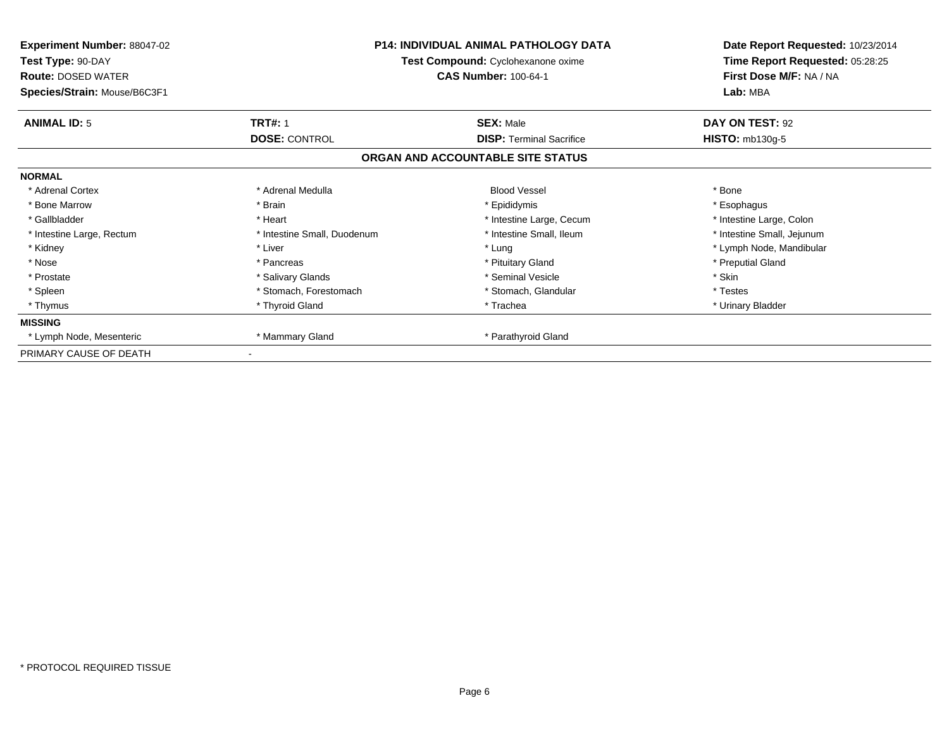| <b>Experiment Number: 88047-02</b><br>Test Type: 90-DAY<br><b>Route: DOSED WATER</b><br>Species/Strain: Mouse/B6C3F1 | <b>P14: INDIVIDUAL ANIMAL PATHOLOGY DATA</b><br>Test Compound: Cyclohexanone oxime<br><b>CAS Number: 100-64-1</b> |                                   | Date Report Requested: 10/23/2014<br>Time Report Requested: 05:28:25<br>First Dose M/F: NA / NA<br>Lab: MBA |
|----------------------------------------------------------------------------------------------------------------------|-------------------------------------------------------------------------------------------------------------------|-----------------------------------|-------------------------------------------------------------------------------------------------------------|
| <b>ANIMAL ID: 5</b>                                                                                                  | <b>TRT#: 1</b>                                                                                                    | <b>SEX: Male</b>                  | DAY ON TEST: 92                                                                                             |
|                                                                                                                      | <b>DOSE: CONTROL</b>                                                                                              | <b>DISP: Terminal Sacrifice</b>   | <b>HISTO: mb130g-5</b>                                                                                      |
|                                                                                                                      |                                                                                                                   | ORGAN AND ACCOUNTABLE SITE STATUS |                                                                                                             |
| <b>NORMAL</b>                                                                                                        |                                                                                                                   |                                   |                                                                                                             |
| * Adrenal Cortex                                                                                                     | * Adrenal Medulla                                                                                                 | <b>Blood Vessel</b>               | * Bone                                                                                                      |
| * Bone Marrow                                                                                                        | * Brain                                                                                                           | * Epididymis                      | * Esophagus                                                                                                 |
| * Gallbladder                                                                                                        | * Heart                                                                                                           | * Intestine Large, Cecum          | * Intestine Large, Colon                                                                                    |
| * Intestine Large, Rectum                                                                                            | * Intestine Small, Duodenum                                                                                       | * Intestine Small, Ileum          | * Intestine Small, Jejunum                                                                                  |
| * Kidney                                                                                                             | * Liver                                                                                                           | * Lung                            | * Lymph Node, Mandibular                                                                                    |
| * Nose                                                                                                               | * Pancreas                                                                                                        | * Pituitary Gland                 | * Preputial Gland                                                                                           |
| * Prostate                                                                                                           | * Salivary Glands                                                                                                 | * Seminal Vesicle                 | * Skin                                                                                                      |
| * Spleen                                                                                                             | * Stomach, Forestomach                                                                                            | * Stomach, Glandular              | * Testes                                                                                                    |
| * Thymus                                                                                                             | * Thyroid Gland                                                                                                   | * Trachea                         | * Urinary Bladder                                                                                           |
| <b>MISSING</b>                                                                                                       |                                                                                                                   |                                   |                                                                                                             |
| * Lymph Node, Mesenteric                                                                                             | * Mammary Gland                                                                                                   | * Parathyroid Gland               |                                                                                                             |
| PRIMARY CAUSE OF DEATH                                                                                               |                                                                                                                   |                                   |                                                                                                             |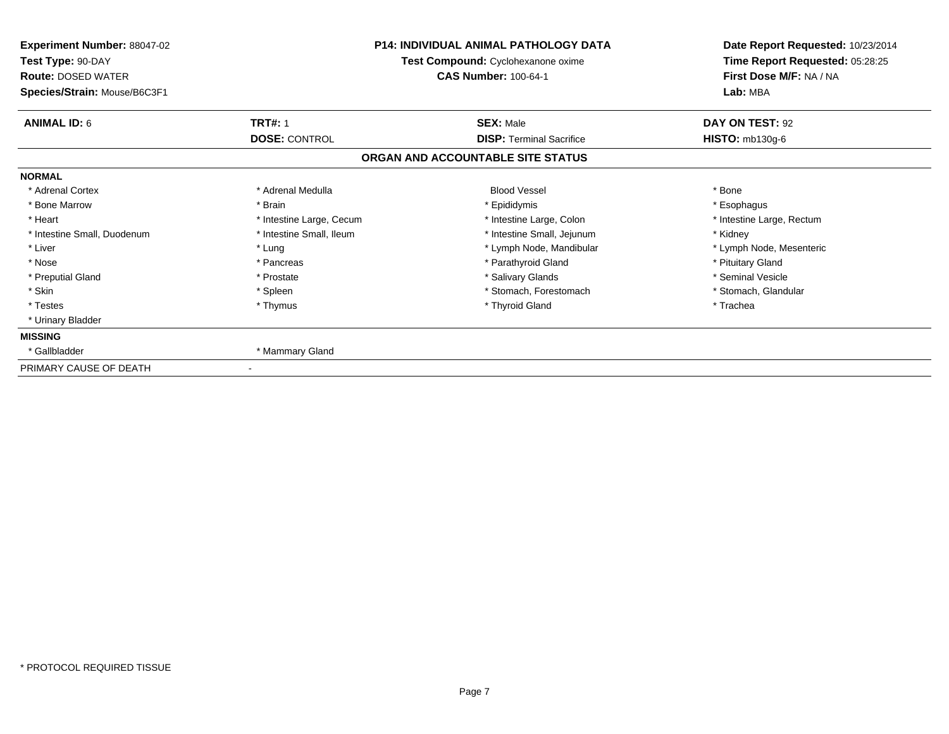| <b>Experiment Number: 88047-02</b><br>Test Type: 90-DAY<br><b>Route: DOSED WATER</b><br>Species/Strain: Mouse/B6C3F1 |                          | <b>P14: INDIVIDUAL ANIMAL PATHOLOGY DATA</b><br>Test Compound: Cyclohexanone oxime<br><b>CAS Number: 100-64-1</b> | Date Report Requested: 10/23/2014<br>Time Report Requested: 05:28:25<br>First Dose M/F: NA / NA<br>Lab: MBA |
|----------------------------------------------------------------------------------------------------------------------|--------------------------|-------------------------------------------------------------------------------------------------------------------|-------------------------------------------------------------------------------------------------------------|
| <b>ANIMAL ID: 6</b>                                                                                                  | <b>TRT#: 1</b>           | <b>SEX: Male</b>                                                                                                  | DAY ON TEST: 92                                                                                             |
|                                                                                                                      | <b>DOSE: CONTROL</b>     | <b>DISP: Terminal Sacrifice</b>                                                                                   | <b>HISTO: mb130g-6</b>                                                                                      |
|                                                                                                                      |                          | ORGAN AND ACCOUNTABLE SITE STATUS                                                                                 |                                                                                                             |
| <b>NORMAL</b>                                                                                                        |                          |                                                                                                                   |                                                                                                             |
| * Adrenal Cortex                                                                                                     | * Adrenal Medulla        | <b>Blood Vessel</b>                                                                                               | * Bone                                                                                                      |
| * Bone Marrow                                                                                                        | * Brain                  | * Epididymis                                                                                                      | * Esophagus                                                                                                 |
| * Heart                                                                                                              | * Intestine Large, Cecum | * Intestine Large, Colon                                                                                          | * Intestine Large, Rectum                                                                                   |
| * Intestine Small, Duodenum                                                                                          | * Intestine Small, Ileum | * Intestine Small, Jejunum                                                                                        | * Kidney                                                                                                    |
| * Liver                                                                                                              | * Lung                   | * Lymph Node, Mandibular                                                                                          | * Lymph Node, Mesenteric                                                                                    |
| * Nose                                                                                                               | * Pancreas               | * Parathyroid Gland                                                                                               | * Pituitary Gland                                                                                           |
| * Preputial Gland                                                                                                    | * Prostate               | * Salivary Glands                                                                                                 | * Seminal Vesicle                                                                                           |
| * Skin                                                                                                               | * Spleen                 | * Stomach. Forestomach                                                                                            | * Stomach, Glandular                                                                                        |
| * Testes                                                                                                             | * Thymus                 | * Thyroid Gland                                                                                                   | * Trachea                                                                                                   |
| * Urinary Bladder                                                                                                    |                          |                                                                                                                   |                                                                                                             |
| <b>MISSING</b>                                                                                                       |                          |                                                                                                                   |                                                                                                             |
| * Gallbladder                                                                                                        | * Mammary Gland          |                                                                                                                   |                                                                                                             |
| PRIMARY CAUSE OF DEATH                                                                                               |                          |                                                                                                                   |                                                                                                             |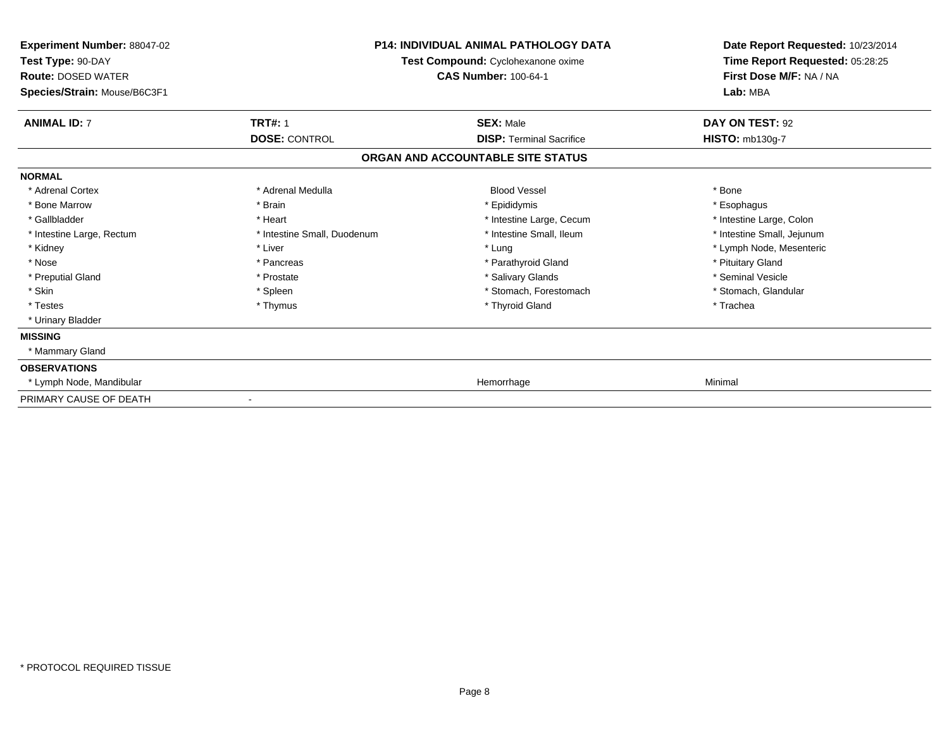| <b>Experiment Number: 88047-02</b><br>Test Type: 90-DAY<br><b>Route: DOSED WATER</b><br>Species/Strain: Mouse/B6C3F1 | <b>P14: INDIVIDUAL ANIMAL PATHOLOGY DATA</b><br>Test Compound: Cyclohexanone oxime<br><b>CAS Number: 100-64-1</b> |                                   | Date Report Requested: 10/23/2014<br>Time Report Requested: 05:28:25<br>First Dose M/F: NA / NA<br>Lab: MBA |
|----------------------------------------------------------------------------------------------------------------------|-------------------------------------------------------------------------------------------------------------------|-----------------------------------|-------------------------------------------------------------------------------------------------------------|
| <b>ANIMAL ID: 7</b>                                                                                                  | <b>TRT#: 1</b>                                                                                                    | <b>SEX: Male</b>                  | DAY ON TEST: 92                                                                                             |
|                                                                                                                      | <b>DOSE: CONTROL</b>                                                                                              | <b>DISP: Terminal Sacrifice</b>   | <b>HISTO: mb130g-7</b>                                                                                      |
|                                                                                                                      |                                                                                                                   | ORGAN AND ACCOUNTABLE SITE STATUS |                                                                                                             |
| <b>NORMAL</b>                                                                                                        |                                                                                                                   |                                   |                                                                                                             |
| * Adrenal Cortex                                                                                                     | * Adrenal Medulla                                                                                                 | <b>Blood Vessel</b>               | * Bone                                                                                                      |
| * Bone Marrow                                                                                                        | * Brain                                                                                                           | * Epididymis                      | * Esophagus                                                                                                 |
| * Gallbladder                                                                                                        | * Heart                                                                                                           | * Intestine Large, Cecum          | * Intestine Large, Colon                                                                                    |
| * Intestine Large, Rectum                                                                                            | * Intestine Small, Duodenum                                                                                       | * Intestine Small, Ileum          | * Intestine Small, Jejunum                                                                                  |
| * Kidney                                                                                                             | * Liver                                                                                                           | * Lung                            | * Lymph Node, Mesenteric                                                                                    |
| * Nose                                                                                                               | * Pancreas                                                                                                        | * Parathyroid Gland               | * Pituitary Gland                                                                                           |
| * Preputial Gland                                                                                                    | * Prostate                                                                                                        | * Salivary Glands                 | * Seminal Vesicle                                                                                           |
| * Skin                                                                                                               | * Spleen                                                                                                          | * Stomach, Forestomach            | * Stomach, Glandular                                                                                        |
| * Testes                                                                                                             | * Thymus                                                                                                          | * Thyroid Gland                   | * Trachea                                                                                                   |
| * Urinary Bladder                                                                                                    |                                                                                                                   |                                   |                                                                                                             |
| <b>MISSING</b>                                                                                                       |                                                                                                                   |                                   |                                                                                                             |
| * Mammary Gland                                                                                                      |                                                                                                                   |                                   |                                                                                                             |
| <b>OBSERVATIONS</b>                                                                                                  |                                                                                                                   |                                   |                                                                                                             |
| * Lymph Node, Mandibular                                                                                             |                                                                                                                   | Hemorrhage                        | Minimal                                                                                                     |
| PRIMARY CAUSE OF DEATH                                                                                               |                                                                                                                   |                                   |                                                                                                             |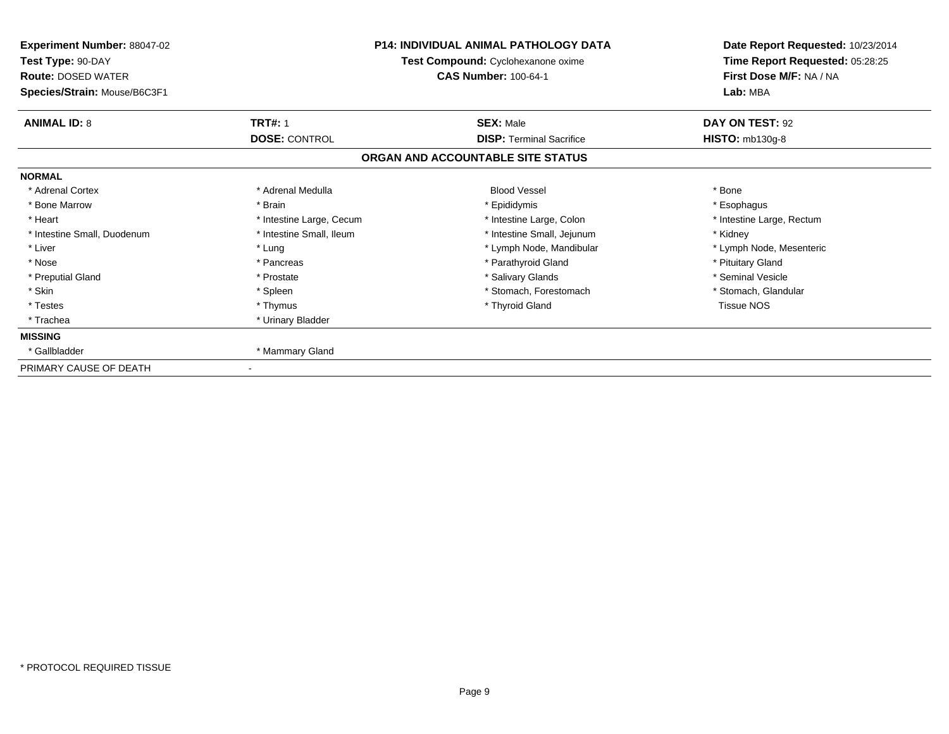| <b>Experiment Number: 88047-02</b><br>Test Type: 90-DAY<br><b>Route: DOSED WATER</b><br>Species/Strain: Mouse/B6C3F1 | <b>P14: INDIVIDUAL ANIMAL PATHOLOGY DATA</b><br>Test Compound: Cyclohexanone oxime<br><b>CAS Number: 100-64-1</b> |                                   | Date Report Requested: 10/23/2014<br>Time Report Requested: 05:28:25<br>First Dose M/F: NA / NA<br>Lab: MBA |
|----------------------------------------------------------------------------------------------------------------------|-------------------------------------------------------------------------------------------------------------------|-----------------------------------|-------------------------------------------------------------------------------------------------------------|
| <b>ANIMAL ID: 8</b>                                                                                                  | <b>TRT#: 1</b>                                                                                                    | <b>SEX: Male</b>                  | DAY ON TEST: 92                                                                                             |
|                                                                                                                      | <b>DOSE: CONTROL</b>                                                                                              | <b>DISP: Terminal Sacrifice</b>   | <b>HISTO: mb130g-8</b>                                                                                      |
|                                                                                                                      |                                                                                                                   | ORGAN AND ACCOUNTABLE SITE STATUS |                                                                                                             |
| <b>NORMAL</b>                                                                                                        |                                                                                                                   |                                   |                                                                                                             |
| * Adrenal Cortex                                                                                                     | * Adrenal Medulla                                                                                                 | <b>Blood Vessel</b>               | * Bone                                                                                                      |
| * Bone Marrow                                                                                                        | * Brain                                                                                                           | * Epididymis                      | * Esophagus                                                                                                 |
| * Heart                                                                                                              | * Intestine Large, Cecum                                                                                          | * Intestine Large, Colon          | * Intestine Large, Rectum                                                                                   |
| * Intestine Small, Duodenum                                                                                          | * Intestine Small, Ileum                                                                                          | * Intestine Small, Jejunum        | * Kidney                                                                                                    |
| * Liver                                                                                                              | * Lung                                                                                                            | * Lymph Node, Mandibular          | * Lymph Node, Mesenteric                                                                                    |
| * Nose                                                                                                               | * Pancreas                                                                                                        | * Parathyroid Gland               | * Pituitary Gland                                                                                           |
| * Preputial Gland                                                                                                    | * Prostate                                                                                                        | * Salivary Glands                 | * Seminal Vesicle                                                                                           |
| * Skin                                                                                                               | * Spleen                                                                                                          | * Stomach, Forestomach            | * Stomach, Glandular                                                                                        |
| * Testes                                                                                                             | * Thymus                                                                                                          | * Thyroid Gland                   | <b>Tissue NOS</b>                                                                                           |
| * Trachea                                                                                                            | * Urinary Bladder                                                                                                 |                                   |                                                                                                             |
| <b>MISSING</b>                                                                                                       |                                                                                                                   |                                   |                                                                                                             |
| * Gallbladder                                                                                                        | * Mammary Gland                                                                                                   |                                   |                                                                                                             |
| PRIMARY CAUSE OF DEATH                                                                                               |                                                                                                                   |                                   |                                                                                                             |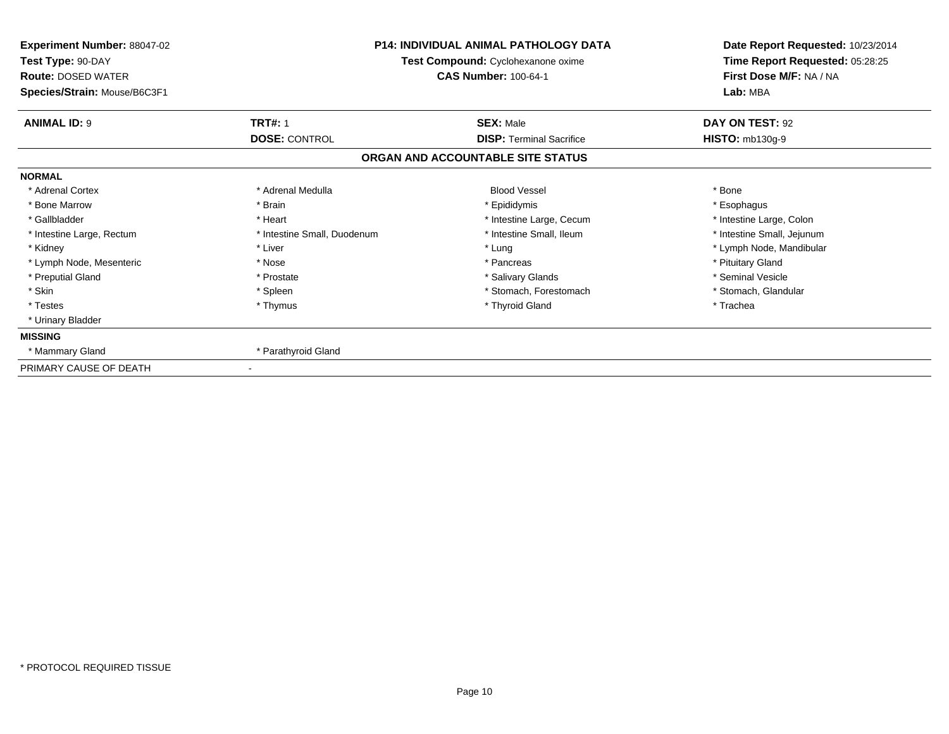| Experiment Number: 88047-02<br>Test Type: 90-DAY<br><b>Route: DOSED WATER</b><br>Species/Strain: Mouse/B6C3F1 | <b>P14: INDIVIDUAL ANIMAL PATHOLOGY DATA</b><br>Test Compound: Cyclohexanone oxime<br><b>CAS Number: 100-64-1</b> |                                   | Date Report Requested: 10/23/2014<br>Time Report Requested: 05:28:25<br>First Dose M/F: NA / NA<br>Lab: MBA |
|---------------------------------------------------------------------------------------------------------------|-------------------------------------------------------------------------------------------------------------------|-----------------------------------|-------------------------------------------------------------------------------------------------------------|
| <b>ANIMAL ID: 9</b>                                                                                           | <b>TRT#: 1</b>                                                                                                    | <b>SEX: Male</b>                  | DAY ON TEST: 92                                                                                             |
|                                                                                                               | <b>DOSE: CONTROL</b>                                                                                              | <b>DISP: Terminal Sacrifice</b>   | <b>HISTO: mb130g-9</b>                                                                                      |
|                                                                                                               |                                                                                                                   | ORGAN AND ACCOUNTABLE SITE STATUS |                                                                                                             |
| <b>NORMAL</b>                                                                                                 |                                                                                                                   |                                   |                                                                                                             |
| * Adrenal Cortex                                                                                              | * Adrenal Medulla                                                                                                 | <b>Blood Vessel</b>               | * Bone                                                                                                      |
| * Bone Marrow                                                                                                 | * Brain                                                                                                           | * Epididymis                      | * Esophagus                                                                                                 |
| * Gallbladder                                                                                                 | * Heart                                                                                                           | * Intestine Large, Cecum          | * Intestine Large, Colon                                                                                    |
| * Intestine Large, Rectum                                                                                     | * Intestine Small, Duodenum                                                                                       | * Intestine Small, Ileum          | * Intestine Small, Jejunum                                                                                  |
| * Kidney                                                                                                      | * Liver                                                                                                           | * Lung                            | * Lymph Node, Mandibular                                                                                    |
| * Lymph Node, Mesenteric                                                                                      | * Nose                                                                                                            | * Pancreas                        | * Pituitary Gland                                                                                           |
| * Preputial Gland                                                                                             | * Prostate                                                                                                        | * Salivary Glands                 | * Seminal Vesicle                                                                                           |
| * Skin                                                                                                        | * Spleen                                                                                                          | * Stomach, Forestomach            | * Stomach, Glandular                                                                                        |
| * Testes                                                                                                      | * Thymus                                                                                                          | * Thyroid Gland                   | * Trachea                                                                                                   |
| * Urinary Bladder                                                                                             |                                                                                                                   |                                   |                                                                                                             |
| <b>MISSING</b>                                                                                                |                                                                                                                   |                                   |                                                                                                             |
| * Mammary Gland                                                                                               | * Parathyroid Gland                                                                                               |                                   |                                                                                                             |
| PRIMARY CAUSE OF DEATH                                                                                        |                                                                                                                   |                                   |                                                                                                             |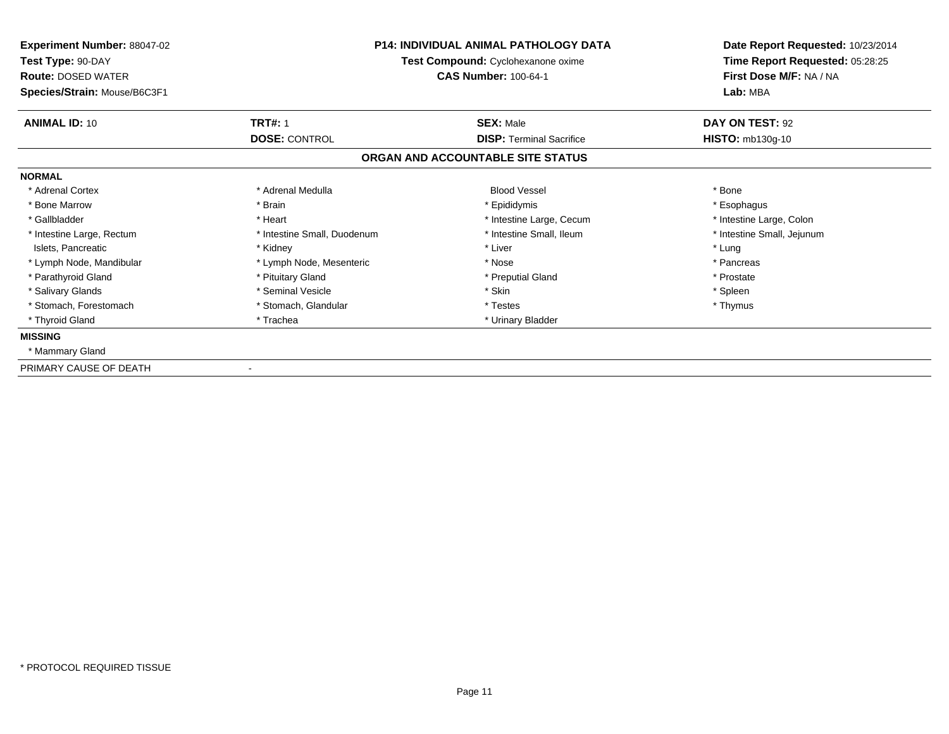| <b>Experiment Number: 88047-02</b><br>Test Type: 90-DAY<br><b>Route: DOSED WATER</b><br>Species/Strain: Mouse/B6C3F1 | <b>P14: INDIVIDUAL ANIMAL PATHOLOGY DATA</b><br>Test Compound: Cyclohexanone oxime<br><b>CAS Number: 100-64-1</b> |                                                     | Date Report Requested: 10/23/2014<br>Time Report Requested: 05:28:25<br>First Dose M/F: NA / NA<br>Lab: MBA |
|----------------------------------------------------------------------------------------------------------------------|-------------------------------------------------------------------------------------------------------------------|-----------------------------------------------------|-------------------------------------------------------------------------------------------------------------|
| <b>ANIMAL ID: 10</b>                                                                                                 | <b>TRT#: 1</b><br><b>DOSE: CONTROL</b>                                                                            | <b>SEX: Male</b><br><b>DISP: Terminal Sacrifice</b> | DAY ON TEST: 92<br><b>HISTO: mb130g-10</b>                                                                  |
|                                                                                                                      |                                                                                                                   | ORGAN AND ACCOUNTABLE SITE STATUS                   |                                                                                                             |
| <b>NORMAL</b>                                                                                                        |                                                                                                                   |                                                     |                                                                                                             |
| * Adrenal Cortex                                                                                                     | * Adrenal Medulla                                                                                                 | <b>Blood Vessel</b>                                 | * Bone                                                                                                      |
| * Bone Marrow                                                                                                        | * Brain                                                                                                           | * Epididymis                                        | * Esophagus                                                                                                 |
| * Gallbladder                                                                                                        | * Heart                                                                                                           | * Intestine Large, Cecum                            | * Intestine Large, Colon                                                                                    |
| * Intestine Large, Rectum                                                                                            | * Intestine Small, Duodenum                                                                                       | * Intestine Small, Ileum                            | * Intestine Small, Jejunum                                                                                  |
| Islets, Pancreatic                                                                                                   | * Kidney                                                                                                          | * Liver                                             | * Lung                                                                                                      |
| * Lymph Node, Mandibular                                                                                             | * Lymph Node, Mesenteric                                                                                          | * Nose                                              | * Pancreas                                                                                                  |
| * Parathyroid Gland                                                                                                  | * Pituitary Gland                                                                                                 | * Preputial Gland                                   | * Prostate                                                                                                  |
| * Salivary Glands                                                                                                    | * Seminal Vesicle                                                                                                 | * Skin                                              | * Spleen                                                                                                    |
| * Stomach, Forestomach                                                                                               | * Stomach, Glandular                                                                                              | * Testes                                            | * Thymus                                                                                                    |
| * Thyroid Gland                                                                                                      | * Trachea                                                                                                         | * Urinary Bladder                                   |                                                                                                             |
| <b>MISSING</b>                                                                                                       |                                                                                                                   |                                                     |                                                                                                             |
| * Mammary Gland                                                                                                      |                                                                                                                   |                                                     |                                                                                                             |
| PRIMARY CAUSE OF DEATH                                                                                               |                                                                                                                   |                                                     |                                                                                                             |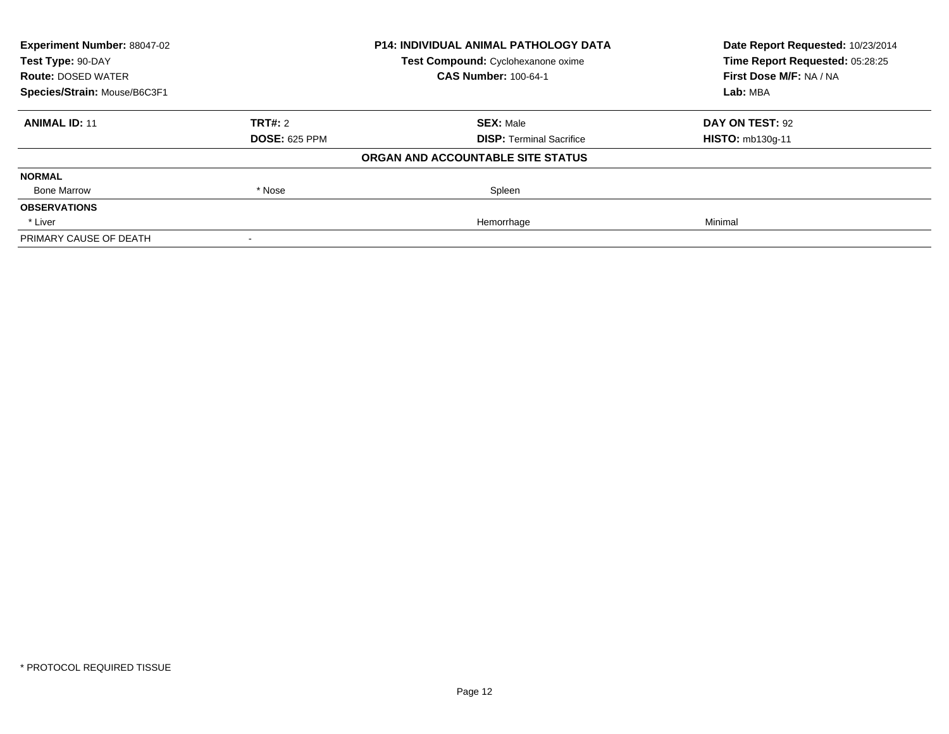| <b>Experiment Number: 88047-02</b> |                      | <b>P14: INDIVIDUAL ANIMAL PATHOLOGY DATA</b> | Date Report Requested: 10/23/2014 |
|------------------------------------|----------------------|----------------------------------------------|-----------------------------------|
| Test Type: 90-DAY                  |                      | Test Compound: Cyclohexanone oxime           | Time Report Requested: 05:28:25   |
| <b>Route: DOSED WATER</b>          |                      | <b>CAS Number: 100-64-1</b>                  | First Dose M/F: NA / NA           |
| Species/Strain: Mouse/B6C3F1       |                      |                                              | Lab: MBA                          |
| <b>ANIMAL ID: 11</b>               | <b>TRT#: 2</b>       | <b>SEX: Male</b>                             | DAY ON TEST: 92                   |
|                                    | <b>DOSE: 625 PPM</b> | <b>DISP: Terminal Sacrifice</b>              | HISTO: mb130q-11                  |
|                                    |                      | ORGAN AND ACCOUNTABLE SITE STATUS            |                                   |
| <b>NORMAL</b>                      |                      |                                              |                                   |
| <b>Bone Marrow</b>                 | * Nose               | Spleen                                       |                                   |
| <b>OBSERVATIONS</b>                |                      |                                              |                                   |
| * Liver                            |                      | Hemorrhage                                   | Minimal                           |
| PRIMARY CAUSE OF DEATH             |                      |                                              |                                   |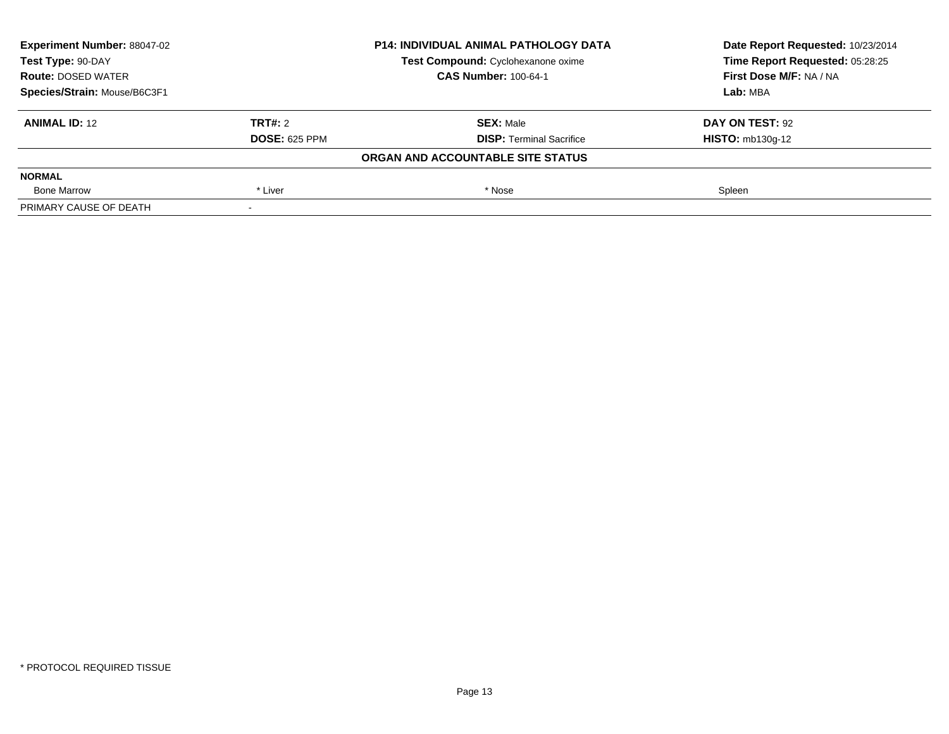| <b>Experiment Number: 88047-02</b> | <b>P14: INDIVIDUAL ANIMAL PATHOLOGY DATA</b><br>Test Compound: Cyclohexanone oxime<br><b>CAS Number: 100-64-1</b> |                                   | Date Report Requested: 10/23/2014 |
|------------------------------------|-------------------------------------------------------------------------------------------------------------------|-----------------------------------|-----------------------------------|
| Test Type: 90-DAY                  |                                                                                                                   |                                   | Time Report Requested: 05:28:25   |
| <b>Route: DOSED WATER</b>          |                                                                                                                   |                                   | First Dose M/F: NA / NA           |
| Species/Strain: Mouse/B6C3F1       |                                                                                                                   |                                   | Lab: MBA                          |
| <b>ANIMAL ID: 12</b>               | TRT#: 2                                                                                                           | <b>SEX: Male</b>                  | DAY ON TEST: 92                   |
|                                    | <b>DOSE: 625 PPM</b>                                                                                              | <b>DISP:</b> Terminal Sacrifice   | <b>HISTO: mb130g-12</b>           |
|                                    |                                                                                                                   | ORGAN AND ACCOUNTABLE SITE STATUS |                                   |
| <b>NORMAL</b>                      |                                                                                                                   |                                   |                                   |
| <b>Bone Marrow</b>                 | * Liver                                                                                                           | * Nose                            | Spleen                            |
| PRIMARY CAUSE OF DEATH             |                                                                                                                   |                                   |                                   |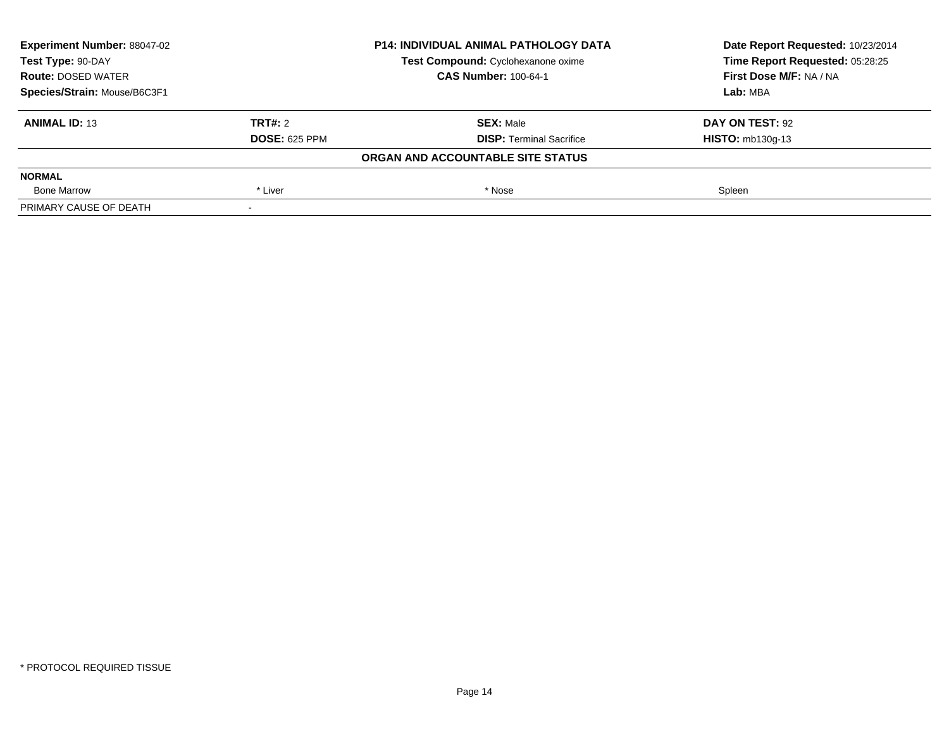| <b>Experiment Number: 88047-02</b> | <b>P14: INDIVIDUAL ANIMAL PATHOLOGY DATA</b><br>Test Compound: Cyclohexanone oxime<br><b>CAS Number: 100-64-1</b> |                                   | Date Report Requested: 10/23/2014 |
|------------------------------------|-------------------------------------------------------------------------------------------------------------------|-----------------------------------|-----------------------------------|
| Test Type: 90-DAY                  |                                                                                                                   |                                   | Time Report Requested: 05:28:25   |
| <b>Route: DOSED WATER</b>          |                                                                                                                   |                                   | First Dose M/F: NA / NA           |
| Species/Strain: Mouse/B6C3F1       |                                                                                                                   |                                   | Lab: MBA                          |
| <b>ANIMAL ID: 13</b>               | TRT#: 2                                                                                                           | <b>SEX: Male</b>                  | DAY ON TEST: 92                   |
|                                    | <b>DOSE: 625 PPM</b>                                                                                              | <b>DISP:</b> Terminal Sacrifice   | <b>HISTO: mb130g-13</b>           |
|                                    |                                                                                                                   | ORGAN AND ACCOUNTABLE SITE STATUS |                                   |
| <b>NORMAL</b>                      |                                                                                                                   |                                   |                                   |
| <b>Bone Marrow</b>                 | * Liver                                                                                                           | * Nose                            | Spleen                            |
| PRIMARY CAUSE OF DEATH             |                                                                                                                   |                                   |                                   |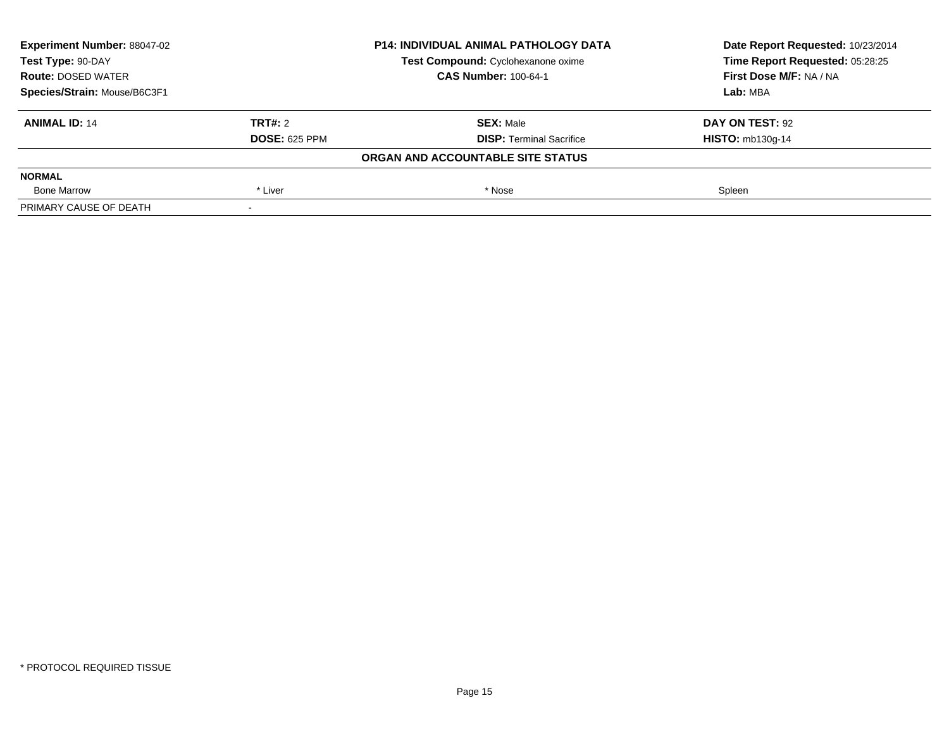| <b>Experiment Number: 88047-02</b> | <b>P14: INDIVIDUAL ANIMAL PATHOLOGY DATA</b><br>Test Compound: Cyclohexanone oxime<br><b>CAS Number: 100-64-1</b> |                                   | Date Report Requested: 10/23/2014 |
|------------------------------------|-------------------------------------------------------------------------------------------------------------------|-----------------------------------|-----------------------------------|
| Test Type: 90-DAY                  |                                                                                                                   |                                   | Time Report Requested: 05:28:25   |
| <b>Route: DOSED WATER</b>          |                                                                                                                   |                                   | First Dose M/F: NA / NA           |
| Species/Strain: Mouse/B6C3F1       |                                                                                                                   |                                   | Lab: MBA                          |
| <b>ANIMAL ID: 14</b>               | TRT#: 2                                                                                                           | <b>SEX: Male</b>                  | DAY ON TEST: 92                   |
|                                    | <b>DOSE: 625 PPM</b>                                                                                              | <b>DISP:</b> Terminal Sacrifice   | <b>HISTO: mb130g-14</b>           |
|                                    |                                                                                                                   | ORGAN AND ACCOUNTABLE SITE STATUS |                                   |
| <b>NORMAL</b>                      |                                                                                                                   |                                   |                                   |
| <b>Bone Marrow</b>                 | * Liver                                                                                                           | * Nose                            | Spleen                            |
| PRIMARY CAUSE OF DEATH             |                                                                                                                   |                                   |                                   |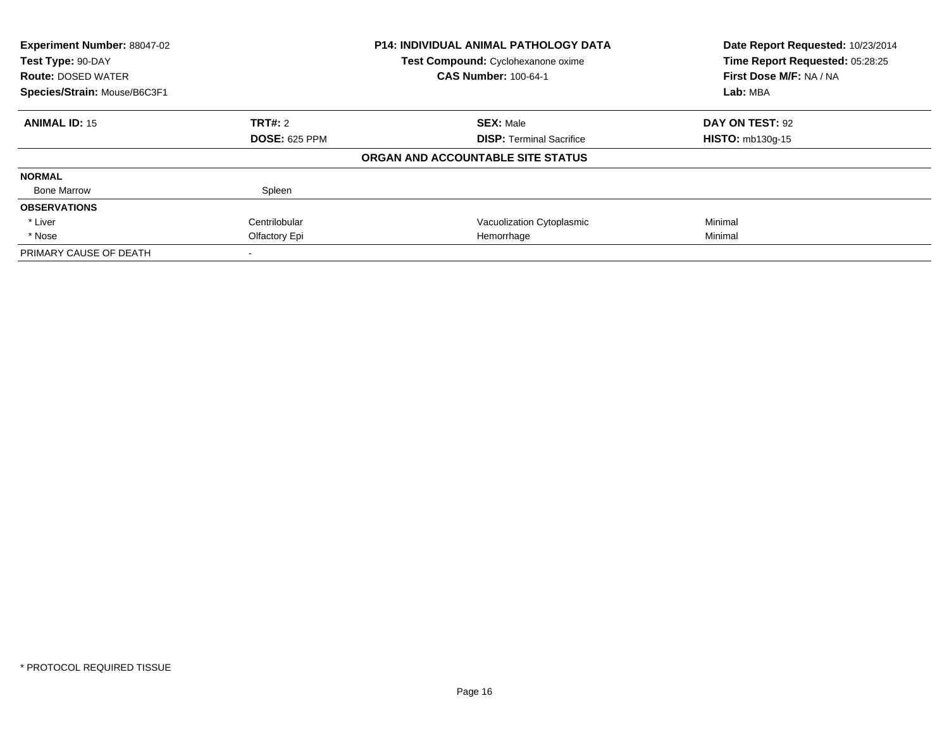| <b>Experiment Number: 88047-02</b> |                      | P14: INDIVIDUAL ANIMAL PATHOLOGY DATA | Date Report Requested: 10/23/2014 |
|------------------------------------|----------------------|---------------------------------------|-----------------------------------|
| Test Type: 90-DAY                  |                      | Test Compound: Cyclohexanone oxime    | Time Report Requested: 05:28:25   |
| <b>Route: DOSED WATER</b>          |                      | <b>CAS Number: 100-64-1</b>           | First Dose M/F: NA / NA           |
| Species/Strain: Mouse/B6C3F1       |                      |                                       | Lab: MBA                          |
| <b>ANIMAL ID: 15</b>               | <b>TRT#: 2</b>       | <b>SEX: Male</b>                      | DAY ON TEST: 92                   |
|                                    | <b>DOSE: 625 PPM</b> | <b>DISP:</b> Terminal Sacrifice       | <b>HISTO: mb130g-15</b>           |
|                                    |                      | ORGAN AND ACCOUNTABLE SITE STATUS     |                                   |
| <b>NORMAL</b>                      |                      |                                       |                                   |
| <b>Bone Marrow</b>                 | Spleen               |                                       |                                   |
| <b>OBSERVATIONS</b>                |                      |                                       |                                   |
| * Liver                            | Centrilobular        | Vacuolization Cytoplasmic             | Minimal                           |
| * Nose                             | Olfactory Epi        | Hemorrhage                            | Minimal                           |
| PRIMARY CAUSE OF DEATH             |                      |                                       |                                   |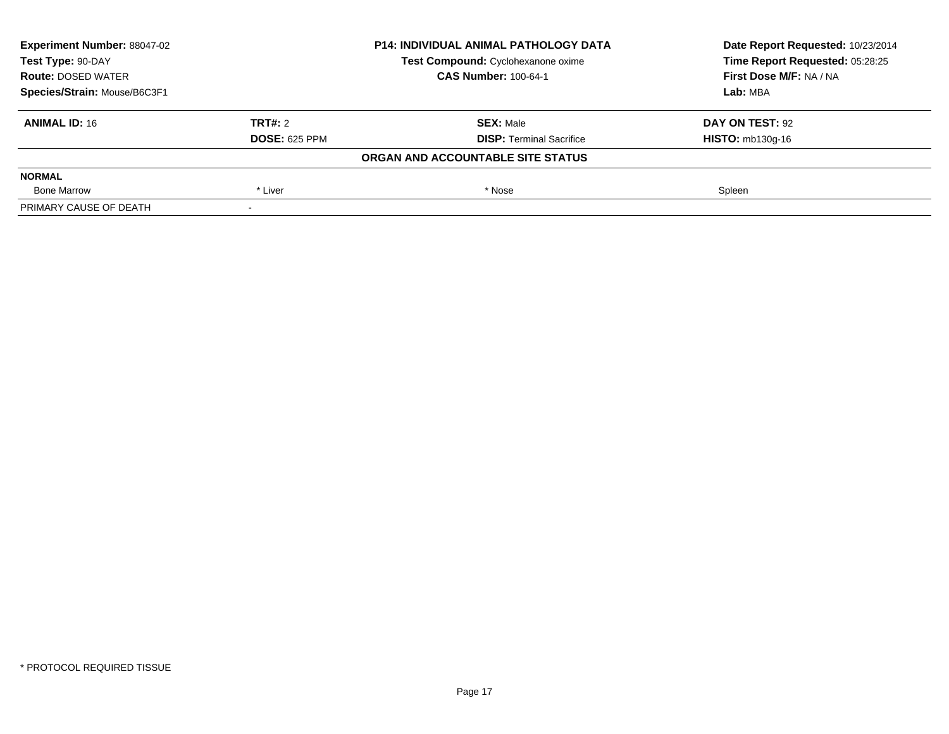| <b>Experiment Number: 88047-02</b> | <b>P14: INDIVIDUAL ANIMAL PATHOLOGY DATA</b><br>Test Compound: Cyclohexanone oxime<br><b>CAS Number: 100-64-1</b> |                                   | Date Report Requested: 10/23/2014 |
|------------------------------------|-------------------------------------------------------------------------------------------------------------------|-----------------------------------|-----------------------------------|
| Test Type: 90-DAY                  |                                                                                                                   |                                   | Time Report Requested: 05:28:25   |
| <b>Route: DOSED WATER</b>          |                                                                                                                   |                                   | First Dose M/F: NA / NA           |
| Species/Strain: Mouse/B6C3F1       |                                                                                                                   |                                   | Lab: MBA                          |
| <b>ANIMAL ID: 16</b>               | TRT#: 2                                                                                                           | <b>SEX: Male</b>                  | DAY ON TEST: 92                   |
|                                    | <b>DOSE: 625 PPM</b>                                                                                              | <b>DISP:</b> Terminal Sacrifice   | <b>HISTO: mb130g-16</b>           |
|                                    |                                                                                                                   | ORGAN AND ACCOUNTABLE SITE STATUS |                                   |
| <b>NORMAL</b>                      |                                                                                                                   |                                   |                                   |
| <b>Bone Marrow</b>                 | * Liver                                                                                                           | * Nose                            | Spleen                            |
| PRIMARY CAUSE OF DEATH             |                                                                                                                   |                                   |                                   |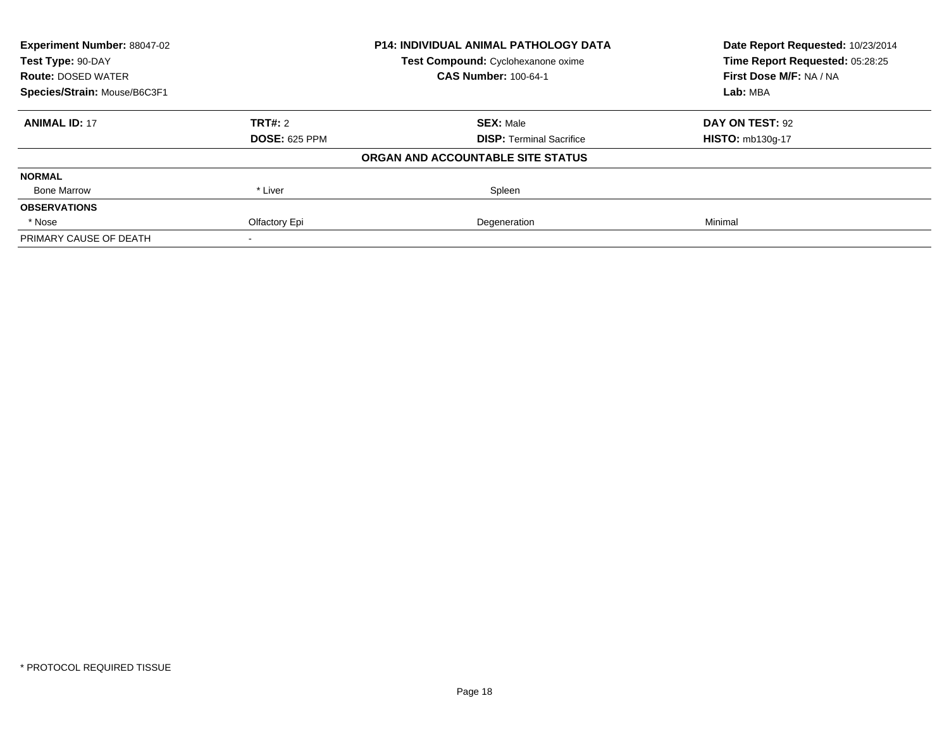| <b>Experiment Number: 88047-02</b> | <b>P14: INDIVIDUAL ANIMAL PATHOLOGY DATA</b> |                                    | Date Report Requested: 10/23/2014 |
|------------------------------------|----------------------------------------------|------------------------------------|-----------------------------------|
| Test Type: 90-DAY                  |                                              | Test Compound: Cyclohexanone oxime | Time Report Requested: 05:28:25   |
| <b>Route: DOSED WATER</b>          |                                              | <b>CAS Number: 100-64-1</b>        | First Dose M/F: NA / NA           |
| Species/Strain: Mouse/B6C3F1       |                                              |                                    | Lab: MBA                          |
| <b>ANIMAL ID: 17</b>               | <b>TRT#: 2</b>                               | <b>SEX: Male</b>                   | DAY ON TEST: 92                   |
|                                    | <b>DOSE: 625 PPM</b>                         | <b>DISP:</b> Terminal Sacrifice    | <b>HISTO: mb130g-17</b>           |
|                                    |                                              | ORGAN AND ACCOUNTABLE SITE STATUS  |                                   |
| <b>NORMAL</b>                      |                                              |                                    |                                   |
| <b>Bone Marrow</b>                 | * Liver                                      | Spleen                             |                                   |
| <b>OBSERVATIONS</b>                |                                              |                                    |                                   |
| * Nose                             | Olfactory Epi                                | Degeneration                       | Minimal                           |
| PRIMARY CAUSE OF DEATH             |                                              |                                    |                                   |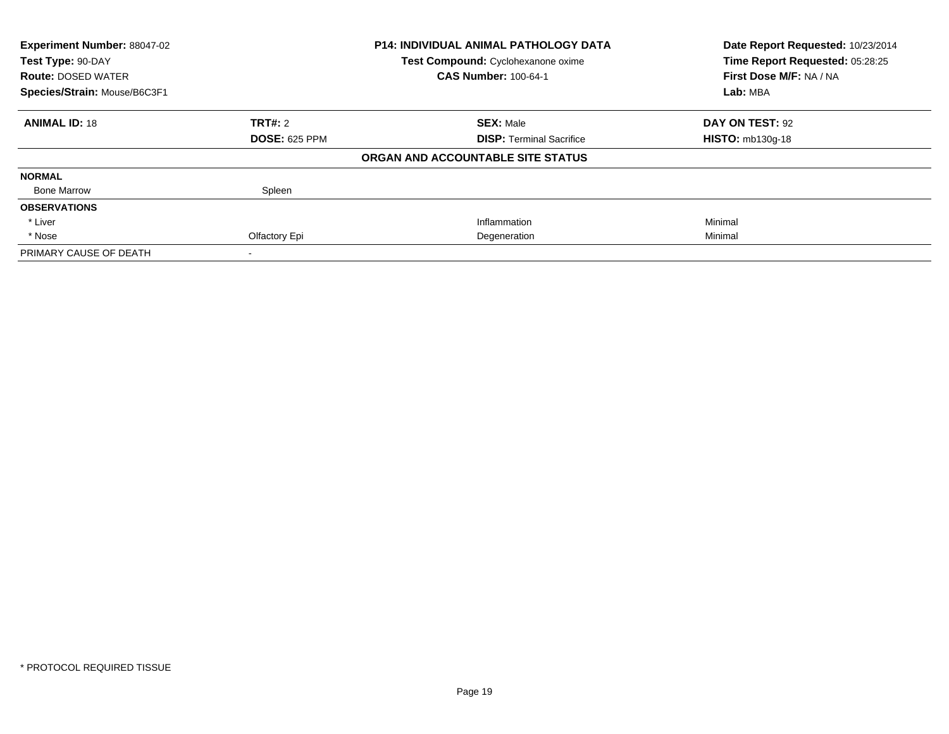| <b>Experiment Number: 88047-02</b> |                      | P14: INDIVIDUAL ANIMAL PATHOLOGY DATA | Date Report Requested: 10/23/2014 |
|------------------------------------|----------------------|---------------------------------------|-----------------------------------|
| Test Type: 90-DAY                  |                      | Test Compound: Cyclohexanone oxime    | Time Report Requested: 05:28:25   |
| <b>Route: DOSED WATER</b>          |                      | <b>CAS Number: 100-64-1</b>           | First Dose M/F: NA / NA           |
| Species/Strain: Mouse/B6C3F1       |                      |                                       | Lab: MBA                          |
| <b>ANIMAL ID: 18</b>               | TRT#: 2              | <b>SEX: Male</b>                      | DAY ON TEST: 92                   |
|                                    | <b>DOSE: 625 PPM</b> | <b>DISP:</b> Terminal Sacrifice       | <b>HISTO: mb130g-18</b>           |
|                                    |                      | ORGAN AND ACCOUNTABLE SITE STATUS     |                                   |
| <b>NORMAL</b>                      |                      |                                       |                                   |
| <b>Bone Marrow</b>                 | Spleen               |                                       |                                   |
| <b>OBSERVATIONS</b>                |                      |                                       |                                   |
| * Liver                            |                      | Inflammation                          | Minimal                           |
| * Nose                             | Olfactory Epi        | Degeneration                          | Minimal                           |
| PRIMARY CAUSE OF DEATH             |                      |                                       |                                   |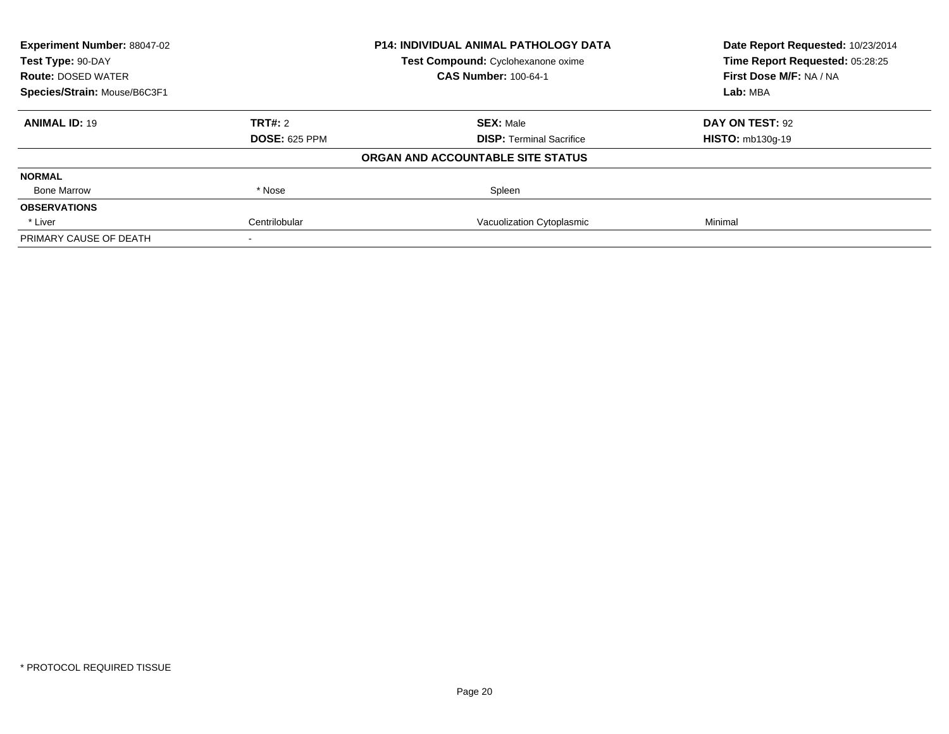| <b>Experiment Number: 88047-02</b> | <b>P14: INDIVIDUAL ANIMAL PATHOLOGY DATA</b> |                                    | Date Report Requested: 10/23/2014 |
|------------------------------------|----------------------------------------------|------------------------------------|-----------------------------------|
| Test Type: 90-DAY                  |                                              | Test Compound: Cyclohexanone oxime | Time Report Requested: 05:28:25   |
| <b>Route: DOSED WATER</b>          |                                              | <b>CAS Number: 100-64-1</b>        | First Dose M/F: NA / NA           |
| Species/Strain: Mouse/B6C3F1       |                                              |                                    | Lab: MBA                          |
| <b>ANIMAL ID: 19</b>               | TRT#: 2                                      | <b>SEX: Male</b>                   | DAY ON TEST: 92                   |
|                                    | <b>DOSE: 625 PPM</b>                         | <b>DISP:</b> Terminal Sacrifice    | <b>HISTO: mb130g-19</b>           |
|                                    |                                              | ORGAN AND ACCOUNTABLE SITE STATUS  |                                   |
| <b>NORMAL</b>                      |                                              |                                    |                                   |
| <b>Bone Marrow</b>                 | * Nose                                       | Spleen                             |                                   |
| <b>OBSERVATIONS</b>                |                                              |                                    |                                   |
| * Liver                            | Centrilobular                                | Vacuolization Cytoplasmic          | Minimal                           |
| PRIMARY CAUSE OF DEATH             |                                              |                                    |                                   |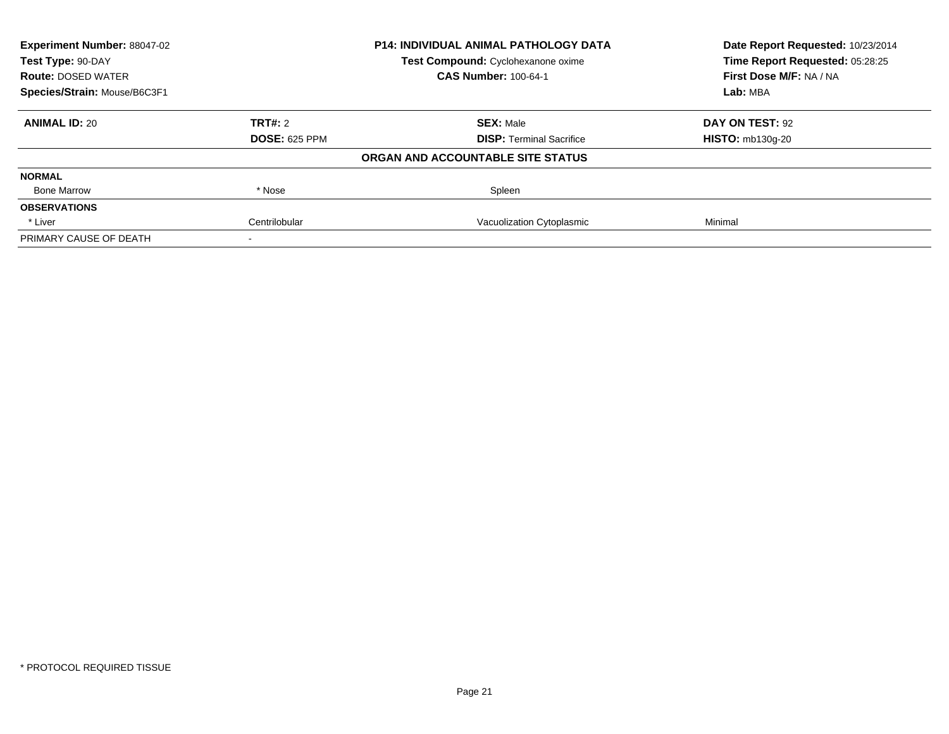| <b>Experiment Number: 88047-02</b> | <b>P14: INDIVIDUAL ANIMAL PATHOLOGY DATA</b> |                                    | Date Report Requested: 10/23/2014 |
|------------------------------------|----------------------------------------------|------------------------------------|-----------------------------------|
| Test Type: 90-DAY                  |                                              | Test Compound: Cyclohexanone oxime | Time Report Requested: 05:28:25   |
| <b>Route: DOSED WATER</b>          |                                              | <b>CAS Number: 100-64-1</b>        | First Dose M/F: NA / NA           |
| Species/Strain: Mouse/B6C3F1       |                                              |                                    | Lab: MBA                          |
| <b>ANIMAL ID: 20</b>               | TRT#: 2                                      | <b>SEX: Male</b>                   | DAY ON TEST: 92                   |
|                                    | <b>DOSE: 625 PPM</b>                         | <b>DISP:</b> Terminal Sacrifice    | <b>HISTO: mb130g-20</b>           |
|                                    |                                              | ORGAN AND ACCOUNTABLE SITE STATUS  |                                   |
| <b>NORMAL</b>                      |                                              |                                    |                                   |
| <b>Bone Marrow</b>                 | * Nose                                       | Spleen                             |                                   |
| <b>OBSERVATIONS</b>                |                                              |                                    |                                   |
| * Liver                            | Centrilobular                                | Vacuolization Cytoplasmic          | Minimal                           |
| PRIMARY CAUSE OF DEATH             |                                              |                                    |                                   |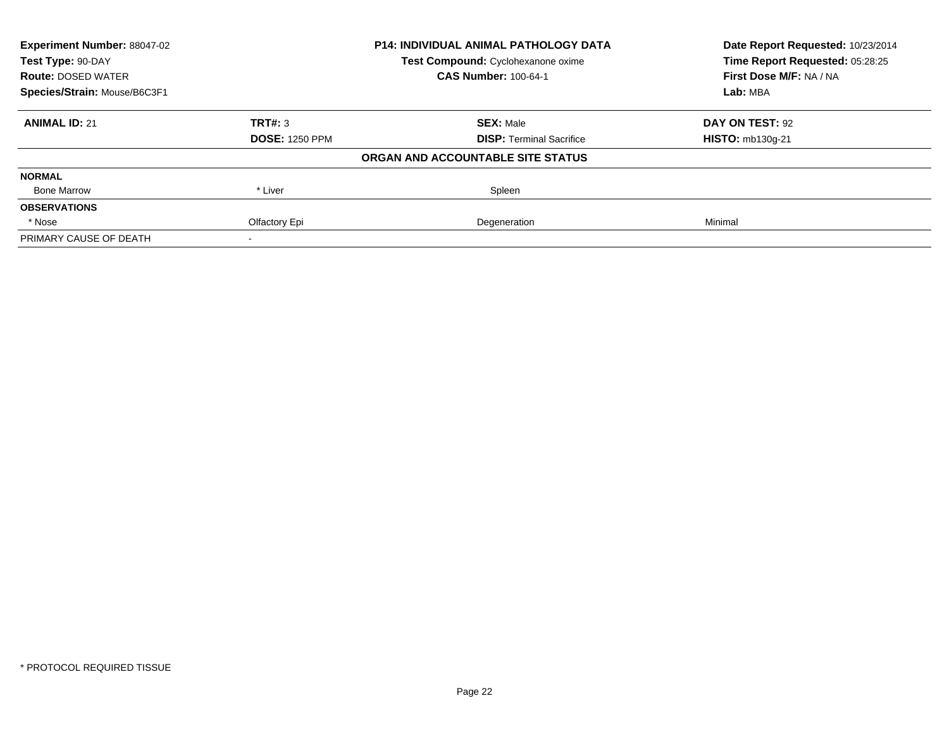| <b>Experiment Number: 88047-02</b> | <b>P14: INDIVIDUAL ANIMAL PATHOLOGY DATA</b> |                                    | Date Report Requested: 10/23/2014 |
|------------------------------------|----------------------------------------------|------------------------------------|-----------------------------------|
| Test Type: 90-DAY                  |                                              | Test Compound: Cyclohexanone oxime | Time Report Requested: 05:28:25   |
| <b>Route: DOSED WATER</b>          |                                              | <b>CAS Number: 100-64-1</b>        | First Dose M/F: NA / NA           |
| Species/Strain: Mouse/B6C3F1       |                                              |                                    | Lab: MBA                          |
| <b>ANIMAL ID: 21</b>               | TRT#: 3                                      | <b>SEX: Male</b>                   | DAY ON TEST: 92                   |
|                                    | <b>DOSE: 1250 PPM</b>                        | <b>DISP:</b> Terminal Sacrifice    | <b>HISTO: mb130g-21</b>           |
|                                    |                                              | ORGAN AND ACCOUNTABLE SITE STATUS  |                                   |
| <b>NORMAL</b>                      |                                              |                                    |                                   |
| <b>Bone Marrow</b>                 | * Liver                                      | Spleen                             |                                   |
| <b>OBSERVATIONS</b>                |                                              |                                    |                                   |
| * Nose                             | Olfactory Epi                                | Degeneration                       | Minimal                           |
| PRIMARY CAUSE OF DEATH             |                                              |                                    |                                   |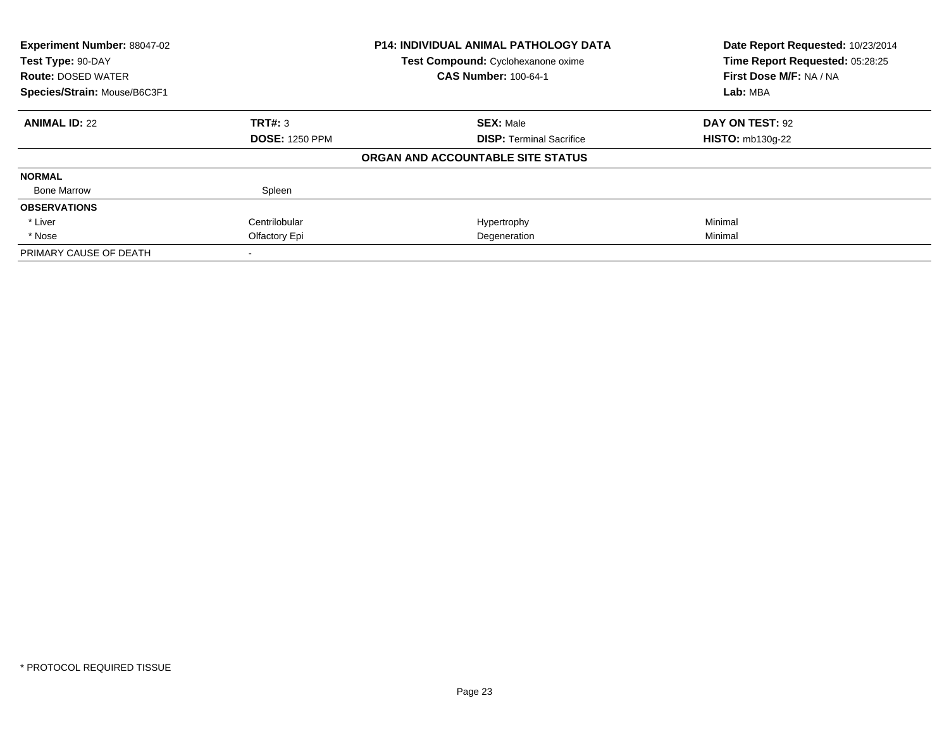| <b>Experiment Number: 88047-02</b> |                       | P14: INDIVIDUAL ANIMAL PATHOLOGY DATA | Date Report Requested: 10/23/2014 |
|------------------------------------|-----------------------|---------------------------------------|-----------------------------------|
| Test Type: 90-DAY                  |                       | Test Compound: Cyclohexanone oxime    | Time Report Requested: 05:28:25   |
| <b>Route: DOSED WATER</b>          |                       | <b>CAS Number: 100-64-1</b>           | First Dose M/F: NA / NA           |
| Species/Strain: Mouse/B6C3F1       |                       |                                       | Lab: MBA                          |
| <b>ANIMAL ID: 22</b>               | TRT#: 3               | <b>SEX: Male</b>                      | DAY ON TEST: 92                   |
|                                    | <b>DOSE: 1250 PPM</b> | <b>DISP:</b> Terminal Sacrifice       | $HISTO: mb130g-22$                |
|                                    |                       | ORGAN AND ACCOUNTABLE SITE STATUS     |                                   |
| <b>NORMAL</b>                      |                       |                                       |                                   |
| <b>Bone Marrow</b>                 | Spleen                |                                       |                                   |
| <b>OBSERVATIONS</b>                |                       |                                       |                                   |
| * Liver                            | Centrilobular         | Hypertrophy                           | Minimal                           |
| * Nose                             | Olfactory Epi         | Degeneration                          | Minimal                           |
| PRIMARY CAUSE OF DEATH             |                       |                                       |                                   |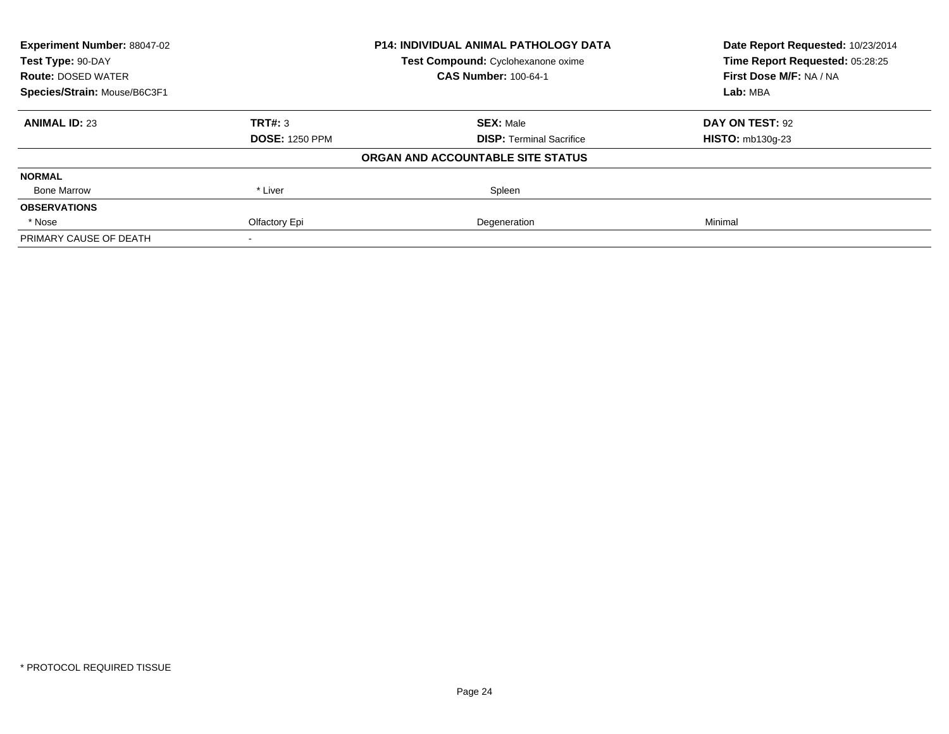| <b>Experiment Number: 88047-02</b> | <b>P14: INDIVIDUAL ANIMAL PATHOLOGY DATA</b> |                                    | Date Report Requested: 10/23/2014 |
|------------------------------------|----------------------------------------------|------------------------------------|-----------------------------------|
| Test Type: 90-DAY                  |                                              | Test Compound: Cyclohexanone oxime | Time Report Requested: 05:28:25   |
| <b>Route: DOSED WATER</b>          |                                              | <b>CAS Number: 100-64-1</b>        | First Dose M/F: NA / NA           |
| Species/Strain: Mouse/B6C3F1       |                                              |                                    | Lab: MBA                          |
| <b>ANIMAL ID: 23</b>               | TRT#: 3                                      | <b>SEX: Male</b>                   | DAY ON TEST: 92                   |
|                                    | <b>DOSE: 1250 PPM</b>                        | <b>DISP:</b> Terminal Sacrifice    | <b>HISTO: mb130g-23</b>           |
|                                    |                                              | ORGAN AND ACCOUNTABLE SITE STATUS  |                                   |
| <b>NORMAL</b>                      |                                              |                                    |                                   |
| <b>Bone Marrow</b>                 | * Liver                                      | Spleen                             |                                   |
| <b>OBSERVATIONS</b>                |                                              |                                    |                                   |
| * Nose                             | Olfactory Epi                                | Degeneration                       | Minimal                           |
| PRIMARY CAUSE OF DEATH             |                                              |                                    |                                   |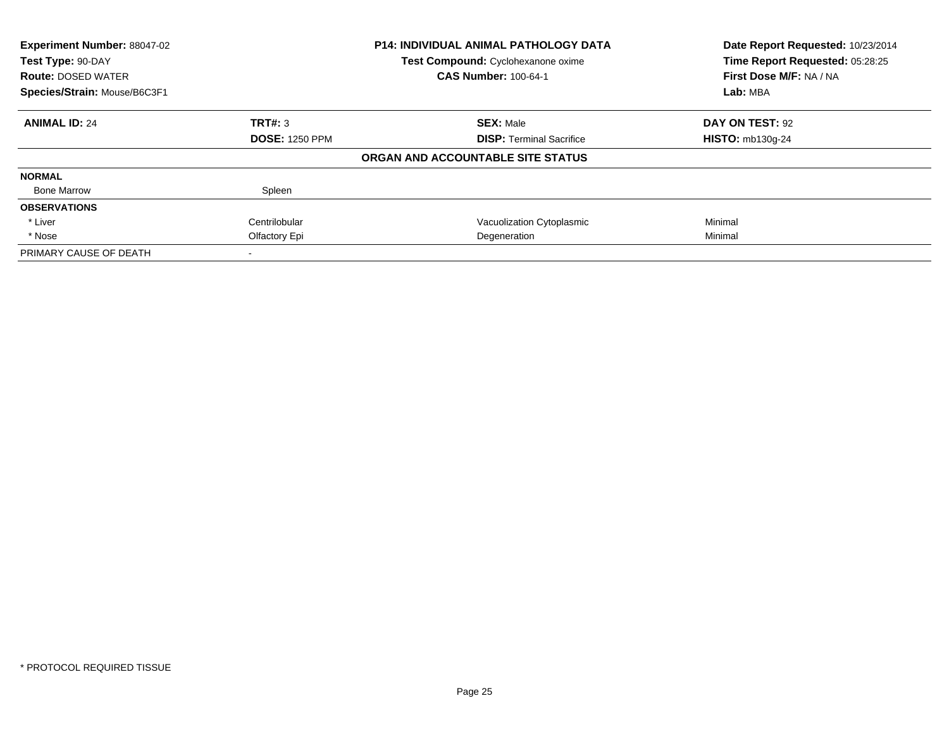| <b>Experiment Number: 88047-02</b> |                       | <b>P14: INDIVIDUAL ANIMAL PATHOLOGY DATA</b> | Date Report Requested: 10/23/2014 |
|------------------------------------|-----------------------|----------------------------------------------|-----------------------------------|
| Test Type: 90-DAY                  |                       | Test Compound: Cyclohexanone oxime           | Time Report Requested: 05:28:25   |
| <b>Route: DOSED WATER</b>          |                       | <b>CAS Number: 100-64-1</b>                  | First Dose M/F: NA / NA           |
| Species/Strain: Mouse/B6C3F1       |                       |                                              | Lab: MBA                          |
| <b>ANIMAL ID: 24</b>               | TRT#: 3               | <b>SEX: Male</b>                             | DAY ON TEST: 92                   |
|                                    | <b>DOSE: 1250 PPM</b> | <b>DISP:</b> Terminal Sacrifice              | <b>HISTO: mb130g-24</b>           |
|                                    |                       | ORGAN AND ACCOUNTABLE SITE STATUS            |                                   |
| <b>NORMAL</b>                      |                       |                                              |                                   |
| <b>Bone Marrow</b>                 | Spleen                |                                              |                                   |
| <b>OBSERVATIONS</b>                |                       |                                              |                                   |
| * Liver                            | Centrilobular         | Vacuolization Cytoplasmic                    | Minimal                           |
| * Nose                             | Olfactory Epi         | Degeneration                                 | Minimal                           |
| PRIMARY CAUSE OF DEATH             |                       |                                              |                                   |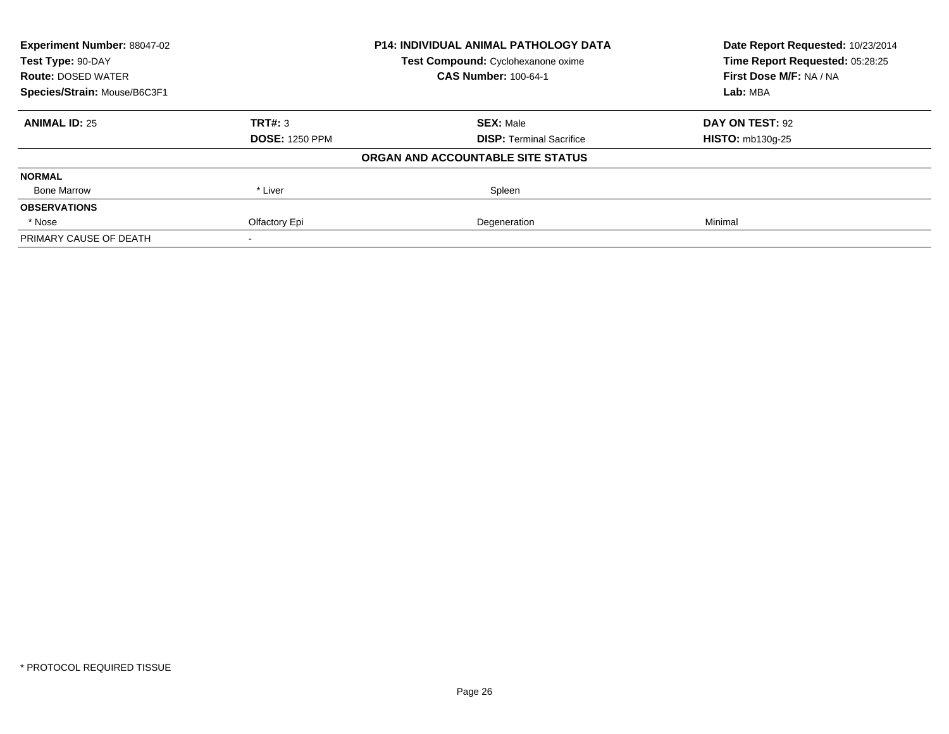| <b>Experiment Number: 88047-02</b> | <b>P14: INDIVIDUAL ANIMAL PATHOLOGY DATA</b> |                                    | Date Report Requested: 10/23/2014                          |
|------------------------------------|----------------------------------------------|------------------------------------|------------------------------------------------------------|
| Test Type: 90-DAY                  |                                              | Test Compound: Cyclohexanone oxime | Time Report Requested: 05:28:25<br>First Dose M/F: NA / NA |
| <b>Route: DOSED WATER</b>          |                                              | <b>CAS Number: 100-64-1</b>        |                                                            |
| Species/Strain: Mouse/B6C3F1       |                                              |                                    | Lab: MBA                                                   |
| <b>ANIMAL ID: 25</b>               | TRT#: 3                                      | <b>SEX: Male</b>                   | DAY ON TEST: 92                                            |
|                                    | <b>DOSE: 1250 PPM</b>                        | <b>DISP:</b> Terminal Sacrifice    | <b>HISTO: mb130g-25</b>                                    |
|                                    |                                              | ORGAN AND ACCOUNTABLE SITE STATUS  |                                                            |
| <b>NORMAL</b>                      |                                              |                                    |                                                            |
| <b>Bone Marrow</b>                 | * Liver                                      | Spleen                             |                                                            |
| <b>OBSERVATIONS</b>                |                                              |                                    |                                                            |
| * Nose                             | Olfactory Epi                                | Degeneration                       | Minimal                                                    |
| PRIMARY CAUSE OF DEATH             |                                              |                                    |                                                            |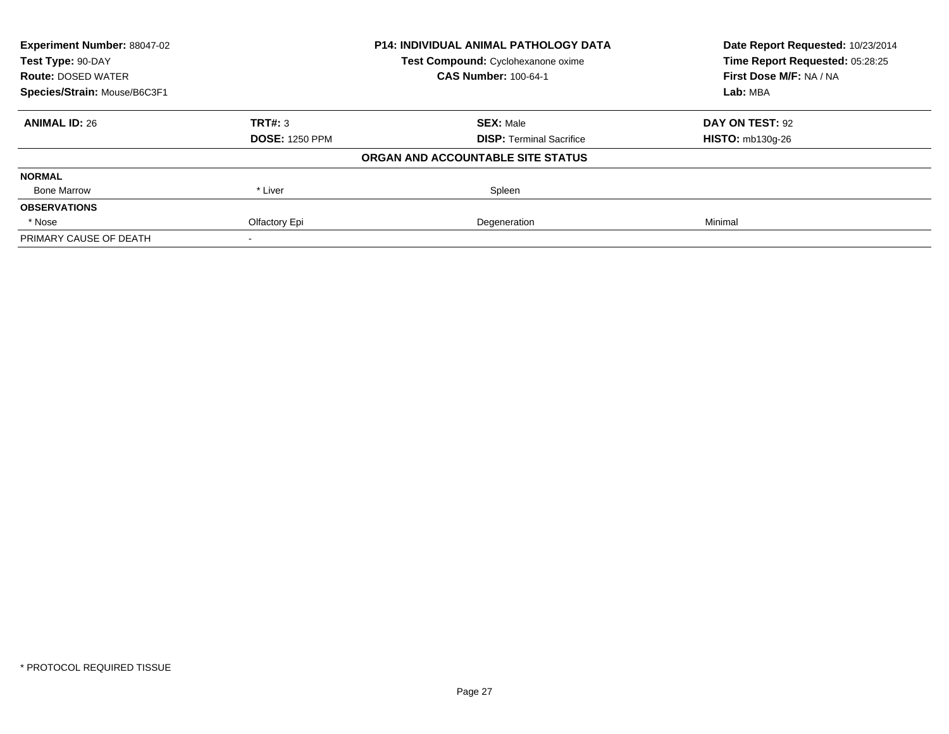| <b>Experiment Number: 88047-02</b> | <b>P14: INDIVIDUAL ANIMAL PATHOLOGY DATA</b> |                                    | Date Report Requested: 10/23/2014 |
|------------------------------------|----------------------------------------------|------------------------------------|-----------------------------------|
| Test Type: 90-DAY                  |                                              | Test Compound: Cyclohexanone oxime | Time Report Requested: 05:28:25   |
| <b>Route: DOSED WATER</b>          |                                              | <b>CAS Number: 100-64-1</b>        | First Dose M/F: NA / NA           |
| Species/Strain: Mouse/B6C3F1       |                                              |                                    | Lab: MBA                          |
| <b>ANIMAL ID: 26</b>               | TRT#: 3                                      | <b>SEX: Male</b>                   | DAY ON TEST: 92                   |
|                                    | <b>DOSE: 1250 PPM</b>                        | <b>DISP:</b> Terminal Sacrifice    | <b>HISTO: mb130g-26</b>           |
|                                    |                                              | ORGAN AND ACCOUNTABLE SITE STATUS  |                                   |
| <b>NORMAL</b>                      |                                              |                                    |                                   |
| <b>Bone Marrow</b>                 | * Liver                                      | Spleen                             |                                   |
| <b>OBSERVATIONS</b>                |                                              |                                    |                                   |
| * Nose                             | Olfactory Epi                                | Degeneration                       | Minimal                           |
| PRIMARY CAUSE OF DEATH             |                                              |                                    |                                   |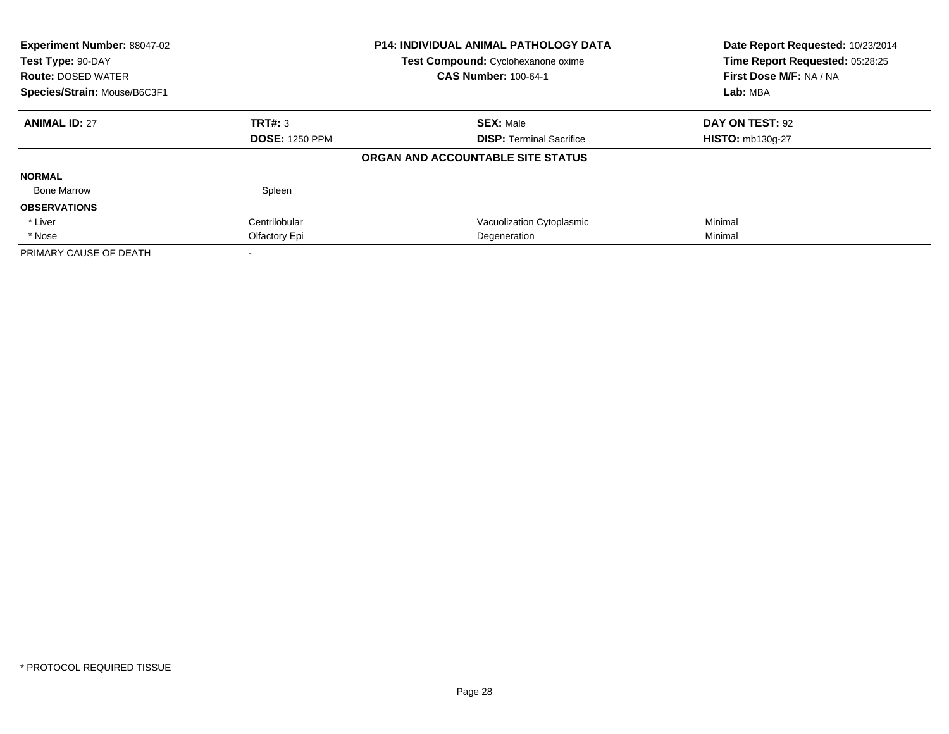| <b>Experiment Number: 88047-02</b> |                       | <b>P14: INDIVIDUAL ANIMAL PATHOLOGY DATA</b> | Date Report Requested: 10/23/2014 |
|------------------------------------|-----------------------|----------------------------------------------|-----------------------------------|
| Test Type: 90-DAY                  |                       | Test Compound: Cyclohexanone oxime           | Time Report Requested: 05:28:25   |
| <b>Route: DOSED WATER</b>          |                       | <b>CAS Number: 100-64-1</b>                  | First Dose M/F: NA / NA           |
| Species/Strain: Mouse/B6C3F1       |                       |                                              | Lab: MBA                          |
| <b>ANIMAL ID: 27</b>               | TRT#: 3               | <b>SEX: Male</b>                             | DAY ON TEST: 92                   |
|                                    | <b>DOSE: 1250 PPM</b> | <b>DISP:</b> Terminal Sacrifice              | <b>HISTO: mb130g-27</b>           |
|                                    |                       | ORGAN AND ACCOUNTABLE SITE STATUS            |                                   |
| <b>NORMAL</b>                      |                       |                                              |                                   |
| <b>Bone Marrow</b>                 | Spleen                |                                              |                                   |
| <b>OBSERVATIONS</b>                |                       |                                              |                                   |
| * Liver                            | Centrilobular         | Vacuolization Cytoplasmic                    | Minimal                           |
| * Nose                             | Olfactory Epi         | Degeneration                                 | Minimal                           |
| PRIMARY CAUSE OF DEATH             |                       |                                              |                                   |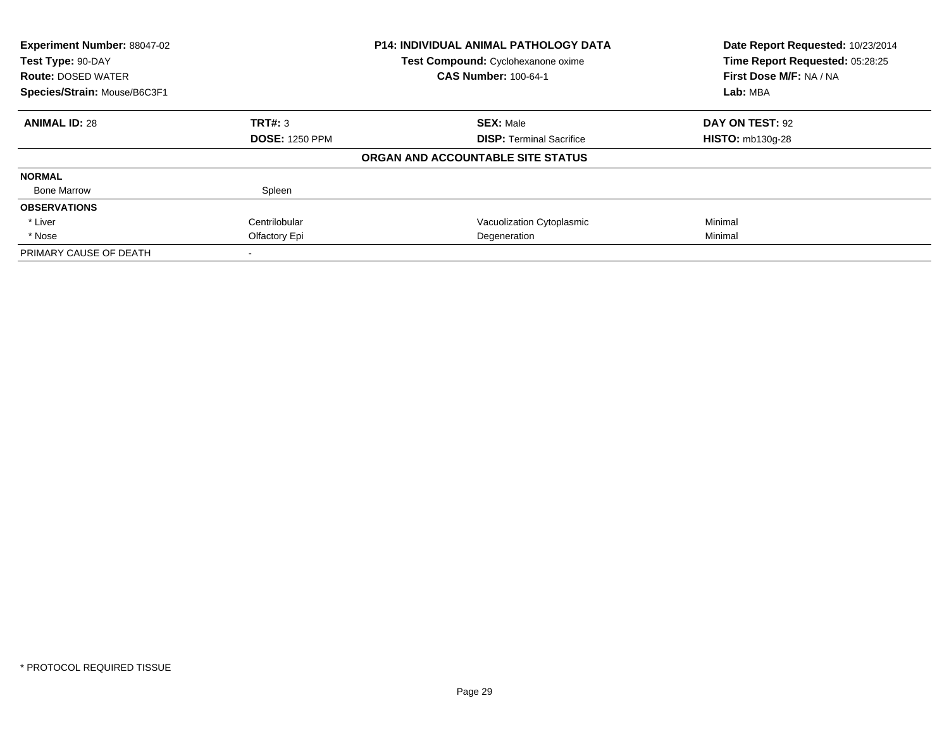| <b>Experiment Number: 88047-02</b> |                       | P14: INDIVIDUAL ANIMAL PATHOLOGY DATA | Date Report Requested: 10/23/2014 |
|------------------------------------|-----------------------|---------------------------------------|-----------------------------------|
| Test Type: 90-DAY                  |                       | Test Compound: Cyclohexanone oxime    | Time Report Requested: 05:28:25   |
| <b>Route: DOSED WATER</b>          |                       | <b>CAS Number: 100-64-1</b>           | First Dose M/F: NA / NA           |
| Species/Strain: Mouse/B6C3F1       |                       |                                       | Lab: MBA                          |
| <b>ANIMAL ID: 28</b>               | TRT#: 3               | <b>SEX: Male</b>                      | DAY ON TEST: 92                   |
|                                    | <b>DOSE: 1250 PPM</b> | <b>DISP:</b> Terminal Sacrifice       | <b>HISTO: mb130g-28</b>           |
|                                    |                       | ORGAN AND ACCOUNTABLE SITE STATUS     |                                   |
| <b>NORMAL</b>                      |                       |                                       |                                   |
| <b>Bone Marrow</b>                 | Spleen                |                                       |                                   |
| <b>OBSERVATIONS</b>                |                       |                                       |                                   |
| * Liver                            | Centrilobular         | Vacuolization Cytoplasmic             | Minimal                           |
| * Nose                             | Olfactory Epi         | Degeneration                          | Minimal                           |
| PRIMARY CAUSE OF DEATH             |                       |                                       |                                   |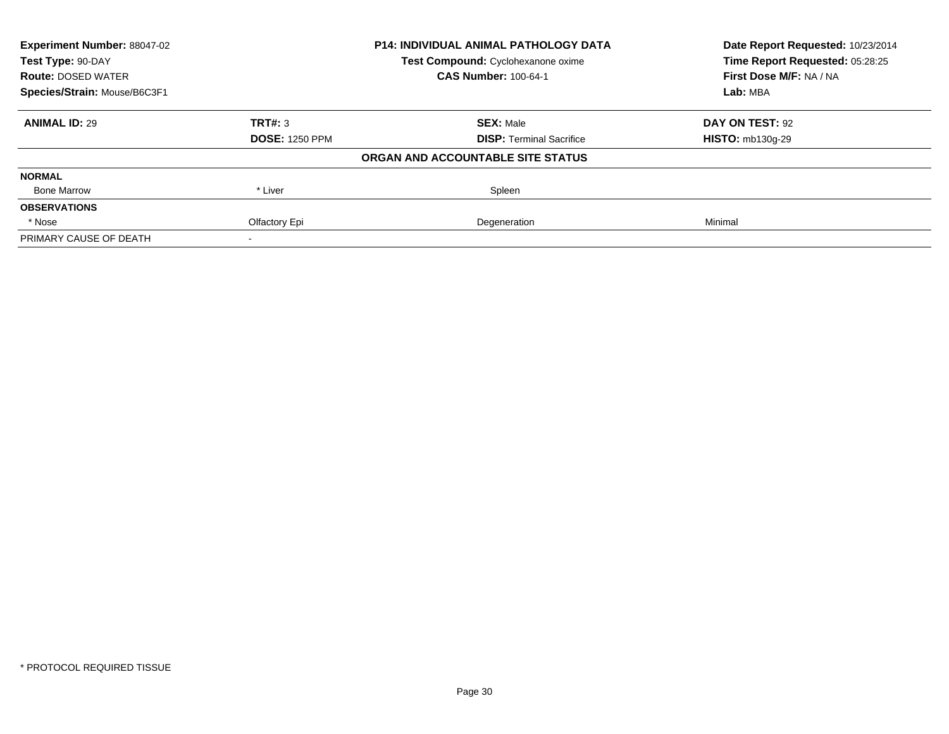| <b>Experiment Number: 88047-02</b> | <b>P14: INDIVIDUAL ANIMAL PATHOLOGY DATA</b> |                                    | Date Report Requested: 10/23/2014 |
|------------------------------------|----------------------------------------------|------------------------------------|-----------------------------------|
| Test Type: 90-DAY                  |                                              | Test Compound: Cyclohexanone oxime | Time Report Requested: 05:28:25   |
| <b>Route: DOSED WATER</b>          |                                              | <b>CAS Number: 100-64-1</b>        | First Dose M/F: NA / NA           |
| Species/Strain: Mouse/B6C3F1       |                                              |                                    | Lab: MBA                          |
| <b>ANIMAL ID: 29</b>               | TRT#: 3                                      | <b>SEX: Male</b>                   | DAY ON TEST: 92                   |
|                                    | <b>DOSE: 1250 PPM</b>                        | <b>DISP:</b> Terminal Sacrifice    | <b>HISTO: mb130g-29</b>           |
|                                    |                                              | ORGAN AND ACCOUNTABLE SITE STATUS  |                                   |
| <b>NORMAL</b>                      |                                              |                                    |                                   |
| <b>Bone Marrow</b>                 | * Liver                                      | Spleen                             |                                   |
| <b>OBSERVATIONS</b>                |                                              |                                    |                                   |
| * Nose                             | Olfactory Epi                                | Degeneration                       | Minimal                           |
| PRIMARY CAUSE OF DEATH             |                                              |                                    |                                   |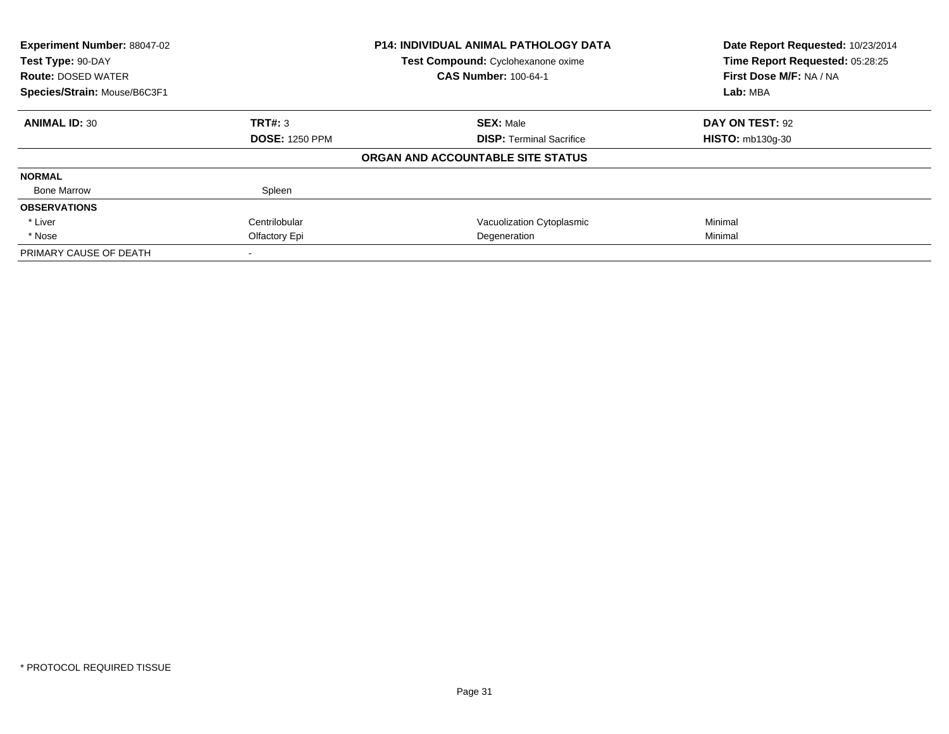| <b>Experiment Number: 88047-02</b> |                       | P14: INDIVIDUAL ANIMAL PATHOLOGY DATA | Date Report Requested: 10/23/2014 |
|------------------------------------|-----------------------|---------------------------------------|-----------------------------------|
| Test Type: 90-DAY                  |                       | Test Compound: Cyclohexanone oxime    | Time Report Requested: 05:28:25   |
| <b>Route: DOSED WATER</b>          |                       | <b>CAS Number: 100-64-1</b>           | First Dose M/F: NA / NA           |
| Species/Strain: Mouse/B6C3F1       |                       |                                       | Lab: MBA                          |
| <b>ANIMAL ID: 30</b>               | TRT#: 3               | <b>SEX: Male</b>                      | DAY ON TEST: 92                   |
|                                    | <b>DOSE: 1250 PPM</b> | <b>DISP:</b> Terminal Sacrifice       | <b>HISTO: mb130g-30</b>           |
|                                    |                       | ORGAN AND ACCOUNTABLE SITE STATUS     |                                   |
| <b>NORMAL</b>                      |                       |                                       |                                   |
| <b>Bone Marrow</b>                 | Spleen                |                                       |                                   |
| <b>OBSERVATIONS</b>                |                       |                                       |                                   |
| * Liver                            | Centrilobular         | Vacuolization Cytoplasmic             | Minimal                           |
| * Nose                             | Olfactory Epi         | Degeneration                          | Minimal                           |
| PRIMARY CAUSE OF DEATH             |                       |                                       |                                   |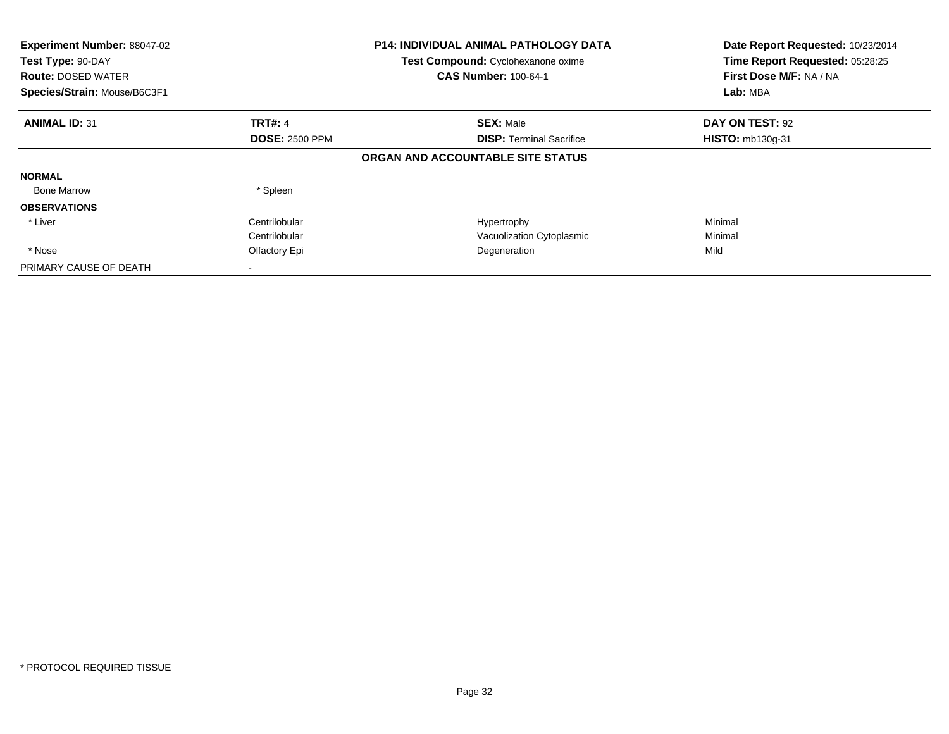| <b>Experiment Number: 88047-02</b><br>Test Type: 90-DAY<br><b>Route: DOSED WATER</b><br>Species/Strain: Mouse/B6C3F1 |                       | <b>P14: INDIVIDUAL ANIMAL PATHOLOGY DATA</b><br>Test Compound: Cyclohexanone oxime<br><b>CAS Number: 100-64-1</b> | Date Report Requested: 10/23/2014<br>Time Report Requested: 05:28:25<br>First Dose M/F: NA / NA<br>Lab: MBA |
|----------------------------------------------------------------------------------------------------------------------|-----------------------|-------------------------------------------------------------------------------------------------------------------|-------------------------------------------------------------------------------------------------------------|
| <b>ANIMAL ID: 31</b>                                                                                                 | <b>TRT#: 4</b>        | <b>SEX: Male</b>                                                                                                  | DAY ON TEST: 92                                                                                             |
|                                                                                                                      | <b>DOSE: 2500 PPM</b> | <b>DISP:</b> Terminal Sacrifice                                                                                   | <b>HISTO: mb130g-31</b>                                                                                     |
|                                                                                                                      |                       | ORGAN AND ACCOUNTABLE SITE STATUS                                                                                 |                                                                                                             |
| <b>NORMAL</b>                                                                                                        |                       |                                                                                                                   |                                                                                                             |
| <b>Bone Marrow</b>                                                                                                   | * Spleen              |                                                                                                                   |                                                                                                             |
| <b>OBSERVATIONS</b>                                                                                                  |                       |                                                                                                                   |                                                                                                             |
| * Liver                                                                                                              | Centrilobular         | Hypertrophy                                                                                                       | Minimal                                                                                                     |
|                                                                                                                      | Centrilobular         | Vacuolization Cytoplasmic                                                                                         | Minimal                                                                                                     |
| * Nose                                                                                                               | Olfactory Epi         | Degeneration                                                                                                      | Mild                                                                                                        |
| PRIMARY CAUSE OF DEATH                                                                                               |                       |                                                                                                                   |                                                                                                             |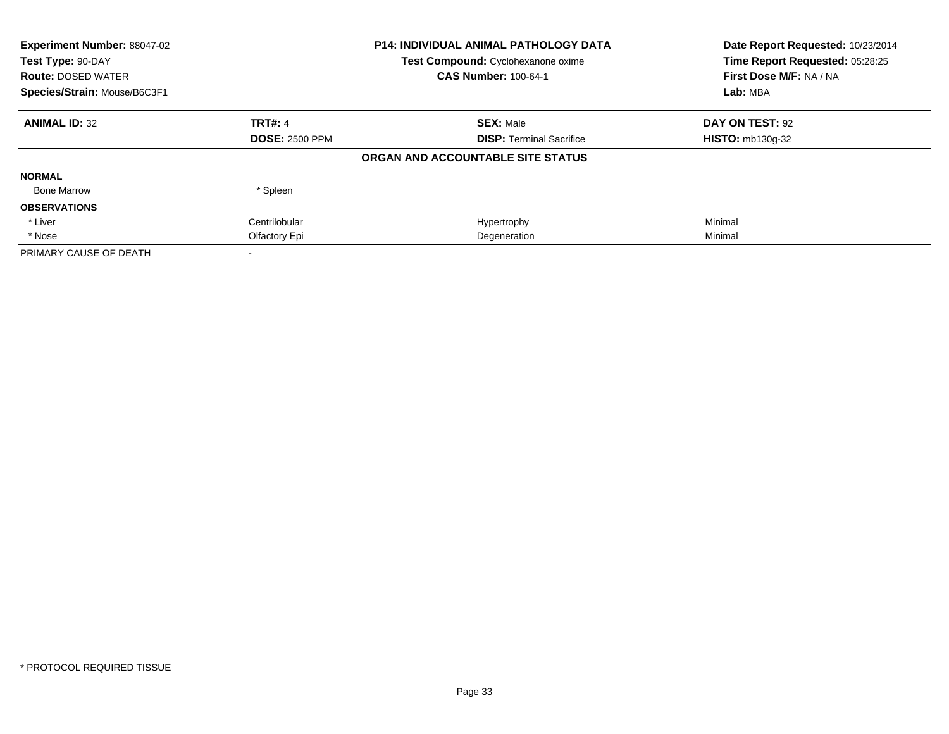| Experiment Number: 88047-02  |                       | P14: INDIVIDUAL ANIMAL PATHOLOGY DATA | Date Report Requested: 10/23/2014 |
|------------------------------|-----------------------|---------------------------------------|-----------------------------------|
| Test Type: 90-DAY            |                       | Test Compound: Cyclohexanone oxime    | Time Report Requested: 05:28:25   |
| <b>Route: DOSED WATER</b>    |                       | <b>CAS Number: 100-64-1</b>           | First Dose M/F: NA / NA           |
| Species/Strain: Mouse/B6C3F1 |                       |                                       | Lab: MBA                          |
| <b>ANIMAL ID: 32</b>         | <b>TRT#: 4</b>        | <b>SEX: Male</b>                      | DAY ON TEST: 92                   |
|                              | <b>DOSE: 2500 PPM</b> | <b>DISP:</b> Terminal Sacrifice       | $HISTO: mb130g-32$                |
|                              |                       | ORGAN AND ACCOUNTABLE SITE STATUS     |                                   |
| <b>NORMAL</b>                |                       |                                       |                                   |
| <b>Bone Marrow</b>           | * Spleen              |                                       |                                   |
| <b>OBSERVATIONS</b>          |                       |                                       |                                   |
| * Liver                      | Centrilobular         | Hypertrophy                           | Minimal                           |
| * Nose                       | Olfactory Epi         | Degeneration                          | Minimal                           |
| PRIMARY CAUSE OF DEATH       |                       |                                       |                                   |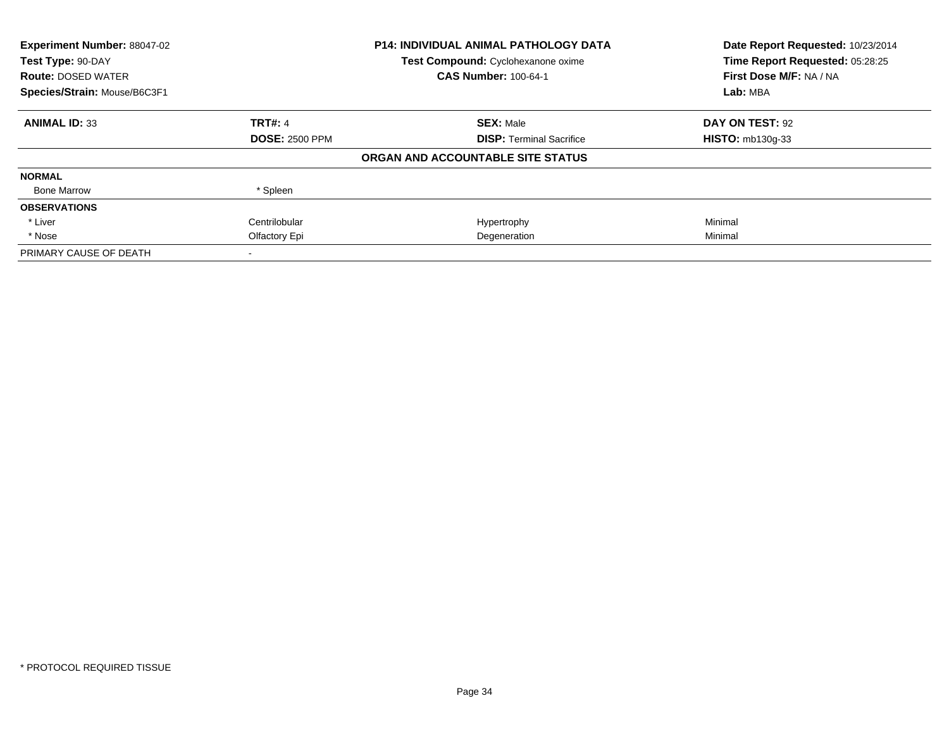| <b>Experiment Number: 88047-02</b> |                       | <b>P14: INDIVIDUAL ANIMAL PATHOLOGY DATA</b> | Date Report Requested: 10/23/2014 |
|------------------------------------|-----------------------|----------------------------------------------|-----------------------------------|
| Test Type: 90-DAY                  |                       | Test Compound: Cyclohexanone oxime           | Time Report Requested: 05:28:25   |
| <b>Route: DOSED WATER</b>          |                       | <b>CAS Number: 100-64-1</b>                  | First Dose M/F: NA / NA           |
| Species/Strain: Mouse/B6C3F1       |                       |                                              | Lab: MBA                          |
| <b>ANIMAL ID: 33</b>               | <b>TRT#: 4</b>        | <b>SEX: Male</b>                             | DAY ON TEST: 92                   |
|                                    | <b>DOSE: 2500 PPM</b> | <b>DISP:</b> Terminal Sacrifice              | <b>HISTO: mb130g-33</b>           |
|                                    |                       | ORGAN AND ACCOUNTABLE SITE STATUS            |                                   |
| <b>NORMAL</b>                      |                       |                                              |                                   |
| <b>Bone Marrow</b>                 | * Spleen              |                                              |                                   |
| <b>OBSERVATIONS</b>                |                       |                                              |                                   |
| * Liver                            | Centrilobular         | Hypertrophy                                  | Minimal                           |
| * Nose                             | Olfactory Epi         | Degeneration                                 | Minimal                           |
| PRIMARY CAUSE OF DEATH             |                       |                                              |                                   |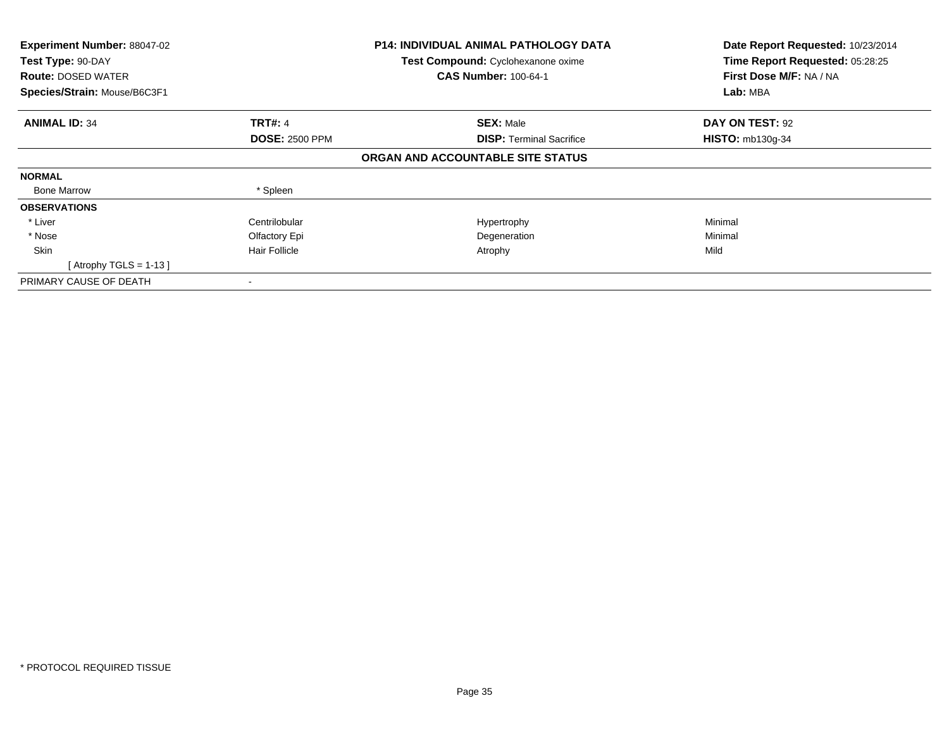| Experiment Number: 88047-02<br>Test Type: 90-DAY<br><b>Route: DOSED WATER</b><br>Species/Strain: Mouse/B6C3F1 |                       | <b>P14: INDIVIDUAL ANIMAL PATHOLOGY DATA</b><br>Test Compound: Cyclohexanone oxime<br><b>CAS Number: 100-64-1</b> | Date Report Requested: 10/23/2014<br>Time Report Requested: 05:28:25<br>First Dose M/F: NA / NA<br>Lab: MBA |
|---------------------------------------------------------------------------------------------------------------|-----------------------|-------------------------------------------------------------------------------------------------------------------|-------------------------------------------------------------------------------------------------------------|
|                                                                                                               |                       |                                                                                                                   |                                                                                                             |
| <b>ANIMAL ID: 34</b>                                                                                          | <b>TRT#: 4</b>        | <b>SEX: Male</b>                                                                                                  | DAY ON TEST: 92                                                                                             |
|                                                                                                               | <b>DOSE: 2500 PPM</b> | <b>DISP: Terminal Sacrifice</b>                                                                                   | <b>HISTO: mb130g-34</b>                                                                                     |
|                                                                                                               |                       | ORGAN AND ACCOUNTABLE SITE STATUS                                                                                 |                                                                                                             |
| <b>NORMAL</b>                                                                                                 |                       |                                                                                                                   |                                                                                                             |
| <b>Bone Marrow</b>                                                                                            | * Spleen              |                                                                                                                   |                                                                                                             |
| <b>OBSERVATIONS</b>                                                                                           |                       |                                                                                                                   |                                                                                                             |
| * Liver                                                                                                       | Centrilobular         | Hypertrophy                                                                                                       | Minimal                                                                                                     |
| * Nose                                                                                                        | Olfactory Epi         | Degeneration                                                                                                      | Minimal                                                                                                     |
| Skin                                                                                                          | <b>Hair Follicle</b>  | Atrophy                                                                                                           | Mild                                                                                                        |
| [ Atrophy TGLS = $1-13$ ]                                                                                     |                       |                                                                                                                   |                                                                                                             |
| PRIMARY CAUSE OF DEATH                                                                                        |                       |                                                                                                                   |                                                                                                             |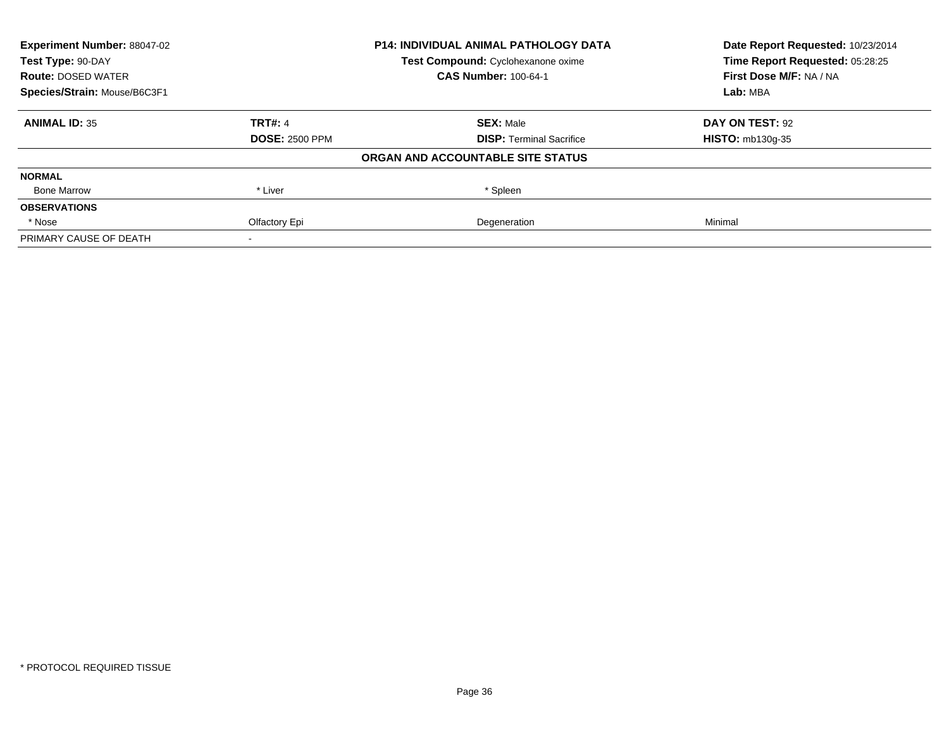| <b>Experiment Number: 88047-02</b> | P14: INDIVIDUAL ANIMAL PATHOLOGY DATA |                                    | Date Report Requested: 10/23/2014 |
|------------------------------------|---------------------------------------|------------------------------------|-----------------------------------|
| Test Type: 90-DAY                  |                                       | Test Compound: Cyclohexanone oxime | Time Report Requested: 05:28:25   |
| <b>Route: DOSED WATER</b>          |                                       | <b>CAS Number: 100-64-1</b>        | First Dose M/F: NA / NA           |
| Species/Strain: Mouse/B6C3F1       |                                       |                                    | Lab: MBA                          |
| <b>ANIMAL ID: 35</b>               | <b>TRT#: 4</b>                        | <b>SEX: Male</b>                   | DAY ON TEST: 92                   |
|                                    | <b>DOSE: 2500 PPM</b>                 | <b>DISP:</b> Terminal Sacrifice    | <b>HISTO: mb130g-35</b>           |
|                                    |                                       | ORGAN AND ACCOUNTABLE SITE STATUS  |                                   |
| <b>NORMAL</b>                      |                                       |                                    |                                   |
| <b>Bone Marrow</b>                 | * Liver                               | * Spleen                           |                                   |
| <b>OBSERVATIONS</b>                |                                       |                                    |                                   |
| * Nose                             | Olfactory Epi                         | Degeneration                       | Minimal                           |
| PRIMARY CAUSE OF DEATH             |                                       |                                    |                                   |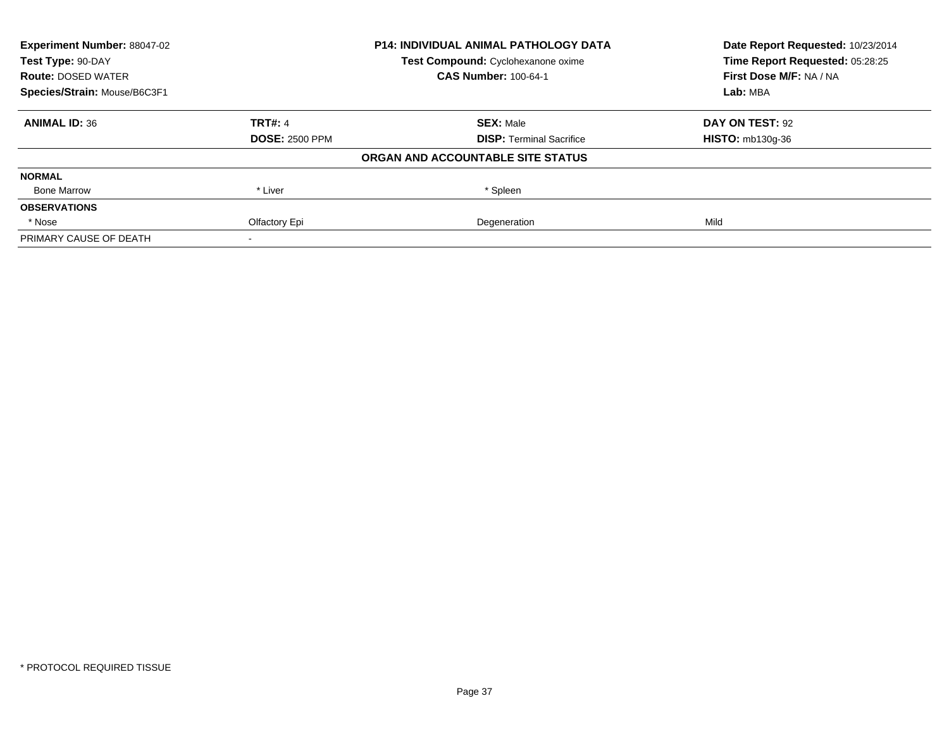| <b>Experiment Number: 88047-02</b><br>Test Type: 90-DAY |                       | <b>P14: INDIVIDUAL ANIMAL PATHOLOGY DATA</b> | Date Report Requested: 10/23/2014<br>Time Report Requested: 05:28:25 |
|---------------------------------------------------------|-----------------------|----------------------------------------------|----------------------------------------------------------------------|
|                                                         |                       | Test Compound: Cyclohexanone oxime           |                                                                      |
| <b>Route: DOSED WATER</b>                               |                       | <b>CAS Number: 100-64-1</b>                  | First Dose M/F: NA / NA                                              |
| Species/Strain: Mouse/B6C3F1                            |                       |                                              | Lab: MBA                                                             |
| <b>ANIMAL ID: 36</b>                                    | <b>TRT#: 4</b>        | <b>SEX: Male</b>                             | DAY ON TEST: 92                                                      |
|                                                         | <b>DOSE: 2500 PPM</b> | <b>DISP:</b> Terminal Sacrifice              | <b>HISTO: mb130g-36</b>                                              |
|                                                         |                       | ORGAN AND ACCOUNTABLE SITE STATUS            |                                                                      |
| <b>NORMAL</b>                                           |                       |                                              |                                                                      |
| <b>Bone Marrow</b>                                      | * Liver               | * Spleen                                     |                                                                      |
| <b>OBSERVATIONS</b>                                     |                       |                                              |                                                                      |
| * Nose                                                  | Olfactory Epi         | Degeneration                                 | Mild                                                                 |
| PRIMARY CAUSE OF DEATH                                  |                       |                                              |                                                                      |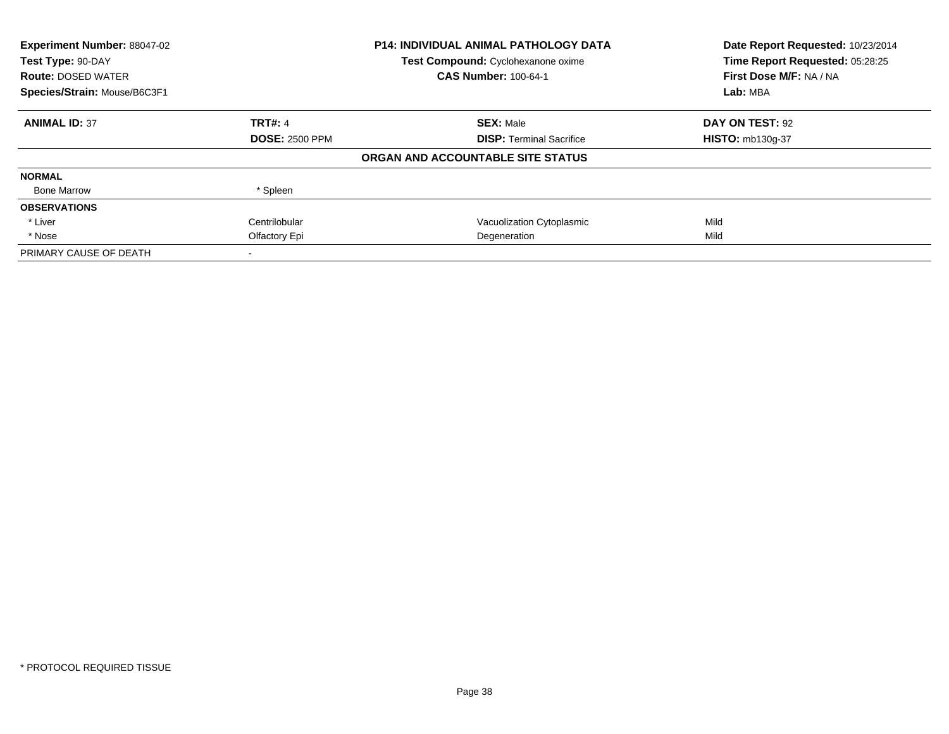| <b>Experiment Number: 88047-02</b><br>Test Type: 90-DAY |                       | <b>P14: INDIVIDUAL ANIMAL PATHOLOGY DATA</b> | Date Report Requested: 10/23/2014<br>Time Report Requested: 05:28:25 |  |
|---------------------------------------------------------|-----------------------|----------------------------------------------|----------------------------------------------------------------------|--|
|                                                         |                       | Test Compound: Cyclohexanone oxime           |                                                                      |  |
| <b>Route: DOSED WATER</b>                               |                       | <b>CAS Number: 100-64-1</b>                  | First Dose M/F: NA / NA                                              |  |
| Species/Strain: Mouse/B6C3F1                            |                       |                                              | Lab: MBA                                                             |  |
| <b>ANIMAL ID: 37</b>                                    | <b>TRT#: 4</b>        | <b>SEX: Male</b>                             | DAY ON TEST: 92                                                      |  |
|                                                         | <b>DOSE: 2500 PPM</b> | <b>DISP:</b> Terminal Sacrifice              | <b>HISTO: mb130g-37</b>                                              |  |
|                                                         |                       | ORGAN AND ACCOUNTABLE SITE STATUS            |                                                                      |  |
| <b>NORMAL</b>                                           |                       |                                              |                                                                      |  |
| <b>Bone Marrow</b>                                      | * Spleen              |                                              |                                                                      |  |
| <b>OBSERVATIONS</b>                                     |                       |                                              |                                                                      |  |
| * Liver                                                 | Centrilobular         | Vacuolization Cytoplasmic                    | Mild                                                                 |  |
| * Nose                                                  | Olfactory Epi         | Degeneration                                 | Mild                                                                 |  |
| PRIMARY CAUSE OF DEATH                                  |                       |                                              |                                                                      |  |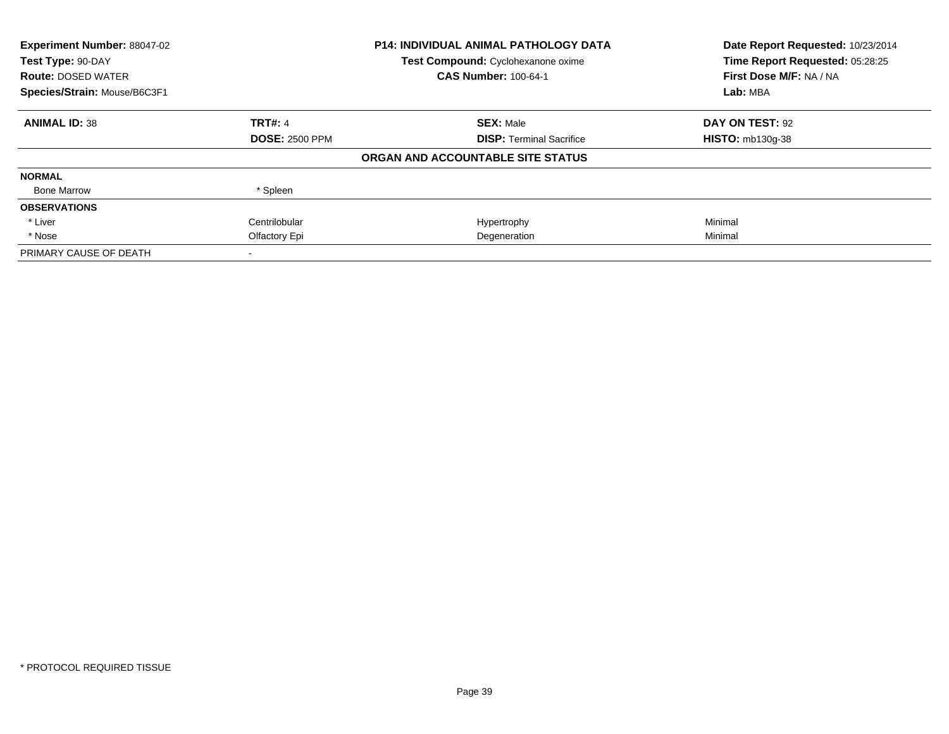| <b>Experiment Number: 88047-02</b><br>Test Type: 90-DAY |                       | <b>P14: INDIVIDUAL ANIMAL PATHOLOGY DATA</b> | Date Report Requested: 10/23/2014 |
|---------------------------------------------------------|-----------------------|----------------------------------------------|-----------------------------------|
|                                                         |                       | Test Compound: Cyclohexanone oxime           | Time Report Requested: 05:28:25   |
| <b>Route: DOSED WATER</b>                               |                       | <b>CAS Number: 100-64-1</b>                  | First Dose M/F: NA / NA           |
| Species/Strain: Mouse/B6C3F1                            |                       |                                              | Lab: MBA                          |
| <b>ANIMAL ID: 38</b>                                    | <b>TRT#: 4</b>        | <b>SEX: Male</b>                             | DAY ON TEST: 92                   |
|                                                         | <b>DOSE: 2500 PPM</b> | <b>DISP:</b> Terminal Sacrifice              | <b>HISTO: mb130g-38</b>           |
|                                                         |                       | ORGAN AND ACCOUNTABLE SITE STATUS            |                                   |
| <b>NORMAL</b>                                           |                       |                                              |                                   |
| <b>Bone Marrow</b>                                      | * Spleen              |                                              |                                   |
| <b>OBSERVATIONS</b>                                     |                       |                                              |                                   |
| * Liver                                                 | Centrilobular         | Hypertrophy                                  | Minimal                           |
| * Nose                                                  | Olfactory Epi         | Degeneration                                 | Minimal                           |
| PRIMARY CAUSE OF DEATH                                  |                       |                                              |                                   |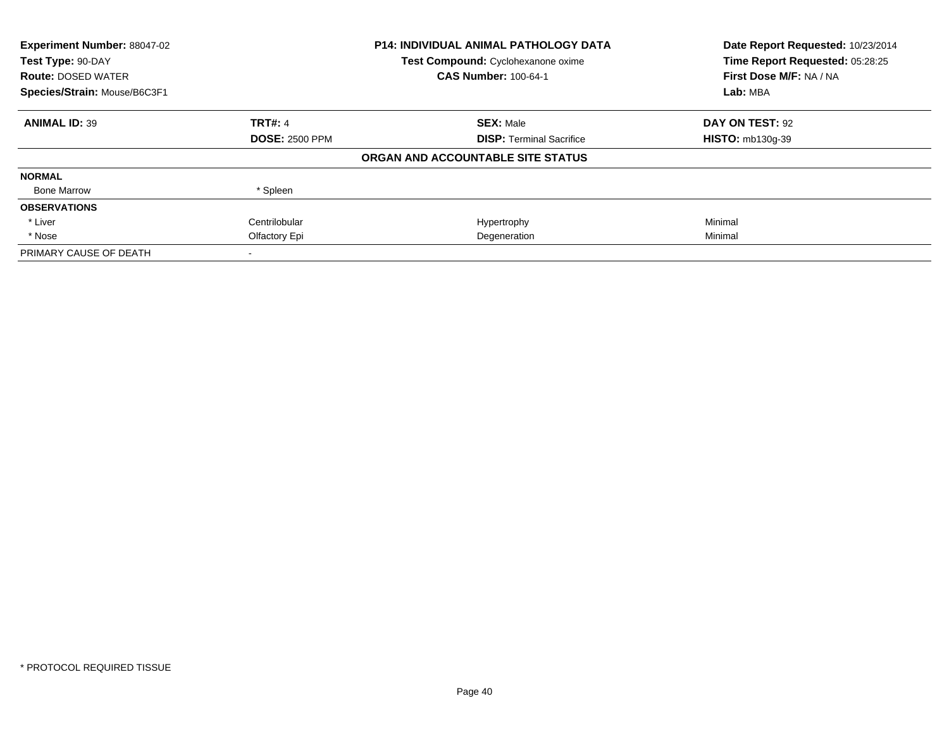| <b>Experiment Number: 88047-02</b> |                       | <b>P14: INDIVIDUAL ANIMAL PATHOLOGY DATA</b> | Date Report Requested: 10/23/2014 |
|------------------------------------|-----------------------|----------------------------------------------|-----------------------------------|
| Test Type: 90-DAY                  |                       | Test Compound: Cyclohexanone oxime           | Time Report Requested: 05:28:25   |
| <b>Route: DOSED WATER</b>          |                       | <b>CAS Number: 100-64-1</b>                  | First Dose M/F: NA / NA           |
| Species/Strain: Mouse/B6C3F1       |                       |                                              | Lab: MBA                          |
| <b>ANIMAL ID: 39</b>               | <b>TRT#: 4</b>        | <b>SEX: Male</b>                             | DAY ON TEST: 92                   |
|                                    | <b>DOSE: 2500 PPM</b> | <b>DISP:</b> Terminal Sacrifice              | <b>HISTO: mb130g-39</b>           |
|                                    |                       | ORGAN AND ACCOUNTABLE SITE STATUS            |                                   |
| <b>NORMAL</b>                      |                       |                                              |                                   |
| <b>Bone Marrow</b>                 | * Spleen              |                                              |                                   |
| <b>OBSERVATIONS</b>                |                       |                                              |                                   |
| * Liver                            | Centrilobular         | Hypertrophy                                  | Minimal                           |
| * Nose                             | Olfactory Epi         | Degeneration                                 | Minimal                           |
| PRIMARY CAUSE OF DEATH             |                       |                                              |                                   |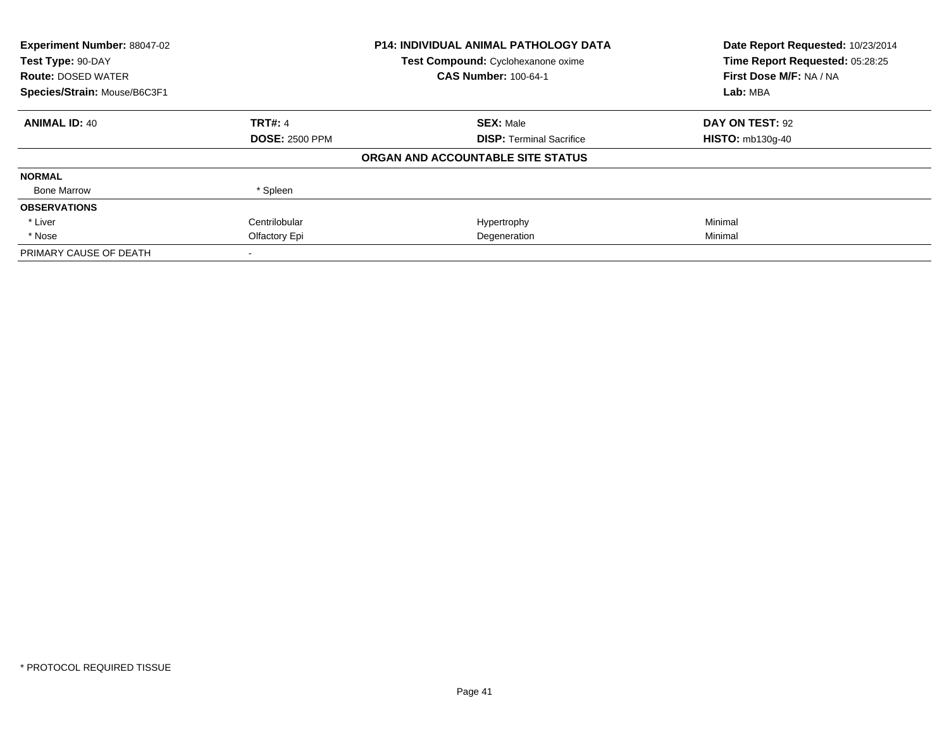| Experiment Number: 88047-02<br>Test Type: 90-DAY |                       | P14: INDIVIDUAL ANIMAL PATHOLOGY DATA | Date Report Requested: 10/23/2014<br>Time Report Requested: 05:28:25 |
|--------------------------------------------------|-----------------------|---------------------------------------|----------------------------------------------------------------------|
|                                                  |                       | Test Compound: Cyclohexanone oxime    |                                                                      |
| <b>Route: DOSED WATER</b>                        |                       | <b>CAS Number: 100-64-1</b>           | First Dose M/F: NA / NA                                              |
| Species/Strain: Mouse/B6C3F1                     |                       |                                       | Lab: MBA                                                             |
| <b>ANIMAL ID: 40</b>                             | <b>TRT#: 4</b>        | <b>SEX: Male</b>                      | DAY ON TEST: 92                                                      |
|                                                  | <b>DOSE: 2500 PPM</b> | <b>DISP:</b> Terminal Sacrifice       | <b>HISTO: mb130g-40</b>                                              |
|                                                  |                       | ORGAN AND ACCOUNTABLE SITE STATUS     |                                                                      |
| <b>NORMAL</b>                                    |                       |                                       |                                                                      |
| <b>Bone Marrow</b>                               | * Spleen              |                                       |                                                                      |
| <b>OBSERVATIONS</b>                              |                       |                                       |                                                                      |
| * Liver                                          | Centrilobular         | Hypertrophy                           | Minimal                                                              |
| * Nose                                           | Olfactory Epi         | Degeneration                          | Minimal                                                              |
| PRIMARY CAUSE OF DEATH                           |                       |                                       |                                                                      |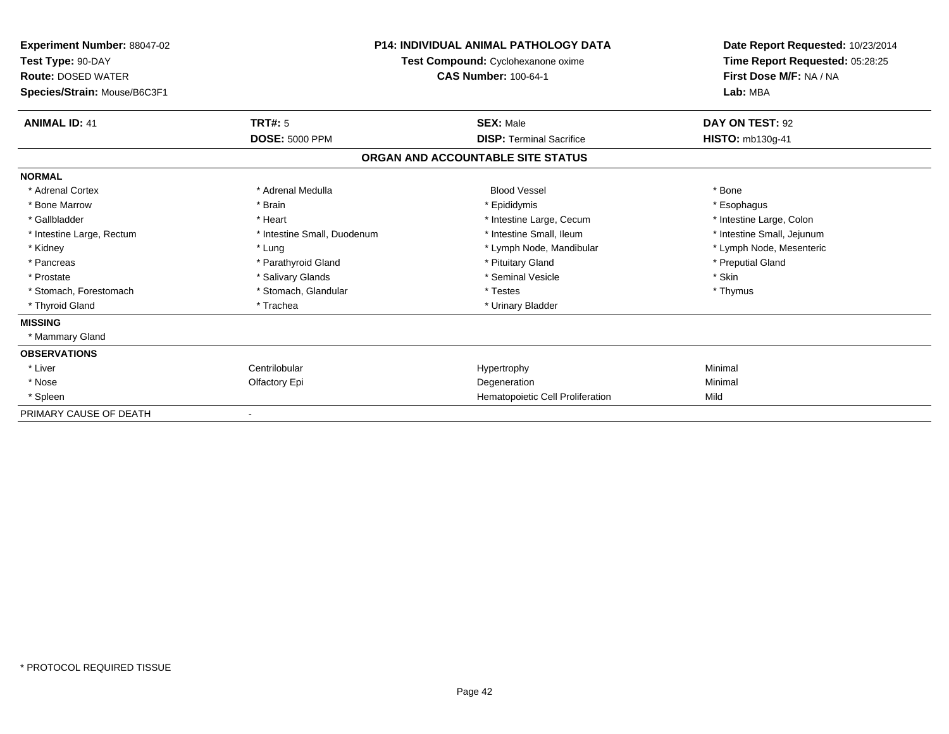| <b>Experiment Number: 88047-02</b><br>Test Type: 90-DAY<br><b>Route: DOSED WATER</b><br>Species/Strain: Mouse/B6C3F1 |                             | <b>P14: INDIVIDUAL ANIMAL PATHOLOGY DATA</b><br>Test Compound: Cyclohexanone oxime<br><b>CAS Number: 100-64-1</b> | Date Report Requested: 10/23/2014<br>Time Report Requested: 05:28:25<br>First Dose M/F: NA / NA<br>Lab: MBA |  |
|----------------------------------------------------------------------------------------------------------------------|-----------------------------|-------------------------------------------------------------------------------------------------------------------|-------------------------------------------------------------------------------------------------------------|--|
| <b>ANIMAL ID: 41</b>                                                                                                 | <b>TRT#: 5</b>              | <b>SEX: Male</b>                                                                                                  | DAY ON TEST: 92                                                                                             |  |
|                                                                                                                      | <b>DOSE: 5000 PPM</b>       | <b>DISP: Terminal Sacrifice</b>                                                                                   | <b>HISTO: mb130g-41</b>                                                                                     |  |
|                                                                                                                      |                             | ORGAN AND ACCOUNTABLE SITE STATUS                                                                                 |                                                                                                             |  |
| <b>NORMAL</b>                                                                                                        |                             |                                                                                                                   |                                                                                                             |  |
| * Adrenal Cortex                                                                                                     | * Adrenal Medulla           | <b>Blood Vessel</b>                                                                                               | * Bone                                                                                                      |  |
| * Bone Marrow                                                                                                        | * Brain                     | * Epididymis                                                                                                      | * Esophagus                                                                                                 |  |
| * Gallbladder                                                                                                        | * Heart                     | * Intestine Large, Cecum                                                                                          | * Intestine Large, Colon                                                                                    |  |
| * Intestine Large, Rectum                                                                                            | * Intestine Small, Duodenum | * Intestine Small. Ileum                                                                                          | * Intestine Small, Jejunum                                                                                  |  |
| * Kidney                                                                                                             | * Lung                      | * Lymph Node, Mandibular                                                                                          | * Lymph Node, Mesenteric                                                                                    |  |
| * Pancreas                                                                                                           | * Parathyroid Gland         | * Pituitary Gland                                                                                                 | * Preputial Gland                                                                                           |  |
| * Prostate                                                                                                           | * Salivary Glands           | * Seminal Vesicle                                                                                                 | * Skin                                                                                                      |  |
| * Stomach, Forestomach                                                                                               | * Stomach, Glandular        | * Testes                                                                                                          | * Thymus                                                                                                    |  |
| * Thyroid Gland                                                                                                      | * Trachea                   | * Urinary Bladder                                                                                                 |                                                                                                             |  |
| <b>MISSING</b>                                                                                                       |                             |                                                                                                                   |                                                                                                             |  |
| * Mammary Gland                                                                                                      |                             |                                                                                                                   |                                                                                                             |  |
| <b>OBSERVATIONS</b>                                                                                                  |                             |                                                                                                                   |                                                                                                             |  |
| * Liver                                                                                                              | Centrilobular               | Hypertrophy                                                                                                       | Minimal                                                                                                     |  |
| * Nose                                                                                                               | Olfactory Epi               | Degeneration                                                                                                      | Minimal                                                                                                     |  |
| * Spleen                                                                                                             |                             | Hematopoietic Cell Proliferation                                                                                  | Mild                                                                                                        |  |
| PRIMARY CAUSE OF DEATH                                                                                               |                             |                                                                                                                   |                                                                                                             |  |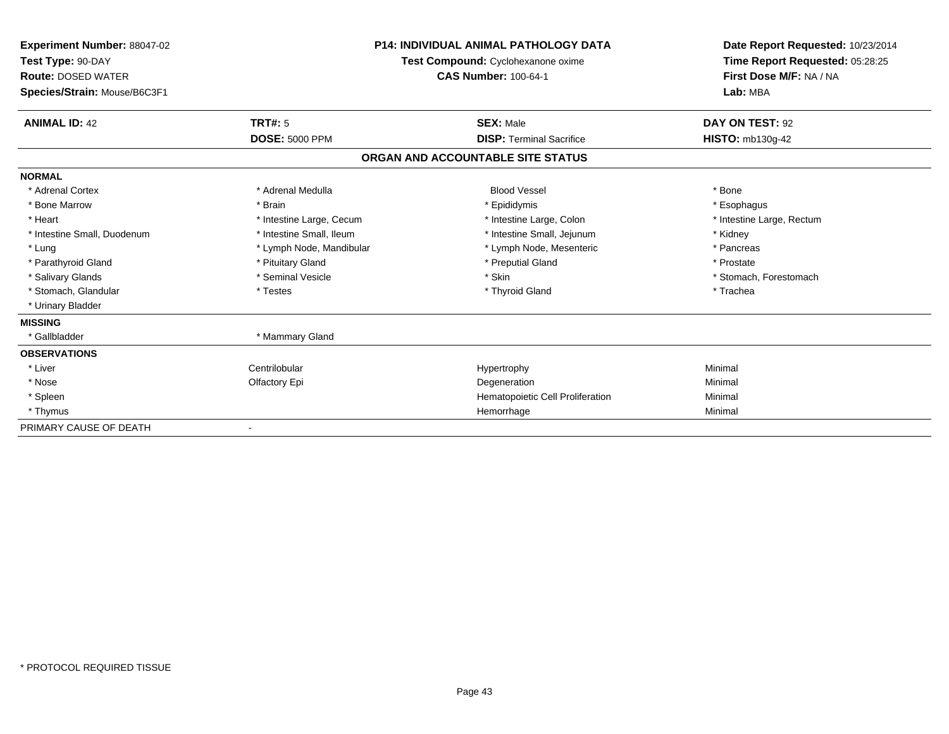| Experiment Number: 88047-02<br>Test Type: 90-DAY<br><b>Route: DOSED WATER</b><br>Species/Strain: Mouse/B6C3F1 | <b>P14: INDIVIDUAL ANIMAL PATHOLOGY DATA</b><br>Test Compound: Cyclohexanone oxime<br><b>CAS Number: 100-64-1</b> |                                   | Date Report Requested: 10/23/2014<br>Time Report Requested: 05:28:25<br>First Dose M/F: NA / NA<br>Lab: MBA |  |
|---------------------------------------------------------------------------------------------------------------|-------------------------------------------------------------------------------------------------------------------|-----------------------------------|-------------------------------------------------------------------------------------------------------------|--|
| <b>ANIMAL ID: 42</b>                                                                                          | TRT#: 5                                                                                                           | <b>SEX: Male</b>                  | DAY ON TEST: 92                                                                                             |  |
|                                                                                                               | <b>DOSE: 5000 PPM</b>                                                                                             | <b>DISP: Terminal Sacrifice</b>   | <b>HISTO: mb130g-42</b>                                                                                     |  |
|                                                                                                               |                                                                                                                   | ORGAN AND ACCOUNTABLE SITE STATUS |                                                                                                             |  |
| <b>NORMAL</b>                                                                                                 |                                                                                                                   |                                   |                                                                                                             |  |
| * Adrenal Cortex                                                                                              | * Adrenal Medulla                                                                                                 | <b>Blood Vessel</b>               | * Bone                                                                                                      |  |
| * Bone Marrow                                                                                                 | * Brain                                                                                                           | * Epididymis                      | * Esophagus                                                                                                 |  |
| * Heart                                                                                                       | * Intestine Large, Cecum                                                                                          | * Intestine Large, Colon          | * Intestine Large, Rectum                                                                                   |  |
| * Intestine Small, Duodenum                                                                                   | * Intestine Small, Ileum                                                                                          | * Intestine Small, Jejunum        | * Kidney                                                                                                    |  |
| * Lung                                                                                                        | * Lymph Node, Mandibular                                                                                          | * Lymph Node, Mesenteric          | * Pancreas                                                                                                  |  |
| * Parathyroid Gland                                                                                           | * Pituitary Gland                                                                                                 | * Preputial Gland                 | * Prostate                                                                                                  |  |
| * Salivary Glands                                                                                             | * Seminal Vesicle                                                                                                 | * Skin                            | * Stomach, Forestomach                                                                                      |  |
| * Stomach, Glandular                                                                                          | * Testes                                                                                                          | * Thyroid Gland                   | * Trachea                                                                                                   |  |
| * Urinary Bladder                                                                                             |                                                                                                                   |                                   |                                                                                                             |  |
| <b>MISSING</b>                                                                                                |                                                                                                                   |                                   |                                                                                                             |  |
| * Gallbladder                                                                                                 | * Mammary Gland                                                                                                   |                                   |                                                                                                             |  |
| <b>OBSERVATIONS</b>                                                                                           |                                                                                                                   |                                   |                                                                                                             |  |
| * Liver                                                                                                       | Centrilobular                                                                                                     | Hypertrophy                       | Minimal                                                                                                     |  |
| * Nose                                                                                                        | Olfactory Epi                                                                                                     | Degeneration                      | Minimal                                                                                                     |  |
| * Spleen                                                                                                      |                                                                                                                   | Hematopoietic Cell Proliferation  | Minimal                                                                                                     |  |
| * Thymus                                                                                                      |                                                                                                                   | Hemorrhage                        | Minimal                                                                                                     |  |
| PRIMARY CAUSE OF DEATH                                                                                        |                                                                                                                   |                                   |                                                                                                             |  |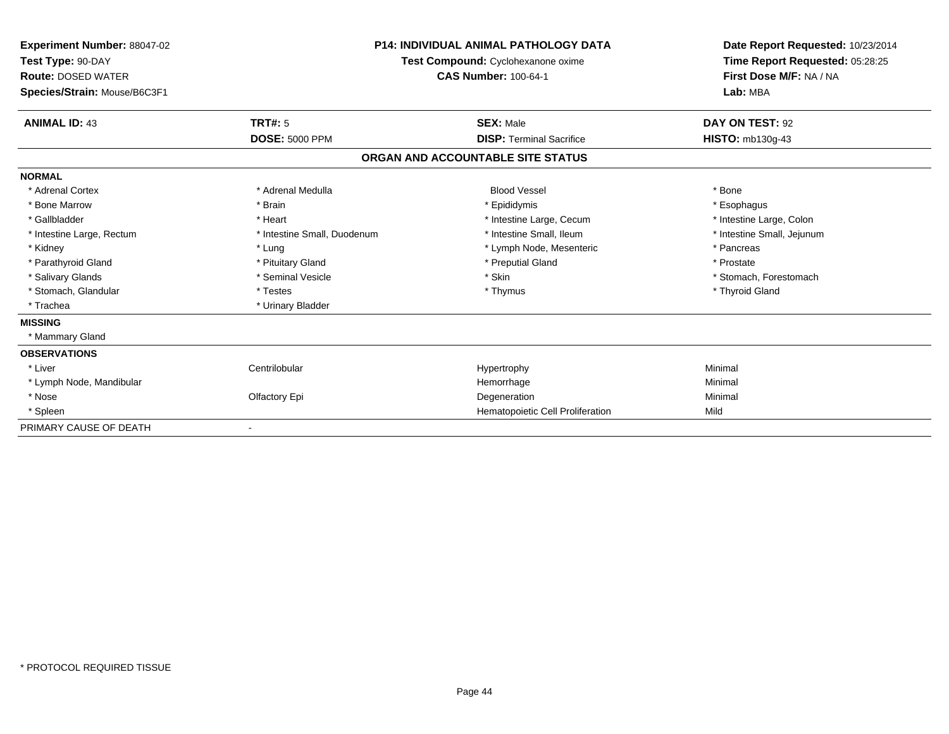| Experiment Number: 88047-02<br>Test Type: 90-DAY<br><b>Route: DOSED WATER</b><br>Species/Strain: Mouse/B6C3F1 |                             | <b>P14: INDIVIDUAL ANIMAL PATHOLOGY DATA</b><br>Test Compound: Cyclohexanone oxime<br><b>CAS Number: 100-64-1</b> | Date Report Requested: 10/23/2014<br>Time Report Requested: 05:28:25<br>First Dose M/F: NA / NA<br>Lab: MBA |  |
|---------------------------------------------------------------------------------------------------------------|-----------------------------|-------------------------------------------------------------------------------------------------------------------|-------------------------------------------------------------------------------------------------------------|--|
| <b>ANIMAL ID: 43</b>                                                                                          | TRT#: 5                     | <b>SEX: Male</b>                                                                                                  | DAY ON TEST: 92                                                                                             |  |
|                                                                                                               | <b>DOSE: 5000 PPM</b>       | <b>DISP: Terminal Sacrifice</b>                                                                                   | <b>HISTO: mb130g-43</b>                                                                                     |  |
|                                                                                                               |                             | ORGAN AND ACCOUNTABLE SITE STATUS                                                                                 |                                                                                                             |  |
| <b>NORMAL</b>                                                                                                 |                             |                                                                                                                   |                                                                                                             |  |
| * Adrenal Cortex                                                                                              | * Adrenal Medulla           | <b>Blood Vessel</b>                                                                                               | * Bone                                                                                                      |  |
| * Bone Marrow                                                                                                 | * Brain                     | * Epididymis                                                                                                      | * Esophagus                                                                                                 |  |
| * Gallbladder                                                                                                 | * Heart                     | * Intestine Large, Cecum                                                                                          | * Intestine Large, Colon                                                                                    |  |
| * Intestine Large, Rectum                                                                                     | * Intestine Small, Duodenum | * Intestine Small, Ileum                                                                                          | * Intestine Small, Jejunum                                                                                  |  |
| * Kidney                                                                                                      | * Lung                      | * Lymph Node, Mesenteric                                                                                          | * Pancreas                                                                                                  |  |
| * Parathyroid Gland                                                                                           | * Pituitary Gland           | * Preputial Gland                                                                                                 | * Prostate                                                                                                  |  |
| * Salivary Glands                                                                                             | * Seminal Vesicle           | * Skin                                                                                                            | * Stomach, Forestomach                                                                                      |  |
| * Stomach, Glandular                                                                                          | * Testes                    | * Thymus                                                                                                          | * Thyroid Gland                                                                                             |  |
| * Trachea                                                                                                     | * Urinary Bladder           |                                                                                                                   |                                                                                                             |  |
| <b>MISSING</b>                                                                                                |                             |                                                                                                                   |                                                                                                             |  |
| * Mammary Gland                                                                                               |                             |                                                                                                                   |                                                                                                             |  |
| <b>OBSERVATIONS</b>                                                                                           |                             |                                                                                                                   |                                                                                                             |  |
| * Liver                                                                                                       | Centrilobular               | Hypertrophy                                                                                                       | Minimal                                                                                                     |  |
| * Lymph Node, Mandibular                                                                                      |                             | Hemorrhage                                                                                                        | Minimal                                                                                                     |  |
| * Nose                                                                                                        | Olfactory Epi               | Degeneration                                                                                                      | Minimal                                                                                                     |  |
| * Spleen                                                                                                      |                             | Hematopoietic Cell Proliferation                                                                                  | Mild                                                                                                        |  |
| PRIMARY CAUSE OF DEATH                                                                                        |                             |                                                                                                                   |                                                                                                             |  |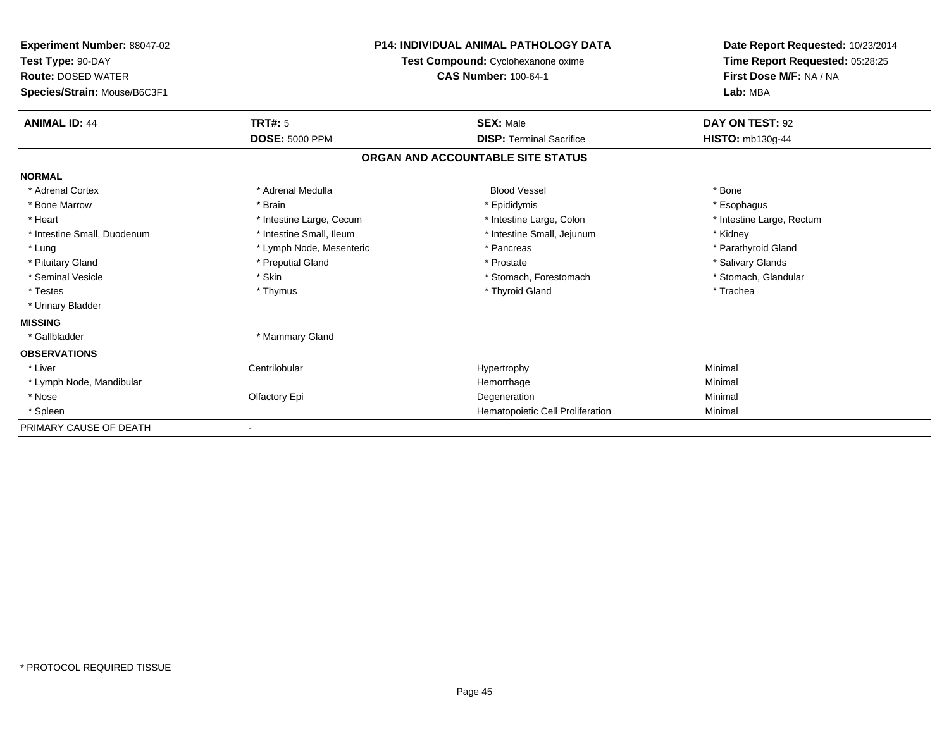| <b>Experiment Number: 88047-02</b><br>Test Type: 90-DAY<br><b>Route: DOSED WATER</b><br>Species/Strain: Mouse/B6C3F1 |                          | <b>P14: INDIVIDUAL ANIMAL PATHOLOGY DATA</b><br>Test Compound: Cyclohexanone oxime<br><b>CAS Number: 100-64-1</b> | Date Report Requested: 10/23/2014<br>Time Report Requested: 05:28:25<br>First Dose M/F: NA / NA<br>Lab: MBA |  |
|----------------------------------------------------------------------------------------------------------------------|--------------------------|-------------------------------------------------------------------------------------------------------------------|-------------------------------------------------------------------------------------------------------------|--|
| <b>ANIMAL ID: 44</b>                                                                                                 | TRT#: 5                  | <b>SEX: Male</b>                                                                                                  | DAY ON TEST: 92                                                                                             |  |
|                                                                                                                      | <b>DOSE: 5000 PPM</b>    | <b>DISP: Terminal Sacrifice</b>                                                                                   | <b>HISTO: mb130g-44</b>                                                                                     |  |
|                                                                                                                      |                          | ORGAN AND ACCOUNTABLE SITE STATUS                                                                                 |                                                                                                             |  |
| <b>NORMAL</b>                                                                                                        |                          |                                                                                                                   |                                                                                                             |  |
| * Adrenal Cortex                                                                                                     | * Adrenal Medulla        | <b>Blood Vessel</b>                                                                                               | * Bone                                                                                                      |  |
| * Bone Marrow                                                                                                        | * Brain                  | * Epididymis                                                                                                      | * Esophagus                                                                                                 |  |
| * Heart                                                                                                              | * Intestine Large, Cecum | * Intestine Large, Colon                                                                                          | * Intestine Large, Rectum                                                                                   |  |
| * Intestine Small, Duodenum                                                                                          | * Intestine Small, Ileum | * Intestine Small, Jejunum                                                                                        | * Kidney                                                                                                    |  |
| * Lung                                                                                                               | * Lymph Node, Mesenteric | * Pancreas                                                                                                        | * Parathyroid Gland                                                                                         |  |
| * Pituitary Gland                                                                                                    | * Preputial Gland        | * Prostate                                                                                                        | * Salivary Glands                                                                                           |  |
| * Seminal Vesicle                                                                                                    | * Skin                   | * Stomach, Forestomach                                                                                            | * Stomach, Glandular                                                                                        |  |
| * Testes                                                                                                             | * Thymus                 | * Thyroid Gland                                                                                                   | * Trachea                                                                                                   |  |
| * Urinary Bladder                                                                                                    |                          |                                                                                                                   |                                                                                                             |  |
| <b>MISSING</b>                                                                                                       |                          |                                                                                                                   |                                                                                                             |  |
| * Gallbladder                                                                                                        | * Mammary Gland          |                                                                                                                   |                                                                                                             |  |
| <b>OBSERVATIONS</b>                                                                                                  |                          |                                                                                                                   |                                                                                                             |  |
| * Liver                                                                                                              | Centrilobular            | Hypertrophy                                                                                                       | Minimal                                                                                                     |  |
| * Lymph Node, Mandibular                                                                                             |                          | Hemorrhage                                                                                                        | Minimal                                                                                                     |  |
| * Nose                                                                                                               | Olfactory Epi            | Degeneration                                                                                                      | Minimal                                                                                                     |  |
| * Spleen                                                                                                             |                          | Hematopoietic Cell Proliferation                                                                                  | Minimal                                                                                                     |  |
| PRIMARY CAUSE OF DEATH                                                                                               |                          |                                                                                                                   |                                                                                                             |  |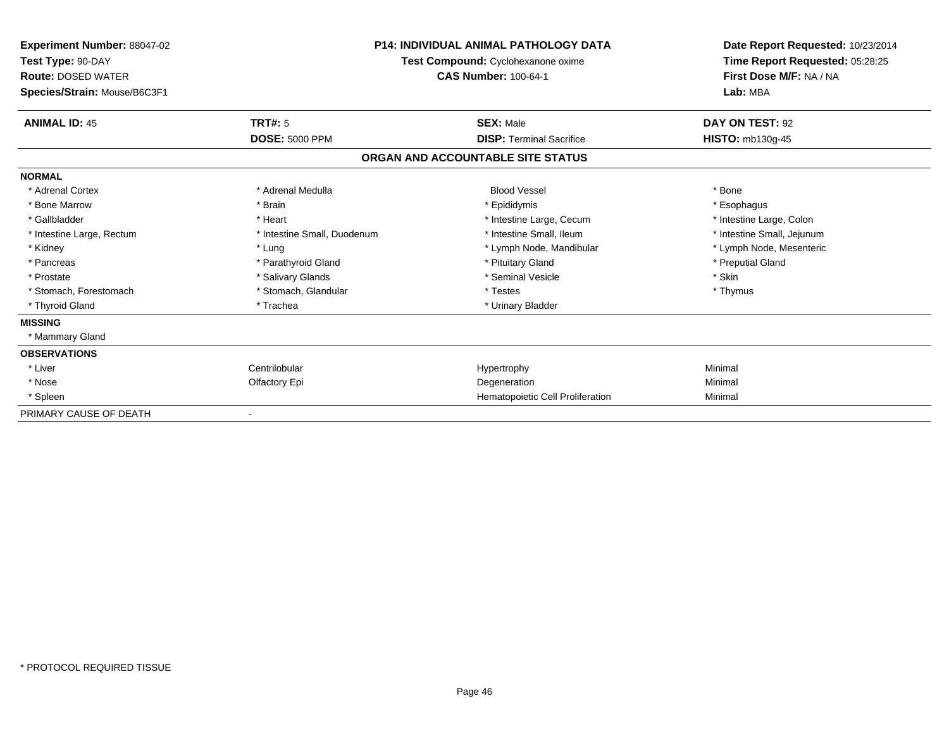| <b>Experiment Number: 88047-02</b><br>Test Type: 90-DAY<br><b>Route: DOSED WATER</b><br>Species/Strain: Mouse/B6C3F1 |                             | <b>P14: INDIVIDUAL ANIMAL PATHOLOGY DATA</b><br>Test Compound: Cyclohexanone oxime<br><b>CAS Number: 100-64-1</b> | Date Report Requested: 10/23/2014<br>Time Report Requested: 05:28:25<br>First Dose M/F: NA / NA<br>Lab: MBA |  |
|----------------------------------------------------------------------------------------------------------------------|-----------------------------|-------------------------------------------------------------------------------------------------------------------|-------------------------------------------------------------------------------------------------------------|--|
| <b>ANIMAL ID: 45</b>                                                                                                 | TRT#: 5                     | <b>SEX: Male</b>                                                                                                  | DAY ON TEST: 92                                                                                             |  |
|                                                                                                                      | <b>DOSE: 5000 PPM</b>       | <b>DISP: Terminal Sacrifice</b>                                                                                   | <b>HISTO: mb130g-45</b>                                                                                     |  |
|                                                                                                                      |                             | ORGAN AND ACCOUNTABLE SITE STATUS                                                                                 |                                                                                                             |  |
| <b>NORMAL</b>                                                                                                        |                             |                                                                                                                   |                                                                                                             |  |
| * Adrenal Cortex                                                                                                     | * Adrenal Medulla           | <b>Blood Vessel</b>                                                                                               | * Bone                                                                                                      |  |
| * Bone Marrow                                                                                                        | * Brain                     | * Epididymis                                                                                                      | * Esophagus                                                                                                 |  |
| * Gallbladder                                                                                                        | * Heart                     | * Intestine Large, Cecum                                                                                          | * Intestine Large, Colon                                                                                    |  |
| * Intestine Large, Rectum                                                                                            | * Intestine Small, Duodenum | * Intestine Small. Ileum                                                                                          | * Intestine Small, Jejunum                                                                                  |  |
| * Kidney                                                                                                             | * Lung                      | * Lymph Node, Mandibular                                                                                          | * Lymph Node, Mesenteric                                                                                    |  |
| * Pancreas                                                                                                           | * Parathyroid Gland         | * Pituitary Gland                                                                                                 | * Preputial Gland                                                                                           |  |
| * Prostate                                                                                                           | * Salivary Glands           | * Seminal Vesicle                                                                                                 | * Skin                                                                                                      |  |
| * Stomach, Forestomach                                                                                               | * Stomach, Glandular        | * Testes                                                                                                          | * Thymus                                                                                                    |  |
| * Thyroid Gland                                                                                                      | * Trachea                   | * Urinary Bladder                                                                                                 |                                                                                                             |  |
| <b>MISSING</b>                                                                                                       |                             |                                                                                                                   |                                                                                                             |  |
| * Mammary Gland                                                                                                      |                             |                                                                                                                   |                                                                                                             |  |
| <b>OBSERVATIONS</b>                                                                                                  |                             |                                                                                                                   |                                                                                                             |  |
| * Liver                                                                                                              | Centrilobular               | Hypertrophy                                                                                                       | Minimal                                                                                                     |  |
| * Nose                                                                                                               | Olfactory Epi               | Degeneration                                                                                                      | Minimal                                                                                                     |  |
| * Spleen                                                                                                             |                             | Hematopoietic Cell Proliferation                                                                                  | Minimal                                                                                                     |  |
| PRIMARY CAUSE OF DEATH                                                                                               |                             |                                                                                                                   |                                                                                                             |  |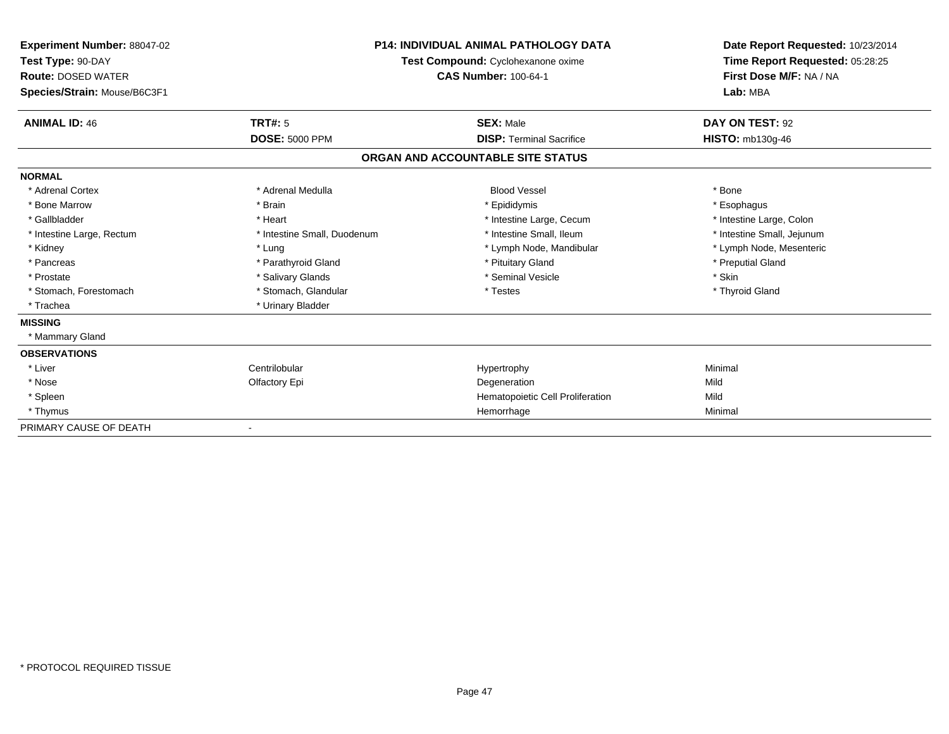| Experiment Number: 88047-02<br>Test Type: 90-DAY<br><b>Route: DOSED WATER</b><br>Species/Strain: Mouse/B6C3F1 | <b>P14: INDIVIDUAL ANIMAL PATHOLOGY DATA</b><br>Test Compound: Cyclohexanone oxime<br><b>CAS Number: 100-64-1</b> |                                   | Date Report Requested: 10/23/2014<br>Time Report Requested: 05:28:25<br>First Dose M/F: NA / NA<br>Lab: MBA |  |
|---------------------------------------------------------------------------------------------------------------|-------------------------------------------------------------------------------------------------------------------|-----------------------------------|-------------------------------------------------------------------------------------------------------------|--|
| <b>ANIMAL ID: 46</b>                                                                                          | TRT#: 5                                                                                                           | <b>SEX: Male</b>                  | DAY ON TEST: 92                                                                                             |  |
|                                                                                                               | <b>DOSE: 5000 PPM</b>                                                                                             | <b>DISP: Terminal Sacrifice</b>   | <b>HISTO: mb130g-46</b>                                                                                     |  |
|                                                                                                               |                                                                                                                   | ORGAN AND ACCOUNTABLE SITE STATUS |                                                                                                             |  |
| <b>NORMAL</b>                                                                                                 |                                                                                                                   |                                   |                                                                                                             |  |
| * Adrenal Cortex                                                                                              | * Adrenal Medulla                                                                                                 | <b>Blood Vessel</b>               | * Bone                                                                                                      |  |
| * Bone Marrow                                                                                                 | * Brain                                                                                                           | * Epididymis                      | * Esophagus                                                                                                 |  |
| * Gallbladder                                                                                                 | * Heart                                                                                                           | * Intestine Large, Cecum          | * Intestine Large, Colon                                                                                    |  |
| * Intestine Large, Rectum                                                                                     | * Intestine Small, Duodenum                                                                                       | * Intestine Small, Ileum          | * Intestine Small, Jejunum                                                                                  |  |
| * Kidney                                                                                                      | * Lung                                                                                                            | * Lymph Node, Mandibular          | * Lymph Node, Mesenteric                                                                                    |  |
| * Pancreas                                                                                                    | * Parathyroid Gland                                                                                               | * Pituitary Gland                 | * Preputial Gland                                                                                           |  |
| * Prostate                                                                                                    | * Salivary Glands                                                                                                 | * Seminal Vesicle                 | * Skin                                                                                                      |  |
| * Stomach, Forestomach                                                                                        | * Stomach, Glandular                                                                                              | * Testes                          | * Thyroid Gland                                                                                             |  |
| * Trachea                                                                                                     | * Urinary Bladder                                                                                                 |                                   |                                                                                                             |  |
| <b>MISSING</b>                                                                                                |                                                                                                                   |                                   |                                                                                                             |  |
| * Mammary Gland                                                                                               |                                                                                                                   |                                   |                                                                                                             |  |
| <b>OBSERVATIONS</b>                                                                                           |                                                                                                                   |                                   |                                                                                                             |  |
| * Liver                                                                                                       | Centrilobular                                                                                                     | Hypertrophy                       | Minimal                                                                                                     |  |
| * Nose                                                                                                        | Olfactory Epi                                                                                                     | Degeneration                      | Mild                                                                                                        |  |
| * Spleen                                                                                                      |                                                                                                                   | Hematopoietic Cell Proliferation  | Mild                                                                                                        |  |
| * Thymus                                                                                                      |                                                                                                                   | Hemorrhage                        | Minimal                                                                                                     |  |
| PRIMARY CAUSE OF DEATH                                                                                        |                                                                                                                   |                                   |                                                                                                             |  |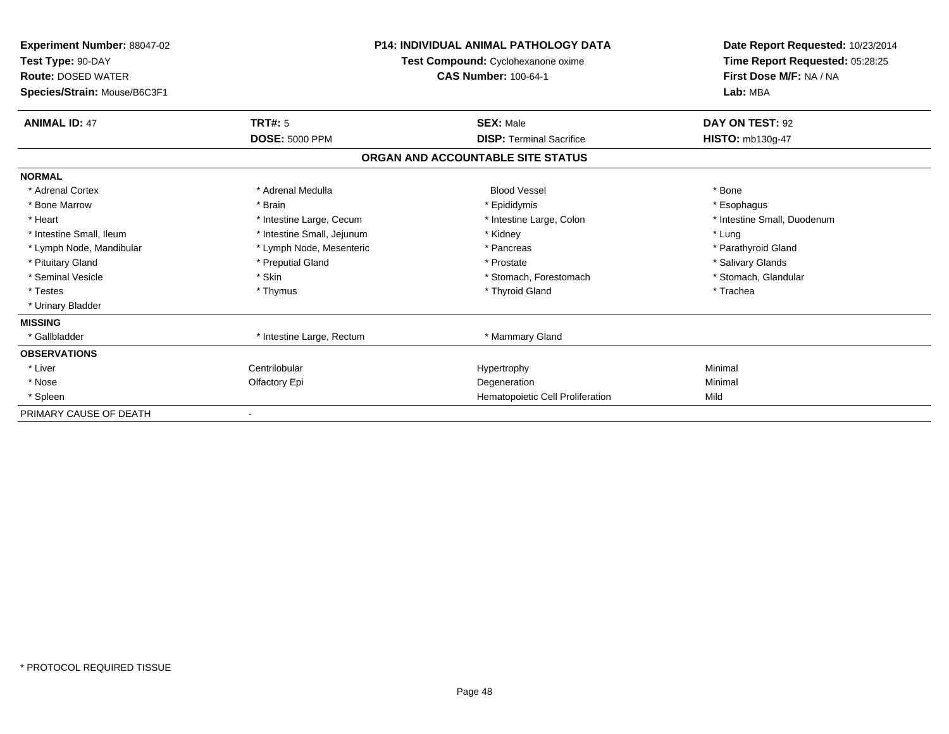| Experiment Number: 88047-02<br>Test Type: 90-DAY<br><b>Route: DOSED WATER</b><br>Species/Strain: Mouse/B6C3F1 |                            | <b>P14: INDIVIDUAL ANIMAL PATHOLOGY DATA</b><br>Test Compound: Cyclohexanone oxime<br><b>CAS Number: 100-64-1</b> | Date Report Requested: 10/23/2014<br>Time Report Requested: 05:28:25<br>First Dose M/F: NA / NA<br>Lab: MBA |  |
|---------------------------------------------------------------------------------------------------------------|----------------------------|-------------------------------------------------------------------------------------------------------------------|-------------------------------------------------------------------------------------------------------------|--|
| <b>ANIMAL ID: 47</b>                                                                                          | TRT#: 5                    | <b>SEX: Male</b>                                                                                                  | DAY ON TEST: 92                                                                                             |  |
|                                                                                                               | <b>DOSE: 5000 PPM</b>      | <b>DISP: Terminal Sacrifice</b>                                                                                   | <b>HISTO: mb130g-47</b>                                                                                     |  |
|                                                                                                               |                            | ORGAN AND ACCOUNTABLE SITE STATUS                                                                                 |                                                                                                             |  |
| <b>NORMAL</b>                                                                                                 |                            |                                                                                                                   |                                                                                                             |  |
| * Adrenal Cortex                                                                                              | * Adrenal Medulla          | <b>Blood Vessel</b>                                                                                               | * Bone                                                                                                      |  |
| * Bone Marrow                                                                                                 | * Brain                    | * Epididymis                                                                                                      | * Esophagus                                                                                                 |  |
| * Heart                                                                                                       | * Intestine Large, Cecum   | * Intestine Large, Colon                                                                                          | * Intestine Small, Duodenum                                                                                 |  |
| * Intestine Small, Ileum                                                                                      | * Intestine Small, Jejunum | * Kidney                                                                                                          | * Lung                                                                                                      |  |
| * Lymph Node, Mandibular                                                                                      | * Lymph Node, Mesenteric   | * Pancreas                                                                                                        | * Parathyroid Gland                                                                                         |  |
| * Pituitary Gland                                                                                             | * Preputial Gland          | * Prostate                                                                                                        | * Salivary Glands                                                                                           |  |
| * Seminal Vesicle                                                                                             | * Skin                     | * Stomach, Forestomach                                                                                            | * Stomach, Glandular                                                                                        |  |
| * Testes                                                                                                      | * Thymus                   | * Thyroid Gland                                                                                                   | * Trachea                                                                                                   |  |
| * Urinary Bladder                                                                                             |                            |                                                                                                                   |                                                                                                             |  |
| <b>MISSING</b>                                                                                                |                            |                                                                                                                   |                                                                                                             |  |
| * Gallbladder                                                                                                 | * Intestine Large, Rectum  | * Mammary Gland                                                                                                   |                                                                                                             |  |
| <b>OBSERVATIONS</b>                                                                                           |                            |                                                                                                                   |                                                                                                             |  |
| * Liver                                                                                                       | Centrilobular              | Hypertrophy                                                                                                       | Minimal                                                                                                     |  |
| * Nose                                                                                                        | Olfactory Epi              | Degeneration                                                                                                      | Minimal                                                                                                     |  |
| * Spleen                                                                                                      |                            | Hematopoietic Cell Proliferation                                                                                  | Mild                                                                                                        |  |
| PRIMARY CAUSE OF DEATH                                                                                        |                            |                                                                                                                   |                                                                                                             |  |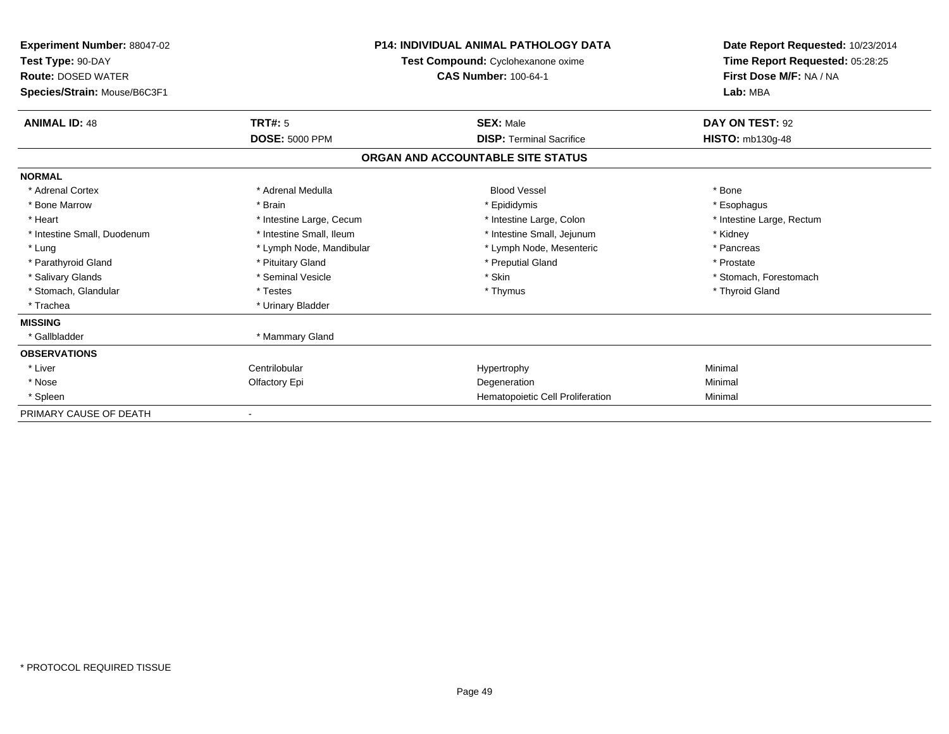| <b>Experiment Number: 88047-02</b><br>Test Type: 90-DAY<br><b>Route: DOSED WATER</b><br>Species/Strain: Mouse/B6C3F1 |                          | <b>P14: INDIVIDUAL ANIMAL PATHOLOGY DATA</b><br>Test Compound: Cyclohexanone oxime<br><b>CAS Number: 100-64-1</b> | Date Report Requested: 10/23/2014<br>Time Report Requested: 05:28:25<br>First Dose M/F: NA / NA<br>Lab: MBA |  |
|----------------------------------------------------------------------------------------------------------------------|--------------------------|-------------------------------------------------------------------------------------------------------------------|-------------------------------------------------------------------------------------------------------------|--|
| <b>ANIMAL ID: 48</b>                                                                                                 | TRT#: 5                  | <b>SEX: Male</b>                                                                                                  | DAY ON TEST: 92                                                                                             |  |
|                                                                                                                      | <b>DOSE: 5000 PPM</b>    | <b>DISP: Terminal Sacrifice</b>                                                                                   | <b>HISTO: mb130g-48</b>                                                                                     |  |
|                                                                                                                      |                          | ORGAN AND ACCOUNTABLE SITE STATUS                                                                                 |                                                                                                             |  |
| <b>NORMAL</b>                                                                                                        |                          |                                                                                                                   |                                                                                                             |  |
| * Adrenal Cortex                                                                                                     | * Adrenal Medulla        | <b>Blood Vessel</b>                                                                                               | * Bone                                                                                                      |  |
| * Bone Marrow                                                                                                        | * Brain                  | * Epididymis                                                                                                      | * Esophagus                                                                                                 |  |
| * Heart                                                                                                              | * Intestine Large, Cecum | * Intestine Large, Colon                                                                                          | * Intestine Large, Rectum                                                                                   |  |
| * Intestine Small, Duodenum                                                                                          | * Intestine Small. Ileum | * Intestine Small, Jejunum                                                                                        | * Kidney                                                                                                    |  |
| * Lung                                                                                                               | * Lymph Node, Mandibular | * Lymph Node, Mesenteric                                                                                          | * Pancreas                                                                                                  |  |
| * Parathyroid Gland                                                                                                  | * Pituitary Gland        | * Preputial Gland                                                                                                 | * Prostate                                                                                                  |  |
| * Salivary Glands                                                                                                    | * Seminal Vesicle        | * Skin                                                                                                            | * Stomach, Forestomach                                                                                      |  |
| * Stomach, Glandular                                                                                                 | * Testes                 | * Thymus                                                                                                          | * Thyroid Gland                                                                                             |  |
| * Trachea                                                                                                            | * Urinary Bladder        |                                                                                                                   |                                                                                                             |  |
| <b>MISSING</b>                                                                                                       |                          |                                                                                                                   |                                                                                                             |  |
| * Gallbladder                                                                                                        | * Mammary Gland          |                                                                                                                   |                                                                                                             |  |
| <b>OBSERVATIONS</b>                                                                                                  |                          |                                                                                                                   |                                                                                                             |  |
| * Liver                                                                                                              | Centrilobular            | Hypertrophy                                                                                                       | Minimal                                                                                                     |  |
| * Nose                                                                                                               | Olfactory Epi            | Degeneration                                                                                                      | Minimal                                                                                                     |  |
| * Spleen                                                                                                             |                          | Hematopoietic Cell Proliferation                                                                                  | Minimal                                                                                                     |  |
| PRIMARY CAUSE OF DEATH                                                                                               |                          |                                                                                                                   |                                                                                                             |  |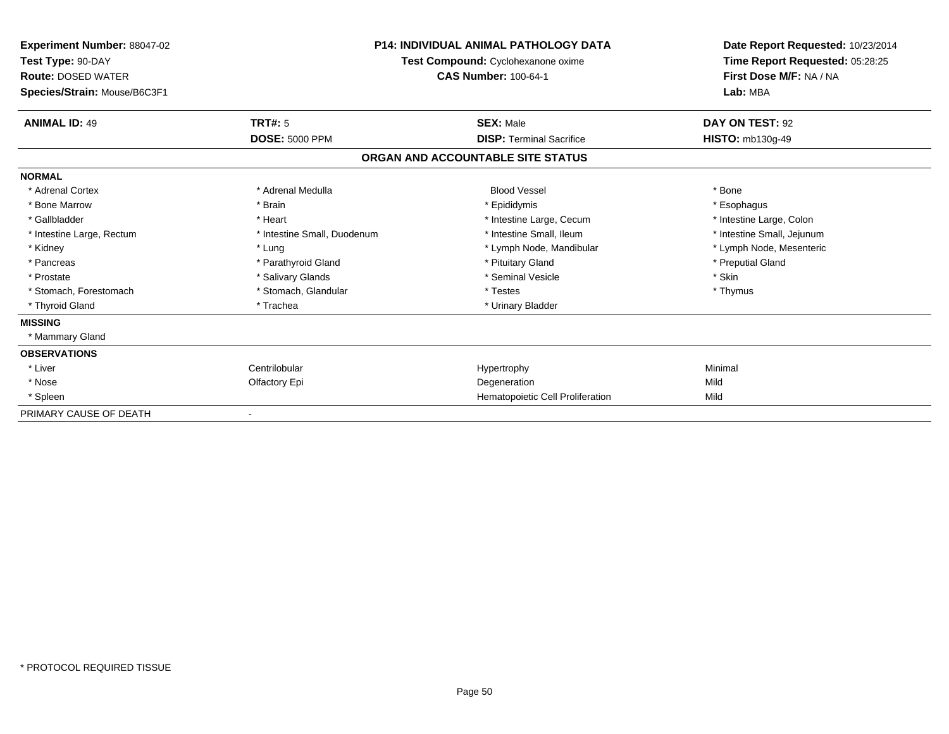| Experiment Number: 88047-02<br>Test Type: 90-DAY<br><b>Route: DOSED WATER</b><br>Species/Strain: Mouse/B6C3F1 |                             | <b>P14: INDIVIDUAL ANIMAL PATHOLOGY DATA</b><br>Test Compound: Cyclohexanone oxime<br><b>CAS Number: 100-64-1</b> | Date Report Requested: 10/23/2014<br>Time Report Requested: 05:28:25<br>First Dose M/F: NA / NA<br>Lab: MBA |
|---------------------------------------------------------------------------------------------------------------|-----------------------------|-------------------------------------------------------------------------------------------------------------------|-------------------------------------------------------------------------------------------------------------|
| <b>ANIMAL ID: 49</b>                                                                                          | TRT#: 5                     | <b>SEX: Male</b>                                                                                                  | DAY ON TEST: 92                                                                                             |
|                                                                                                               | <b>DOSE: 5000 PPM</b>       | <b>DISP:</b> Terminal Sacrifice                                                                                   | <b>HISTO: mb130g-49</b>                                                                                     |
|                                                                                                               |                             | ORGAN AND ACCOUNTABLE SITE STATUS                                                                                 |                                                                                                             |
| <b>NORMAL</b>                                                                                                 |                             |                                                                                                                   |                                                                                                             |
| * Adrenal Cortex                                                                                              | * Adrenal Medulla           | <b>Blood Vessel</b>                                                                                               | * Bone                                                                                                      |
| * Bone Marrow                                                                                                 | * Brain                     | * Epididymis                                                                                                      | * Esophagus                                                                                                 |
| * Gallbladder                                                                                                 | * Heart                     | * Intestine Large, Cecum                                                                                          | * Intestine Large, Colon                                                                                    |
| * Intestine Large, Rectum                                                                                     | * Intestine Small, Duodenum | * Intestine Small, Ileum                                                                                          | * Intestine Small, Jejunum                                                                                  |
| * Kidney                                                                                                      | * Lung                      | * Lymph Node, Mandibular                                                                                          | * Lymph Node, Mesenteric                                                                                    |
| * Pancreas                                                                                                    | * Parathyroid Gland         | * Pituitary Gland                                                                                                 | * Preputial Gland                                                                                           |
| * Prostate                                                                                                    | * Salivary Glands           | * Seminal Vesicle                                                                                                 | * Skin                                                                                                      |
| * Stomach, Forestomach                                                                                        | * Stomach, Glandular        | * Testes                                                                                                          | * Thymus                                                                                                    |
| * Thyroid Gland                                                                                               | * Trachea                   | * Urinary Bladder                                                                                                 |                                                                                                             |
| <b>MISSING</b>                                                                                                |                             |                                                                                                                   |                                                                                                             |
| * Mammary Gland                                                                                               |                             |                                                                                                                   |                                                                                                             |
| <b>OBSERVATIONS</b>                                                                                           |                             |                                                                                                                   |                                                                                                             |
| * Liver                                                                                                       | Centrilobular               | Hypertrophy                                                                                                       | Minimal                                                                                                     |
| * Nose                                                                                                        | Olfactory Epi               | Degeneration                                                                                                      | Mild                                                                                                        |
| * Spleen                                                                                                      |                             | Hematopoietic Cell Proliferation                                                                                  | Mild                                                                                                        |
| PRIMARY CAUSE OF DEATH                                                                                        |                             |                                                                                                                   |                                                                                                             |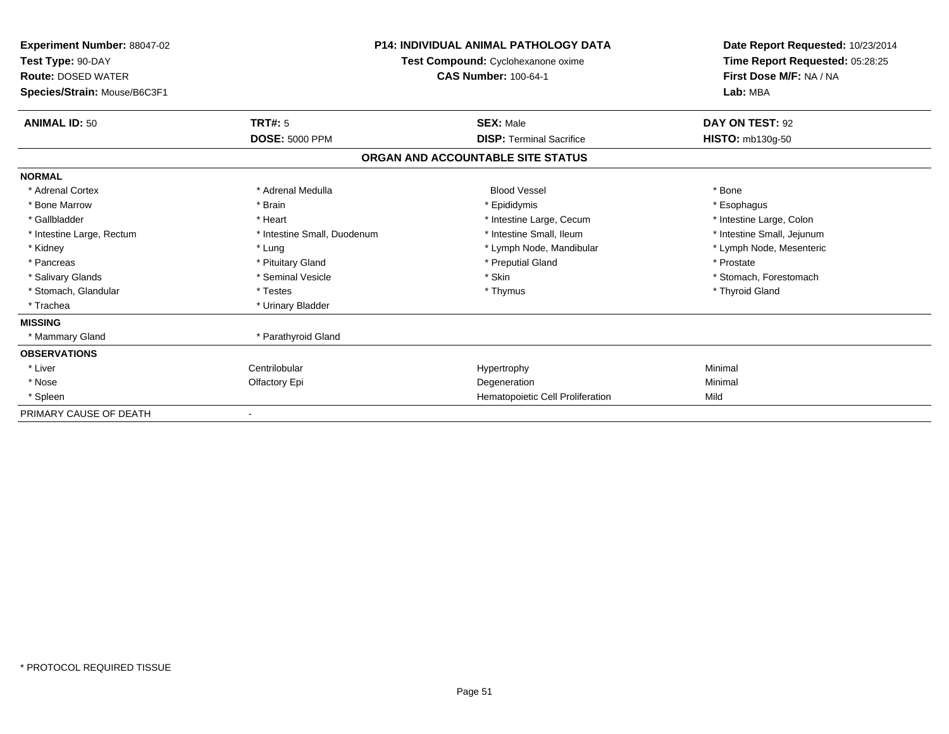| <b>Experiment Number: 88047-02</b><br>Test Type: 90-DAY<br><b>Route: DOSED WATER</b><br>Species/Strain: Mouse/B6C3F1 |                             | <b>P14: INDIVIDUAL ANIMAL PATHOLOGY DATA</b><br>Test Compound: Cyclohexanone oxime<br><b>CAS Number: 100-64-1</b> | Date Report Requested: 10/23/2014<br>Time Report Requested: 05:28:25<br>First Dose M/F: NA / NA<br>Lab: MBA |  |
|----------------------------------------------------------------------------------------------------------------------|-----------------------------|-------------------------------------------------------------------------------------------------------------------|-------------------------------------------------------------------------------------------------------------|--|
| <b>ANIMAL ID: 50</b>                                                                                                 | <b>TRT#: 5</b>              | <b>SEX: Male</b>                                                                                                  | DAY ON TEST: 92                                                                                             |  |
|                                                                                                                      | <b>DOSE: 5000 PPM</b>       | <b>DISP: Terminal Sacrifice</b>                                                                                   | <b>HISTO: mb130g-50</b>                                                                                     |  |
|                                                                                                                      |                             | ORGAN AND ACCOUNTABLE SITE STATUS                                                                                 |                                                                                                             |  |
| <b>NORMAL</b>                                                                                                        |                             |                                                                                                                   |                                                                                                             |  |
| * Adrenal Cortex                                                                                                     | * Adrenal Medulla           | <b>Blood Vessel</b>                                                                                               | * Bone                                                                                                      |  |
| * Bone Marrow                                                                                                        | * Brain                     | * Epididymis                                                                                                      | * Esophagus                                                                                                 |  |
| * Gallbladder                                                                                                        | * Heart                     | * Intestine Large, Cecum                                                                                          | * Intestine Large, Colon                                                                                    |  |
| * Intestine Large, Rectum                                                                                            | * Intestine Small, Duodenum | * Intestine Small, Ileum                                                                                          | * Intestine Small, Jejunum                                                                                  |  |
| * Kidney                                                                                                             | * Lung                      | * Lymph Node, Mandibular                                                                                          | * Lymph Node, Mesenteric                                                                                    |  |
| * Pancreas                                                                                                           | * Pituitary Gland           | * Preputial Gland                                                                                                 | * Prostate                                                                                                  |  |
| * Salivary Glands                                                                                                    | * Seminal Vesicle           | * Skin                                                                                                            | * Stomach, Forestomach                                                                                      |  |
| * Stomach, Glandular                                                                                                 | * Testes                    | * Thymus                                                                                                          | * Thyroid Gland                                                                                             |  |
| * Trachea                                                                                                            | * Urinary Bladder           |                                                                                                                   |                                                                                                             |  |
| <b>MISSING</b>                                                                                                       |                             |                                                                                                                   |                                                                                                             |  |
| * Mammary Gland                                                                                                      | * Parathyroid Gland         |                                                                                                                   |                                                                                                             |  |
| <b>OBSERVATIONS</b>                                                                                                  |                             |                                                                                                                   |                                                                                                             |  |
| * Liver                                                                                                              | Centrilobular               | Hypertrophy                                                                                                       | Minimal                                                                                                     |  |
| * Nose                                                                                                               | Olfactory Epi               | Degeneration                                                                                                      | Minimal                                                                                                     |  |
| * Spleen                                                                                                             |                             | Hematopoietic Cell Proliferation                                                                                  | Mild                                                                                                        |  |
| PRIMARY CAUSE OF DEATH                                                                                               |                             |                                                                                                                   |                                                                                                             |  |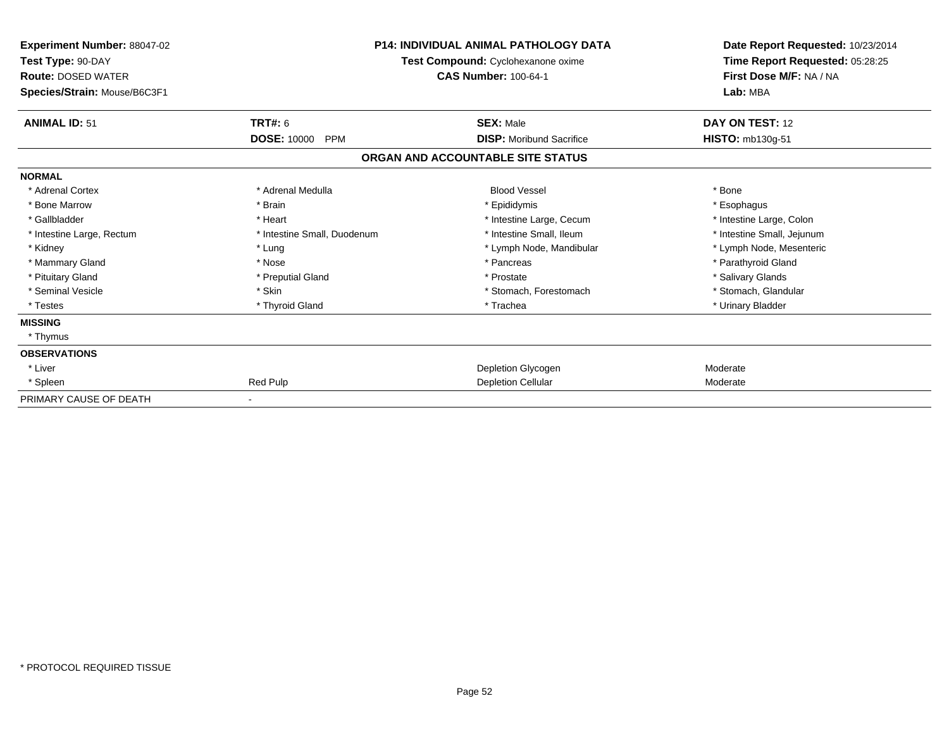| <b>Experiment Number: 88047-02</b><br>Test Type: 90-DAY<br><b>Route: DOSED WATER</b><br>Species/Strain: Mouse/B6C3F1 | <b>P14: INDIVIDUAL ANIMAL PATHOLOGY DATA</b><br>Test Compound: Cyclohexanone oxime<br><b>CAS Number: 100-64-1</b> |                                   | Date Report Requested: 10/23/2014<br>Time Report Requested: 05:28:25<br>First Dose M/F: NA / NA<br>Lab: MBA |  |
|----------------------------------------------------------------------------------------------------------------------|-------------------------------------------------------------------------------------------------------------------|-----------------------------------|-------------------------------------------------------------------------------------------------------------|--|
| <b>ANIMAL ID: 51</b>                                                                                                 | <b>TRT#: 6</b>                                                                                                    | <b>SEX: Male</b>                  | DAY ON TEST: 12                                                                                             |  |
|                                                                                                                      | <b>DOSE: 10000</b><br><b>PPM</b>                                                                                  | <b>DISP:</b> Moribund Sacrifice   | <b>HISTO: mb130g-51</b>                                                                                     |  |
|                                                                                                                      |                                                                                                                   | ORGAN AND ACCOUNTABLE SITE STATUS |                                                                                                             |  |
| <b>NORMAL</b>                                                                                                        |                                                                                                                   |                                   |                                                                                                             |  |
| * Adrenal Cortex                                                                                                     | * Adrenal Medulla                                                                                                 | <b>Blood Vessel</b>               | * Bone                                                                                                      |  |
| * Bone Marrow                                                                                                        | * Brain                                                                                                           | * Epididymis                      | * Esophagus                                                                                                 |  |
| * Gallbladder                                                                                                        | * Heart                                                                                                           | * Intestine Large, Cecum          | * Intestine Large, Colon                                                                                    |  |
| * Intestine Large, Rectum                                                                                            | * Intestine Small, Duodenum                                                                                       | * Intestine Small, Ileum          | * Intestine Small, Jejunum                                                                                  |  |
| * Kidney                                                                                                             | * Lung                                                                                                            | * Lymph Node, Mandibular          | * Lymph Node, Mesenteric                                                                                    |  |
| * Mammary Gland                                                                                                      | * Nose                                                                                                            | * Pancreas                        | * Parathyroid Gland                                                                                         |  |
| * Pituitary Gland                                                                                                    | * Preputial Gland                                                                                                 | * Prostate                        | * Salivary Glands                                                                                           |  |
| * Seminal Vesicle                                                                                                    | * Skin                                                                                                            | * Stomach, Forestomach            | * Stomach, Glandular                                                                                        |  |
| * Testes                                                                                                             | * Thyroid Gland                                                                                                   | * Trachea                         | * Urinary Bladder                                                                                           |  |
| <b>MISSING</b>                                                                                                       |                                                                                                                   |                                   |                                                                                                             |  |
| * Thymus                                                                                                             |                                                                                                                   |                                   |                                                                                                             |  |
| <b>OBSERVATIONS</b>                                                                                                  |                                                                                                                   |                                   |                                                                                                             |  |
| * Liver                                                                                                              |                                                                                                                   | Depletion Glycogen                | Moderate                                                                                                    |  |
| * Spleen                                                                                                             | Red Pulp                                                                                                          | Depletion Cellular                | Moderate                                                                                                    |  |
| PRIMARY CAUSE OF DEATH                                                                                               |                                                                                                                   |                                   |                                                                                                             |  |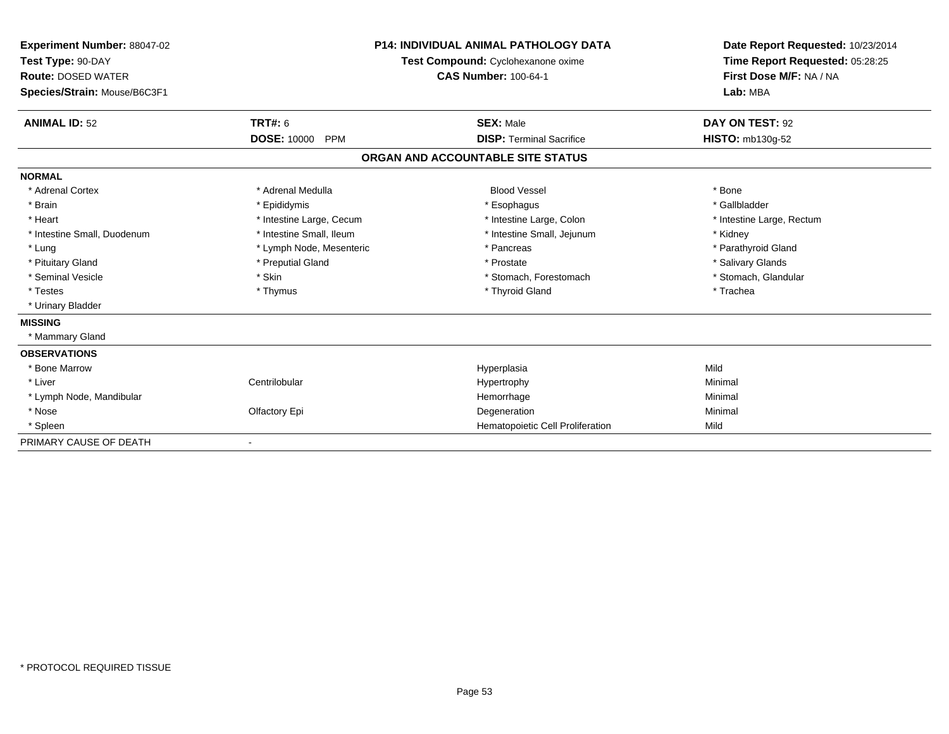| Experiment Number: 88047-02<br>Test Type: 90-DAY<br><b>Route: DOSED WATER</b><br>Species/Strain: Mouse/B6C3F1 | <b>P14: INDIVIDUAL ANIMAL PATHOLOGY DATA</b><br>Test Compound: Cyclohexanone oxime<br><b>CAS Number: 100-64-1</b> |                                   | Date Report Requested: 10/23/2014<br>Time Report Requested: 05:28:25<br>First Dose M/F: NA / NA<br>Lab: MBA |  |
|---------------------------------------------------------------------------------------------------------------|-------------------------------------------------------------------------------------------------------------------|-----------------------------------|-------------------------------------------------------------------------------------------------------------|--|
| <b>ANIMAL ID: 52</b>                                                                                          | <b>TRT#: 6</b>                                                                                                    | <b>SEX: Male</b>                  | DAY ON TEST: 92                                                                                             |  |
|                                                                                                               | <b>DOSE: 10000</b><br><b>PPM</b>                                                                                  | <b>DISP: Terminal Sacrifice</b>   | HISTO: mb130g-52                                                                                            |  |
|                                                                                                               |                                                                                                                   | ORGAN AND ACCOUNTABLE SITE STATUS |                                                                                                             |  |
| <b>NORMAL</b>                                                                                                 |                                                                                                                   |                                   |                                                                                                             |  |
| * Adrenal Cortex                                                                                              | * Adrenal Medulla                                                                                                 | <b>Blood Vessel</b>               | * Bone                                                                                                      |  |
| * Brain                                                                                                       | * Epididymis                                                                                                      | * Esophagus                       | * Gallbladder                                                                                               |  |
| * Heart                                                                                                       | * Intestine Large, Cecum                                                                                          | * Intestine Large, Colon          | * Intestine Large, Rectum                                                                                   |  |
| * Intestine Small, Duodenum                                                                                   | * Intestine Small, Ileum                                                                                          | * Intestine Small, Jejunum        | * Kidney                                                                                                    |  |
| * Lung                                                                                                        | * Lymph Node, Mesenteric                                                                                          | * Pancreas                        | * Parathyroid Gland                                                                                         |  |
| * Pituitary Gland                                                                                             | * Preputial Gland                                                                                                 | * Prostate                        | * Salivary Glands                                                                                           |  |
| * Seminal Vesicle                                                                                             | * Skin                                                                                                            | * Stomach, Forestomach            | * Stomach, Glandular                                                                                        |  |
| * Testes                                                                                                      | * Thymus                                                                                                          | * Thyroid Gland                   | * Trachea                                                                                                   |  |
| * Urinary Bladder                                                                                             |                                                                                                                   |                                   |                                                                                                             |  |
| <b>MISSING</b>                                                                                                |                                                                                                                   |                                   |                                                                                                             |  |
| * Mammary Gland                                                                                               |                                                                                                                   |                                   |                                                                                                             |  |
| <b>OBSERVATIONS</b>                                                                                           |                                                                                                                   |                                   |                                                                                                             |  |
| * Bone Marrow                                                                                                 |                                                                                                                   | Hyperplasia                       | Mild                                                                                                        |  |
| * Liver                                                                                                       | Centrilobular                                                                                                     | Hypertrophy                       | Minimal                                                                                                     |  |
| * Lymph Node, Mandibular                                                                                      |                                                                                                                   | Hemorrhage                        | Minimal                                                                                                     |  |
| * Nose                                                                                                        | Olfactory Epi                                                                                                     | Degeneration                      | Minimal                                                                                                     |  |
| * Spleen                                                                                                      |                                                                                                                   | Hematopoietic Cell Proliferation  | Mild                                                                                                        |  |
| PRIMARY CAUSE OF DEATH                                                                                        |                                                                                                                   |                                   |                                                                                                             |  |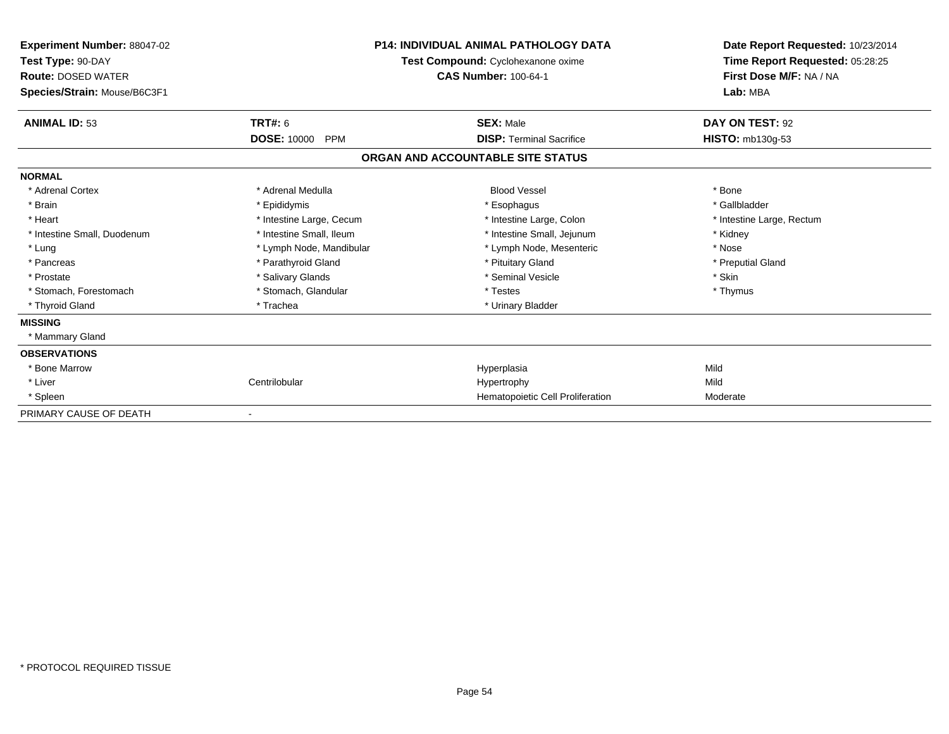| <b>Experiment Number: 88047-02</b><br>Test Type: 90-DAY<br><b>Route: DOSED WATER</b><br>Species/Strain: Mouse/B6C3F1 |                                  | <b>P14: INDIVIDUAL ANIMAL PATHOLOGY DATA</b><br>Test Compound: Cyclohexanone oxime<br><b>CAS Number: 100-64-1</b> | Date Report Requested: 10/23/2014<br>Time Report Requested: 05:28:25<br>First Dose M/F: NA / NA<br>Lab: MBA |  |
|----------------------------------------------------------------------------------------------------------------------|----------------------------------|-------------------------------------------------------------------------------------------------------------------|-------------------------------------------------------------------------------------------------------------|--|
| <b>ANIMAL ID: 53</b>                                                                                                 | <b>TRT#: 6</b>                   | <b>SEX: Male</b>                                                                                                  | DAY ON TEST: 92                                                                                             |  |
|                                                                                                                      | <b>DOSE: 10000</b><br><b>PPM</b> | <b>DISP: Terminal Sacrifice</b>                                                                                   | <b>HISTO: mb130g-53</b>                                                                                     |  |
|                                                                                                                      |                                  | ORGAN AND ACCOUNTABLE SITE STATUS                                                                                 |                                                                                                             |  |
| <b>NORMAL</b>                                                                                                        |                                  |                                                                                                                   |                                                                                                             |  |
| * Adrenal Cortex                                                                                                     | * Adrenal Medulla                | <b>Blood Vessel</b>                                                                                               | * Bone                                                                                                      |  |
| * Brain                                                                                                              | * Epididymis                     | * Esophagus                                                                                                       | * Gallbladder                                                                                               |  |
| * Heart                                                                                                              | * Intestine Large, Cecum         | * Intestine Large, Colon                                                                                          | * Intestine Large, Rectum                                                                                   |  |
| * Intestine Small, Duodenum                                                                                          | * Intestine Small, Ileum         | * Intestine Small, Jejunum                                                                                        | * Kidney                                                                                                    |  |
| * Lung                                                                                                               | * Lymph Node, Mandibular         | * Lymph Node, Mesenteric                                                                                          | * Nose                                                                                                      |  |
| * Pancreas                                                                                                           | * Parathyroid Gland              | * Pituitary Gland                                                                                                 | * Preputial Gland                                                                                           |  |
| * Prostate                                                                                                           | * Salivary Glands                | * Seminal Vesicle                                                                                                 | * Skin                                                                                                      |  |
| * Stomach, Forestomach                                                                                               | * Stomach, Glandular             | * Testes                                                                                                          | * Thymus                                                                                                    |  |
| * Thyroid Gland                                                                                                      | * Trachea                        | * Urinary Bladder                                                                                                 |                                                                                                             |  |
| <b>MISSING</b>                                                                                                       |                                  |                                                                                                                   |                                                                                                             |  |
| * Mammary Gland                                                                                                      |                                  |                                                                                                                   |                                                                                                             |  |
| <b>OBSERVATIONS</b>                                                                                                  |                                  |                                                                                                                   |                                                                                                             |  |
| * Bone Marrow                                                                                                        |                                  | Hyperplasia                                                                                                       | Mild                                                                                                        |  |
| * Liver                                                                                                              | Centrilobular                    | Hypertrophy                                                                                                       | Mild                                                                                                        |  |
| * Spleen                                                                                                             |                                  | Hematopoietic Cell Proliferation                                                                                  | Moderate                                                                                                    |  |
| PRIMARY CAUSE OF DEATH                                                                                               |                                  |                                                                                                                   |                                                                                                             |  |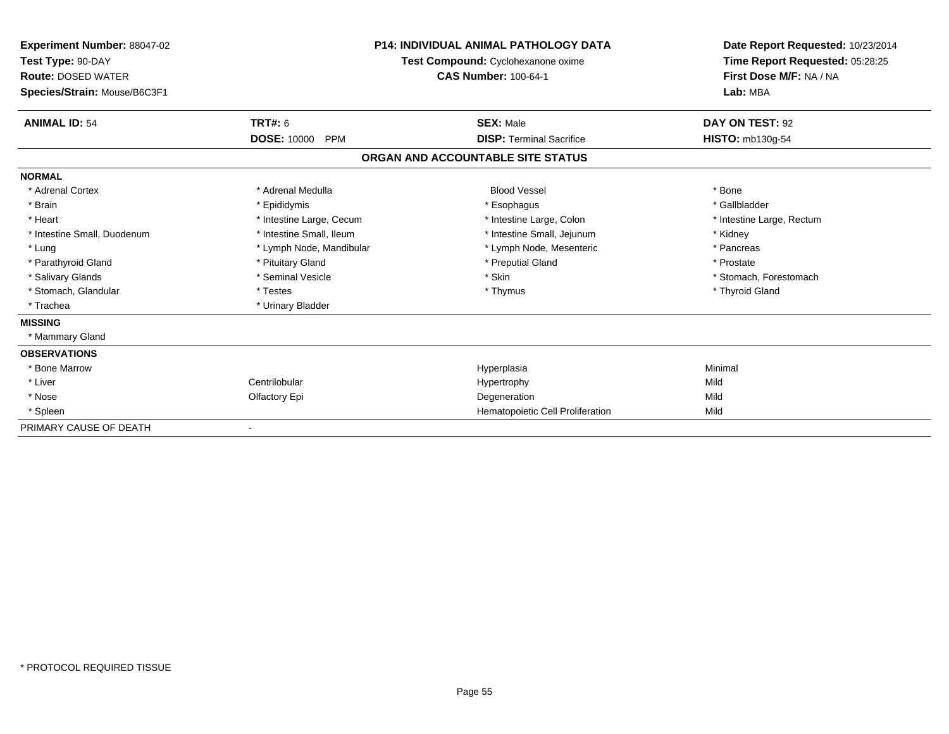| <b>Experiment Number: 88047-02</b><br>Test Type: 90-DAY<br><b>Route: DOSED WATER</b><br>Species/Strain: Mouse/B6C3F1 |                                  | <b>P14: INDIVIDUAL ANIMAL PATHOLOGY DATA</b><br>Test Compound: Cyclohexanone oxime<br><b>CAS Number: 100-64-1</b> | Date Report Requested: 10/23/2014<br>Time Report Requested: 05:28:25<br>First Dose M/F: NA / NA<br>Lab: MBA |
|----------------------------------------------------------------------------------------------------------------------|----------------------------------|-------------------------------------------------------------------------------------------------------------------|-------------------------------------------------------------------------------------------------------------|
| <b>ANIMAL ID: 54</b>                                                                                                 | <b>TRT#: 6</b>                   | <b>SEX: Male</b>                                                                                                  | DAY ON TEST: 92                                                                                             |
|                                                                                                                      | <b>DOSE: 10000</b><br><b>PPM</b> | <b>DISP: Terminal Sacrifice</b>                                                                                   | <b>HISTO: mb130g-54</b>                                                                                     |
|                                                                                                                      |                                  | ORGAN AND ACCOUNTABLE SITE STATUS                                                                                 |                                                                                                             |
| <b>NORMAL</b>                                                                                                        |                                  |                                                                                                                   |                                                                                                             |
| * Adrenal Cortex                                                                                                     | * Adrenal Medulla                | <b>Blood Vessel</b>                                                                                               | * Bone                                                                                                      |
| * Brain                                                                                                              | * Epididymis                     | * Esophagus                                                                                                       | * Gallbladder                                                                                               |
| * Heart                                                                                                              | * Intestine Large, Cecum         | * Intestine Large, Colon                                                                                          | * Intestine Large, Rectum                                                                                   |
| * Intestine Small, Duodenum                                                                                          | * Intestine Small, Ileum         | * Intestine Small, Jejunum                                                                                        | * Kidney                                                                                                    |
| * Lung                                                                                                               | * Lymph Node, Mandibular         | * Lymph Node, Mesenteric                                                                                          | * Pancreas                                                                                                  |
| * Parathyroid Gland                                                                                                  | * Pituitary Gland                | * Preputial Gland                                                                                                 | * Prostate                                                                                                  |
| * Salivary Glands                                                                                                    | * Seminal Vesicle                | * Skin                                                                                                            | * Stomach, Forestomach                                                                                      |
| * Stomach, Glandular                                                                                                 | * Testes                         | * Thymus                                                                                                          | * Thyroid Gland                                                                                             |
| * Trachea                                                                                                            | * Urinary Bladder                |                                                                                                                   |                                                                                                             |
| <b>MISSING</b>                                                                                                       |                                  |                                                                                                                   |                                                                                                             |
| * Mammary Gland                                                                                                      |                                  |                                                                                                                   |                                                                                                             |
| <b>OBSERVATIONS</b>                                                                                                  |                                  |                                                                                                                   |                                                                                                             |
| * Bone Marrow                                                                                                        |                                  | Hyperplasia                                                                                                       | Minimal                                                                                                     |
| * Liver                                                                                                              | Centrilobular                    | Hypertrophy                                                                                                       | Mild                                                                                                        |
| * Nose                                                                                                               | Olfactory Epi                    | Degeneration                                                                                                      | Mild                                                                                                        |
| * Spleen                                                                                                             |                                  | Hematopoietic Cell Proliferation                                                                                  | Mild                                                                                                        |
| PRIMARY CAUSE OF DEATH                                                                                               |                                  |                                                                                                                   |                                                                                                             |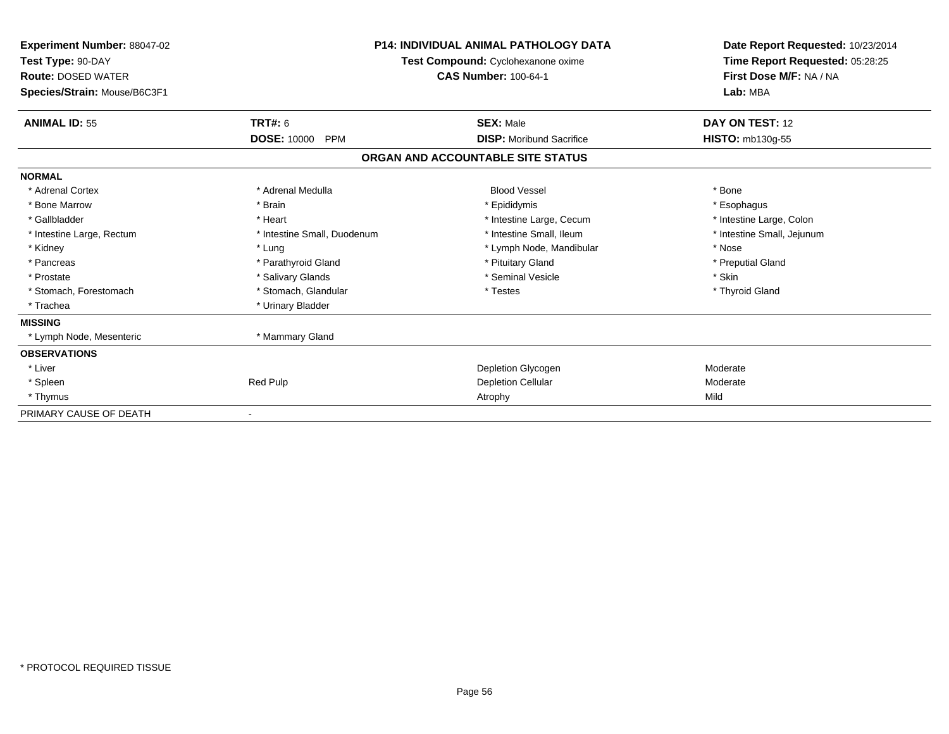| <b>Experiment Number: 88047-02</b><br>Test Type: 90-DAY<br><b>Route: DOSED WATER</b><br>Species/Strain: Mouse/B6C3F1 |                                  | <b>P14: INDIVIDUAL ANIMAL PATHOLOGY DATA</b><br>Test Compound: Cyclohexanone oxime<br><b>CAS Number: 100-64-1</b> | Date Report Requested: 10/23/2014<br>Time Report Requested: 05:28:25<br>First Dose M/F: NA / NA<br>Lab: MBA |  |
|----------------------------------------------------------------------------------------------------------------------|----------------------------------|-------------------------------------------------------------------------------------------------------------------|-------------------------------------------------------------------------------------------------------------|--|
| <b>ANIMAL ID: 55</b>                                                                                                 | <b>TRT#: 6</b>                   | <b>SEX: Male</b>                                                                                                  | DAY ON TEST: 12                                                                                             |  |
|                                                                                                                      | <b>DOSE: 10000</b><br><b>PPM</b> | <b>DISP:</b> Moribund Sacrifice                                                                                   | <b>HISTO: mb130g-55</b>                                                                                     |  |
|                                                                                                                      |                                  | ORGAN AND ACCOUNTABLE SITE STATUS                                                                                 |                                                                                                             |  |
| <b>NORMAL</b>                                                                                                        |                                  |                                                                                                                   |                                                                                                             |  |
| * Adrenal Cortex                                                                                                     | * Adrenal Medulla                | <b>Blood Vessel</b>                                                                                               | * Bone                                                                                                      |  |
| * Bone Marrow                                                                                                        | * Brain                          | * Epididymis                                                                                                      | * Esophagus                                                                                                 |  |
| * Gallbladder                                                                                                        | * Heart                          | * Intestine Large, Cecum                                                                                          | * Intestine Large, Colon                                                                                    |  |
| * Intestine Large, Rectum                                                                                            | * Intestine Small, Duodenum      | * Intestine Small, Ileum                                                                                          | * Intestine Small, Jejunum                                                                                  |  |
| * Kidney                                                                                                             | * Lung                           | * Lymph Node, Mandibular                                                                                          | * Nose                                                                                                      |  |
| * Pancreas                                                                                                           | * Parathyroid Gland              | * Pituitary Gland                                                                                                 | * Preputial Gland                                                                                           |  |
| * Prostate                                                                                                           | * Salivary Glands                | * Seminal Vesicle                                                                                                 | * Skin                                                                                                      |  |
| * Stomach, Forestomach                                                                                               | * Stomach, Glandular             | * Testes                                                                                                          | * Thyroid Gland                                                                                             |  |
| * Trachea                                                                                                            | * Urinary Bladder                |                                                                                                                   |                                                                                                             |  |
| <b>MISSING</b>                                                                                                       |                                  |                                                                                                                   |                                                                                                             |  |
| * Lymph Node, Mesenteric                                                                                             | * Mammary Gland                  |                                                                                                                   |                                                                                                             |  |
| <b>OBSERVATIONS</b>                                                                                                  |                                  |                                                                                                                   |                                                                                                             |  |
| * Liver                                                                                                              |                                  | Depletion Glycogen                                                                                                | Moderate                                                                                                    |  |
| * Spleen                                                                                                             | Red Pulp                         | <b>Depletion Cellular</b>                                                                                         | Moderate                                                                                                    |  |
| * Thymus                                                                                                             |                                  | Atrophy                                                                                                           | Mild                                                                                                        |  |
| PRIMARY CAUSE OF DEATH                                                                                               |                                  |                                                                                                                   |                                                                                                             |  |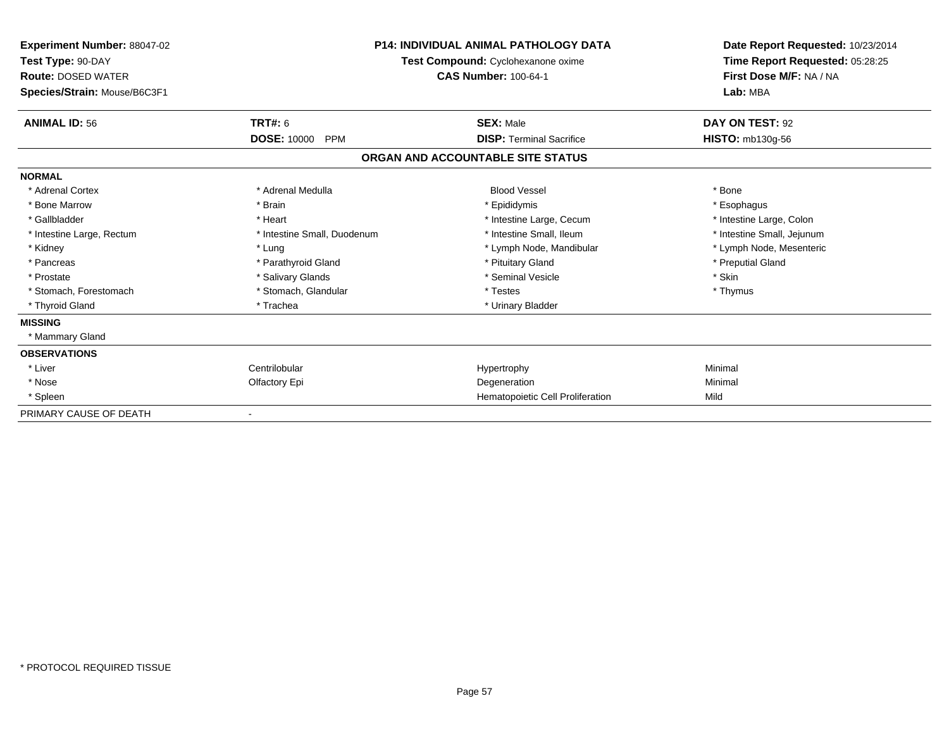| <b>Experiment Number: 88047-02</b><br>Test Type: 90-DAY<br><b>Route: DOSED WATER</b><br>Species/Strain: Mouse/B6C3F1 |                                  | <b>P14: INDIVIDUAL ANIMAL PATHOLOGY DATA</b><br>Test Compound: Cyclohexanone oxime<br><b>CAS Number: 100-64-1</b> | Date Report Requested: 10/23/2014<br>Time Report Requested: 05:28:25<br>First Dose M/F: NA / NA<br>Lab: MBA |  |
|----------------------------------------------------------------------------------------------------------------------|----------------------------------|-------------------------------------------------------------------------------------------------------------------|-------------------------------------------------------------------------------------------------------------|--|
| <b>ANIMAL ID: 56</b>                                                                                                 | <b>TRT#: 6</b>                   | <b>SEX: Male</b>                                                                                                  | DAY ON TEST: 92                                                                                             |  |
|                                                                                                                      | <b>DOSE: 10000</b><br><b>PPM</b> | <b>DISP: Terminal Sacrifice</b>                                                                                   | <b>HISTO: mb130g-56</b>                                                                                     |  |
|                                                                                                                      |                                  | ORGAN AND ACCOUNTABLE SITE STATUS                                                                                 |                                                                                                             |  |
| <b>NORMAL</b>                                                                                                        |                                  |                                                                                                                   |                                                                                                             |  |
| * Adrenal Cortex                                                                                                     | * Adrenal Medulla                | <b>Blood Vessel</b>                                                                                               | * Bone                                                                                                      |  |
| * Bone Marrow                                                                                                        | * Brain                          | * Epididymis                                                                                                      | * Esophagus                                                                                                 |  |
| * Gallbladder                                                                                                        | * Heart                          | * Intestine Large, Cecum                                                                                          | * Intestine Large, Colon                                                                                    |  |
| * Intestine Large, Rectum                                                                                            | * Intestine Small, Duodenum      | * Intestine Small. Ileum                                                                                          | * Intestine Small, Jejunum                                                                                  |  |
| * Kidney                                                                                                             | * Lung                           | * Lymph Node, Mandibular                                                                                          | * Lymph Node, Mesenteric                                                                                    |  |
| * Pancreas                                                                                                           | * Parathyroid Gland              | * Pituitary Gland                                                                                                 | * Preputial Gland                                                                                           |  |
| * Prostate                                                                                                           | * Salivary Glands                | * Seminal Vesicle                                                                                                 | * Skin                                                                                                      |  |
| * Stomach, Forestomach                                                                                               | * Stomach, Glandular             | * Testes                                                                                                          | * Thymus                                                                                                    |  |
| * Thyroid Gland                                                                                                      | * Trachea                        | * Urinary Bladder                                                                                                 |                                                                                                             |  |
| <b>MISSING</b>                                                                                                       |                                  |                                                                                                                   |                                                                                                             |  |
| * Mammary Gland                                                                                                      |                                  |                                                                                                                   |                                                                                                             |  |
| <b>OBSERVATIONS</b>                                                                                                  |                                  |                                                                                                                   |                                                                                                             |  |
| * Liver                                                                                                              | Centrilobular                    | Hypertrophy                                                                                                       | Minimal                                                                                                     |  |
| * Nose                                                                                                               | Olfactory Epi                    | Degeneration                                                                                                      | Minimal                                                                                                     |  |
| * Spleen                                                                                                             |                                  | Hematopoietic Cell Proliferation                                                                                  | Mild                                                                                                        |  |
| PRIMARY CAUSE OF DEATH                                                                                               |                                  |                                                                                                                   |                                                                                                             |  |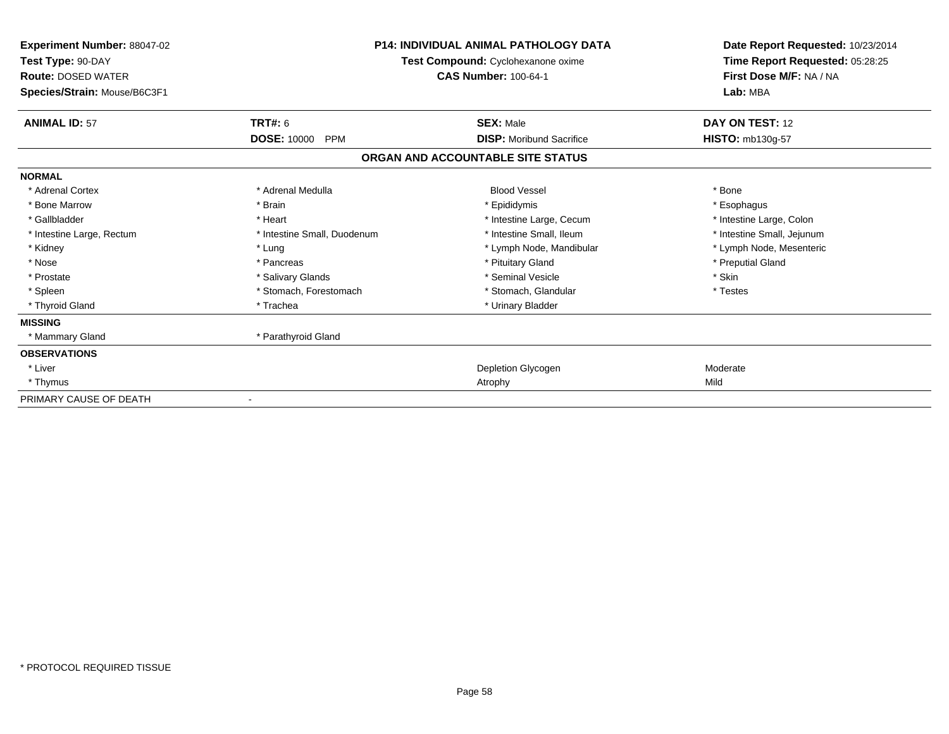| <b>Experiment Number: 88047-02</b><br>Test Type: 90-DAY<br><b>Route: DOSED WATER</b><br>Species/Strain: Mouse/B6C3F1 | <b>P14: INDIVIDUAL ANIMAL PATHOLOGY DATA</b><br>Test Compound: Cyclohexanone oxime<br><b>CAS Number: 100-64-1</b> |                                   | Date Report Requested: 10/23/2014<br>Time Report Requested: 05:28:25<br>First Dose M/F: NA / NA<br>Lab: MBA |  |
|----------------------------------------------------------------------------------------------------------------------|-------------------------------------------------------------------------------------------------------------------|-----------------------------------|-------------------------------------------------------------------------------------------------------------|--|
| <b>ANIMAL ID: 57</b>                                                                                                 | <b>TRT#: 6</b>                                                                                                    | <b>SEX: Male</b>                  | DAY ON TEST: 12                                                                                             |  |
|                                                                                                                      | <b>DOSE: 10000</b><br><b>PPM</b>                                                                                  | <b>DISP:</b> Moribund Sacrifice   | HISTO: mb130g-57                                                                                            |  |
|                                                                                                                      |                                                                                                                   | ORGAN AND ACCOUNTABLE SITE STATUS |                                                                                                             |  |
| <b>NORMAL</b>                                                                                                        |                                                                                                                   |                                   |                                                                                                             |  |
| * Adrenal Cortex                                                                                                     | * Adrenal Medulla                                                                                                 | <b>Blood Vessel</b>               | * Bone                                                                                                      |  |
| * Bone Marrow                                                                                                        | * Brain                                                                                                           | * Epididymis                      | * Esophagus                                                                                                 |  |
| * Gallbladder                                                                                                        | * Heart                                                                                                           | * Intestine Large, Cecum          | * Intestine Large, Colon                                                                                    |  |
| * Intestine Large, Rectum                                                                                            | * Intestine Small, Duodenum                                                                                       | * Intestine Small, Ileum          | * Intestine Small, Jejunum                                                                                  |  |
| * Kidney                                                                                                             | * Lung                                                                                                            | * Lymph Node, Mandibular          | * Lymph Node, Mesenteric                                                                                    |  |
| * Nose                                                                                                               | * Pancreas                                                                                                        | * Pituitary Gland                 | * Preputial Gland                                                                                           |  |
| * Prostate                                                                                                           | * Salivary Glands                                                                                                 | * Seminal Vesicle                 | * Skin                                                                                                      |  |
| * Spleen                                                                                                             | * Stomach, Forestomach                                                                                            | * Stomach, Glandular              | * Testes                                                                                                    |  |
| * Thyroid Gland                                                                                                      | * Trachea                                                                                                         | * Urinary Bladder                 |                                                                                                             |  |
| <b>MISSING</b>                                                                                                       |                                                                                                                   |                                   |                                                                                                             |  |
| * Mammary Gland                                                                                                      | * Parathyroid Gland                                                                                               |                                   |                                                                                                             |  |
| <b>OBSERVATIONS</b>                                                                                                  |                                                                                                                   |                                   |                                                                                                             |  |
| * Liver                                                                                                              |                                                                                                                   | Depletion Glycogen                | Moderate                                                                                                    |  |
| * Thymus                                                                                                             |                                                                                                                   | Atrophy                           | Mild                                                                                                        |  |
| PRIMARY CAUSE OF DEATH                                                                                               |                                                                                                                   |                                   |                                                                                                             |  |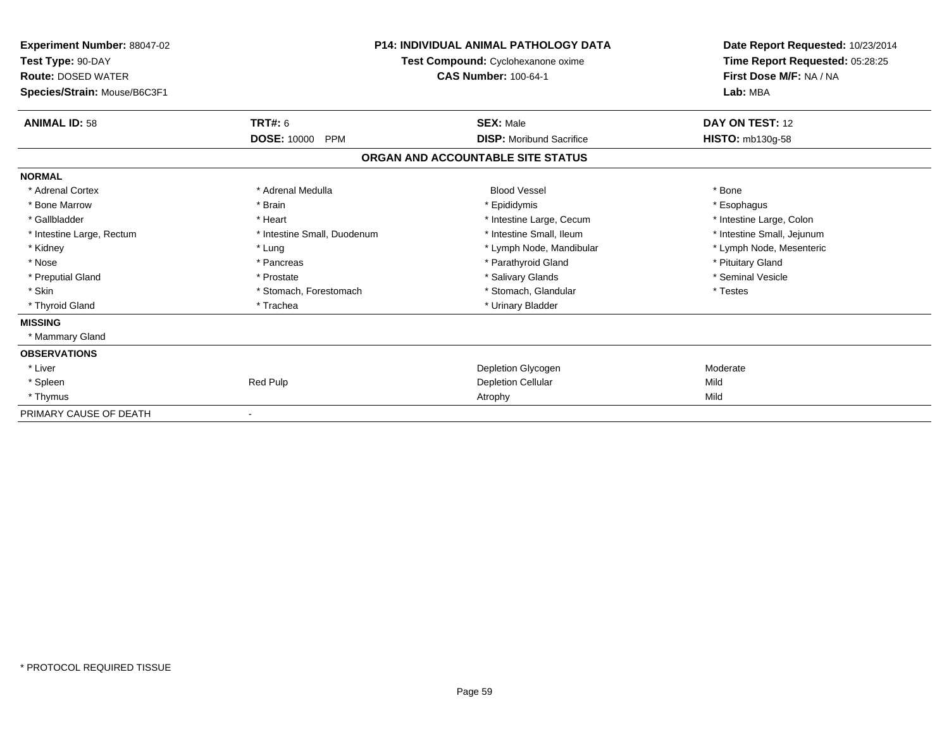| <b>Experiment Number: 88047-02</b><br>Test Type: 90-DAY<br><b>Route: DOSED WATER</b><br>Species/Strain: Mouse/B6C3F1 |                                  | <b>P14: INDIVIDUAL ANIMAL PATHOLOGY DATA</b><br>Test Compound: Cyclohexanone oxime<br><b>CAS Number: 100-64-1</b> | Date Report Requested: 10/23/2014<br>Time Report Requested: 05:28:25<br>First Dose M/F: NA / NA<br>Lab: MBA |  |
|----------------------------------------------------------------------------------------------------------------------|----------------------------------|-------------------------------------------------------------------------------------------------------------------|-------------------------------------------------------------------------------------------------------------|--|
| <b>ANIMAL ID: 58</b>                                                                                                 | <b>TRT#: 6</b>                   | <b>SEX: Male</b>                                                                                                  | DAY ON TEST: 12                                                                                             |  |
|                                                                                                                      | <b>DOSE: 10000</b><br><b>PPM</b> | <b>DISP:</b> Moribund Sacrifice                                                                                   | <b>HISTO: mb130g-58</b>                                                                                     |  |
|                                                                                                                      |                                  | ORGAN AND ACCOUNTABLE SITE STATUS                                                                                 |                                                                                                             |  |
| <b>NORMAL</b>                                                                                                        |                                  |                                                                                                                   |                                                                                                             |  |
| * Adrenal Cortex                                                                                                     | * Adrenal Medulla                | <b>Blood Vessel</b>                                                                                               | * Bone                                                                                                      |  |
| * Bone Marrow                                                                                                        | * Brain                          | * Epididymis                                                                                                      | * Esophagus                                                                                                 |  |
| * Gallbladder                                                                                                        | * Heart                          | * Intestine Large, Cecum                                                                                          | * Intestine Large, Colon                                                                                    |  |
| * Intestine Large, Rectum                                                                                            | * Intestine Small, Duodenum      | * Intestine Small, Ileum                                                                                          | * Intestine Small, Jejunum                                                                                  |  |
| * Kidney                                                                                                             | * Lung                           | * Lymph Node, Mandibular                                                                                          | * Lymph Node, Mesenteric                                                                                    |  |
| * Nose                                                                                                               | * Pancreas                       | * Parathyroid Gland                                                                                               | * Pituitary Gland                                                                                           |  |
| * Preputial Gland                                                                                                    | * Prostate                       | * Salivary Glands                                                                                                 | * Seminal Vesicle                                                                                           |  |
| * Skin                                                                                                               | * Stomach, Forestomach           | * Stomach, Glandular                                                                                              | * Testes                                                                                                    |  |
| * Thyroid Gland                                                                                                      | * Trachea                        | * Urinary Bladder                                                                                                 |                                                                                                             |  |
| <b>MISSING</b>                                                                                                       |                                  |                                                                                                                   |                                                                                                             |  |
| * Mammary Gland                                                                                                      |                                  |                                                                                                                   |                                                                                                             |  |
| <b>OBSERVATIONS</b>                                                                                                  |                                  |                                                                                                                   |                                                                                                             |  |
| * Liver                                                                                                              |                                  | Depletion Glycogen                                                                                                | Moderate                                                                                                    |  |
| * Spleen                                                                                                             | Red Pulp                         | <b>Depletion Cellular</b>                                                                                         | Mild                                                                                                        |  |
| * Thymus                                                                                                             |                                  | Atrophy                                                                                                           | Mild                                                                                                        |  |
| PRIMARY CAUSE OF DEATH                                                                                               |                                  |                                                                                                                   |                                                                                                             |  |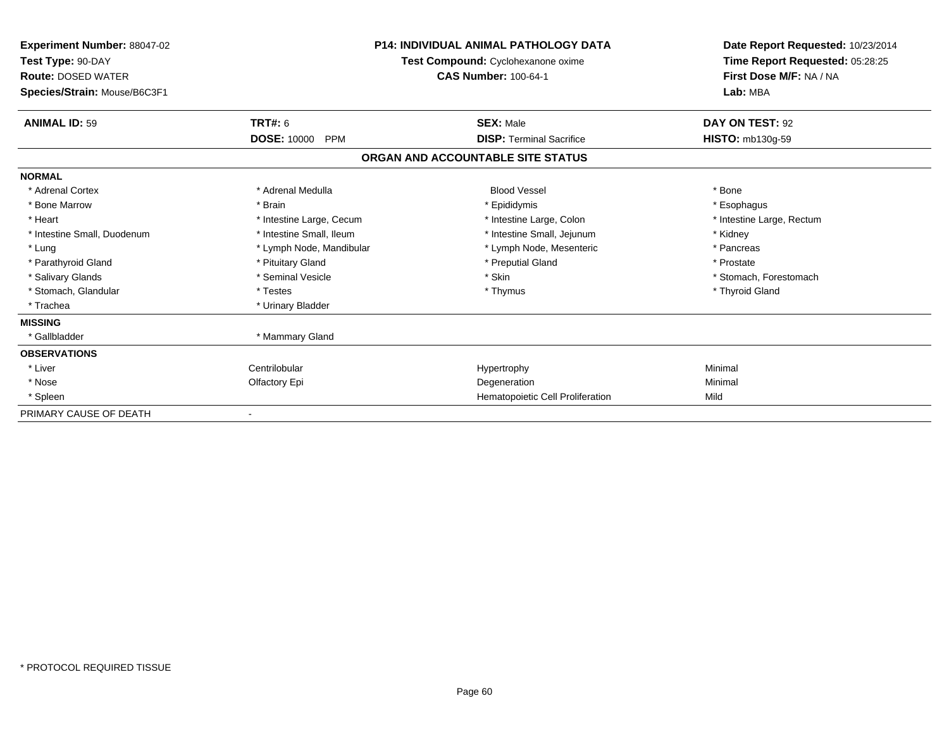| <b>Experiment Number: 88047-02</b><br>Test Type: 90-DAY<br><b>Route: DOSED WATER</b><br>Species/Strain: Mouse/B6C3F1 |                                  | <b>P14: INDIVIDUAL ANIMAL PATHOLOGY DATA</b><br>Test Compound: Cyclohexanone oxime<br><b>CAS Number: 100-64-1</b> | Date Report Requested: 10/23/2014<br>Time Report Requested: 05:28:25<br>First Dose M/F: NA / NA<br>Lab: MBA |  |
|----------------------------------------------------------------------------------------------------------------------|----------------------------------|-------------------------------------------------------------------------------------------------------------------|-------------------------------------------------------------------------------------------------------------|--|
| <b>ANIMAL ID: 59</b>                                                                                                 | <b>TRT#: 6</b>                   | <b>SEX: Male</b>                                                                                                  | DAY ON TEST: 92                                                                                             |  |
|                                                                                                                      | <b>DOSE: 10000</b><br><b>PPM</b> | <b>DISP: Terminal Sacrifice</b>                                                                                   | <b>HISTO: mb130g-59</b>                                                                                     |  |
|                                                                                                                      |                                  | ORGAN AND ACCOUNTABLE SITE STATUS                                                                                 |                                                                                                             |  |
| <b>NORMAL</b>                                                                                                        |                                  |                                                                                                                   |                                                                                                             |  |
| * Adrenal Cortex                                                                                                     | * Adrenal Medulla                | <b>Blood Vessel</b>                                                                                               | * Bone                                                                                                      |  |
| * Bone Marrow                                                                                                        | * Brain                          | * Epididymis                                                                                                      | * Esophagus                                                                                                 |  |
| * Heart                                                                                                              | * Intestine Large, Cecum         | * Intestine Large, Colon                                                                                          | * Intestine Large, Rectum                                                                                   |  |
| * Intestine Small, Duodenum                                                                                          | * Intestine Small, Ileum         | * Intestine Small, Jejunum                                                                                        | * Kidney                                                                                                    |  |
| * Lung                                                                                                               | * Lymph Node, Mandibular         | * Lymph Node, Mesenteric                                                                                          | * Pancreas                                                                                                  |  |
| * Parathyroid Gland                                                                                                  | * Pituitary Gland                | * Preputial Gland                                                                                                 | * Prostate                                                                                                  |  |
| * Salivary Glands                                                                                                    | * Seminal Vesicle                | * Skin                                                                                                            | * Stomach, Forestomach                                                                                      |  |
| * Stomach, Glandular                                                                                                 | * Testes                         | * Thymus                                                                                                          | * Thyroid Gland                                                                                             |  |
| * Trachea                                                                                                            | * Urinary Bladder                |                                                                                                                   |                                                                                                             |  |
| <b>MISSING</b>                                                                                                       |                                  |                                                                                                                   |                                                                                                             |  |
| * Gallbladder                                                                                                        | * Mammary Gland                  |                                                                                                                   |                                                                                                             |  |
| <b>OBSERVATIONS</b>                                                                                                  |                                  |                                                                                                                   |                                                                                                             |  |
| * Liver                                                                                                              | Centrilobular                    | Hypertrophy                                                                                                       | Minimal                                                                                                     |  |
| * Nose                                                                                                               | Olfactory Epi                    | Degeneration                                                                                                      | Minimal                                                                                                     |  |
| * Spleen                                                                                                             |                                  | Hematopoietic Cell Proliferation                                                                                  | Mild                                                                                                        |  |
| PRIMARY CAUSE OF DEATH                                                                                               |                                  |                                                                                                                   |                                                                                                             |  |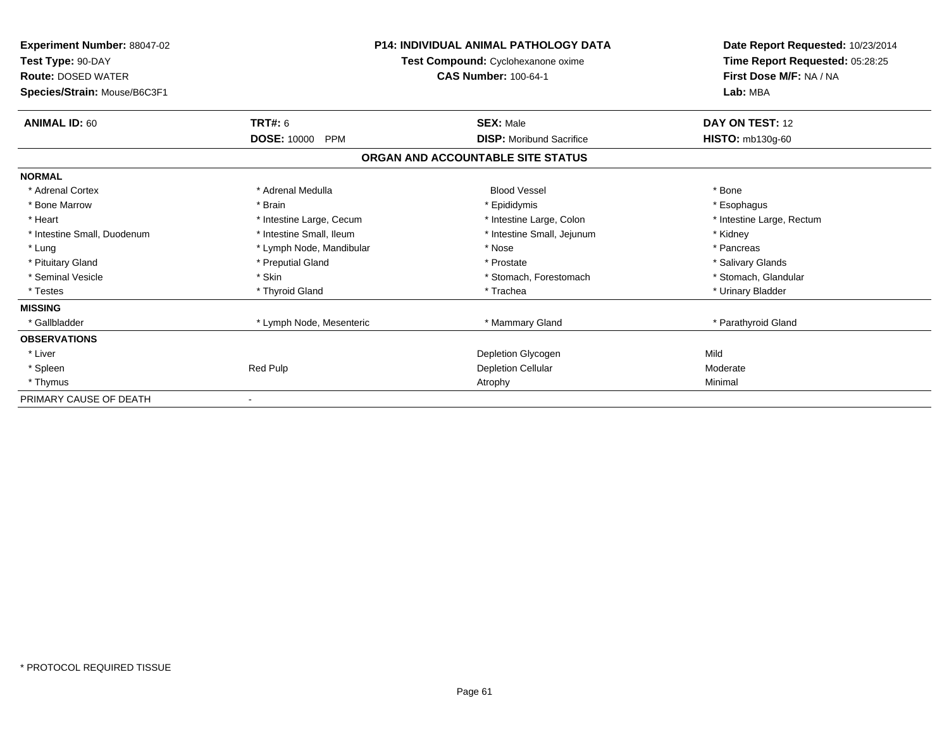| <b>Experiment Number: 88047-02</b><br>Test Type: 90-DAY<br><b>Route: DOSED WATER</b><br>Species/Strain: Mouse/B6C3F1 | <b>P14: INDIVIDUAL ANIMAL PATHOLOGY DATA</b><br>Test Compound: Cyclohexanone oxime<br><b>CAS Number: 100-64-1</b> |                                   | Date Report Requested: 10/23/2014<br>Time Report Requested: 05:28:25<br>First Dose M/F: NA / NA<br>Lab: MBA |
|----------------------------------------------------------------------------------------------------------------------|-------------------------------------------------------------------------------------------------------------------|-----------------------------------|-------------------------------------------------------------------------------------------------------------|
| <b>ANIMAL ID: 60</b>                                                                                                 | <b>TRT#: 6</b>                                                                                                    | <b>SEX: Male</b>                  | DAY ON TEST: 12                                                                                             |
|                                                                                                                      | <b>DOSE: 10000</b><br><b>PPM</b>                                                                                  | <b>DISP:</b> Moribund Sacrifice   | <b>HISTO: mb130g-60</b>                                                                                     |
|                                                                                                                      |                                                                                                                   | ORGAN AND ACCOUNTABLE SITE STATUS |                                                                                                             |
| <b>NORMAL</b>                                                                                                        |                                                                                                                   |                                   |                                                                                                             |
| * Adrenal Cortex                                                                                                     | * Adrenal Medulla                                                                                                 | <b>Blood Vessel</b>               | * Bone                                                                                                      |
| * Bone Marrow                                                                                                        | * Brain                                                                                                           | * Epididymis                      | * Esophagus                                                                                                 |
| * Heart                                                                                                              | * Intestine Large, Cecum                                                                                          | * Intestine Large, Colon          | * Intestine Large, Rectum                                                                                   |
| * Intestine Small, Duodenum                                                                                          | * Intestine Small, Ileum                                                                                          | * Intestine Small, Jejunum        | * Kidney                                                                                                    |
| * Lung                                                                                                               | * Lymph Node, Mandibular                                                                                          | * Nose                            | * Pancreas                                                                                                  |
| * Pituitary Gland                                                                                                    | * Preputial Gland                                                                                                 | * Prostate                        | * Salivary Glands                                                                                           |
| * Seminal Vesicle                                                                                                    | * Skin                                                                                                            | * Stomach, Forestomach            | * Stomach, Glandular                                                                                        |
| * Testes                                                                                                             | * Thyroid Gland                                                                                                   | * Trachea                         | * Urinary Bladder                                                                                           |
| <b>MISSING</b>                                                                                                       |                                                                                                                   |                                   |                                                                                                             |
| * Gallbladder                                                                                                        | * Lymph Node, Mesenteric                                                                                          | * Mammary Gland                   | * Parathyroid Gland                                                                                         |
| <b>OBSERVATIONS</b>                                                                                                  |                                                                                                                   |                                   |                                                                                                             |
| * Liver                                                                                                              |                                                                                                                   | Depletion Glycogen                | Mild                                                                                                        |
| * Spleen                                                                                                             | Red Pulp                                                                                                          | <b>Depletion Cellular</b>         | Moderate                                                                                                    |
| * Thymus                                                                                                             |                                                                                                                   | Atrophy                           | Minimal                                                                                                     |
| PRIMARY CAUSE OF DEATH                                                                                               |                                                                                                                   |                                   |                                                                                                             |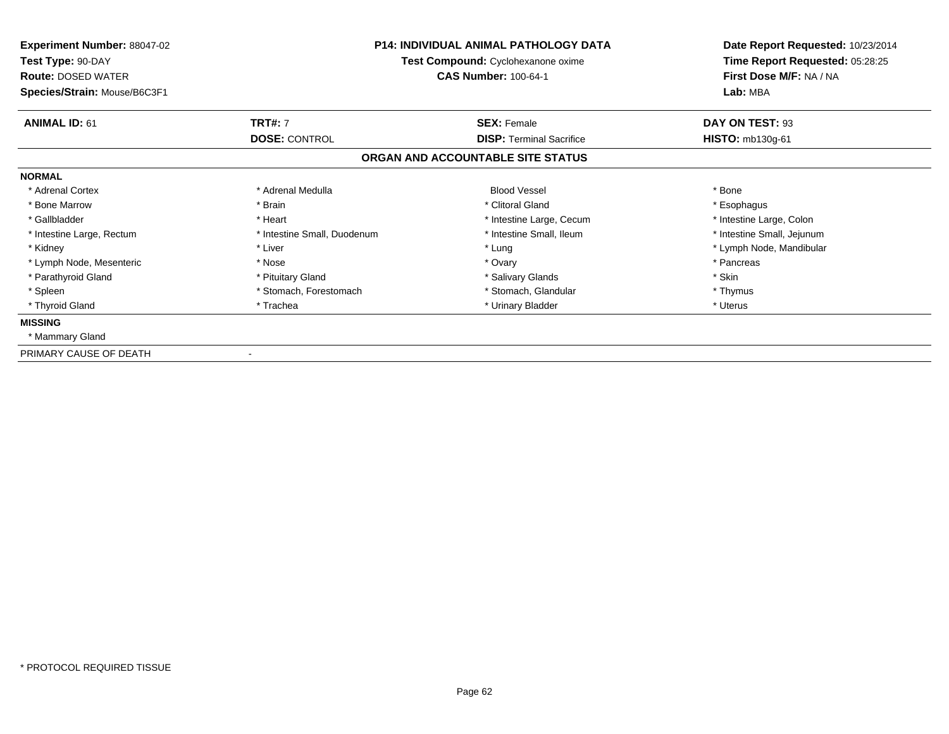| <b>Experiment Number: 88047-02</b><br>Test Type: 90-DAY<br><b>Route: DOSED WATER</b><br>Species/Strain: Mouse/B6C3F1 | <b>P14: INDIVIDUAL ANIMAL PATHOLOGY DATA</b><br>Test Compound: Cyclohexanone oxime<br><b>CAS Number: 100-64-1</b> |                                   | Date Report Requested: 10/23/2014<br>Time Report Requested: 05:28:25<br>First Dose M/F: NA / NA<br>Lab: MBA |
|----------------------------------------------------------------------------------------------------------------------|-------------------------------------------------------------------------------------------------------------------|-----------------------------------|-------------------------------------------------------------------------------------------------------------|
| <b>ANIMAL ID: 61</b>                                                                                                 | <b>TRT#: 7</b>                                                                                                    | <b>SEX: Female</b>                | DAY ON TEST: 93                                                                                             |
|                                                                                                                      | <b>DOSE: CONTROL</b>                                                                                              | <b>DISP:</b> Terminal Sacrifice   | <b>HISTO: mb130g-61</b>                                                                                     |
|                                                                                                                      |                                                                                                                   | ORGAN AND ACCOUNTABLE SITE STATUS |                                                                                                             |
| <b>NORMAL</b>                                                                                                        |                                                                                                                   |                                   |                                                                                                             |
| * Adrenal Cortex                                                                                                     | * Adrenal Medulla                                                                                                 | <b>Blood Vessel</b>               | * Bone                                                                                                      |
| * Bone Marrow                                                                                                        | * Brain                                                                                                           | * Clitoral Gland                  | * Esophagus                                                                                                 |
| * Gallbladder                                                                                                        | * Heart                                                                                                           | * Intestine Large, Cecum          | * Intestine Large, Colon                                                                                    |
| * Intestine Large, Rectum                                                                                            | * Intestine Small, Duodenum                                                                                       | * Intestine Small, Ileum          | * Intestine Small, Jejunum                                                                                  |
| * Kidney                                                                                                             | * Liver                                                                                                           | * Lung                            | * Lymph Node, Mandibular                                                                                    |
| * Lymph Node, Mesenteric                                                                                             | * Nose                                                                                                            | * Ovary                           | * Pancreas                                                                                                  |
| * Parathyroid Gland                                                                                                  | * Pituitary Gland                                                                                                 | * Salivary Glands                 | * Skin                                                                                                      |
| * Spleen                                                                                                             | * Stomach, Forestomach                                                                                            | * Stomach, Glandular              | * Thymus                                                                                                    |
| * Thyroid Gland                                                                                                      | * Trachea                                                                                                         | * Urinary Bladder                 | * Uterus                                                                                                    |
| <b>MISSING</b>                                                                                                       |                                                                                                                   |                                   |                                                                                                             |
| * Mammary Gland                                                                                                      |                                                                                                                   |                                   |                                                                                                             |
| PRIMARY CAUSE OF DEATH                                                                                               |                                                                                                                   |                                   |                                                                                                             |

-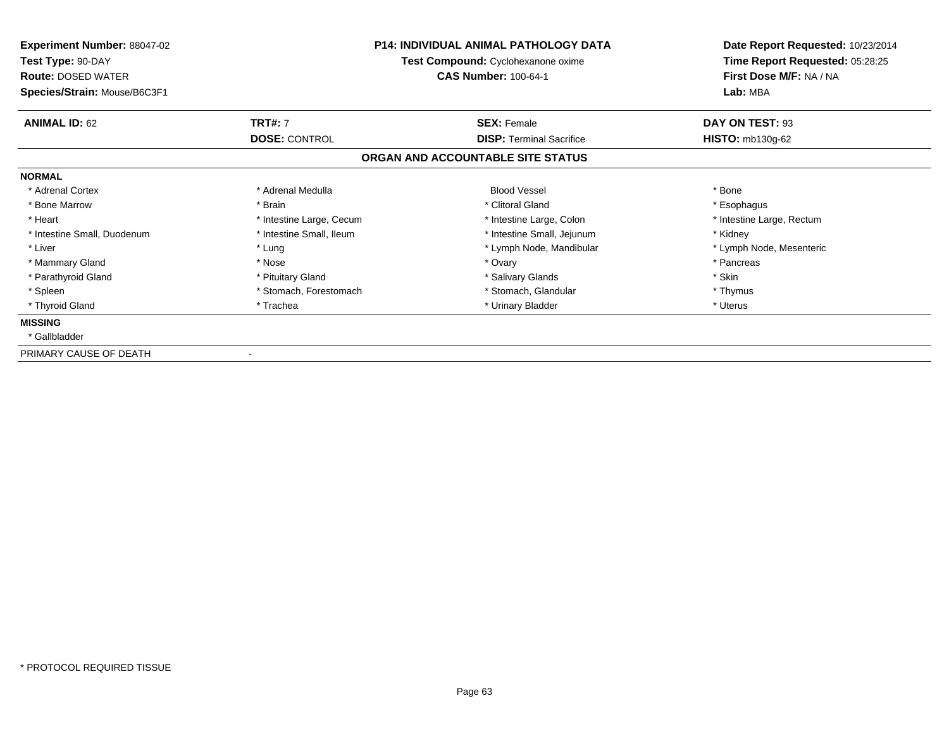| <b>Experiment Number: 88047-02</b><br>Test Type: 90-DAY<br><b>Route: DOSED WATER</b><br>Species/Strain: Mouse/B6C3F1 | <b>P14: INDIVIDUAL ANIMAL PATHOLOGY DATA</b><br>Test Compound: Cyclohexanone oxime<br><b>CAS Number: 100-64-1</b> |                                                       | Date Report Requested: 10/23/2014<br>Time Report Requested: 05:28:25<br>First Dose M/F: NA / NA<br>Lab: MBA |
|----------------------------------------------------------------------------------------------------------------------|-------------------------------------------------------------------------------------------------------------------|-------------------------------------------------------|-------------------------------------------------------------------------------------------------------------|
| <b>ANIMAL ID: 62</b>                                                                                                 | <b>TRT#: 7</b><br><b>DOSE: CONTROL</b>                                                                            | <b>SEX: Female</b><br><b>DISP:</b> Terminal Sacrifice | DAY ON TEST: 93<br><b>HISTO: mb130g-62</b>                                                                  |
|                                                                                                                      |                                                                                                                   | ORGAN AND ACCOUNTABLE SITE STATUS                     |                                                                                                             |
| <b>NORMAL</b>                                                                                                        |                                                                                                                   |                                                       |                                                                                                             |
| * Adrenal Cortex                                                                                                     | * Adrenal Medulla                                                                                                 | <b>Blood Vessel</b>                                   | * Bone                                                                                                      |
| * Bone Marrow                                                                                                        | * Brain                                                                                                           | * Clitoral Gland                                      | * Esophagus                                                                                                 |
| * Heart                                                                                                              | * Intestine Large, Cecum                                                                                          | * Intestine Large, Colon                              | * Intestine Large, Rectum                                                                                   |
| * Intestine Small, Duodenum                                                                                          | * Intestine Small, Ileum                                                                                          | * Intestine Small, Jejunum                            | * Kidney                                                                                                    |
| * Liver                                                                                                              | * Lung                                                                                                            | * Lymph Node, Mandibular                              | * Lymph Node, Mesenteric                                                                                    |
| * Mammary Gland                                                                                                      | * Nose                                                                                                            | * Ovary                                               | * Pancreas                                                                                                  |
| * Parathyroid Gland                                                                                                  | * Pituitary Gland                                                                                                 | * Salivary Glands                                     | * Skin                                                                                                      |
| * Spleen                                                                                                             | * Stomach, Forestomach                                                                                            | * Stomach, Glandular                                  | * Thymus                                                                                                    |
| * Thyroid Gland                                                                                                      | * Trachea                                                                                                         | * Urinary Bladder                                     | * Uterus                                                                                                    |
| <b>MISSING</b>                                                                                                       |                                                                                                                   |                                                       |                                                                                                             |
| * Gallbladder                                                                                                        |                                                                                                                   |                                                       |                                                                                                             |
| PRIMARY CAUSE OF DEATH                                                                                               |                                                                                                                   |                                                       |                                                                                                             |

-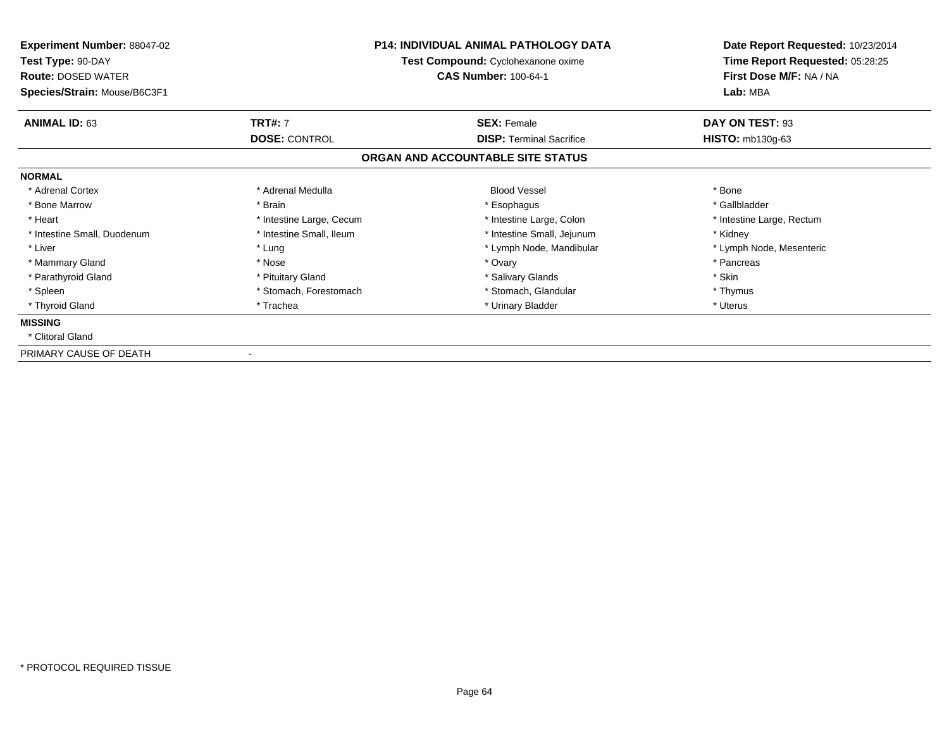| <b>Experiment Number: 88047-02</b><br>Test Type: 90-DAY<br><b>Route: DOSED WATER</b><br>Species/Strain: Mouse/B6C3F1 |                          | <b>P14: INDIVIDUAL ANIMAL PATHOLOGY DATA</b><br>Test Compound: Cyclohexanone oxime<br><b>CAS Number: 100-64-1</b> | Date Report Requested: 10/23/2014<br>Time Report Requested: 05:28:25<br>First Dose M/F: NA / NA<br>Lab: MBA |
|----------------------------------------------------------------------------------------------------------------------|--------------------------|-------------------------------------------------------------------------------------------------------------------|-------------------------------------------------------------------------------------------------------------|
| <b>ANIMAL ID: 63</b>                                                                                                 | <b>TRT#: 7</b>           | <b>SEX: Female</b>                                                                                                | DAY ON TEST: 93                                                                                             |
|                                                                                                                      | <b>DOSE: CONTROL</b>     | <b>DISP:</b> Terminal Sacrifice                                                                                   | <b>HISTO: mb130g-63</b>                                                                                     |
|                                                                                                                      |                          | ORGAN AND ACCOUNTABLE SITE STATUS                                                                                 |                                                                                                             |
| <b>NORMAL</b>                                                                                                        |                          |                                                                                                                   |                                                                                                             |
| * Adrenal Cortex                                                                                                     | * Adrenal Medulla        | <b>Blood Vessel</b>                                                                                               | * Bone                                                                                                      |
| * Bone Marrow                                                                                                        | * Brain                  | * Esophagus                                                                                                       | * Gallbladder                                                                                               |
| * Heart                                                                                                              | * Intestine Large, Cecum | * Intestine Large, Colon                                                                                          | * Intestine Large, Rectum                                                                                   |
| * Intestine Small, Duodenum                                                                                          | * Intestine Small, Ileum | * Intestine Small, Jejunum                                                                                        | * Kidney                                                                                                    |
| * Liver                                                                                                              | * Lung                   | * Lymph Node, Mandibular                                                                                          | * Lymph Node, Mesenteric                                                                                    |
| * Mammary Gland                                                                                                      | * Nose                   | * Ovary                                                                                                           | * Pancreas                                                                                                  |
| * Parathyroid Gland                                                                                                  | * Pituitary Gland        | * Salivary Glands                                                                                                 | * Skin                                                                                                      |
| * Spleen                                                                                                             | * Stomach, Forestomach   | * Stomach, Glandular                                                                                              | * Thymus                                                                                                    |
| * Thyroid Gland                                                                                                      | * Trachea                | * Urinary Bladder                                                                                                 | * Uterus                                                                                                    |
| <b>MISSING</b>                                                                                                       |                          |                                                                                                                   |                                                                                                             |
| * Clitoral Gland                                                                                                     |                          |                                                                                                                   |                                                                                                             |
| PRIMARY CAUSE OF DEATH                                                                                               |                          |                                                                                                                   |                                                                                                             |

-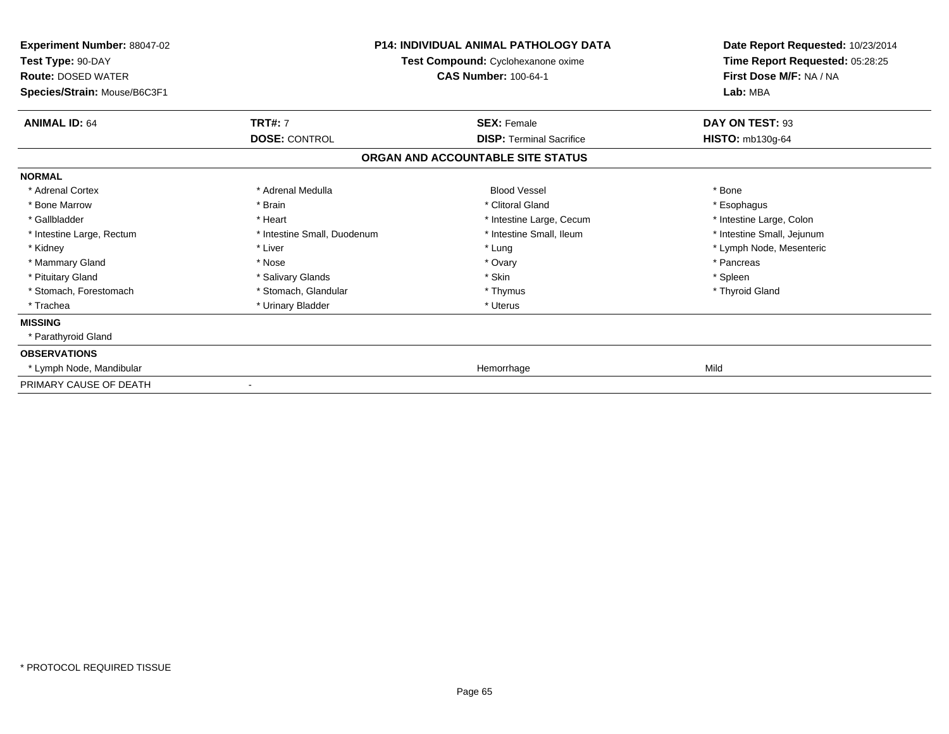| Experiment Number: 88047-02<br>Test Type: 90-DAY<br><b>Route: DOSED WATER</b><br>Species/Strain: Mouse/B6C3F1 |                             | <b>P14: INDIVIDUAL ANIMAL PATHOLOGY DATA</b><br>Test Compound: Cyclohexanone oxime<br><b>CAS Number: 100-64-1</b> | Date Report Requested: 10/23/2014<br>Time Report Requested: 05:28:25<br>First Dose M/F: NA / NA<br>Lab: MBA |
|---------------------------------------------------------------------------------------------------------------|-----------------------------|-------------------------------------------------------------------------------------------------------------------|-------------------------------------------------------------------------------------------------------------|
| <b>ANIMAL ID: 64</b>                                                                                          | <b>TRT#: 7</b>              | <b>SEX: Female</b>                                                                                                | DAY ON TEST: 93                                                                                             |
|                                                                                                               | <b>DOSE: CONTROL</b>        | <b>DISP: Terminal Sacrifice</b>                                                                                   | <b>HISTO: mb130g-64</b>                                                                                     |
|                                                                                                               |                             | ORGAN AND ACCOUNTABLE SITE STATUS                                                                                 |                                                                                                             |
| <b>NORMAL</b>                                                                                                 |                             |                                                                                                                   |                                                                                                             |
| * Adrenal Cortex                                                                                              | * Adrenal Medulla           | <b>Blood Vessel</b>                                                                                               | * Bone                                                                                                      |
| * Bone Marrow                                                                                                 | * Brain                     | * Clitoral Gland                                                                                                  | * Esophagus                                                                                                 |
| * Gallbladder                                                                                                 | * Heart                     | * Intestine Large, Cecum                                                                                          | * Intestine Large, Colon                                                                                    |
| * Intestine Large, Rectum                                                                                     | * Intestine Small, Duodenum | * Intestine Small, Ileum                                                                                          | * Intestine Small, Jejunum                                                                                  |
| * Kidney                                                                                                      | * Liver                     | * Lung                                                                                                            | * Lymph Node, Mesenteric                                                                                    |
| * Mammary Gland                                                                                               | * Nose                      | * Ovary                                                                                                           | * Pancreas                                                                                                  |
| * Pituitary Gland                                                                                             | * Salivary Glands           | * Skin                                                                                                            | * Spleen                                                                                                    |
| * Stomach, Forestomach                                                                                        | * Stomach, Glandular        | * Thymus                                                                                                          | * Thyroid Gland                                                                                             |
| * Trachea                                                                                                     | * Urinary Bladder           | * Uterus                                                                                                          |                                                                                                             |
| <b>MISSING</b>                                                                                                |                             |                                                                                                                   |                                                                                                             |
| * Parathyroid Gland                                                                                           |                             |                                                                                                                   |                                                                                                             |
| <b>OBSERVATIONS</b>                                                                                           |                             |                                                                                                                   |                                                                                                             |
| * Lymph Node, Mandibular                                                                                      |                             | Hemorrhage                                                                                                        | Mild                                                                                                        |
| PRIMARY CAUSE OF DEATH                                                                                        |                             |                                                                                                                   |                                                                                                             |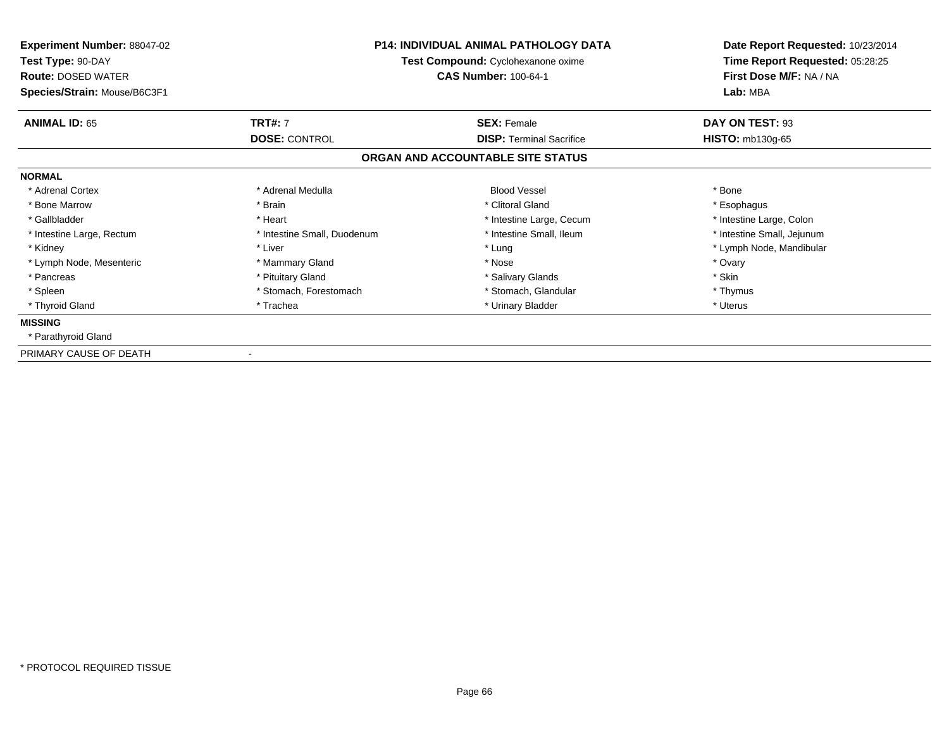| <b>Experiment Number: 88047-02</b><br>Test Type: 90-DAY<br><b>Route: DOSED WATER</b><br>Species/Strain: Mouse/B6C3F1 | <b>P14: INDIVIDUAL ANIMAL PATHOLOGY DATA</b><br>Test Compound: Cyclohexanone oxime<br><b>CAS Number: 100-64-1</b> |                                   | Date Report Requested: 10/23/2014<br>Time Report Requested: 05:28:25<br>First Dose M/F: NA / NA<br>Lab: MBA |
|----------------------------------------------------------------------------------------------------------------------|-------------------------------------------------------------------------------------------------------------------|-----------------------------------|-------------------------------------------------------------------------------------------------------------|
| <b>ANIMAL ID: 65</b>                                                                                                 | <b>TRT#: 7</b>                                                                                                    | <b>SEX: Female</b>                | DAY ON TEST: 93                                                                                             |
|                                                                                                                      | <b>DOSE: CONTROL</b>                                                                                              | <b>DISP: Terminal Sacrifice</b>   | <b>HISTO: mb130g-65</b>                                                                                     |
|                                                                                                                      |                                                                                                                   | ORGAN AND ACCOUNTABLE SITE STATUS |                                                                                                             |
| <b>NORMAL</b>                                                                                                        |                                                                                                                   |                                   |                                                                                                             |
| * Adrenal Cortex                                                                                                     | * Adrenal Medulla                                                                                                 | <b>Blood Vessel</b>               | * Bone                                                                                                      |
| * Bone Marrow                                                                                                        | * Brain                                                                                                           | * Clitoral Gland                  | * Esophagus                                                                                                 |
| * Gallbladder                                                                                                        | * Heart                                                                                                           | * Intestine Large, Cecum          | * Intestine Large, Colon                                                                                    |
| * Intestine Large, Rectum                                                                                            | * Intestine Small, Duodenum                                                                                       | * Intestine Small, Ileum          | * Intestine Small, Jejunum                                                                                  |
| * Kidney                                                                                                             | * Liver                                                                                                           | * Lung                            | * Lymph Node, Mandibular                                                                                    |
| * Lymph Node, Mesenteric                                                                                             | * Mammary Gland                                                                                                   | * Nose                            | * Ovary                                                                                                     |
| * Pancreas                                                                                                           | * Pituitary Gland                                                                                                 | * Salivary Glands                 | * Skin                                                                                                      |
| * Spleen                                                                                                             | * Stomach, Forestomach                                                                                            | * Stomach, Glandular              | * Thymus                                                                                                    |
| * Thyroid Gland                                                                                                      | * Trachea                                                                                                         | * Urinary Bladder                 | * Uterus                                                                                                    |
| <b>MISSING</b>                                                                                                       |                                                                                                                   |                                   |                                                                                                             |
| * Parathyroid Gland                                                                                                  |                                                                                                                   |                                   |                                                                                                             |
| PRIMARY CAUSE OF DEATH                                                                                               |                                                                                                                   |                                   |                                                                                                             |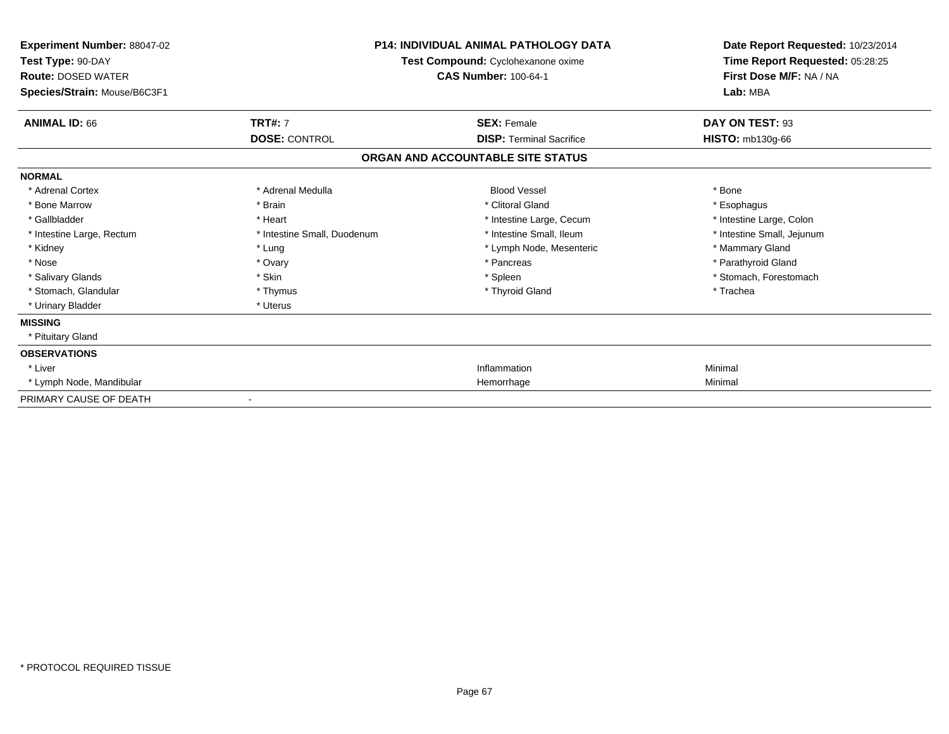| Experiment Number: 88047-02<br>Test Type: 90-DAY<br><b>Route: DOSED WATER</b><br>Species/Strain: Mouse/B6C3F1 |                             | <b>P14: INDIVIDUAL ANIMAL PATHOLOGY DATA</b><br>Test Compound: Cyclohexanone oxime<br><b>CAS Number: 100-64-1</b> | Date Report Requested: 10/23/2014<br>Time Report Requested: 05:28:25<br>First Dose M/F: NA / NA<br>Lab: MBA |
|---------------------------------------------------------------------------------------------------------------|-----------------------------|-------------------------------------------------------------------------------------------------------------------|-------------------------------------------------------------------------------------------------------------|
| <b>ANIMAL ID: 66</b>                                                                                          | <b>TRT#: 7</b>              | <b>SEX: Female</b>                                                                                                | DAY ON TEST: 93                                                                                             |
|                                                                                                               | <b>DOSE: CONTROL</b>        | <b>DISP: Terminal Sacrifice</b>                                                                                   | <b>HISTO: mb130g-66</b>                                                                                     |
|                                                                                                               |                             | ORGAN AND ACCOUNTABLE SITE STATUS                                                                                 |                                                                                                             |
| <b>NORMAL</b>                                                                                                 |                             |                                                                                                                   |                                                                                                             |
| * Adrenal Cortex                                                                                              | * Adrenal Medulla           | <b>Blood Vessel</b>                                                                                               | * Bone                                                                                                      |
| * Bone Marrow                                                                                                 | * Brain                     | * Clitoral Gland                                                                                                  | * Esophagus                                                                                                 |
| * Gallbladder                                                                                                 | * Heart                     | * Intestine Large, Cecum                                                                                          | * Intestine Large, Colon                                                                                    |
| * Intestine Large, Rectum                                                                                     | * Intestine Small, Duodenum | * Intestine Small, Ileum                                                                                          | * Intestine Small, Jejunum                                                                                  |
| * Kidney                                                                                                      | * Lung                      | * Lymph Node, Mesenteric                                                                                          | * Mammary Gland                                                                                             |
| * Nose                                                                                                        | * Ovary                     | * Pancreas                                                                                                        | * Parathyroid Gland                                                                                         |
| * Salivary Glands                                                                                             | * Skin                      | * Spleen                                                                                                          | * Stomach, Forestomach                                                                                      |
| * Stomach, Glandular                                                                                          | * Thymus                    | * Thyroid Gland                                                                                                   | * Trachea                                                                                                   |
| * Urinary Bladder                                                                                             | * Uterus                    |                                                                                                                   |                                                                                                             |
| <b>MISSING</b>                                                                                                |                             |                                                                                                                   |                                                                                                             |
| * Pituitary Gland                                                                                             |                             |                                                                                                                   |                                                                                                             |
| <b>OBSERVATIONS</b>                                                                                           |                             |                                                                                                                   |                                                                                                             |
| * Liver                                                                                                       |                             | Inflammation                                                                                                      | Minimal                                                                                                     |
| * Lymph Node, Mandibular                                                                                      |                             | Hemorrhage                                                                                                        | Minimal                                                                                                     |
| PRIMARY CAUSE OF DEATH                                                                                        |                             |                                                                                                                   |                                                                                                             |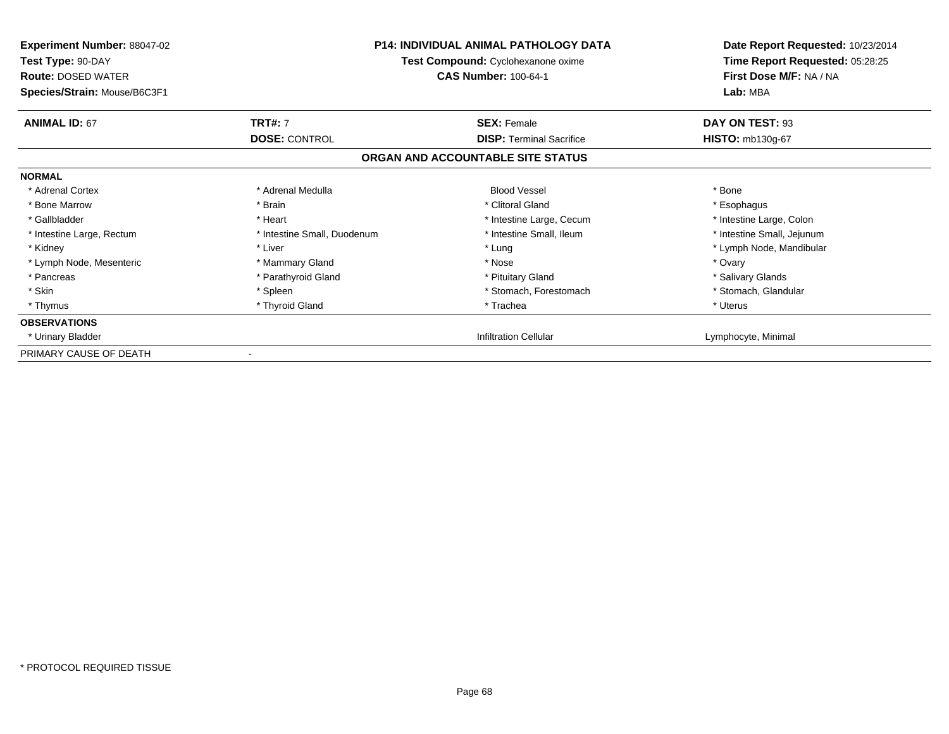| <b>Experiment Number: 88047-02</b><br>Test Type: 90-DAY<br><b>Route: DOSED WATER</b><br>Species/Strain: Mouse/B6C3F1 |                             | <b>P14: INDIVIDUAL ANIMAL PATHOLOGY DATA</b><br>Test Compound: Cyclohexanone oxime<br><b>CAS Number: 100-64-1</b> | Date Report Requested: 10/23/2014<br>Time Report Requested: 05:28:25<br>First Dose M/F: NA / NA<br>Lab: MBA |
|----------------------------------------------------------------------------------------------------------------------|-----------------------------|-------------------------------------------------------------------------------------------------------------------|-------------------------------------------------------------------------------------------------------------|
| <b>ANIMAL ID: 67</b>                                                                                                 | <b>TRT#: 7</b>              | <b>SEX: Female</b>                                                                                                | DAY ON TEST: 93                                                                                             |
|                                                                                                                      | <b>DOSE: CONTROL</b>        | <b>DISP:</b> Terminal Sacrifice                                                                                   | <b>HISTO: mb130g-67</b>                                                                                     |
|                                                                                                                      |                             | ORGAN AND ACCOUNTABLE SITE STATUS                                                                                 |                                                                                                             |
| <b>NORMAL</b>                                                                                                        |                             |                                                                                                                   |                                                                                                             |
| * Adrenal Cortex                                                                                                     | * Adrenal Medulla           | <b>Blood Vessel</b>                                                                                               | * Bone                                                                                                      |
| * Bone Marrow                                                                                                        | * Brain                     | * Clitoral Gland                                                                                                  | * Esophagus                                                                                                 |
| * Gallbladder                                                                                                        | * Heart                     | * Intestine Large, Cecum                                                                                          | * Intestine Large, Colon                                                                                    |
| * Intestine Large, Rectum                                                                                            | * Intestine Small, Duodenum | * Intestine Small, Ileum                                                                                          | * Intestine Small, Jejunum                                                                                  |
| * Kidney                                                                                                             | * Liver                     | * Lung                                                                                                            | * Lymph Node, Mandibular                                                                                    |
| * Lymph Node, Mesenteric                                                                                             | * Mammary Gland             | * Nose                                                                                                            | * Ovary                                                                                                     |
| * Pancreas                                                                                                           | * Parathyroid Gland         | * Pituitary Gland                                                                                                 | * Salivary Glands                                                                                           |
| * Skin                                                                                                               | * Spleen                    | * Stomach, Forestomach                                                                                            | * Stomach, Glandular                                                                                        |
| * Thymus                                                                                                             | * Thyroid Gland             | * Trachea                                                                                                         | * Uterus                                                                                                    |
| <b>OBSERVATIONS</b>                                                                                                  |                             |                                                                                                                   |                                                                                                             |
| * Urinary Bladder                                                                                                    |                             | <b>Infiltration Cellular</b>                                                                                      | Lymphocyte, Minimal                                                                                         |
| PRIMARY CAUSE OF DEATH                                                                                               |                             |                                                                                                                   |                                                                                                             |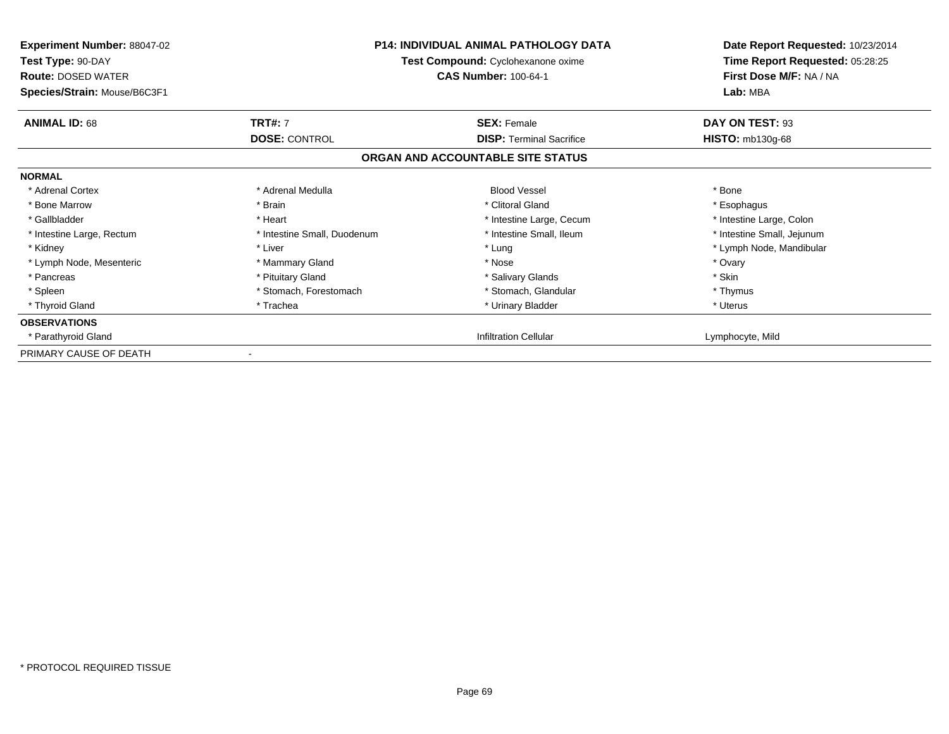| <b>Experiment Number: 88047-02</b><br>Test Type: 90-DAY<br><b>Route: DOSED WATER</b><br>Species/Strain: Mouse/B6C3F1 |                             | <b>P14: INDIVIDUAL ANIMAL PATHOLOGY DATA</b><br>Test Compound: Cyclohexanone oxime<br><b>CAS Number: 100-64-1</b> | Date Report Requested: 10/23/2014<br>Time Report Requested: 05:28:25<br>First Dose M/F: NA / NA<br>Lab: MBA |
|----------------------------------------------------------------------------------------------------------------------|-----------------------------|-------------------------------------------------------------------------------------------------------------------|-------------------------------------------------------------------------------------------------------------|
| <b>ANIMAL ID: 68</b>                                                                                                 | <b>TRT#: 7</b>              | <b>SEX: Female</b>                                                                                                | DAY ON TEST: 93                                                                                             |
|                                                                                                                      | <b>DOSE: CONTROL</b>        | <b>DISP:</b> Terminal Sacrifice                                                                                   | <b>HISTO: mb130g-68</b>                                                                                     |
|                                                                                                                      |                             | ORGAN AND ACCOUNTABLE SITE STATUS                                                                                 |                                                                                                             |
| <b>NORMAL</b>                                                                                                        |                             |                                                                                                                   |                                                                                                             |
| * Adrenal Cortex                                                                                                     | * Adrenal Medulla           | <b>Blood Vessel</b>                                                                                               | * Bone                                                                                                      |
| * Bone Marrow                                                                                                        | * Brain                     | * Clitoral Gland                                                                                                  | * Esophagus                                                                                                 |
| * Gallbladder                                                                                                        | * Heart                     | * Intestine Large, Cecum                                                                                          | * Intestine Large, Colon                                                                                    |
| * Intestine Large, Rectum                                                                                            | * Intestine Small, Duodenum | * Intestine Small, Ileum                                                                                          | * Intestine Small, Jejunum                                                                                  |
| * Kidney                                                                                                             | * Liver                     | * Lung                                                                                                            | * Lymph Node, Mandibular                                                                                    |
| * Lymph Node, Mesenteric                                                                                             | * Mammary Gland             | * Nose                                                                                                            | * Ovary                                                                                                     |
| * Pancreas                                                                                                           | * Pituitary Gland           | * Salivary Glands                                                                                                 | * Skin                                                                                                      |
| * Spleen                                                                                                             | * Stomach, Forestomach      | * Stomach, Glandular                                                                                              | * Thymus                                                                                                    |
| * Thyroid Gland                                                                                                      | * Trachea                   | * Urinary Bladder                                                                                                 | * Uterus                                                                                                    |
| <b>OBSERVATIONS</b>                                                                                                  |                             |                                                                                                                   |                                                                                                             |
| * Parathyroid Gland                                                                                                  |                             | <b>Infiltration Cellular</b>                                                                                      | Lymphocyte, Mild                                                                                            |
| PRIMARY CAUSE OF DEATH                                                                                               |                             |                                                                                                                   |                                                                                                             |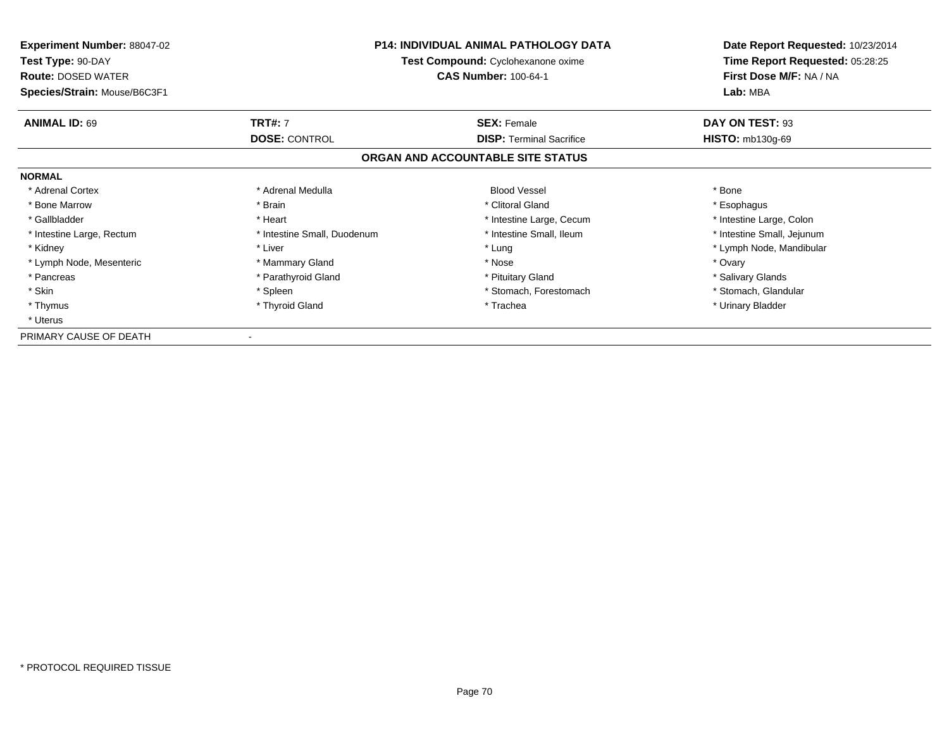| <b>Experiment Number: 88047-02</b><br>Test Type: 90-DAY<br><b>Route: DOSED WATER</b> | <b>P14: INDIVIDUAL ANIMAL PATHOLOGY DATA</b><br>Test Compound: Cyclohexanone oxime<br><b>CAS Number: 100-64-1</b> |                                   | Date Report Requested: 10/23/2014<br>Time Report Requested: 05:28:25<br>First Dose M/F: NA / NA |
|--------------------------------------------------------------------------------------|-------------------------------------------------------------------------------------------------------------------|-----------------------------------|-------------------------------------------------------------------------------------------------|
| Species/Strain: Mouse/B6C3F1                                                         |                                                                                                                   |                                   | Lab: MBA                                                                                        |
| <b>ANIMAL ID: 69</b>                                                                 | <b>TRT#: 7</b>                                                                                                    | <b>SEX: Female</b>                | DAY ON TEST: 93                                                                                 |
|                                                                                      | <b>DOSE: CONTROL</b>                                                                                              | <b>DISP:</b> Terminal Sacrifice   | HISTO: mb130g-69                                                                                |
|                                                                                      |                                                                                                                   | ORGAN AND ACCOUNTABLE SITE STATUS |                                                                                                 |
| <b>NORMAL</b>                                                                        |                                                                                                                   |                                   |                                                                                                 |
| * Adrenal Cortex                                                                     | * Adrenal Medulla                                                                                                 | <b>Blood Vessel</b>               | * Bone                                                                                          |
| * Bone Marrow                                                                        | * Brain                                                                                                           | * Clitoral Gland                  | * Esophagus                                                                                     |
| * Gallbladder                                                                        | * Heart                                                                                                           | * Intestine Large, Cecum          | * Intestine Large, Colon                                                                        |
| * Intestine Large, Rectum                                                            | * Intestine Small, Duodenum                                                                                       | * Intestine Small, Ileum          | * Intestine Small, Jejunum                                                                      |
| * Kidney                                                                             | * Liver                                                                                                           | * Lung                            | * Lymph Node, Mandibular                                                                        |
| * Lymph Node, Mesenteric                                                             | * Mammary Gland                                                                                                   | * Nose                            | * Ovary                                                                                         |
| * Pancreas                                                                           | * Parathyroid Gland                                                                                               | * Pituitary Gland                 | * Salivary Glands                                                                               |
| * Skin                                                                               | * Spleen                                                                                                          | * Stomach, Forestomach            | * Stomach, Glandular                                                                            |
| * Thymus                                                                             | * Thyroid Gland                                                                                                   | * Trachea                         | * Urinary Bladder                                                                               |
| * Uterus                                                                             |                                                                                                                   |                                   |                                                                                                 |
| PRIMARY CAUSE OF DEATH                                                               |                                                                                                                   |                                   |                                                                                                 |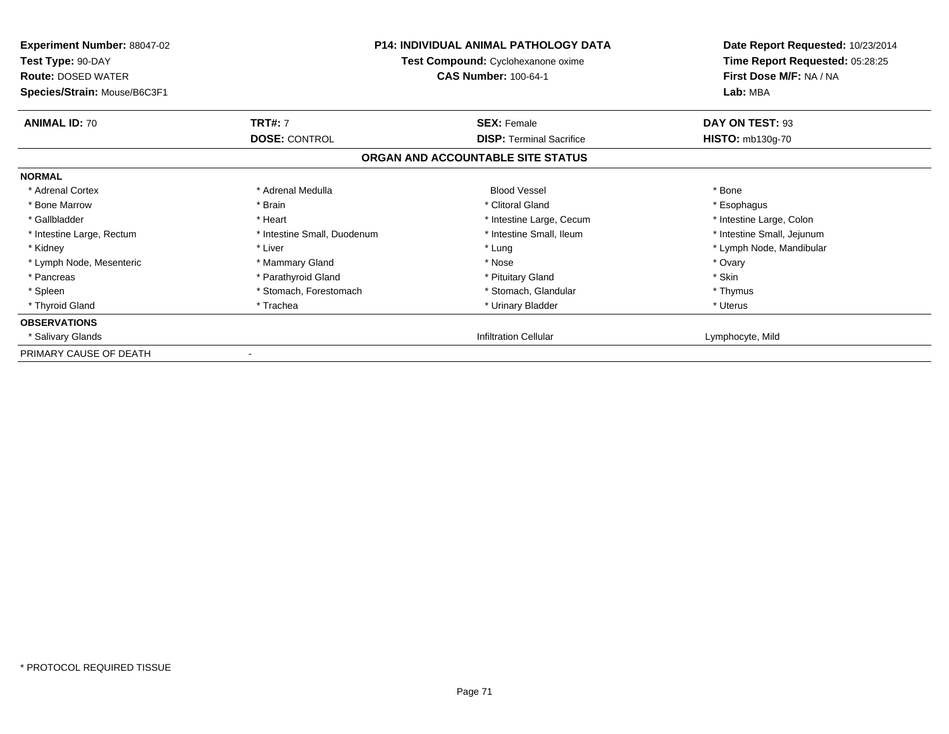| <b>Experiment Number: 88047-02</b><br>Test Type: 90-DAY<br><b>CAS Number: 100-64-1</b><br><b>Route: DOSED WATER</b><br>Species/Strain: Mouse/B6C3F1 |                             | <b>P14: INDIVIDUAL ANIMAL PATHOLOGY DATA</b><br>Test Compound: Cyclohexanone oxime | Date Report Requested: 10/23/2014<br>Time Report Requested: 05:28:25<br>First Dose M/F: NA / NA<br>Lab: MBA |
|-----------------------------------------------------------------------------------------------------------------------------------------------------|-----------------------------|------------------------------------------------------------------------------------|-------------------------------------------------------------------------------------------------------------|
| <b>ANIMAL ID: 70</b>                                                                                                                                | <b>TRT#: 7</b>              | <b>SEX: Female</b>                                                                 | DAY ON TEST: 93                                                                                             |
|                                                                                                                                                     | <b>DOSE: CONTROL</b>        | <b>DISP:</b> Terminal Sacrifice                                                    | <b>HISTO: mb130g-70</b>                                                                                     |
|                                                                                                                                                     |                             | ORGAN AND ACCOUNTABLE SITE STATUS                                                  |                                                                                                             |
| <b>NORMAL</b>                                                                                                                                       |                             |                                                                                    |                                                                                                             |
| * Adrenal Cortex                                                                                                                                    | * Adrenal Medulla           | <b>Blood Vessel</b>                                                                | * Bone                                                                                                      |
| * Bone Marrow                                                                                                                                       | * Brain                     | * Clitoral Gland                                                                   | * Esophagus                                                                                                 |
| * Gallbladder                                                                                                                                       | * Heart                     | * Intestine Large, Cecum                                                           | * Intestine Large, Colon                                                                                    |
| * Intestine Large, Rectum                                                                                                                           | * Intestine Small, Duodenum | * Intestine Small, Ileum                                                           | * Intestine Small, Jejunum                                                                                  |
| * Kidney                                                                                                                                            | * Liver                     | * Lung                                                                             | * Lymph Node, Mandibular                                                                                    |
| * Lymph Node, Mesenteric                                                                                                                            | * Mammary Gland             | * Nose                                                                             | * Ovary                                                                                                     |
| * Pancreas                                                                                                                                          | * Parathyroid Gland         | * Pituitary Gland                                                                  | * Skin                                                                                                      |
| * Spleen                                                                                                                                            | * Stomach, Forestomach      | * Stomach, Glandular                                                               | * Thymus                                                                                                    |
| * Thyroid Gland                                                                                                                                     | * Trachea                   | * Urinary Bladder                                                                  | * Uterus                                                                                                    |
| <b>OBSERVATIONS</b>                                                                                                                                 |                             |                                                                                    |                                                                                                             |
| * Salivary Glands                                                                                                                                   |                             | <b>Infiltration Cellular</b>                                                       | Lymphocyte, Mild                                                                                            |
| PRIMARY CAUSE OF DEATH                                                                                                                              |                             |                                                                                    |                                                                                                             |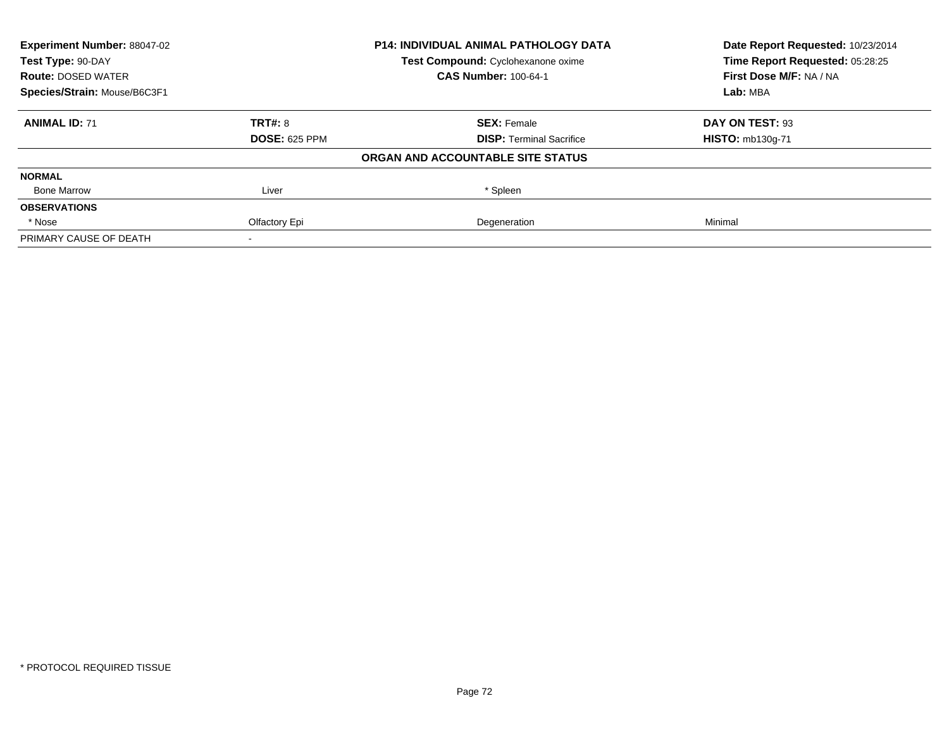| <b>Experiment Number: 88047-02</b><br>Test Type: 90-DAY |                      | P14: INDIVIDUAL ANIMAL PATHOLOGY DATA | Date Report Requested: 10/23/2014<br>Time Report Requested: 05:28:25 |
|---------------------------------------------------------|----------------------|---------------------------------------|----------------------------------------------------------------------|
|                                                         |                      | Test Compound: Cyclohexanone oxime    |                                                                      |
| <b>Route: DOSED WATER</b>                               |                      | <b>CAS Number: 100-64-1</b>           | First Dose M/F: NA / NA                                              |
| Species/Strain: Mouse/B6C3F1                            |                      |                                       | Lab: MBA                                                             |
| <b>ANIMAL ID: 71</b>                                    | <b>TRT#: 8</b>       | <b>SEX: Female</b>                    | DAY ON TEST: 93                                                      |
|                                                         | <b>DOSE: 625 PPM</b> | <b>DISP:</b> Terminal Sacrifice       | <b>HISTO: mb130g-71</b>                                              |
|                                                         |                      | ORGAN AND ACCOUNTABLE SITE STATUS     |                                                                      |
| <b>NORMAL</b>                                           |                      |                                       |                                                                      |
| <b>Bone Marrow</b>                                      | Liver                | * Spleen                              |                                                                      |
| <b>OBSERVATIONS</b>                                     |                      |                                       |                                                                      |
| * Nose                                                  | Olfactory Epi        | Degeneration                          | Minimal                                                              |
| PRIMARY CAUSE OF DEATH                                  |                      |                                       |                                                                      |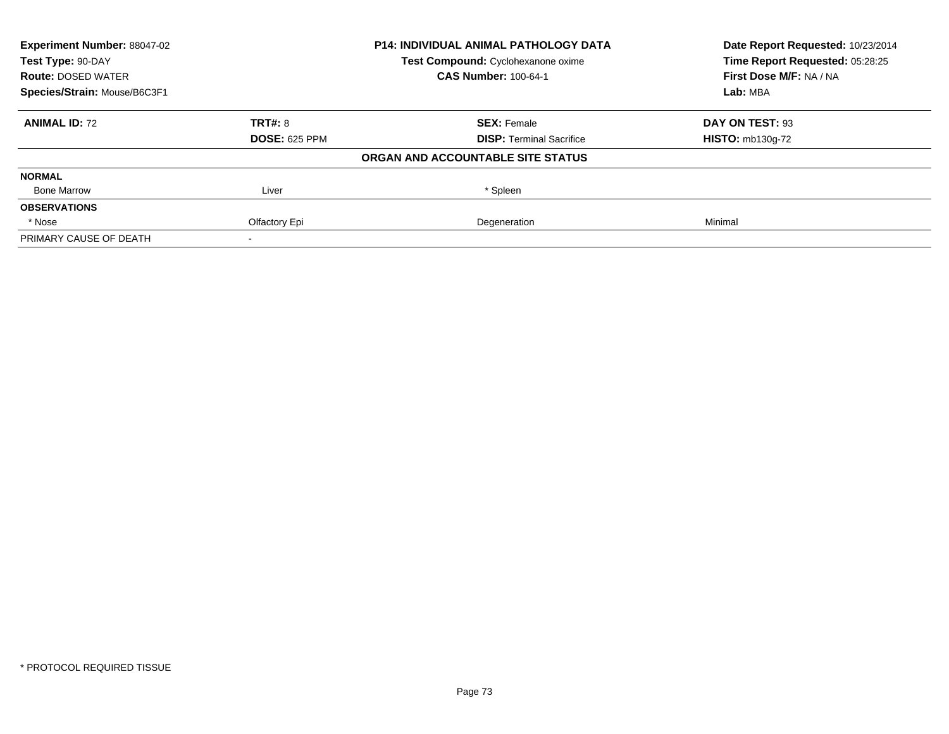| <b>Experiment Number: 88047-02</b> |                      | P14: INDIVIDUAL ANIMAL PATHOLOGY DATA | Date Report Requested: 10/23/2014 |
|------------------------------------|----------------------|---------------------------------------|-----------------------------------|
| Test Type: 90-DAY                  |                      | Test Compound: Cyclohexanone oxime    | Time Report Requested: 05:28:25   |
| <b>Route: DOSED WATER</b>          |                      | <b>CAS Number: 100-64-1</b>           | First Dose M/F: NA / NA           |
| Species/Strain: Mouse/B6C3F1       |                      |                                       | Lab: MBA                          |
| <b>ANIMAL ID: 72</b>               | <b>TRT#: 8</b>       | <b>SEX: Female</b>                    | DAY ON TEST: 93                   |
|                                    | <b>DOSE: 625 PPM</b> | <b>DISP:</b> Terminal Sacrifice       | <b>HISTO: mb130g-72</b>           |
|                                    |                      | ORGAN AND ACCOUNTABLE SITE STATUS     |                                   |
| <b>NORMAL</b>                      |                      |                                       |                                   |
| <b>Bone Marrow</b>                 | Liver                | * Spleen                              |                                   |
| <b>OBSERVATIONS</b>                |                      |                                       |                                   |
| * Nose                             | Olfactory Epi        | Degeneration                          | Minimal                           |
| PRIMARY CAUSE OF DEATH             |                      |                                       |                                   |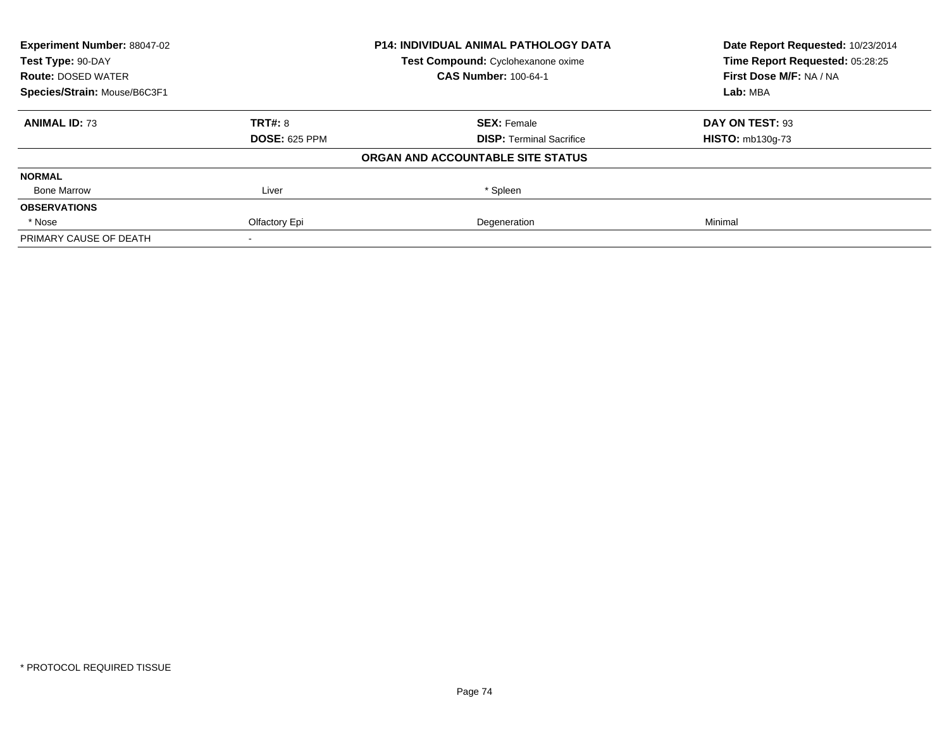| <b>Experiment Number: 88047-02</b> |                      | P14: INDIVIDUAL ANIMAL PATHOLOGY DATA | Date Report Requested: 10/23/2014                          |
|------------------------------------|----------------------|---------------------------------------|------------------------------------------------------------|
| Test Type: 90-DAY                  |                      | Test Compound: Cyclohexanone oxime    | Time Report Requested: 05:28:25<br>First Dose M/F: NA / NA |
| <b>Route: DOSED WATER</b>          |                      | <b>CAS Number: 100-64-1</b>           |                                                            |
| Species/Strain: Mouse/B6C3F1       |                      |                                       | Lab: MBA                                                   |
| <b>ANIMAL ID: 73</b>               | <b>TRT#: 8</b>       | <b>SEX: Female</b>                    | DAY ON TEST: 93                                            |
|                                    | <b>DOSE: 625 PPM</b> | <b>DISP:</b> Terminal Sacrifice       | <b>HISTO: mb130g-73</b>                                    |
|                                    |                      | ORGAN AND ACCOUNTABLE SITE STATUS     |                                                            |
| <b>NORMAL</b>                      |                      |                                       |                                                            |
| <b>Bone Marrow</b>                 | Liver                | * Spleen                              |                                                            |
| <b>OBSERVATIONS</b>                |                      |                                       |                                                            |
| * Nose                             | Olfactory Epi        | Degeneration                          | Minimal                                                    |
| PRIMARY CAUSE OF DEATH             |                      |                                       |                                                            |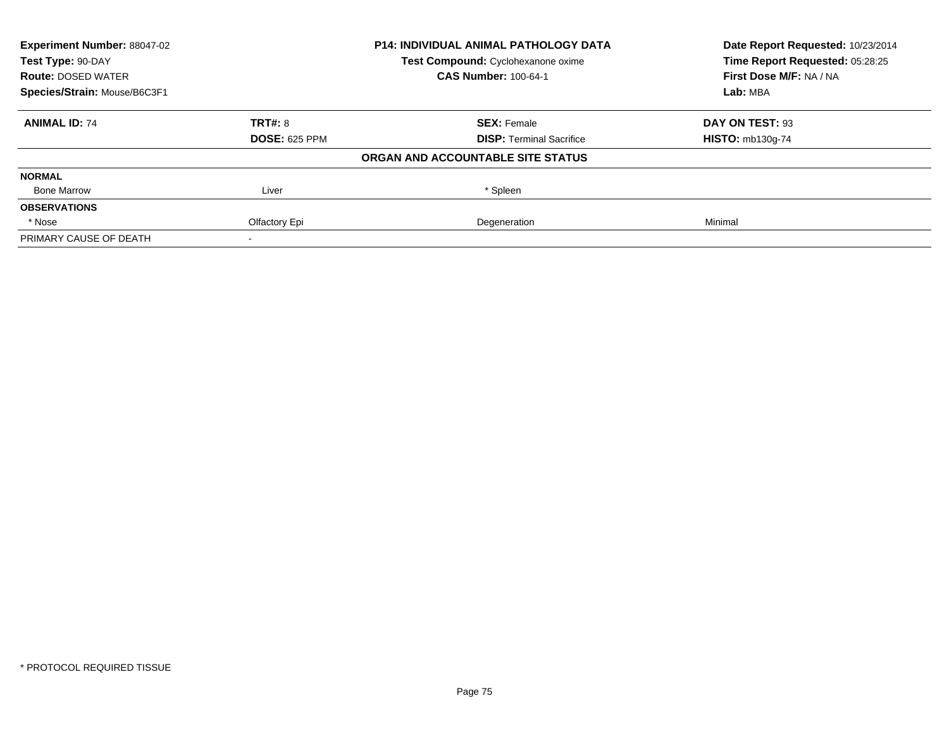| <b>Experiment Number: 88047-02</b> |                      | <b>P14: INDIVIDUAL ANIMAL PATHOLOGY DATA</b> | Date Report Requested: 10/23/2014 |
|------------------------------------|----------------------|----------------------------------------------|-----------------------------------|
| Test Type: 90-DAY                  |                      | Test Compound: Cyclohexanone oxime           | Time Report Requested: 05:28:25   |
| <b>Route: DOSED WATER</b>          |                      | <b>CAS Number: 100-64-1</b>                  | First Dose M/F: NA / NA           |
| Species/Strain: Mouse/B6C3F1       |                      |                                              | Lab: MBA                          |
| <b>ANIMAL ID: 74</b>               | <b>TRT#: 8</b>       | <b>SEX: Female</b>                           | DAY ON TEST: 93                   |
|                                    | <b>DOSE: 625 PPM</b> | <b>DISP:</b> Terminal Sacrifice              | <b>HISTO: mb130g-74</b>           |
|                                    |                      | ORGAN AND ACCOUNTABLE SITE STATUS            |                                   |
| <b>NORMAL</b>                      |                      |                                              |                                   |
| <b>Bone Marrow</b>                 | Liver                | * Spleen                                     |                                   |
| <b>OBSERVATIONS</b>                |                      |                                              |                                   |
| * Nose                             | Olfactory Epi        | Degeneration                                 | Minimal                           |
| PRIMARY CAUSE OF DEATH             |                      |                                              |                                   |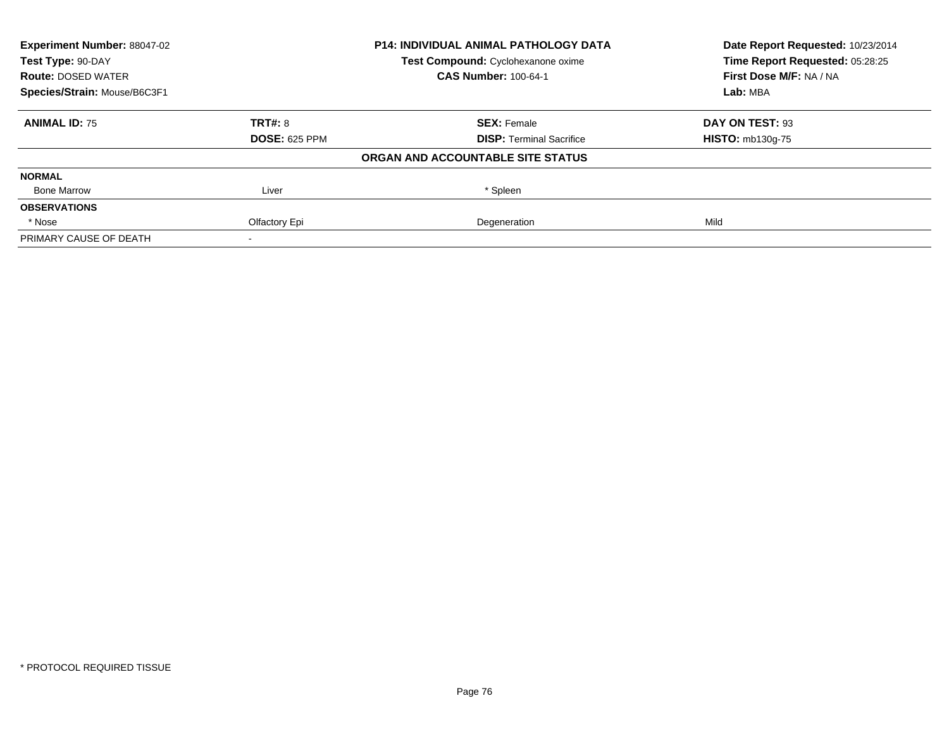| <b>Experiment Number: 88047-02</b> |                      | <b>P14: INDIVIDUAL ANIMAL PATHOLOGY DATA</b> | Date Report Requested: 10/23/2014 |
|------------------------------------|----------------------|----------------------------------------------|-----------------------------------|
| Test Type: 90-DAY                  |                      | Test Compound: Cyclohexanone oxime           | Time Report Requested: 05:28:25   |
| <b>Route: DOSED WATER</b>          |                      | <b>CAS Number: 100-64-1</b>                  | First Dose M/F: NA / NA           |
| Species/Strain: Mouse/B6C3F1       |                      |                                              | Lab: MBA                          |
| <b>ANIMAL ID: 75</b>               | <b>TRT#: 8</b>       | <b>SEX: Female</b>                           | DAY ON TEST: 93                   |
|                                    | <b>DOSE: 625 PPM</b> | <b>DISP:</b> Terminal Sacrifice              | <b>HISTO: mb130g-75</b>           |
|                                    |                      | ORGAN AND ACCOUNTABLE SITE STATUS            |                                   |
| <b>NORMAL</b>                      |                      |                                              |                                   |
| <b>Bone Marrow</b>                 | Liver                | * Spleen                                     |                                   |
| <b>OBSERVATIONS</b>                |                      |                                              |                                   |
| * Nose                             | Olfactory Epi        | Degeneration                                 | Mild                              |
| PRIMARY CAUSE OF DEATH             |                      |                                              |                                   |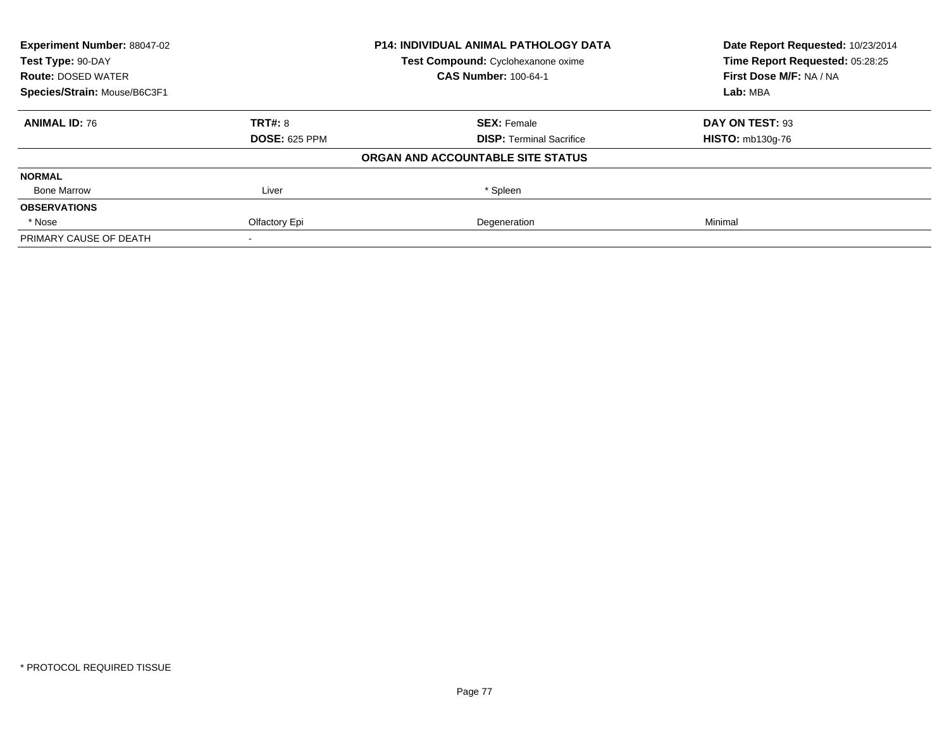| <b>Experiment Number: 88047-02</b> |                      | P14: INDIVIDUAL ANIMAL PATHOLOGY DATA | Date Report Requested: 10/23/2014 |
|------------------------------------|----------------------|---------------------------------------|-----------------------------------|
| Test Type: 90-DAY                  |                      | Test Compound: Cyclohexanone oxime    | Time Report Requested: 05:28:25   |
| <b>Route: DOSED WATER</b>          |                      | <b>CAS Number: 100-64-1</b>           | First Dose M/F: NA / NA           |
| Species/Strain: Mouse/B6C3F1       |                      |                                       | Lab: MBA                          |
| <b>ANIMAL ID: 76</b>               | <b>TRT#: 8</b>       | <b>SEX: Female</b>                    | DAY ON TEST: 93                   |
|                                    | <b>DOSE: 625 PPM</b> | <b>DISP:</b> Terminal Sacrifice       | <b>HISTO: mb130g-76</b>           |
|                                    |                      | ORGAN AND ACCOUNTABLE SITE STATUS     |                                   |
| <b>NORMAL</b>                      |                      |                                       |                                   |
| <b>Bone Marrow</b>                 | Liver                | * Spleen                              |                                   |
| <b>OBSERVATIONS</b>                |                      |                                       |                                   |
| * Nose                             | Olfactory Epi        | Degeneration                          | Minimal                           |
| PRIMARY CAUSE OF DEATH             |                      |                                       |                                   |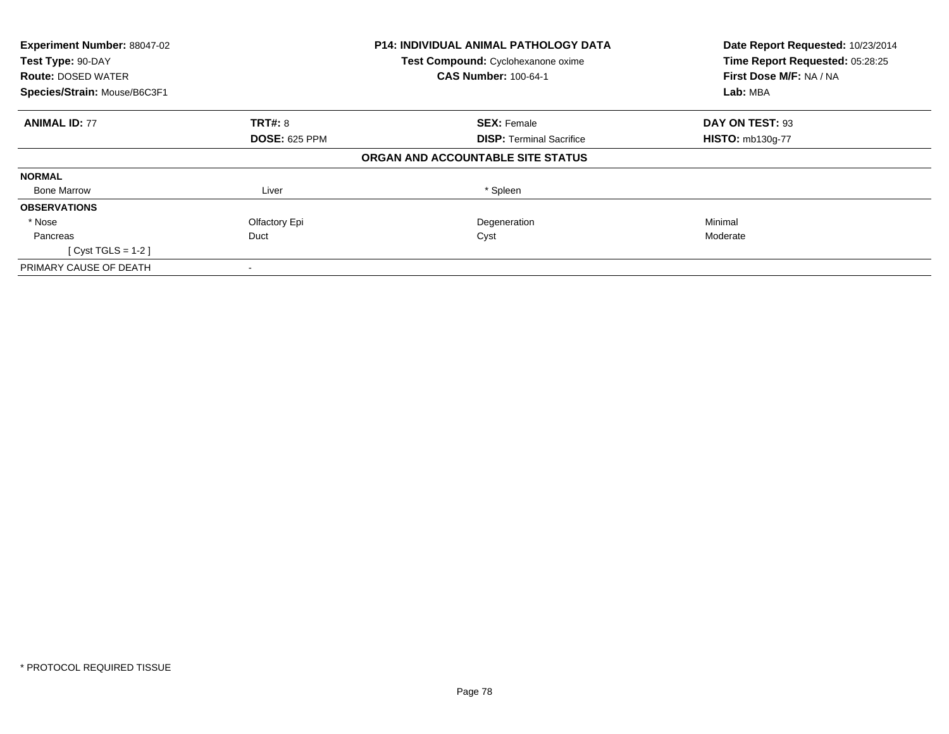| Experiment Number: 88047-02<br>Test Type: 90-DAY<br><b>Route: DOSED WATER</b><br>Species/Strain: Mouse/B6C3F1 |                      | <b>P14: INDIVIDUAL ANIMAL PATHOLOGY DATA</b><br>Test Compound: Cyclohexanone oxime<br><b>CAS Number: 100-64-1</b> | Date Report Requested: 10/23/2014<br>Time Report Requested: 05:28:25<br>First Dose M/F: NA / NA<br>Lab: MBA |
|---------------------------------------------------------------------------------------------------------------|----------------------|-------------------------------------------------------------------------------------------------------------------|-------------------------------------------------------------------------------------------------------------|
| <b>ANIMAL ID: 77</b>                                                                                          | TRT#: 8              | <b>SEX: Female</b>                                                                                                | DAY ON TEST: 93                                                                                             |
|                                                                                                               | <b>DOSE: 625 PPM</b> | <b>DISP:</b> Terminal Sacrifice                                                                                   | <b>HISTO: mb130g-77</b>                                                                                     |
|                                                                                                               |                      | ORGAN AND ACCOUNTABLE SITE STATUS                                                                                 |                                                                                                             |
| <b>NORMAL</b>                                                                                                 |                      |                                                                                                                   |                                                                                                             |
| <b>Bone Marrow</b>                                                                                            | Liver                | * Spleen                                                                                                          |                                                                                                             |
| <b>OBSERVATIONS</b>                                                                                           |                      |                                                                                                                   |                                                                                                             |
| * Nose                                                                                                        | Olfactory Epi        | Degeneration                                                                                                      | Minimal                                                                                                     |
| Pancreas                                                                                                      | Duct                 | Cyst                                                                                                              | Moderate                                                                                                    |
| [Cyst TGLS = $1-2$ ]                                                                                          |                      |                                                                                                                   |                                                                                                             |
| PRIMARY CAUSE OF DEATH                                                                                        |                      |                                                                                                                   |                                                                                                             |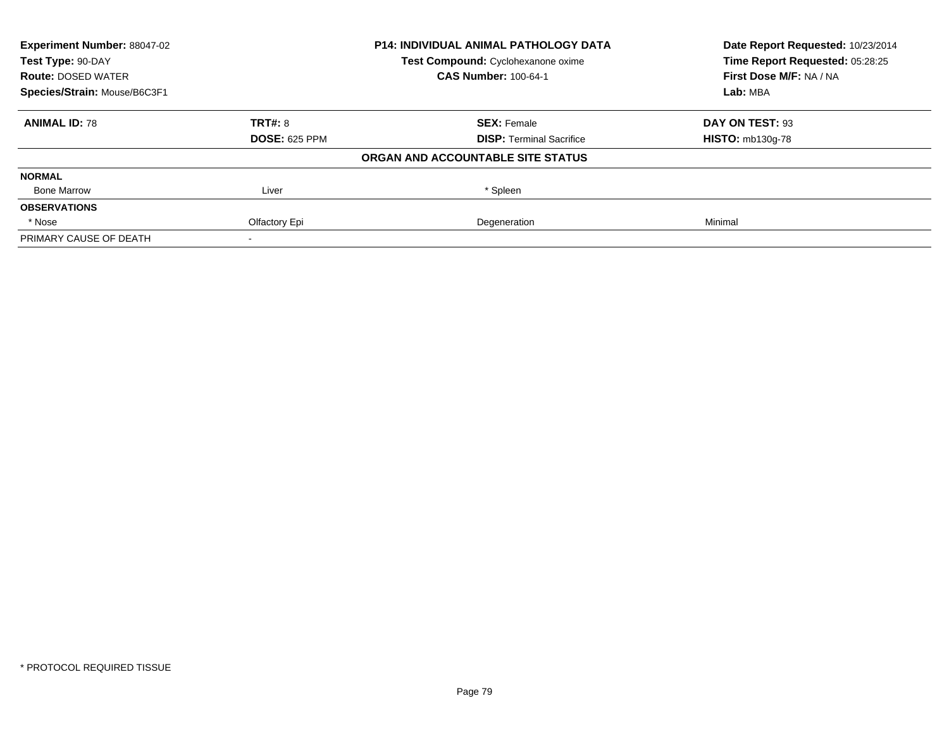| <b>Experiment Number: 88047-02</b> |                      | P14: INDIVIDUAL ANIMAL PATHOLOGY DATA | Date Report Requested: 10/23/2014 |
|------------------------------------|----------------------|---------------------------------------|-----------------------------------|
| Test Type: 90-DAY                  |                      | Test Compound: Cyclohexanone oxime    | Time Report Requested: 05:28:25   |
| <b>Route: DOSED WATER</b>          |                      | <b>CAS Number: 100-64-1</b>           | First Dose M/F: NA / NA           |
| Species/Strain: Mouse/B6C3F1       |                      |                                       | Lab: MBA                          |
| <b>ANIMAL ID: 78</b>               | <b>TRT#: 8</b>       | <b>SEX: Female</b>                    | DAY ON TEST: 93                   |
|                                    | <b>DOSE: 625 PPM</b> | <b>DISP:</b> Terminal Sacrifice       | <b>HISTO: mb130g-78</b>           |
|                                    |                      | ORGAN AND ACCOUNTABLE SITE STATUS     |                                   |
| <b>NORMAL</b>                      |                      |                                       |                                   |
| <b>Bone Marrow</b>                 | Liver                | * Spleen                              |                                   |
| <b>OBSERVATIONS</b>                |                      |                                       |                                   |
| * Nose                             | Olfactory Epi        | Degeneration                          | Minimal                           |
| PRIMARY CAUSE OF DEATH             |                      |                                       |                                   |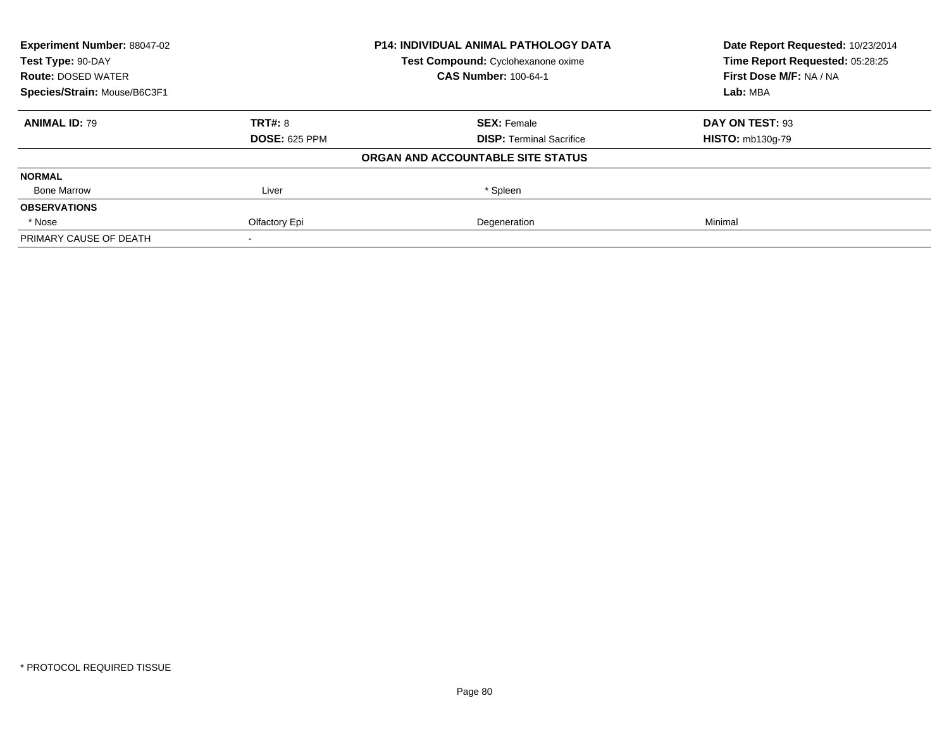| <b>Experiment Number: 88047-02</b> |                      | P14: INDIVIDUAL ANIMAL PATHOLOGY DATA | Date Report Requested: 10/23/2014                          |
|------------------------------------|----------------------|---------------------------------------|------------------------------------------------------------|
| Test Type: 90-DAY                  |                      | Test Compound: Cyclohexanone oxime    | Time Report Requested: 05:28:25<br>First Dose M/F: NA / NA |
| <b>Route: DOSED WATER</b>          |                      | <b>CAS Number: 100-64-1</b>           |                                                            |
| Species/Strain: Mouse/B6C3F1       |                      |                                       | Lab: MBA                                                   |
| <b>ANIMAL ID: 79</b>               | <b>TRT#: 8</b>       | <b>SEX: Female</b>                    | DAY ON TEST: 93                                            |
|                                    | <b>DOSE: 625 PPM</b> | <b>DISP:</b> Terminal Sacrifice       | <b>HISTO: mb130g-79</b>                                    |
|                                    |                      | ORGAN AND ACCOUNTABLE SITE STATUS     |                                                            |
| <b>NORMAL</b>                      |                      |                                       |                                                            |
| <b>Bone Marrow</b>                 | Liver                | * Spleen                              |                                                            |
| <b>OBSERVATIONS</b>                |                      |                                       |                                                            |
| * Nose                             | Olfactory Epi        | Degeneration                          | Minimal                                                    |
| PRIMARY CAUSE OF DEATH             |                      |                                       |                                                            |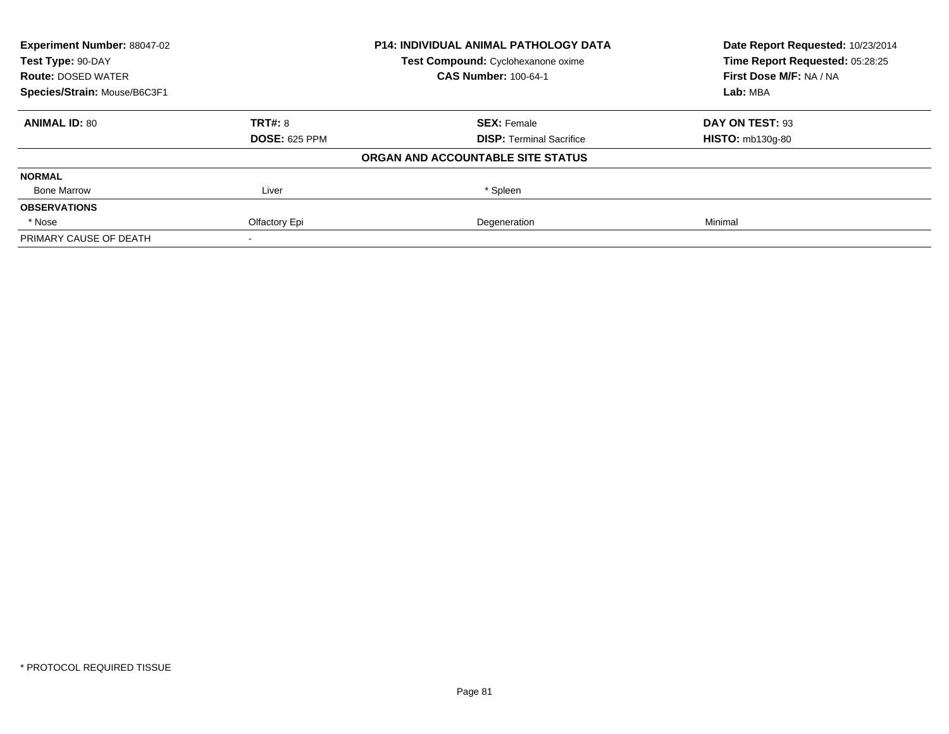| <b>Experiment Number: 88047-02</b> |                      | P14: INDIVIDUAL ANIMAL PATHOLOGY DATA | Date Report Requested: 10/23/2014 |
|------------------------------------|----------------------|---------------------------------------|-----------------------------------|
| Test Type: 90-DAY                  |                      | Test Compound: Cyclohexanone oxime    | Time Report Requested: 05:28:25   |
| <b>Route: DOSED WATER</b>          |                      | <b>CAS Number: 100-64-1</b>           | First Dose M/F: NA / NA           |
| Species/Strain: Mouse/B6C3F1       |                      |                                       | Lab: MBA                          |
| <b>ANIMAL ID: 80</b>               | <b>TRT#: 8</b>       | <b>SEX: Female</b>                    | DAY ON TEST: 93                   |
|                                    | <b>DOSE: 625 PPM</b> | <b>DISP:</b> Terminal Sacrifice       | <b>HISTO: mb130g-80</b>           |
|                                    |                      | ORGAN AND ACCOUNTABLE SITE STATUS     |                                   |
| <b>NORMAL</b>                      |                      |                                       |                                   |
| <b>Bone Marrow</b>                 | Liver                | * Spleen                              |                                   |
| <b>OBSERVATIONS</b>                |                      |                                       |                                   |
| * Nose                             | Olfactory Epi        | Degeneration                          | Minimal                           |
| PRIMARY CAUSE OF DEATH             |                      |                                       |                                   |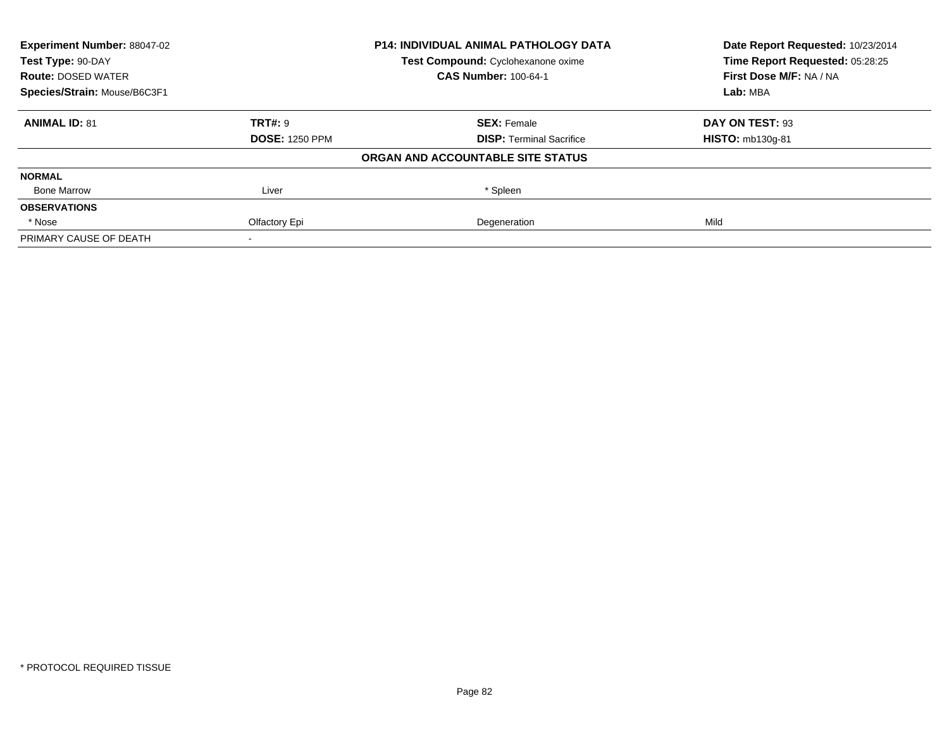| <b>Experiment Number: 88047-02</b> | <b>P14: INDIVIDUAL ANIMAL PATHOLOGY DATA</b> |                                    | Date Report Requested: 10/23/2014                          |
|------------------------------------|----------------------------------------------|------------------------------------|------------------------------------------------------------|
| Test Type: 90-DAY                  |                                              | Test Compound: Cyclohexanone oxime | Time Report Requested: 05:28:25<br>First Dose M/F: NA / NA |
| <b>Route: DOSED WATER</b>          |                                              | <b>CAS Number: 100-64-1</b>        |                                                            |
| Species/Strain: Mouse/B6C3F1       |                                              |                                    | Lab: MBA                                                   |
| <b>ANIMAL ID: 81</b>               | <b>TRT#: 9</b>                               | <b>SEX: Female</b>                 | DAY ON TEST: 93                                            |
|                                    | <b>DOSE: 1250 PPM</b>                        | <b>DISP:</b> Terminal Sacrifice    | <b>HISTO: mb130g-81</b>                                    |
|                                    |                                              | ORGAN AND ACCOUNTABLE SITE STATUS  |                                                            |
| <b>NORMAL</b>                      |                                              |                                    |                                                            |
| <b>Bone Marrow</b>                 | Liver                                        | * Spleen                           |                                                            |
| <b>OBSERVATIONS</b>                |                                              |                                    |                                                            |
| * Nose                             | Olfactory Epi                                | Degeneration                       | Mild                                                       |
| PRIMARY CAUSE OF DEATH             |                                              |                                    |                                                            |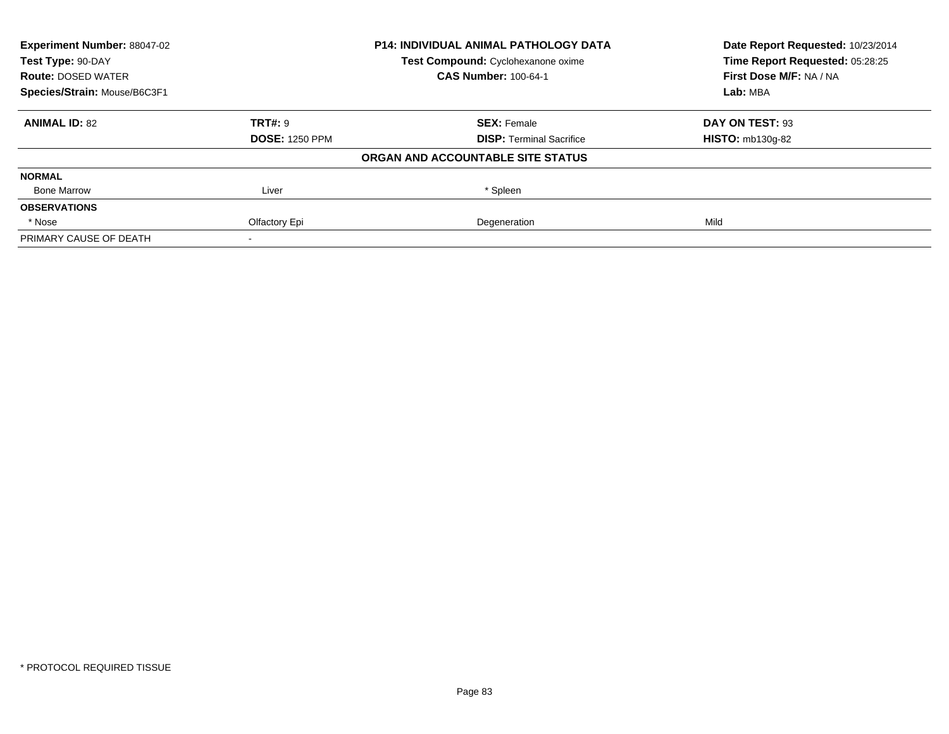| <b>Experiment Number: 88047-02</b> | <b>P14: INDIVIDUAL ANIMAL PATHOLOGY DATA</b> |                                    | Date Report Requested: 10/23/2014                          |
|------------------------------------|----------------------------------------------|------------------------------------|------------------------------------------------------------|
| Test Type: 90-DAY                  |                                              | Test Compound: Cyclohexanone oxime | Time Report Requested: 05:28:25<br>First Dose M/F: NA / NA |
| <b>Route: DOSED WATER</b>          |                                              | <b>CAS Number: 100-64-1</b>        |                                                            |
| Species/Strain: Mouse/B6C3F1       |                                              |                                    | Lab: MBA                                                   |
| <b>ANIMAL ID: 82</b>               | TRT#: 9                                      | <b>SEX: Female</b>                 | DAY ON TEST: 93                                            |
|                                    | <b>DOSE: 1250 PPM</b>                        | <b>DISP:</b> Terminal Sacrifice    | <b>HISTO: mb130g-82</b>                                    |
|                                    |                                              | ORGAN AND ACCOUNTABLE SITE STATUS  |                                                            |
| <b>NORMAL</b>                      |                                              |                                    |                                                            |
| <b>Bone Marrow</b>                 | Liver                                        | * Spleen                           |                                                            |
| <b>OBSERVATIONS</b>                |                                              |                                    |                                                            |
| * Nose                             | Olfactory Epi                                | Degeneration                       | Mild                                                       |
| PRIMARY CAUSE OF DEATH             |                                              |                                    |                                                            |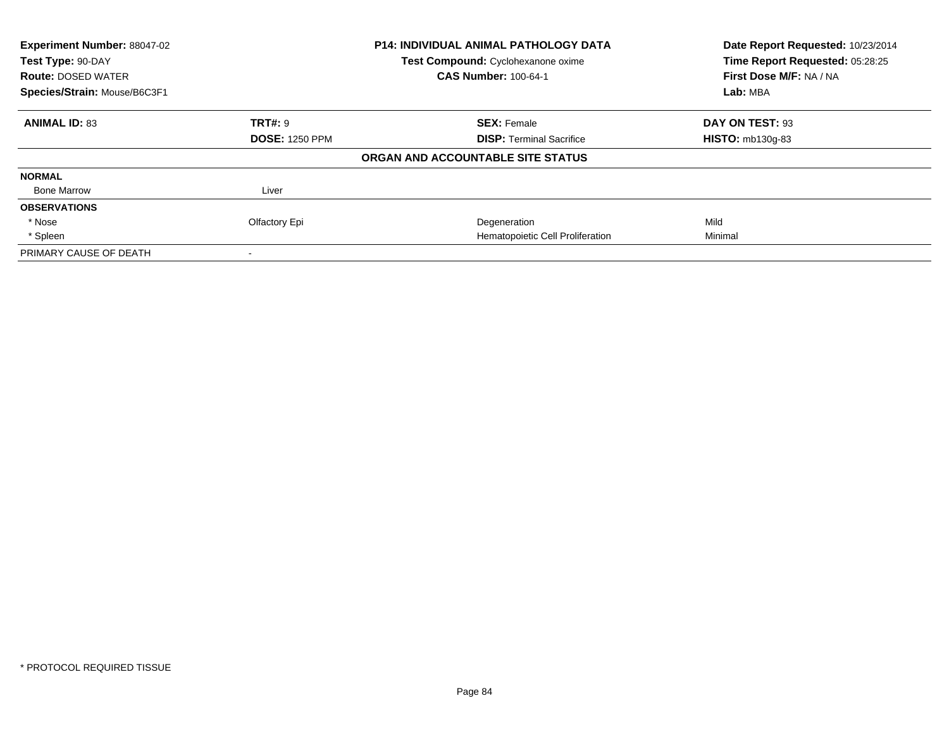| <b>Experiment Number: 88047-02</b><br>Test Type: 90-DAY<br><b>Route: DOSED WATER</b> |                       | <b>P14: INDIVIDUAL ANIMAL PATHOLOGY DATA</b><br>Test Compound: Cyclohexanone oxime<br><b>CAS Number: 100-64-1</b> | Date Report Requested: 10/23/2014<br>Time Report Requested: 05:28:25<br>First Dose M/F: NA / NA |
|--------------------------------------------------------------------------------------|-----------------------|-------------------------------------------------------------------------------------------------------------------|-------------------------------------------------------------------------------------------------|
| Species/Strain: Mouse/B6C3F1                                                         |                       |                                                                                                                   | Lab: MBA                                                                                        |
| <b>ANIMAL ID: 83</b>                                                                 | <b>TRT#: 9</b>        | <b>SEX: Female</b>                                                                                                | DAY ON TEST: 93                                                                                 |
|                                                                                      | <b>DOSE: 1250 PPM</b> | <b>DISP: Terminal Sacrifice</b>                                                                                   | <b>HISTO: mb130g-83</b>                                                                         |
|                                                                                      |                       | ORGAN AND ACCOUNTABLE SITE STATUS                                                                                 |                                                                                                 |
| <b>NORMAL</b>                                                                        |                       |                                                                                                                   |                                                                                                 |
| <b>Bone Marrow</b>                                                                   | Liver                 |                                                                                                                   |                                                                                                 |
| <b>OBSERVATIONS</b>                                                                  |                       |                                                                                                                   |                                                                                                 |
| * Nose                                                                               | Olfactory Epi         | Degeneration                                                                                                      | Mild                                                                                            |
| * Spleen                                                                             |                       | Hematopoietic Cell Proliferation                                                                                  | Minimal                                                                                         |
| PRIMARY CAUSE OF DEATH                                                               |                       |                                                                                                                   |                                                                                                 |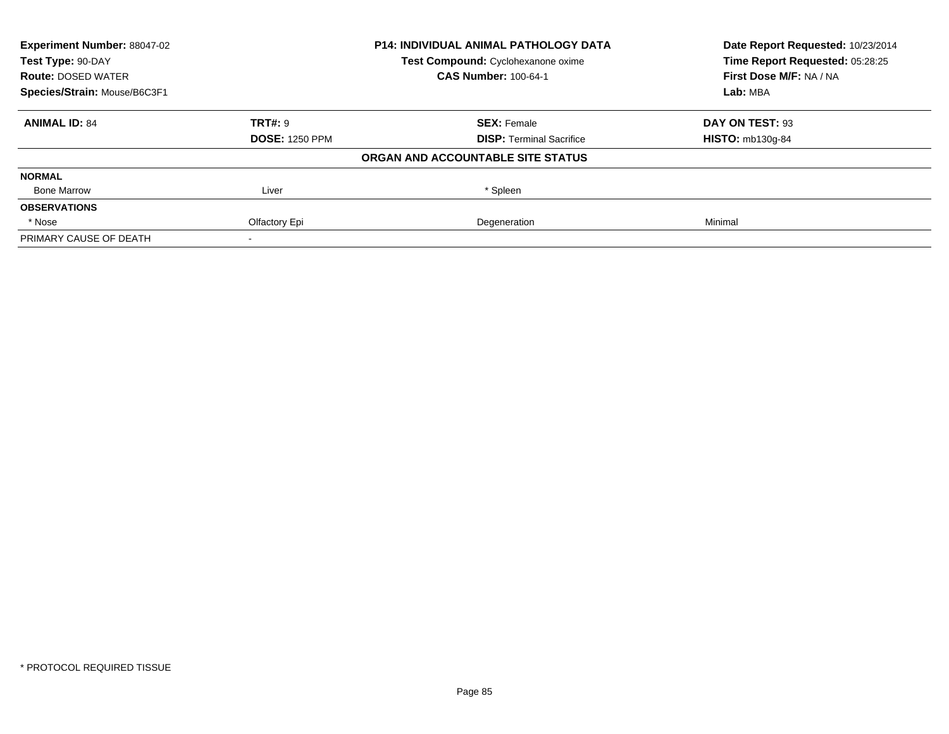| <b>Experiment Number: 88047-02</b> |                       | P14: INDIVIDUAL ANIMAL PATHOLOGY DATA | Date Report Requested: 10/23/2014                                      |
|------------------------------------|-----------------------|---------------------------------------|------------------------------------------------------------------------|
| Test Type: 90-DAY                  |                       | Test Compound: Cyclohexanone oxime    | Time Report Requested: 05:28:25<br>First Dose M/F: NA / NA<br>Lab: MBA |
| <b>Route: DOSED WATER</b>          |                       | <b>CAS Number: 100-64-1</b>           |                                                                        |
| Species/Strain: Mouse/B6C3F1       |                       |                                       |                                                                        |
| <b>ANIMAL ID: 84</b>               | <b>TRT#: 9</b>        | <b>SEX: Female</b>                    | DAY ON TEST: 93                                                        |
|                                    | <b>DOSE: 1250 PPM</b> | <b>DISP:</b> Terminal Sacrifice       | <b>HISTO: mb130g-84</b>                                                |
|                                    |                       | ORGAN AND ACCOUNTABLE SITE STATUS     |                                                                        |
| <b>NORMAL</b>                      |                       |                                       |                                                                        |
| <b>Bone Marrow</b>                 | Liver                 | * Spleen                              |                                                                        |
| <b>OBSERVATIONS</b>                |                       |                                       |                                                                        |
| * Nose                             | Olfactory Epi         | Degeneration                          | Minimal                                                                |
| PRIMARY CAUSE OF DEATH             |                       |                                       |                                                                        |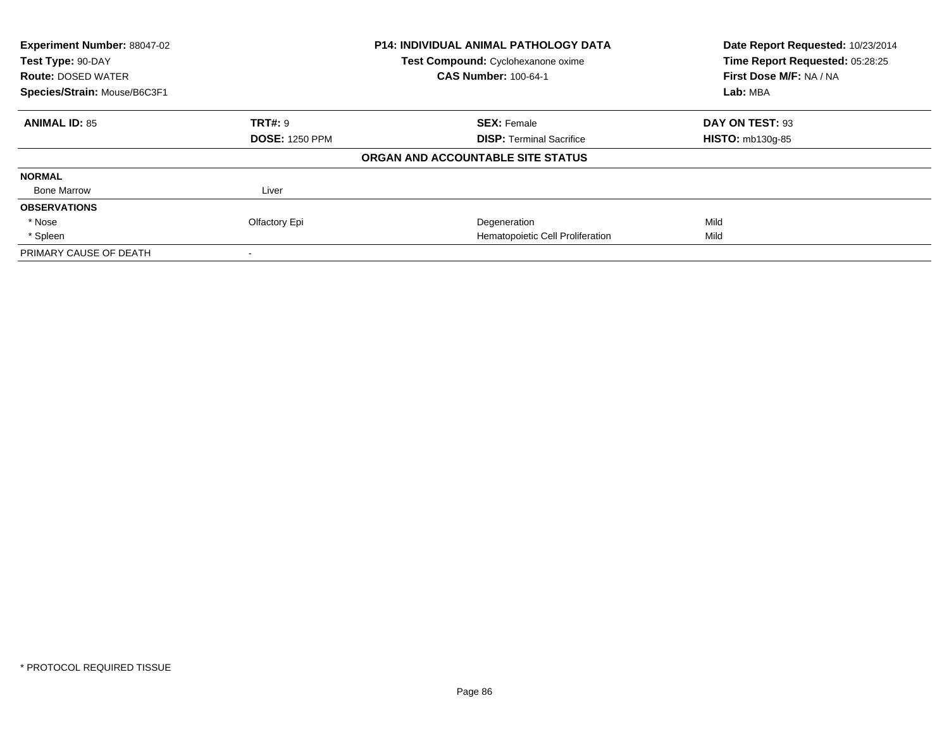| <b>Experiment Number: 88047-02</b> |                       | P14: INDIVIDUAL ANIMAL PATHOLOGY DATA | Date Report Requested: 10/23/2014 |
|------------------------------------|-----------------------|---------------------------------------|-----------------------------------|
| Test Type: 90-DAY                  |                       | Test Compound: Cyclohexanone oxime    | Time Report Requested: 05:28:25   |
| <b>Route: DOSED WATER</b>          |                       | <b>CAS Number: 100-64-1</b>           | First Dose M/F: NA / NA           |
| Species/Strain: Mouse/B6C3F1       |                       |                                       | Lab: MBA                          |
| <b>ANIMAL ID: 85</b>               | <b>TRT#: 9</b>        | <b>SEX: Female</b>                    | DAY ON TEST: 93                   |
|                                    | <b>DOSE: 1250 PPM</b> | <b>DISP:</b> Terminal Sacrifice       | <b>HISTO: mb130g-85</b>           |
|                                    |                       | ORGAN AND ACCOUNTABLE SITE STATUS     |                                   |
| <b>NORMAL</b>                      |                       |                                       |                                   |
| <b>Bone Marrow</b>                 | Liver                 |                                       |                                   |
| <b>OBSERVATIONS</b>                |                       |                                       |                                   |
| * Nose                             | Olfactory Epi         | Degeneration                          | Mild                              |
| * Spleen                           |                       | Hematopoietic Cell Proliferation      | Mild                              |
| PRIMARY CAUSE OF DEATH             |                       |                                       |                                   |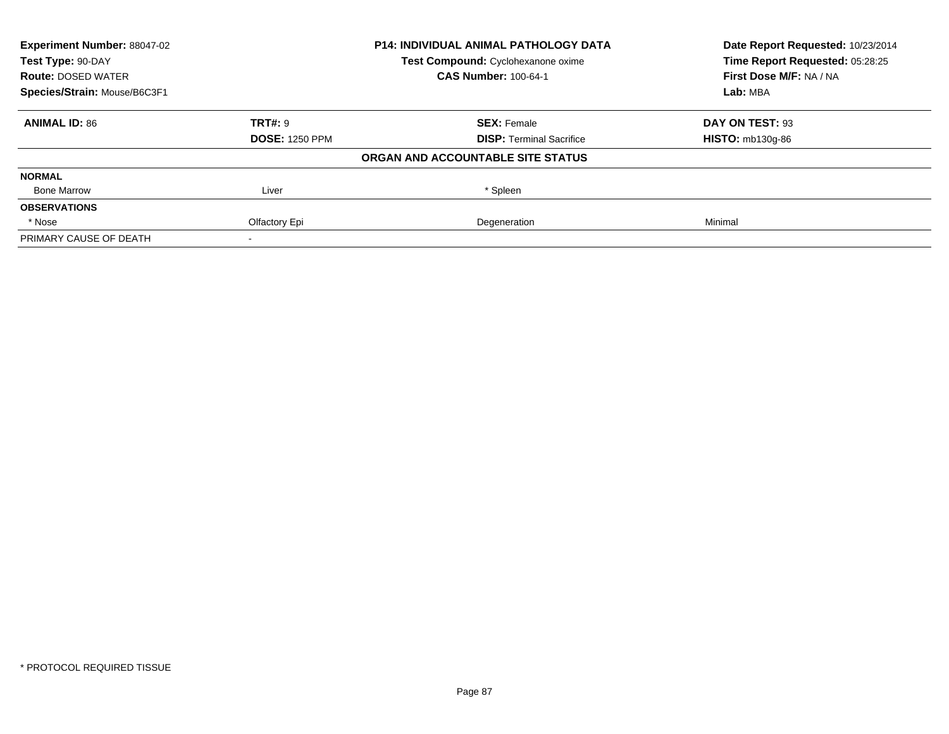| <b>Experiment Number: 88047-02</b> | <b>P14: INDIVIDUAL ANIMAL PATHOLOGY DATA</b> |                                    | Date Report Requested: 10/23/2014                          |
|------------------------------------|----------------------------------------------|------------------------------------|------------------------------------------------------------|
| Test Type: 90-DAY                  |                                              | Test Compound: Cyclohexanone oxime | Time Report Requested: 05:28:25<br>First Dose M/F: NA / NA |
| <b>Route: DOSED WATER</b>          |                                              | <b>CAS Number: 100-64-1</b>        |                                                            |
| Species/Strain: Mouse/B6C3F1       |                                              |                                    | Lab: MBA                                                   |
| <b>ANIMAL ID: 86</b>               | <b>TRT#: 9</b>                               | <b>SEX: Female</b>                 | DAY ON TEST: 93                                            |
|                                    | <b>DOSE: 1250 PPM</b>                        | <b>DISP:</b> Terminal Sacrifice    | <b>HISTO: mb130g-86</b>                                    |
|                                    |                                              | ORGAN AND ACCOUNTABLE SITE STATUS  |                                                            |
| <b>NORMAL</b>                      |                                              |                                    |                                                            |
| <b>Bone Marrow</b>                 | Liver                                        | * Spleen                           |                                                            |
| <b>OBSERVATIONS</b>                |                                              |                                    |                                                            |
| * Nose                             | Olfactory Epi                                | Degeneration                       | Minimal                                                    |
| PRIMARY CAUSE OF DEATH             |                                              |                                    |                                                            |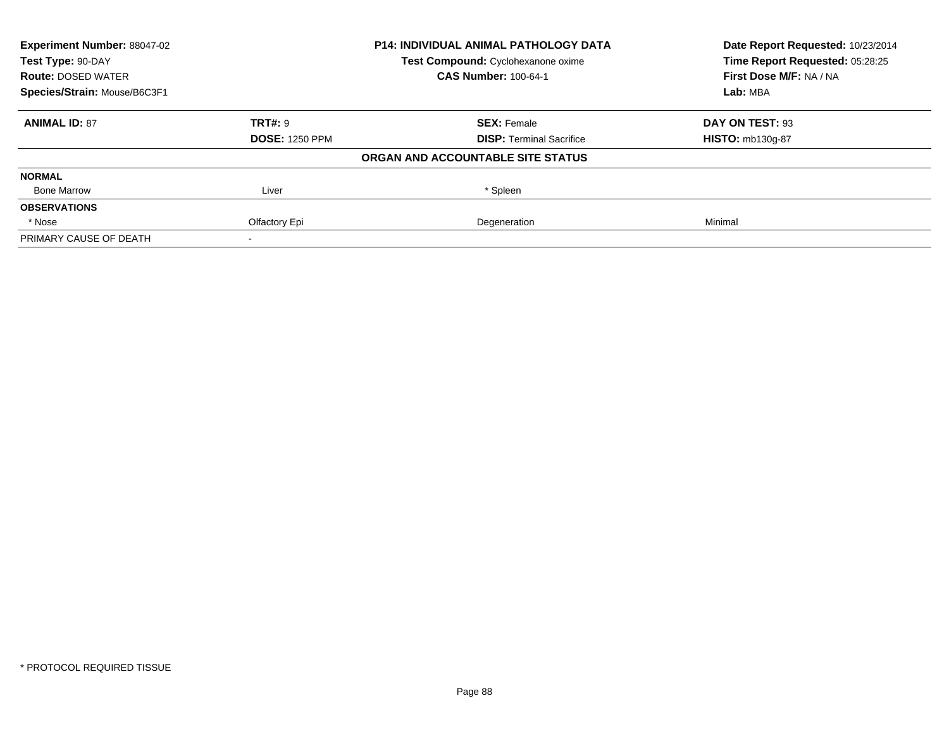| <b>Experiment Number: 88047-02</b> | <b>P14: INDIVIDUAL ANIMAL PATHOLOGY DATA</b> |                                    | Date Report Requested: 10/23/2014 |
|------------------------------------|----------------------------------------------|------------------------------------|-----------------------------------|
| Test Type: 90-DAY                  |                                              | Test Compound: Cyclohexanone oxime | Time Report Requested: 05:28:25   |
| <b>Route: DOSED WATER</b>          |                                              | <b>CAS Number: 100-64-1</b>        | First Dose M/F: NA / NA           |
| Species/Strain: Mouse/B6C3F1       |                                              |                                    | Lab: MBA                          |
| <b>ANIMAL ID: 87</b>               | TRT#: 9                                      | <b>SEX: Female</b>                 | DAY ON TEST: 93                   |
|                                    | <b>DOSE: 1250 PPM</b>                        | <b>DISP:</b> Terminal Sacrifice    | <b>HISTO: mb130g-87</b>           |
|                                    |                                              | ORGAN AND ACCOUNTABLE SITE STATUS  |                                   |
| <b>NORMAL</b>                      |                                              |                                    |                                   |
| <b>Bone Marrow</b>                 | Liver                                        | * Spleen                           |                                   |
| <b>OBSERVATIONS</b>                |                                              |                                    |                                   |
| * Nose                             | Olfactory Epi                                | Degeneration                       | Minimal                           |
| PRIMARY CAUSE OF DEATH             |                                              |                                    |                                   |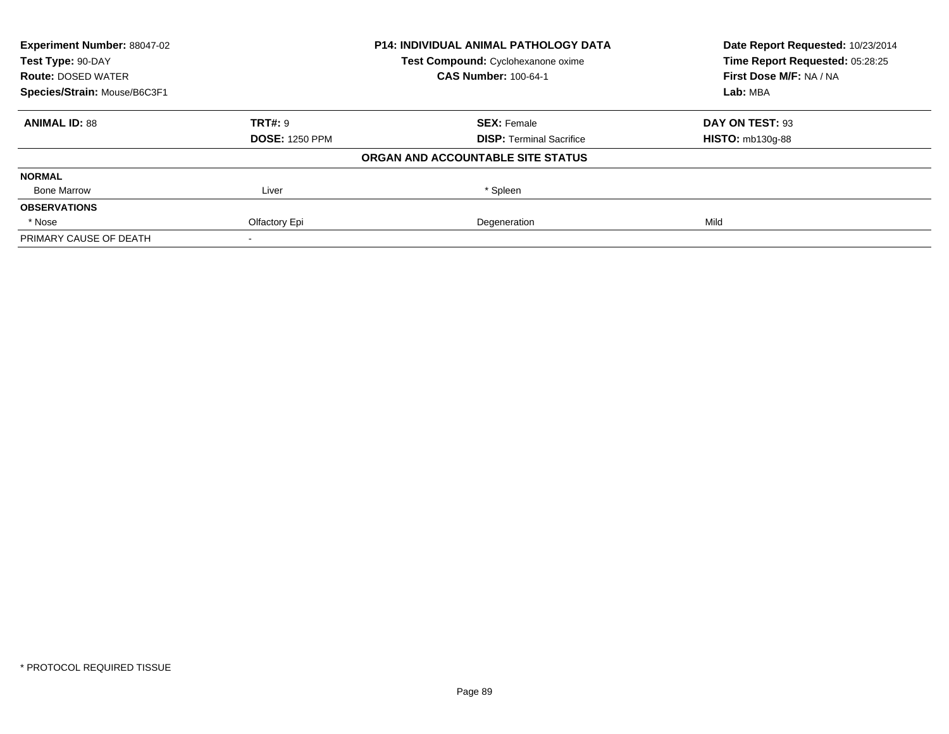| <b>Experiment Number: 88047-02</b> |                       | <b>P14: INDIVIDUAL ANIMAL PATHOLOGY DATA</b> | Date Report Requested: 10/23/2014<br>Time Report Requested: 05:28:25<br>First Dose M/F: NA / NA |
|------------------------------------|-----------------------|----------------------------------------------|-------------------------------------------------------------------------------------------------|
| Test Type: 90-DAY                  |                       | Test Compound: Cyclohexanone oxime           |                                                                                                 |
| <b>Route: DOSED WATER</b>          |                       | <b>CAS Number: 100-64-1</b>                  |                                                                                                 |
| Species/Strain: Mouse/B6C3F1       |                       |                                              | Lab: MBA                                                                                        |
| <b>ANIMAL ID: 88</b>               | TRT#: 9               | <b>SEX: Female</b>                           | DAY ON TEST: 93                                                                                 |
|                                    | <b>DOSE: 1250 PPM</b> | <b>DISP:</b> Terminal Sacrifice              | <b>HISTO: mb130g-88</b>                                                                         |
|                                    |                       | ORGAN AND ACCOUNTABLE SITE STATUS            |                                                                                                 |
| <b>NORMAL</b>                      |                       |                                              |                                                                                                 |
| <b>Bone Marrow</b>                 | Liver                 | * Spleen                                     |                                                                                                 |
| <b>OBSERVATIONS</b>                |                       |                                              |                                                                                                 |
| * Nose                             | Olfactory Epi         | Degeneration                                 | Mild                                                                                            |
| PRIMARY CAUSE OF DEATH             |                       |                                              |                                                                                                 |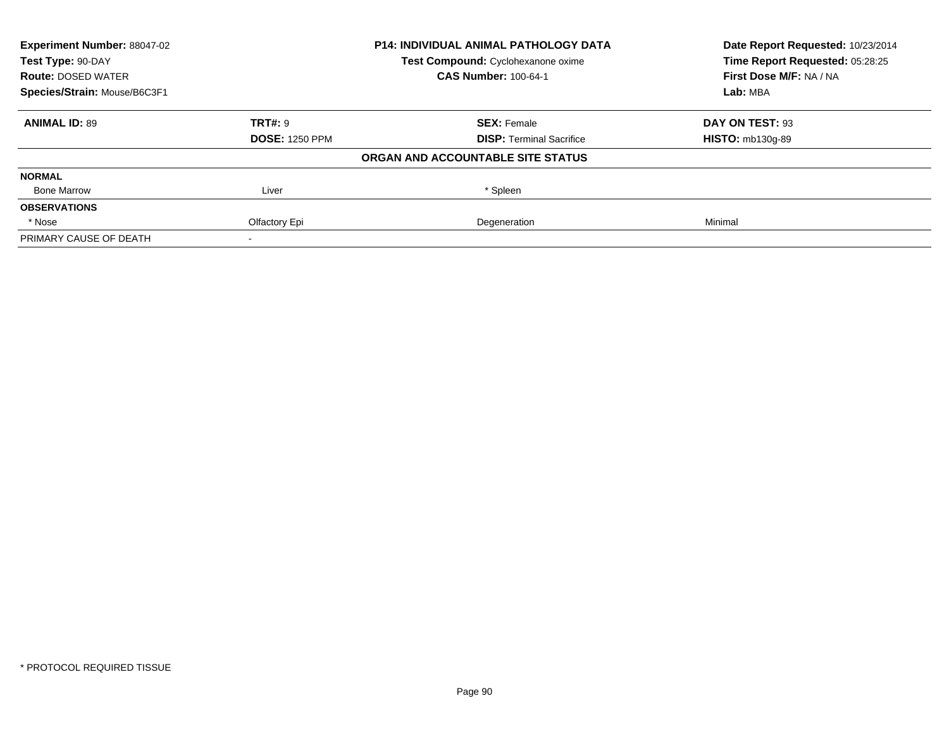| <b>Experiment Number: 88047-02</b> | <b>P14: INDIVIDUAL ANIMAL PATHOLOGY DATA</b> |                                    | Date Report Requested: 10/23/2014                          |
|------------------------------------|----------------------------------------------|------------------------------------|------------------------------------------------------------|
| Test Type: 90-DAY                  |                                              | Test Compound: Cyclohexanone oxime | Time Report Requested: 05:28:25<br>First Dose M/F: NA / NA |
| <b>Route: DOSED WATER</b>          |                                              | <b>CAS Number: 100-64-1</b>        |                                                            |
| Species/Strain: Mouse/B6C3F1       |                                              |                                    | Lab: MBA                                                   |
| <b>ANIMAL ID: 89</b>               | <b>TRT#: 9</b>                               | <b>SEX: Female</b>                 | DAY ON TEST: 93                                            |
|                                    | <b>DOSE: 1250 PPM</b>                        | <b>DISP:</b> Terminal Sacrifice    | <b>HISTO: mb130g-89</b>                                    |
|                                    |                                              | ORGAN AND ACCOUNTABLE SITE STATUS  |                                                            |
| <b>NORMAL</b>                      |                                              |                                    |                                                            |
| <b>Bone Marrow</b>                 | Liver                                        | * Spleen                           |                                                            |
| <b>OBSERVATIONS</b>                |                                              |                                    |                                                            |
| * Nose                             | Olfactory Epi                                | Degeneration                       | Minimal                                                    |
| PRIMARY CAUSE OF DEATH             |                                              |                                    |                                                            |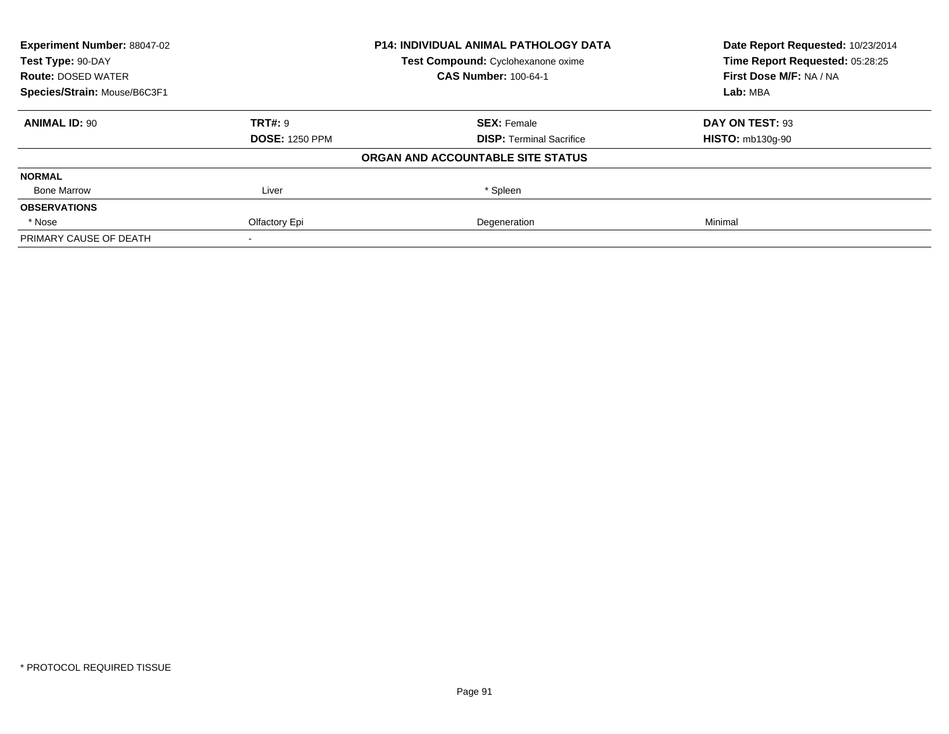| <b>Experiment Number: 88047-02</b> |                       | <b>P14: INDIVIDUAL ANIMAL PATHOLOGY DATA</b> | Date Report Requested: 10/23/2014<br>Time Report Requested: 05:28:25<br>First Dose M/F: NA / NA |
|------------------------------------|-----------------------|----------------------------------------------|-------------------------------------------------------------------------------------------------|
| Test Type: 90-DAY                  |                       | Test Compound: Cyclohexanone oxime           |                                                                                                 |
| <b>Route: DOSED WATER</b>          |                       | <b>CAS Number: 100-64-1</b>                  |                                                                                                 |
| Species/Strain: Mouse/B6C3F1       |                       |                                              | Lab: MBA                                                                                        |
| <b>ANIMAL ID: 90</b>               | TRT#: 9               | <b>SEX: Female</b>                           | DAY ON TEST: 93                                                                                 |
|                                    | <b>DOSE: 1250 PPM</b> | <b>DISP:</b> Terminal Sacrifice              | <b>HISTO: mb130g-90</b>                                                                         |
|                                    |                       | ORGAN AND ACCOUNTABLE SITE STATUS            |                                                                                                 |
| <b>NORMAL</b>                      |                       |                                              |                                                                                                 |
| <b>Bone Marrow</b>                 | Liver                 | * Spleen                                     |                                                                                                 |
| <b>OBSERVATIONS</b>                |                       |                                              |                                                                                                 |
| * Nose                             | Olfactory Epi         | Degeneration                                 | Minimal                                                                                         |
| PRIMARY CAUSE OF DEATH             |                       |                                              |                                                                                                 |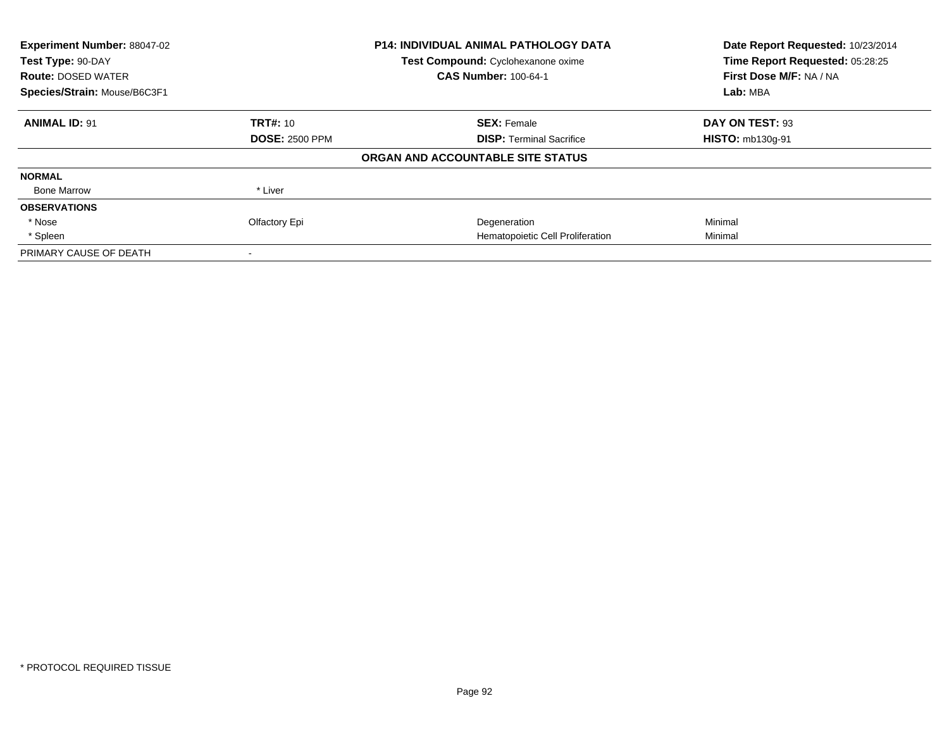| <b>Experiment Number: 88047-02</b> |                       | <b>P14: INDIVIDUAL ANIMAL PATHOLOGY DATA</b> | Date Report Requested: 10/23/2014 |
|------------------------------------|-----------------------|----------------------------------------------|-----------------------------------|
| Test Type: 90-DAY                  |                       | Test Compound: Cyclohexanone oxime           | Time Report Requested: 05:28:25   |
| <b>Route: DOSED WATER</b>          |                       | <b>CAS Number: 100-64-1</b>                  | First Dose M/F: NA / NA           |
| Species/Strain: Mouse/B6C3F1       |                       |                                              | Lab: MBA                          |
| <b>ANIMAL ID: 91</b>               | <b>TRT#: 10</b>       | <b>SEX: Female</b>                           | DAY ON TEST: 93                   |
|                                    | <b>DOSE: 2500 PPM</b> | <b>DISP:</b> Terminal Sacrifice              | <b>HISTO: mb130g-91</b>           |
|                                    |                       | ORGAN AND ACCOUNTABLE SITE STATUS            |                                   |
| <b>NORMAL</b>                      |                       |                                              |                                   |
| <b>Bone Marrow</b>                 | * Liver               |                                              |                                   |
| <b>OBSERVATIONS</b>                |                       |                                              |                                   |
| * Nose                             | Olfactory Epi         | Degeneration                                 | Minimal                           |
| * Spleen                           |                       | Hematopoietic Cell Proliferation             | Minimal                           |
| PRIMARY CAUSE OF DEATH             |                       |                                              |                                   |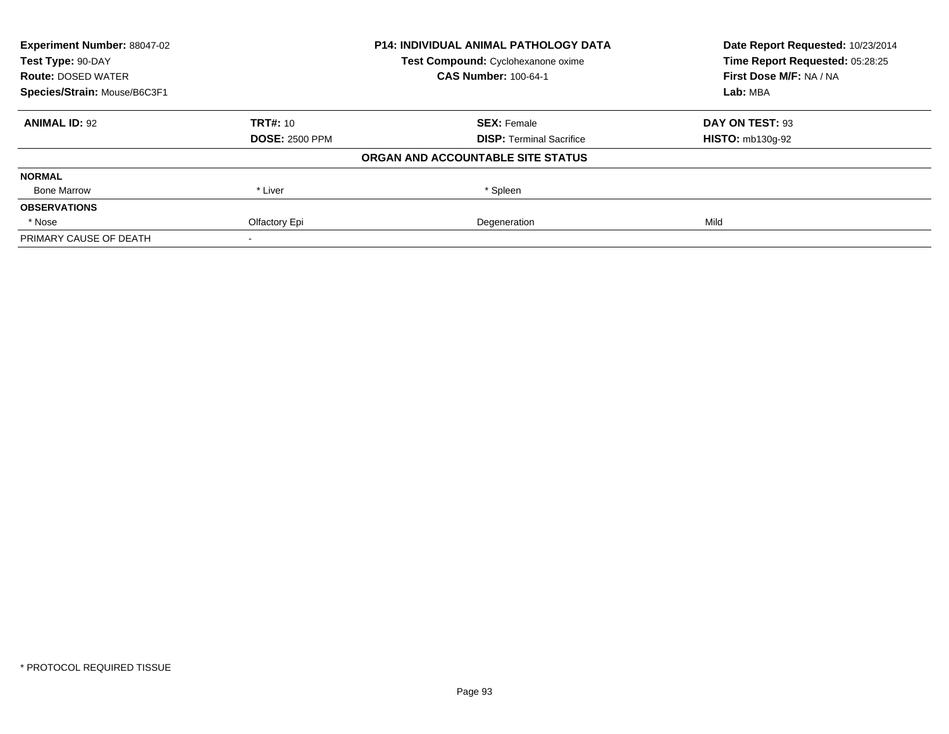| <b>Experiment Number: 88047-02</b> |                       | <b>P14: INDIVIDUAL ANIMAL PATHOLOGY DATA</b> | Date Report Requested: 10/23/2014<br>Time Report Requested: 05:28:25<br>First Dose M/F: NA / NA<br>Lab: MBA |
|------------------------------------|-----------------------|----------------------------------------------|-------------------------------------------------------------------------------------------------------------|
| Test Type: 90-DAY                  |                       | Test Compound: Cyclohexanone oxime           |                                                                                                             |
| <b>Route: DOSED WATER</b>          |                       | <b>CAS Number: 100-64-1</b>                  |                                                                                                             |
| Species/Strain: Mouse/B6C3F1       |                       |                                              |                                                                                                             |
| <b>ANIMAL ID: 92</b>               | <b>TRT#: 10</b>       | <b>SEX: Female</b>                           | DAY ON TEST: 93                                                                                             |
|                                    | <b>DOSE: 2500 PPM</b> | <b>DISP:</b> Terminal Sacrifice              | <b>HISTO: mb130g-92</b>                                                                                     |
|                                    |                       | ORGAN AND ACCOUNTABLE SITE STATUS            |                                                                                                             |
| <b>NORMAL</b>                      |                       |                                              |                                                                                                             |
| <b>Bone Marrow</b>                 | * Liver               | * Spleen                                     |                                                                                                             |
| <b>OBSERVATIONS</b>                |                       |                                              |                                                                                                             |
| * Nose                             | Olfactory Epi         | Degeneration                                 | Mild                                                                                                        |
| PRIMARY CAUSE OF DEATH             |                       |                                              |                                                                                                             |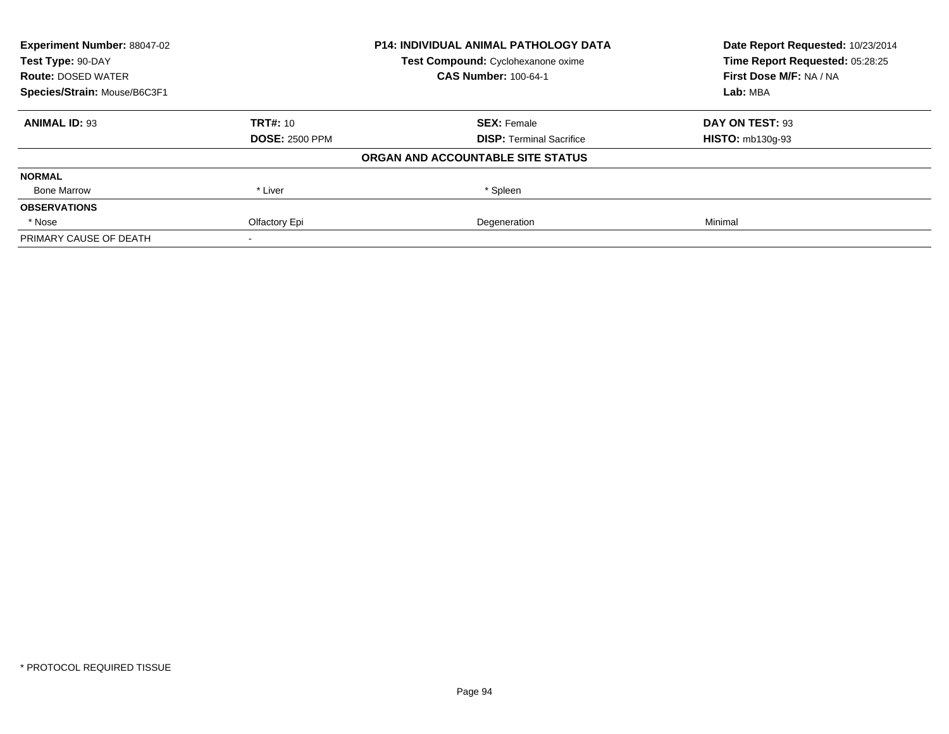| <b>Experiment Number: 88047-02</b> | <b>P14: INDIVIDUAL ANIMAL PATHOLOGY DATA</b> |                                    | Date Report Requested: 10/23/2014                          |
|------------------------------------|----------------------------------------------|------------------------------------|------------------------------------------------------------|
| Test Type: 90-DAY                  |                                              | Test Compound: Cyclohexanone oxime | Time Report Requested: 05:28:25<br>First Dose M/F: NA / NA |
| <b>Route: DOSED WATER</b>          |                                              | <b>CAS Number: 100-64-1</b>        |                                                            |
| Species/Strain: Mouse/B6C3F1       |                                              |                                    | Lab: MBA                                                   |
| <b>ANIMAL ID: 93</b>               | TRT#: 10                                     | <b>SEX: Female</b>                 | DAY ON TEST: 93                                            |
|                                    | <b>DOSE: 2500 PPM</b>                        | <b>DISP:</b> Terminal Sacrifice    | <b>HISTO: mb130g-93</b>                                    |
|                                    |                                              | ORGAN AND ACCOUNTABLE SITE STATUS  |                                                            |
| <b>NORMAL</b>                      |                                              |                                    |                                                            |
| <b>Bone Marrow</b>                 | * Liver                                      | * Spleen                           |                                                            |
| <b>OBSERVATIONS</b>                |                                              |                                    |                                                            |
| * Nose                             | Olfactory Epi                                | Degeneration                       | Minimal                                                    |
| PRIMARY CAUSE OF DEATH             |                                              |                                    |                                                            |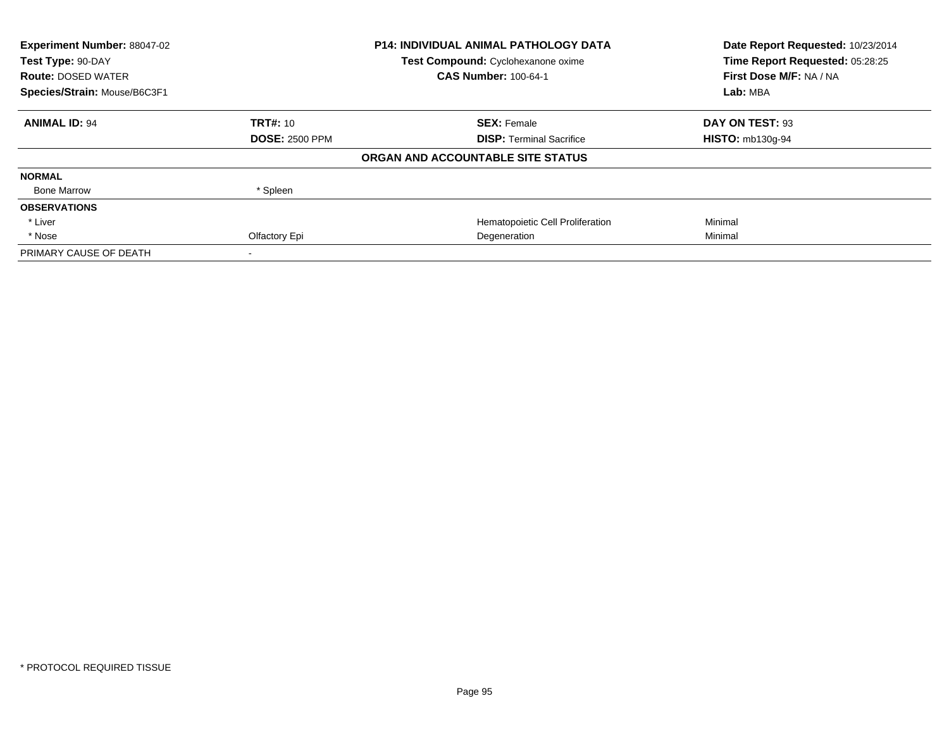| <b>Experiment Number: 88047-02</b> |                       | <b>P14: INDIVIDUAL ANIMAL PATHOLOGY DATA</b> | Date Report Requested: 10/23/2014 |
|------------------------------------|-----------------------|----------------------------------------------|-----------------------------------|
| Test Type: 90-DAY                  |                       | Test Compound: Cyclohexanone oxime           | Time Report Requested: 05:28:25   |
| <b>Route: DOSED WATER</b>          |                       | <b>CAS Number: 100-64-1</b>                  | First Dose M/F: NA / NA           |
| Species/Strain: Mouse/B6C3F1       |                       |                                              | Lab: MBA                          |
| <b>ANIMAL ID: 94</b>               | <b>TRT#: 10</b>       | <b>SEX: Female</b>                           | DAY ON TEST: 93                   |
|                                    | <b>DOSE: 2500 PPM</b> | <b>DISP:</b> Terminal Sacrifice              | <b>HISTO: mb130g-94</b>           |
|                                    |                       | ORGAN AND ACCOUNTABLE SITE STATUS            |                                   |
| <b>NORMAL</b>                      |                       |                                              |                                   |
| <b>Bone Marrow</b>                 | * Spleen              |                                              |                                   |
| <b>OBSERVATIONS</b>                |                       |                                              |                                   |
| * Liver                            |                       | Hematopoietic Cell Proliferation             | Minimal                           |
| * Nose                             | Olfactory Epi         | Degeneration                                 | Minimal                           |
| PRIMARY CAUSE OF DEATH             |                       |                                              |                                   |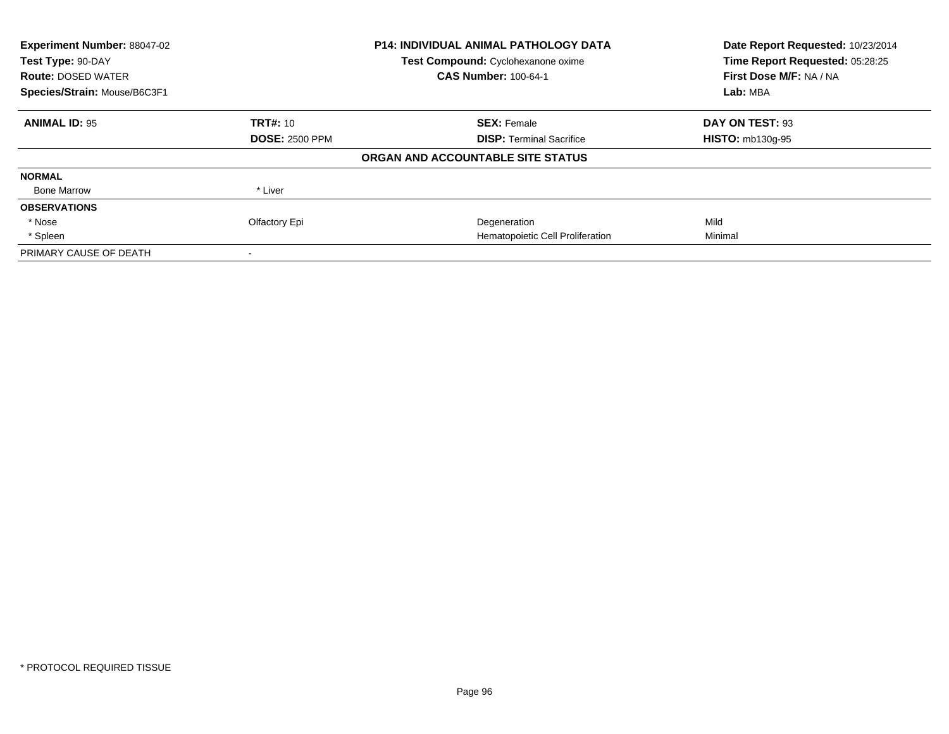| <b>Experiment Number: 88047-02</b> |                       | <b>P14: INDIVIDUAL ANIMAL PATHOLOGY DATA</b> | Date Report Requested: 10/23/2014 |
|------------------------------------|-----------------------|----------------------------------------------|-----------------------------------|
| Test Type: 90-DAY                  |                       | Test Compound: Cyclohexanone oxime           | Time Report Requested: 05:28:25   |
| <b>Route: DOSED WATER</b>          |                       | <b>CAS Number: 100-64-1</b>                  | First Dose M/F: NA / NA           |
| Species/Strain: Mouse/B6C3F1       |                       |                                              | Lab: MBA                          |
| <b>ANIMAL ID: 95</b>               | <b>TRT#: 10</b>       | <b>SEX: Female</b>                           | DAY ON TEST: 93                   |
|                                    | <b>DOSE: 2500 PPM</b> | <b>DISP:</b> Terminal Sacrifice              | <b>HISTO: mb130g-95</b>           |
|                                    |                       | ORGAN AND ACCOUNTABLE SITE STATUS            |                                   |
| <b>NORMAL</b>                      |                       |                                              |                                   |
| <b>Bone Marrow</b>                 | * Liver               |                                              |                                   |
| <b>OBSERVATIONS</b>                |                       |                                              |                                   |
| * Nose                             | Olfactory Epi         | Degeneration                                 | Mild                              |
| * Spleen                           |                       | Hematopoietic Cell Proliferation             | Minimal                           |
| PRIMARY CAUSE OF DEATH             |                       |                                              |                                   |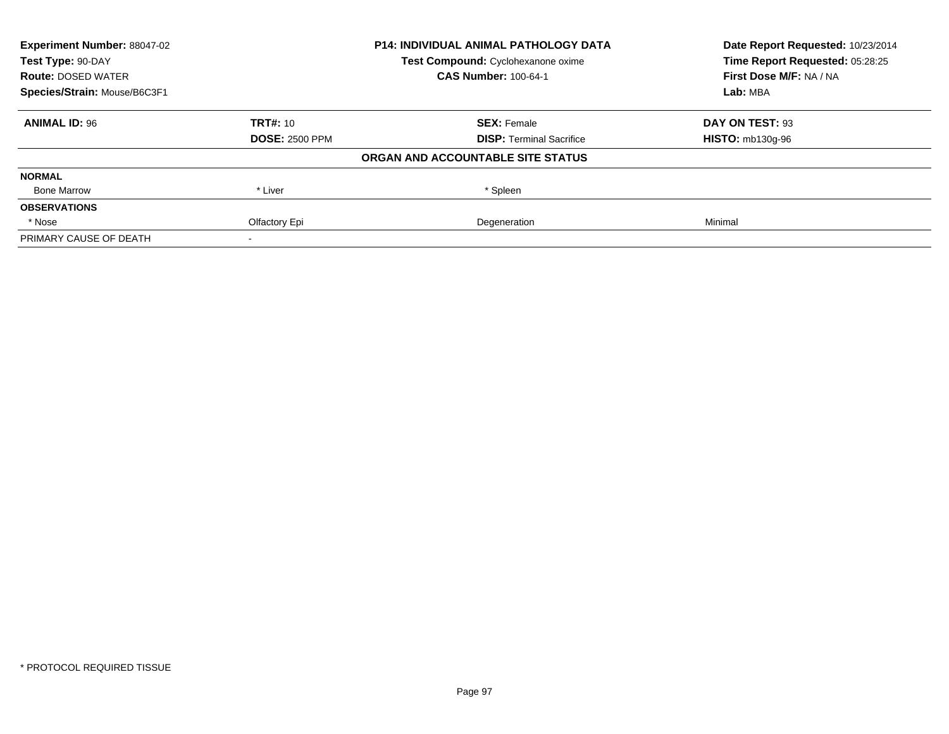| <b>Experiment Number: 88047-02</b><br>Test Type: 90-DAY |                       | <b>P14: INDIVIDUAL ANIMAL PATHOLOGY DATA</b> | Date Report Requested: 10/23/2014<br>Time Report Requested: 05:28:25 |
|---------------------------------------------------------|-----------------------|----------------------------------------------|----------------------------------------------------------------------|
|                                                         |                       | Test Compound: Cyclohexanone oxime           |                                                                      |
| <b>Route: DOSED WATER</b>                               |                       | <b>CAS Number: 100-64-1</b>                  | First Dose M/F: NA / NA                                              |
| Species/Strain: Mouse/B6C3F1                            |                       |                                              | Lab: MBA                                                             |
| <b>ANIMAL ID: 96</b>                                    | <b>TRT#: 10</b>       | <b>SEX: Female</b>                           | DAY ON TEST: 93                                                      |
|                                                         | <b>DOSE: 2500 PPM</b> | <b>DISP:</b> Terminal Sacrifice              | <b>HISTO: mb130g-96</b>                                              |
|                                                         |                       | ORGAN AND ACCOUNTABLE SITE STATUS            |                                                                      |
| <b>NORMAL</b>                                           |                       |                                              |                                                                      |
| <b>Bone Marrow</b>                                      | * Liver               | * Spleen                                     |                                                                      |
| <b>OBSERVATIONS</b>                                     |                       |                                              |                                                                      |
| * Nose                                                  | Olfactory Epi         | Degeneration                                 | Minimal                                                              |
| PRIMARY CAUSE OF DEATH                                  |                       |                                              |                                                                      |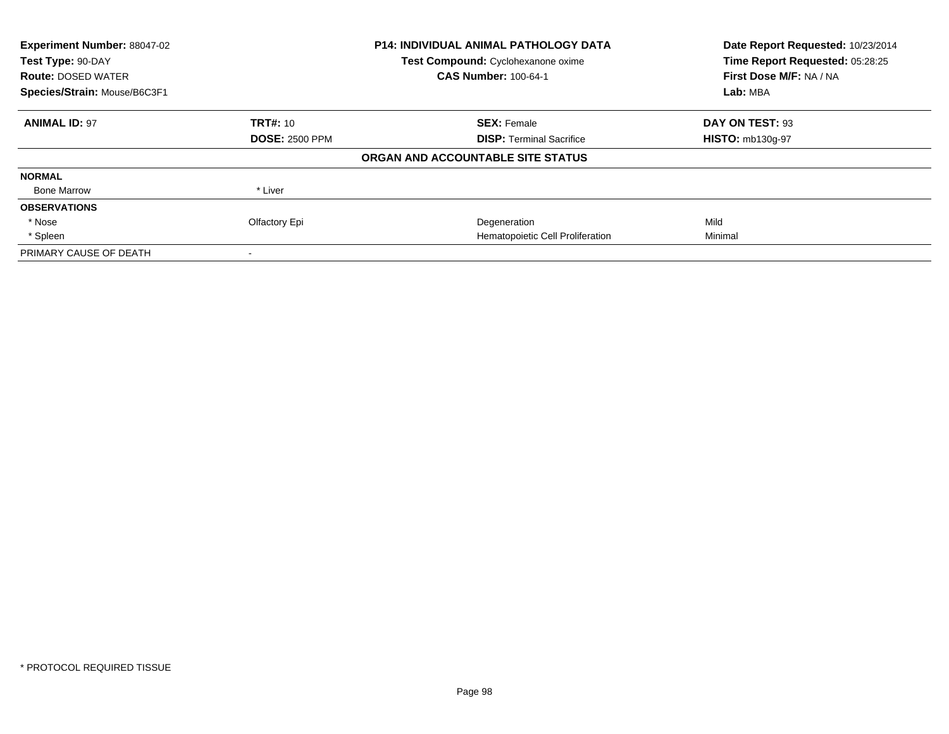| <b>Experiment Number: 88047-02</b>                                                       |                       | <b>P14: INDIVIDUAL ANIMAL PATHOLOGY DATA</b> | Date Report Requested: 10/23/2014 |
|------------------------------------------------------------------------------------------|-----------------------|----------------------------------------------|-----------------------------------|
| Test Type: 90-DAY                                                                        |                       | Test Compound: Cyclohexanone oxime           | Time Report Requested: 05:28:25   |
| <b>CAS Number: 100-64-1</b><br><b>Route: DOSED WATER</b><br>Species/Strain: Mouse/B6C3F1 |                       |                                              | First Dose M/F: NA / NA           |
|                                                                                          |                       |                                              | Lab: MBA                          |
| <b>ANIMAL ID: 97</b>                                                                     | <b>TRT#: 10</b>       | <b>SEX: Female</b>                           | DAY ON TEST: 93                   |
|                                                                                          | <b>DOSE: 2500 PPM</b> | <b>DISP:</b> Terminal Sacrifice              | <b>HISTO: mb130g-97</b>           |
|                                                                                          |                       | ORGAN AND ACCOUNTABLE SITE STATUS            |                                   |
| <b>NORMAL</b>                                                                            |                       |                                              |                                   |
| <b>Bone Marrow</b>                                                                       | * Liver               |                                              |                                   |
| <b>OBSERVATIONS</b>                                                                      |                       |                                              |                                   |
| * Nose                                                                                   | Olfactory Epi         | Degeneration                                 | Mild                              |
| * Spleen                                                                                 |                       | Hematopoietic Cell Proliferation             | Minimal                           |
| PRIMARY CAUSE OF DEATH                                                                   |                       |                                              |                                   |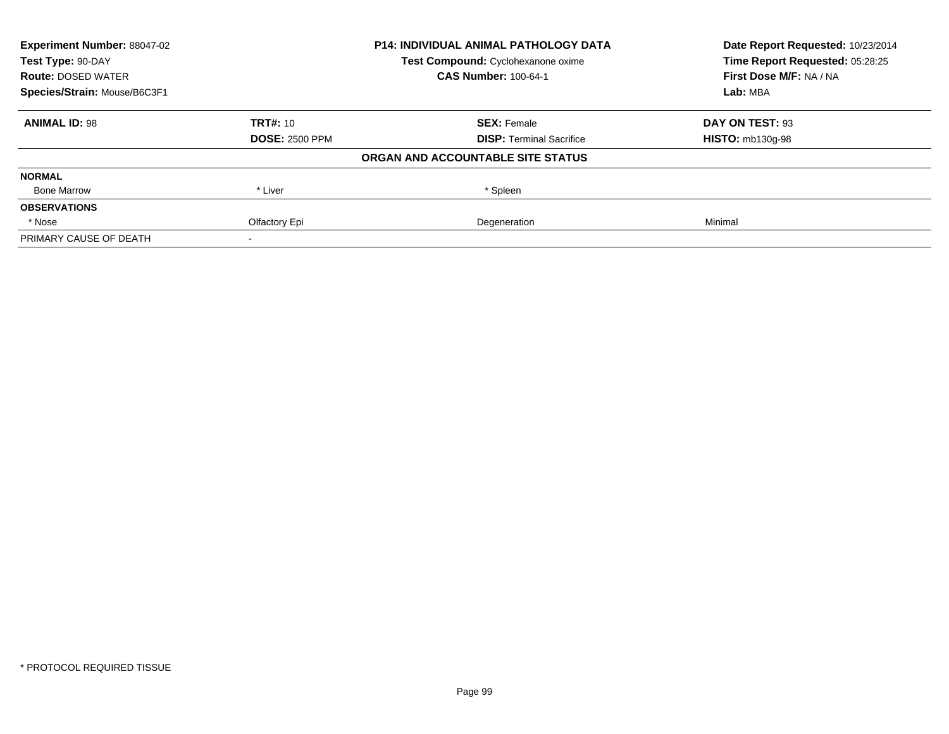| <b>Experiment Number: 88047-02</b><br>Test Type: 90-DAY |                       | <b>P14: INDIVIDUAL ANIMAL PATHOLOGY DATA</b> | Date Report Requested: 10/23/2014<br>Time Report Requested: 05:28:25 |  |
|---------------------------------------------------------|-----------------------|----------------------------------------------|----------------------------------------------------------------------|--|
|                                                         |                       | Test Compound: Cyclohexanone oxime           |                                                                      |  |
| <b>Route: DOSED WATER</b>                               |                       | <b>CAS Number: 100-64-1</b>                  | First Dose M/F: NA / NA                                              |  |
| Species/Strain: Mouse/B6C3F1                            |                       |                                              | Lab: MBA                                                             |  |
| <b>ANIMAL ID: 98</b>                                    | <b>TRT#: 10</b>       | <b>SEX: Female</b>                           | DAY ON TEST: 93                                                      |  |
|                                                         | <b>DOSE: 2500 PPM</b> | <b>DISP:</b> Terminal Sacrifice              | <b>HISTO: mb130g-98</b>                                              |  |
|                                                         |                       | ORGAN AND ACCOUNTABLE SITE STATUS            |                                                                      |  |
| <b>NORMAL</b>                                           |                       |                                              |                                                                      |  |
| <b>Bone Marrow</b>                                      | * Liver               | * Spleen                                     |                                                                      |  |
| <b>OBSERVATIONS</b>                                     |                       |                                              |                                                                      |  |
| * Nose                                                  | Olfactory Epi         | Degeneration                                 | Minimal                                                              |  |
| PRIMARY CAUSE OF DEATH                                  |                       |                                              |                                                                      |  |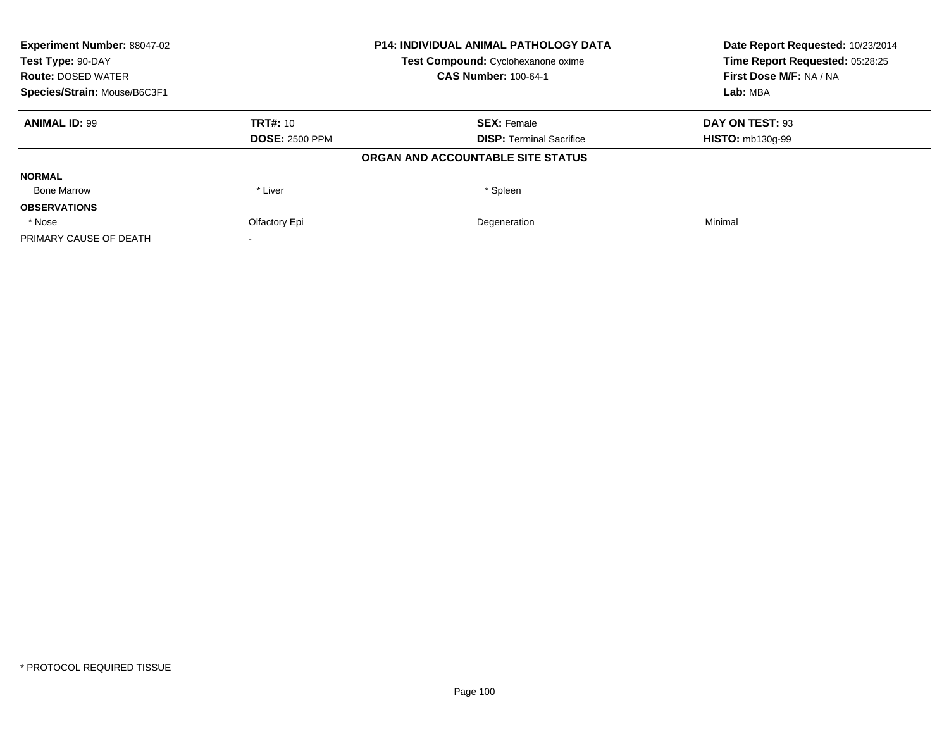| <b>Experiment Number: 88047-02</b><br>Test Type: 90-DAY |                       | <b>P14: INDIVIDUAL ANIMAL PATHOLOGY DATA</b> | Date Report Requested: 10/23/2014<br>Time Report Requested: 05:28:25 |
|---------------------------------------------------------|-----------------------|----------------------------------------------|----------------------------------------------------------------------|
|                                                         |                       | Test Compound: Cyclohexanone oxime           |                                                                      |
| <b>Route: DOSED WATER</b>                               |                       | <b>CAS Number: 100-64-1</b>                  | First Dose M/F: NA / NA                                              |
| Species/Strain: Mouse/B6C3F1                            |                       |                                              | Lab: MBA                                                             |
| <b>ANIMAL ID: 99</b>                                    | <b>TRT#: 10</b>       | <b>SEX: Female</b>                           | DAY ON TEST: 93                                                      |
|                                                         | <b>DOSE: 2500 PPM</b> | <b>DISP:</b> Terminal Sacrifice              | <b>HISTO: mb130g-99</b>                                              |
|                                                         |                       | ORGAN AND ACCOUNTABLE SITE STATUS            |                                                                      |
| <b>NORMAL</b>                                           |                       |                                              |                                                                      |
| <b>Bone Marrow</b>                                      | * Liver               | * Spleen                                     |                                                                      |
| <b>OBSERVATIONS</b>                                     |                       |                                              |                                                                      |
| * Nose                                                  | Olfactory Epi         | Degeneration                                 | Minimal                                                              |
| PRIMARY CAUSE OF DEATH                                  |                       |                                              |                                                                      |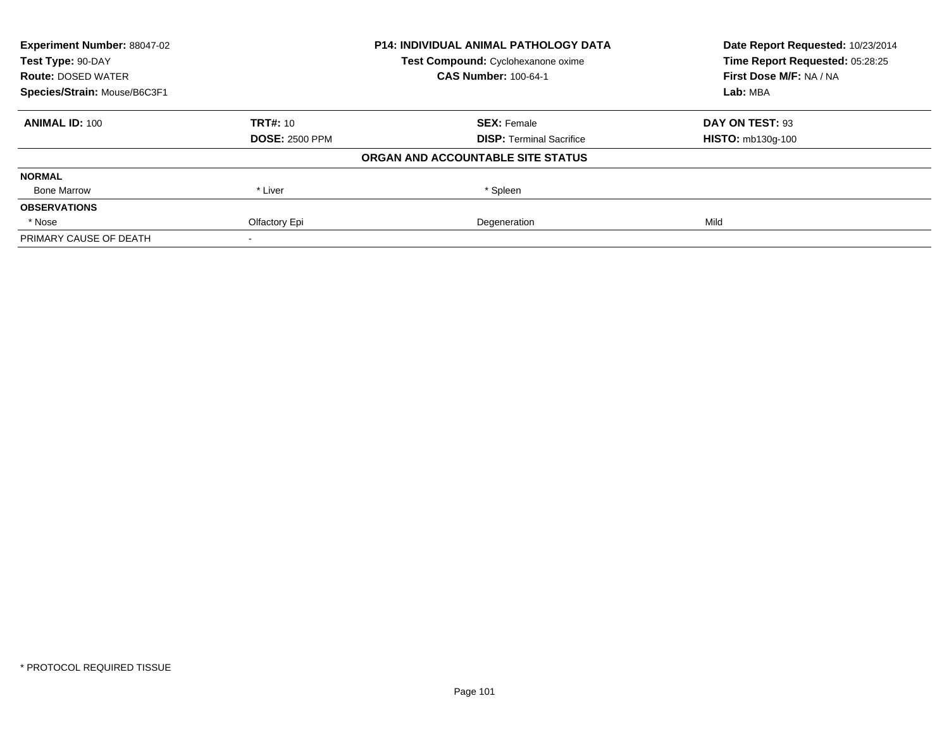| <b>Experiment Number: 88047-02</b><br>Test Type: 90-DAY |                       | <b>P14: INDIVIDUAL ANIMAL PATHOLOGY DATA</b> | Date Report Requested: 10/23/2014<br>Time Report Requested: 05:28:25 |
|---------------------------------------------------------|-----------------------|----------------------------------------------|----------------------------------------------------------------------|
|                                                         |                       | Test Compound: Cyclohexanone oxime           |                                                                      |
| <b>Route: DOSED WATER</b>                               |                       | <b>CAS Number: 100-64-1</b>                  | First Dose M/F: NA / NA                                              |
| Species/Strain: Mouse/B6C3F1                            |                       |                                              | Lab: MBA                                                             |
| <b>ANIMAL ID: 100</b>                                   | <b>TRT#: 10</b>       | <b>SEX: Female</b>                           | DAY ON TEST: 93                                                      |
|                                                         | <b>DOSE: 2500 PPM</b> | <b>DISP:</b> Terminal Sacrifice              | <b>HISTO: mb130g-100</b>                                             |
|                                                         |                       | ORGAN AND ACCOUNTABLE SITE STATUS            |                                                                      |
| <b>NORMAL</b>                                           |                       |                                              |                                                                      |
| <b>Bone Marrow</b>                                      | * Liver               | * Spleen                                     |                                                                      |
| <b>OBSERVATIONS</b>                                     |                       |                                              |                                                                      |
| * Nose                                                  | Olfactory Epi         | Degeneration                                 | Mild                                                                 |
| PRIMARY CAUSE OF DEATH                                  |                       |                                              |                                                                      |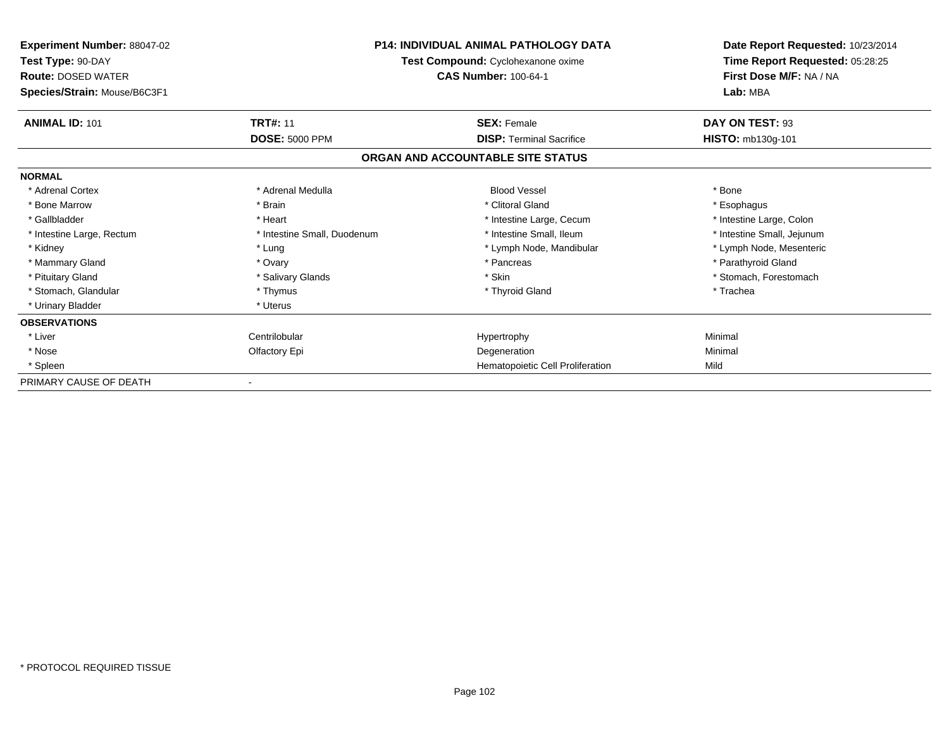| <b>Experiment Number: 88047-02</b><br>Test Type: 90-DAY<br><b>Route: DOSED WATER</b><br>Species/Strain: Mouse/B6C3F1 | <b>P14: INDIVIDUAL ANIMAL PATHOLOGY DATA</b><br>Test Compound: Cyclohexanone oxime<br><b>CAS Number: 100-64-1</b> |                                   | Date Report Requested: 10/23/2014<br>Time Report Requested: 05:28:25<br>First Dose M/F: NA / NA<br>Lab: MBA |
|----------------------------------------------------------------------------------------------------------------------|-------------------------------------------------------------------------------------------------------------------|-----------------------------------|-------------------------------------------------------------------------------------------------------------|
| <b>ANIMAL ID: 101</b>                                                                                                | <b>TRT#: 11</b>                                                                                                   | <b>SEX: Female</b>                | DAY ON TEST: 93                                                                                             |
|                                                                                                                      | <b>DOSE: 5000 PPM</b>                                                                                             | <b>DISP: Terminal Sacrifice</b>   | HISTO: mb130g-101                                                                                           |
|                                                                                                                      |                                                                                                                   | ORGAN AND ACCOUNTABLE SITE STATUS |                                                                                                             |
| <b>NORMAL</b>                                                                                                        |                                                                                                                   |                                   |                                                                                                             |
| * Adrenal Cortex                                                                                                     | * Adrenal Medulla                                                                                                 | <b>Blood Vessel</b>               | * Bone                                                                                                      |
| * Bone Marrow                                                                                                        | * Brain                                                                                                           | * Clitoral Gland                  | * Esophagus                                                                                                 |
| * Gallbladder                                                                                                        | * Heart                                                                                                           | * Intestine Large, Cecum          | * Intestine Large, Colon                                                                                    |
| * Intestine Large, Rectum                                                                                            | * Intestine Small, Duodenum                                                                                       | * Intestine Small, Ileum          | * Intestine Small, Jejunum                                                                                  |
| * Kidney                                                                                                             | * Lung                                                                                                            | * Lymph Node, Mandibular          | * Lymph Node, Mesenteric                                                                                    |
| * Mammary Gland                                                                                                      | * Ovary                                                                                                           | * Pancreas                        | * Parathyroid Gland                                                                                         |
| * Pituitary Gland                                                                                                    | * Salivary Glands                                                                                                 | * Skin                            | * Stomach, Forestomach                                                                                      |
| * Stomach, Glandular                                                                                                 | * Thymus                                                                                                          | * Thyroid Gland                   | * Trachea                                                                                                   |
| * Urinary Bladder                                                                                                    | * Uterus                                                                                                          |                                   |                                                                                                             |
| <b>OBSERVATIONS</b>                                                                                                  |                                                                                                                   |                                   |                                                                                                             |
| * Liver                                                                                                              | Centrilobular                                                                                                     | Hypertrophy                       | Minimal                                                                                                     |
| * Nose                                                                                                               | Olfactory Epi                                                                                                     | Degeneration                      | Minimal                                                                                                     |
| * Spleen                                                                                                             |                                                                                                                   | Hematopoietic Cell Proliferation  | Mild                                                                                                        |
| PRIMARY CAUSE OF DEATH                                                                                               |                                                                                                                   |                                   |                                                                                                             |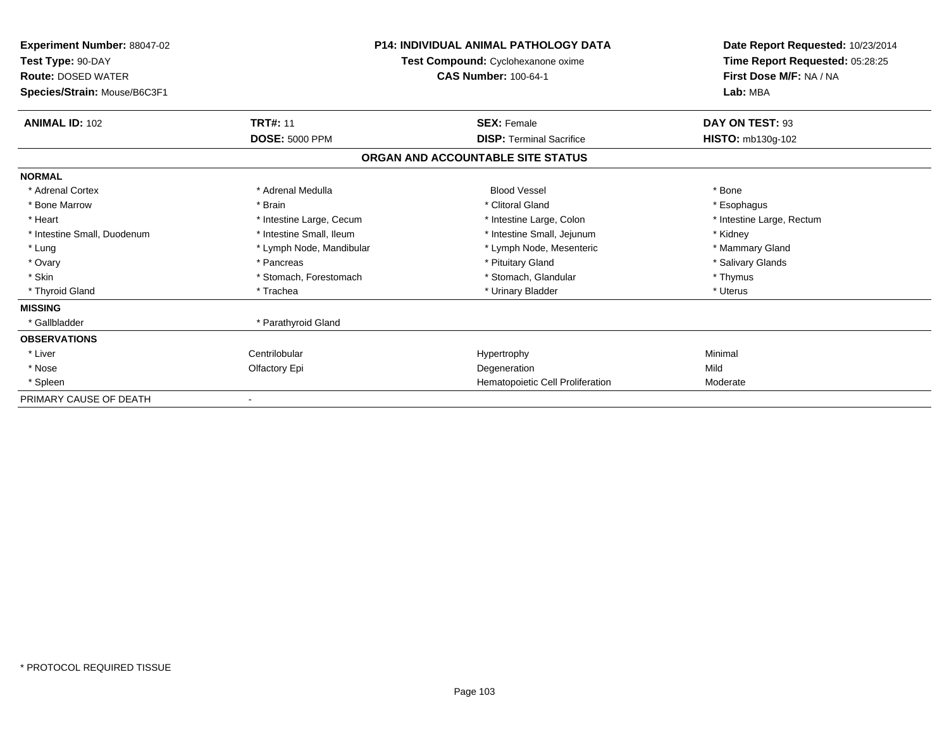| Experiment Number: 88047-02<br>Test Type: 90-DAY<br><b>Route: DOSED WATER</b><br>Species/Strain: Mouse/B6C3F1 | <b>P14: INDIVIDUAL ANIMAL PATHOLOGY DATA</b><br>Test Compound: Cyclohexanone oxime<br><b>CAS Number: 100-64-1</b> |                                   | Date Report Requested: 10/23/2014<br>Time Report Requested: 05:28:25<br>First Dose M/F: NA / NA<br>Lab: MBA |  |
|---------------------------------------------------------------------------------------------------------------|-------------------------------------------------------------------------------------------------------------------|-----------------------------------|-------------------------------------------------------------------------------------------------------------|--|
| <b>ANIMAL ID: 102</b>                                                                                         | <b>TRT#: 11</b>                                                                                                   | <b>SEX: Female</b>                | DAY ON TEST: 93                                                                                             |  |
|                                                                                                               | <b>DOSE: 5000 PPM</b>                                                                                             | <b>DISP: Terminal Sacrifice</b>   | <b>HISTO: mb130g-102</b>                                                                                    |  |
|                                                                                                               |                                                                                                                   | ORGAN AND ACCOUNTABLE SITE STATUS |                                                                                                             |  |
| <b>NORMAL</b>                                                                                                 |                                                                                                                   |                                   |                                                                                                             |  |
| * Adrenal Cortex                                                                                              | * Adrenal Medulla                                                                                                 | <b>Blood Vessel</b>               | * Bone                                                                                                      |  |
| * Bone Marrow                                                                                                 | * Brain                                                                                                           | * Clitoral Gland                  | * Esophagus                                                                                                 |  |
| * Heart                                                                                                       | * Intestine Large, Cecum                                                                                          | * Intestine Large, Colon          | * Intestine Large, Rectum                                                                                   |  |
| * Intestine Small, Duodenum                                                                                   | * Intestine Small, Ileum                                                                                          | * Intestine Small, Jejunum        | * Kidney                                                                                                    |  |
| * Lung                                                                                                        | * Lymph Node, Mandibular                                                                                          | * Lymph Node, Mesenteric          | * Mammary Gland                                                                                             |  |
| * Ovary                                                                                                       | * Pancreas                                                                                                        | * Pituitary Gland                 | * Salivary Glands                                                                                           |  |
| * Skin                                                                                                        | * Stomach, Forestomach                                                                                            | * Stomach, Glandular              | * Thymus                                                                                                    |  |
| * Thyroid Gland                                                                                               | * Trachea                                                                                                         | * Urinary Bladder                 | * Uterus                                                                                                    |  |
| <b>MISSING</b>                                                                                                |                                                                                                                   |                                   |                                                                                                             |  |
| * Gallbladder                                                                                                 | * Parathyroid Gland                                                                                               |                                   |                                                                                                             |  |
| <b>OBSERVATIONS</b>                                                                                           |                                                                                                                   |                                   |                                                                                                             |  |
| * Liver                                                                                                       | Centrilobular                                                                                                     | Hypertrophy                       | Minimal                                                                                                     |  |
| * Nose                                                                                                        | Olfactory Epi                                                                                                     | Degeneration                      | Mild                                                                                                        |  |
| * Spleen                                                                                                      |                                                                                                                   | Hematopoietic Cell Proliferation  | Moderate                                                                                                    |  |
| PRIMARY CAUSE OF DEATH                                                                                        |                                                                                                                   |                                   |                                                                                                             |  |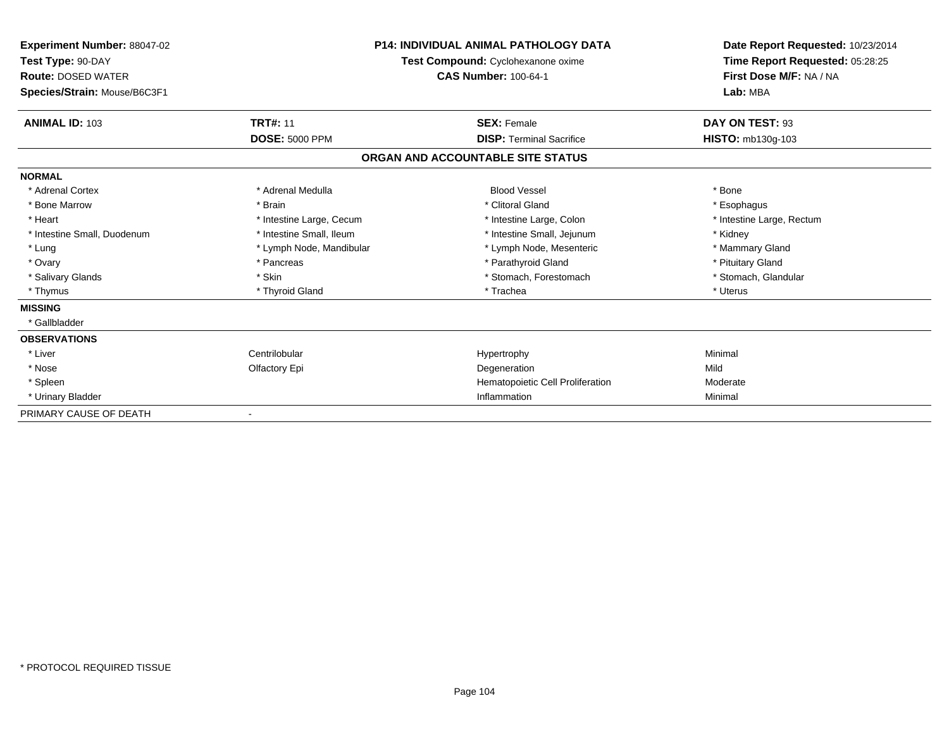| <b>Experiment Number: 88047-02</b><br>Test Type: 90-DAY<br><b>Route: DOSED WATER</b><br>Species/Strain: Mouse/B6C3F1 | <b>P14: INDIVIDUAL ANIMAL PATHOLOGY DATA</b><br>Test Compound: Cyclohexanone oxime<br><b>CAS Number: 100-64-1</b> |                                   | Date Report Requested: 10/23/2014<br>Time Report Requested: 05:28:25<br>First Dose M/F: NA / NA<br>Lab: MBA |  |
|----------------------------------------------------------------------------------------------------------------------|-------------------------------------------------------------------------------------------------------------------|-----------------------------------|-------------------------------------------------------------------------------------------------------------|--|
| <b>ANIMAL ID: 103</b>                                                                                                | <b>TRT#: 11</b>                                                                                                   | <b>SEX: Female</b>                | DAY ON TEST: 93                                                                                             |  |
|                                                                                                                      | <b>DOSE: 5000 PPM</b>                                                                                             | <b>DISP: Terminal Sacrifice</b>   | HISTO: mb130q-103                                                                                           |  |
|                                                                                                                      |                                                                                                                   | ORGAN AND ACCOUNTABLE SITE STATUS |                                                                                                             |  |
| <b>NORMAL</b>                                                                                                        |                                                                                                                   |                                   |                                                                                                             |  |
| * Adrenal Cortex                                                                                                     | * Adrenal Medulla                                                                                                 | <b>Blood Vessel</b>               | * Bone                                                                                                      |  |
| * Bone Marrow                                                                                                        | * Brain                                                                                                           | * Clitoral Gland                  | * Esophagus                                                                                                 |  |
| * Heart                                                                                                              | * Intestine Large, Cecum                                                                                          | * Intestine Large, Colon          | * Intestine Large, Rectum                                                                                   |  |
| * Intestine Small, Duodenum                                                                                          | * Intestine Small, Ileum                                                                                          | * Intestine Small, Jejunum        | * Kidney                                                                                                    |  |
| * Lung                                                                                                               | * Lymph Node, Mandibular                                                                                          | * Lymph Node, Mesenteric          | * Mammary Gland                                                                                             |  |
| * Ovary                                                                                                              | * Pancreas                                                                                                        | * Parathyroid Gland               | * Pituitary Gland                                                                                           |  |
| * Salivary Glands                                                                                                    | * Skin                                                                                                            | * Stomach, Forestomach            | * Stomach, Glandular                                                                                        |  |
| * Thymus                                                                                                             | * Thyroid Gland                                                                                                   | * Trachea                         | * Uterus                                                                                                    |  |
| <b>MISSING</b>                                                                                                       |                                                                                                                   |                                   |                                                                                                             |  |
| * Gallbladder                                                                                                        |                                                                                                                   |                                   |                                                                                                             |  |
| <b>OBSERVATIONS</b>                                                                                                  |                                                                                                                   |                                   |                                                                                                             |  |
| * Liver                                                                                                              | Centrilobular                                                                                                     | Hypertrophy                       | Minimal                                                                                                     |  |
| * Nose                                                                                                               | Olfactory Epi                                                                                                     | Degeneration                      | Mild                                                                                                        |  |
| * Spleen                                                                                                             |                                                                                                                   | Hematopoietic Cell Proliferation  | Moderate                                                                                                    |  |
| * Urinary Bladder                                                                                                    |                                                                                                                   | Inflammation                      | Minimal                                                                                                     |  |
| PRIMARY CAUSE OF DEATH                                                                                               |                                                                                                                   |                                   |                                                                                                             |  |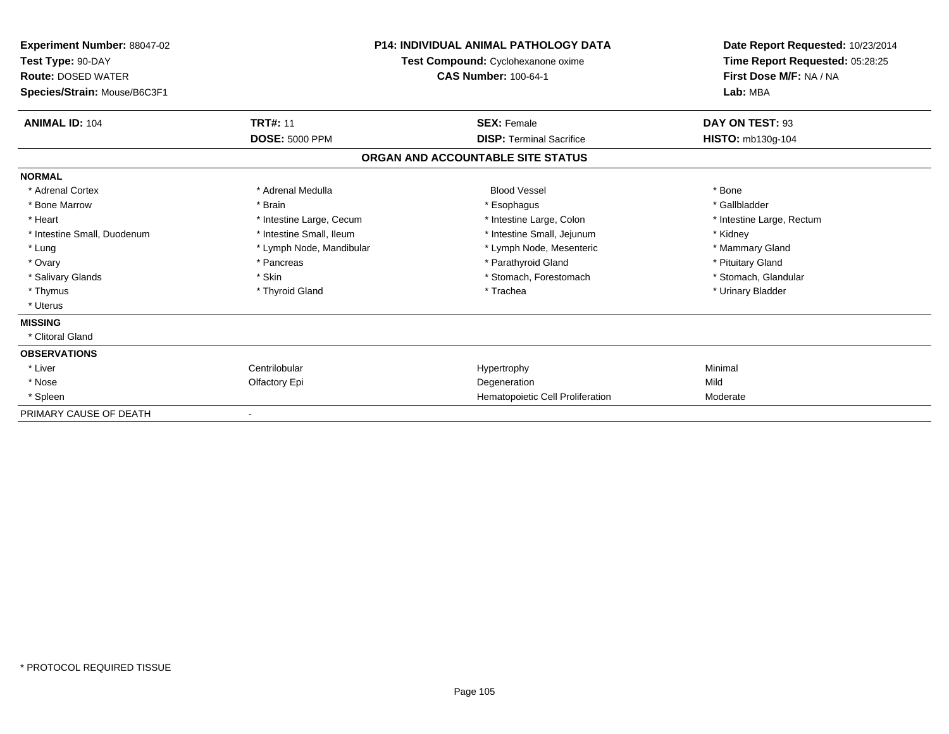| <b>Experiment Number: 88047-02</b><br>Test Type: 90-DAY<br><b>Route: DOSED WATER</b><br>Species/Strain: Mouse/B6C3F1 | <b>P14: INDIVIDUAL ANIMAL PATHOLOGY DATA</b><br>Test Compound: Cyclohexanone oxime<br><b>CAS Number: 100-64-1</b> |                                         | Date Report Requested: 10/23/2014<br>Time Report Requested: 05:28:25<br>First Dose M/F: NA / NA<br>Lab: MBA |
|----------------------------------------------------------------------------------------------------------------------|-------------------------------------------------------------------------------------------------------------------|-----------------------------------------|-------------------------------------------------------------------------------------------------------------|
| <b>ANIMAL ID: 104</b>                                                                                                | <b>TRT#: 11</b>                                                                                                   | <b>SEX: Female</b>                      | DAY ON TEST: 93                                                                                             |
|                                                                                                                      | <b>DOSE: 5000 PPM</b>                                                                                             | <b>DISP: Terminal Sacrifice</b>         | HISTO: mb130q-104                                                                                           |
|                                                                                                                      |                                                                                                                   | ORGAN AND ACCOUNTABLE SITE STATUS       |                                                                                                             |
| <b>NORMAL</b>                                                                                                        |                                                                                                                   |                                         |                                                                                                             |
| * Adrenal Cortex                                                                                                     | * Adrenal Medulla                                                                                                 | <b>Blood Vessel</b>                     | * Bone                                                                                                      |
| * Bone Marrow                                                                                                        | * Brain                                                                                                           | * Esophagus                             | * Gallbladder                                                                                               |
| * Heart                                                                                                              | * Intestine Large, Cecum                                                                                          | * Intestine Large, Colon                | * Intestine Large, Rectum                                                                                   |
| * Intestine Small, Duodenum                                                                                          | * Intestine Small, Ileum                                                                                          | * Intestine Small, Jejunum              | * Kidney                                                                                                    |
| * Lung                                                                                                               | * Lymph Node, Mandibular                                                                                          | * Lymph Node, Mesenteric                | * Mammary Gland                                                                                             |
| * Ovary                                                                                                              | * Pancreas                                                                                                        | * Parathyroid Gland                     | * Pituitary Gland                                                                                           |
| * Salivary Glands                                                                                                    | * Skin                                                                                                            | * Stomach, Forestomach                  | * Stomach, Glandular                                                                                        |
| * Thymus                                                                                                             | * Thyroid Gland                                                                                                   | * Trachea                               | * Urinary Bladder                                                                                           |
| * Uterus                                                                                                             |                                                                                                                   |                                         |                                                                                                             |
| <b>MISSING</b>                                                                                                       |                                                                                                                   |                                         |                                                                                                             |
| * Clitoral Gland                                                                                                     |                                                                                                                   |                                         |                                                                                                             |
| <b>OBSERVATIONS</b>                                                                                                  |                                                                                                                   |                                         |                                                                                                             |
| * Liver                                                                                                              | Centrilobular                                                                                                     | Hypertrophy                             | Minimal                                                                                                     |
| * Nose                                                                                                               | Olfactory Epi                                                                                                     | Degeneration                            | Mild                                                                                                        |
| * Spleen                                                                                                             |                                                                                                                   | <b>Hematopoietic Cell Proliferation</b> | Moderate                                                                                                    |
| PRIMARY CAUSE OF DEATH                                                                                               |                                                                                                                   |                                         |                                                                                                             |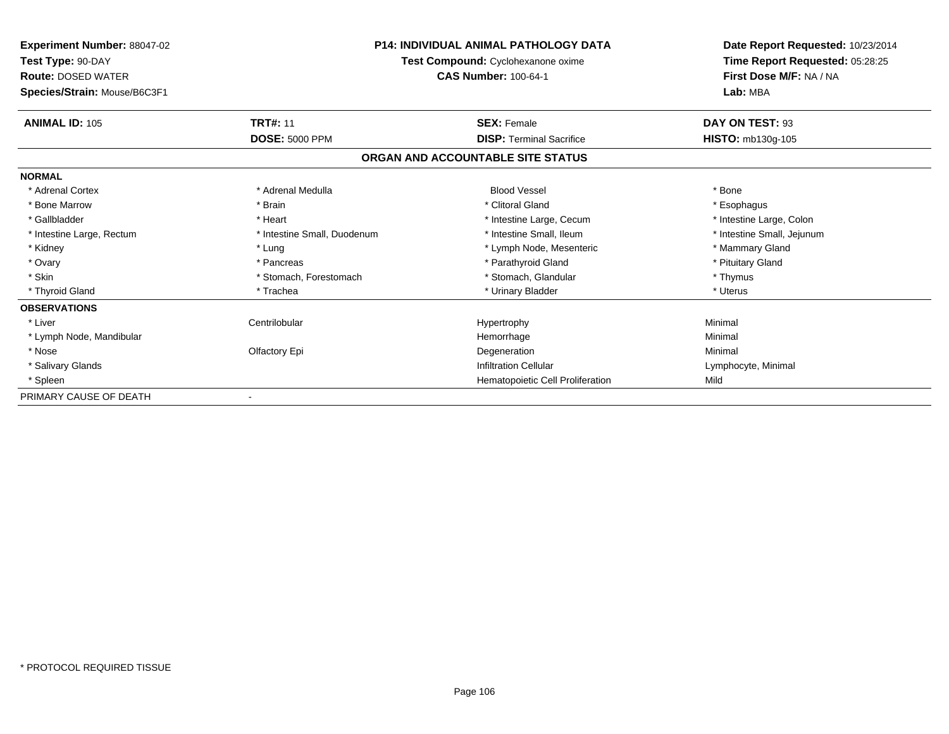| <b>Experiment Number: 88047-02</b><br>Test Type: 90-DAY<br><b>Route: DOSED WATER</b><br>Species/Strain: Mouse/B6C3F1 | <b>P14: INDIVIDUAL ANIMAL PATHOLOGY DATA</b><br>Test Compound: Cyclohexanone oxime<br><b>CAS Number: 100-64-1</b> |                                   | Date Report Requested: 10/23/2014<br>Time Report Requested: 05:28:25<br>First Dose M/F: NA / NA<br>Lab: MBA |
|----------------------------------------------------------------------------------------------------------------------|-------------------------------------------------------------------------------------------------------------------|-----------------------------------|-------------------------------------------------------------------------------------------------------------|
| <b>ANIMAL ID: 105</b>                                                                                                | <b>TRT#: 11</b>                                                                                                   | <b>SEX: Female</b>                | DAY ON TEST: 93                                                                                             |
|                                                                                                                      | <b>DOSE: 5000 PPM</b>                                                                                             | <b>DISP:</b> Terminal Sacrifice   | HISTO: mb130g-105                                                                                           |
|                                                                                                                      |                                                                                                                   | ORGAN AND ACCOUNTABLE SITE STATUS |                                                                                                             |
| <b>NORMAL</b>                                                                                                        |                                                                                                                   |                                   |                                                                                                             |
| * Adrenal Cortex                                                                                                     | * Adrenal Medulla                                                                                                 | <b>Blood Vessel</b>               | * Bone                                                                                                      |
| * Bone Marrow                                                                                                        | * Brain                                                                                                           | * Clitoral Gland                  | * Esophagus                                                                                                 |
| * Gallbladder                                                                                                        | * Heart                                                                                                           | * Intestine Large, Cecum          | * Intestine Large, Colon                                                                                    |
| * Intestine Large, Rectum                                                                                            | * Intestine Small, Duodenum                                                                                       | * Intestine Small, Ileum          | * Intestine Small, Jejunum                                                                                  |
| * Kidney                                                                                                             | * Lung                                                                                                            | * Lymph Node, Mesenteric          | * Mammary Gland                                                                                             |
| * Ovary                                                                                                              | * Pancreas                                                                                                        | * Parathyroid Gland               | * Pituitary Gland                                                                                           |
| * Skin                                                                                                               | * Stomach, Forestomach                                                                                            | * Stomach, Glandular              | * Thymus                                                                                                    |
| * Thyroid Gland                                                                                                      | * Trachea                                                                                                         | * Urinary Bladder                 | * Uterus                                                                                                    |
| <b>OBSERVATIONS</b>                                                                                                  |                                                                                                                   |                                   |                                                                                                             |
| * Liver                                                                                                              | Centrilobular                                                                                                     | Hypertrophy                       | Minimal                                                                                                     |
| * Lymph Node, Mandibular                                                                                             |                                                                                                                   | Hemorrhage                        | Minimal                                                                                                     |
| * Nose                                                                                                               | Olfactory Epi                                                                                                     | Degeneration                      | Minimal                                                                                                     |
| * Salivary Glands                                                                                                    |                                                                                                                   | <b>Infiltration Cellular</b>      | Lymphocyte, Minimal                                                                                         |
| * Spleen                                                                                                             |                                                                                                                   | Hematopoietic Cell Proliferation  | Mild                                                                                                        |
| PRIMARY CAUSE OF DEATH                                                                                               |                                                                                                                   |                                   |                                                                                                             |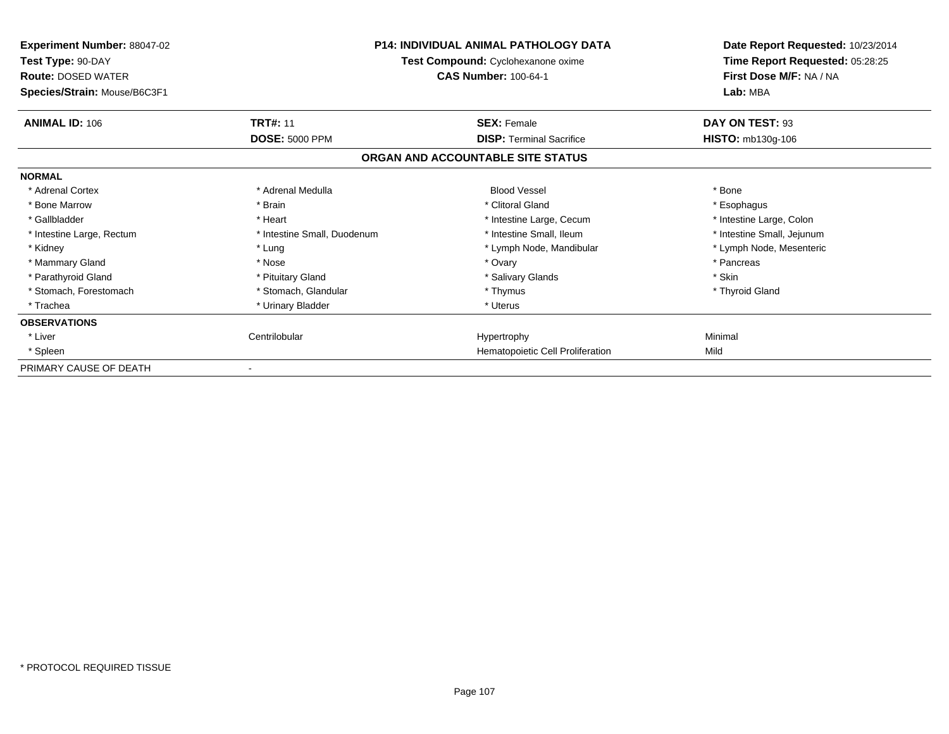| Experiment Number: 88047-02<br>Test Type: 90-DAY<br><b>Route: DOSED WATER</b><br>Species/Strain: Mouse/B6C3F1 | <b>P14: INDIVIDUAL ANIMAL PATHOLOGY DATA</b><br>Test Compound: Cyclohexanone oxime<br><b>CAS Number: 100-64-1</b> |                                   | Date Report Requested: 10/23/2014<br>Time Report Requested: 05:28:25<br>First Dose M/F: NA / NA<br>Lab: MBA |
|---------------------------------------------------------------------------------------------------------------|-------------------------------------------------------------------------------------------------------------------|-----------------------------------|-------------------------------------------------------------------------------------------------------------|
| <b>ANIMAL ID: 106</b>                                                                                         | <b>TRT#: 11</b>                                                                                                   | <b>SEX: Female</b>                | DAY ON TEST: 93                                                                                             |
|                                                                                                               | <b>DOSE: 5000 PPM</b>                                                                                             | <b>DISP: Terminal Sacrifice</b>   | HISTO: mb130g-106                                                                                           |
|                                                                                                               |                                                                                                                   | ORGAN AND ACCOUNTABLE SITE STATUS |                                                                                                             |
| <b>NORMAL</b>                                                                                                 |                                                                                                                   |                                   |                                                                                                             |
| * Adrenal Cortex                                                                                              | * Adrenal Medulla                                                                                                 | <b>Blood Vessel</b>               | * Bone                                                                                                      |
| * Bone Marrow                                                                                                 | * Brain                                                                                                           | * Clitoral Gland                  | * Esophagus                                                                                                 |
| * Gallbladder                                                                                                 | * Heart                                                                                                           | * Intestine Large, Cecum          | * Intestine Large, Colon                                                                                    |
| * Intestine Large, Rectum                                                                                     | * Intestine Small, Duodenum                                                                                       | * Intestine Small, Ileum          | * Intestine Small, Jejunum                                                                                  |
| * Kidney                                                                                                      | * Lung                                                                                                            | * Lymph Node, Mandibular          | * Lymph Node, Mesenteric                                                                                    |
| * Mammary Gland                                                                                               | * Nose                                                                                                            | * Ovary                           | * Pancreas                                                                                                  |
| * Parathyroid Gland                                                                                           | * Pituitary Gland                                                                                                 | * Salivary Glands                 | * Skin                                                                                                      |
| * Stomach, Forestomach                                                                                        | * Stomach, Glandular                                                                                              | * Thymus                          | * Thyroid Gland                                                                                             |
| * Trachea                                                                                                     | * Urinary Bladder                                                                                                 | * Uterus                          |                                                                                                             |
| <b>OBSERVATIONS</b>                                                                                           |                                                                                                                   |                                   |                                                                                                             |
| * Liver                                                                                                       | Centrilobular                                                                                                     | Hypertrophy                       | Minimal                                                                                                     |
| * Spleen                                                                                                      |                                                                                                                   | Hematopoietic Cell Proliferation  | Mild                                                                                                        |
| PRIMARY CAUSE OF DEATH                                                                                        |                                                                                                                   |                                   |                                                                                                             |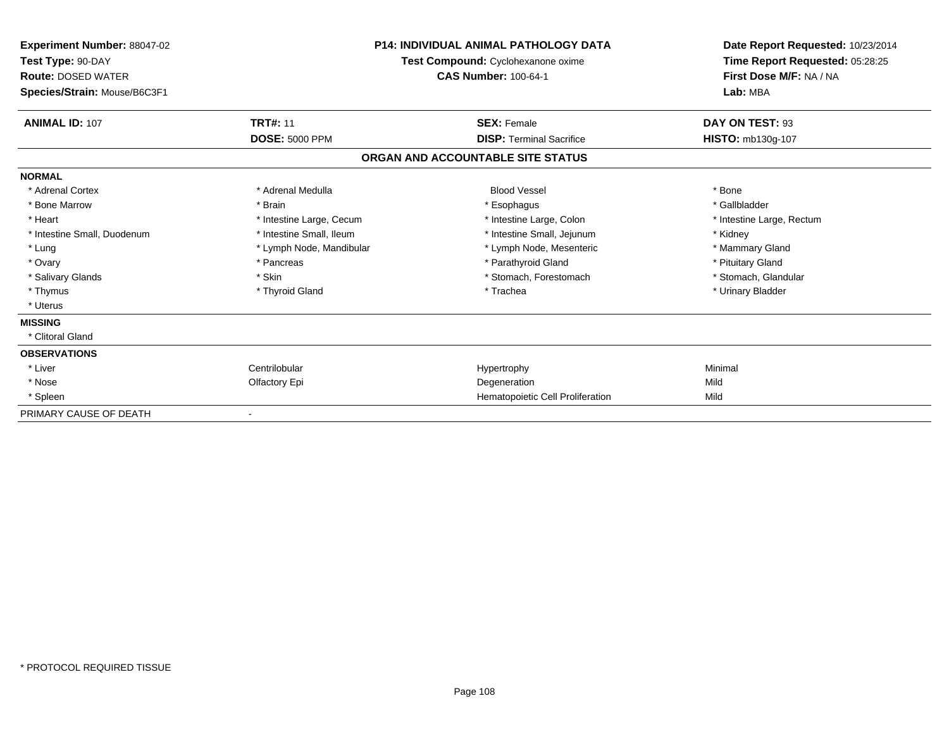| <b>Experiment Number: 88047-02</b><br>Test Type: 90-DAY<br><b>Route: DOSED WATER</b><br>Species/Strain: Mouse/B6C3F1 | <b>P14: INDIVIDUAL ANIMAL PATHOLOGY DATA</b><br>Test Compound: Cyclohexanone oxime<br><b>CAS Number: 100-64-1</b> |                                         | Date Report Requested: 10/23/2014<br>Time Report Requested: 05:28:25<br>First Dose M/F: NA / NA<br>Lab: MBA |
|----------------------------------------------------------------------------------------------------------------------|-------------------------------------------------------------------------------------------------------------------|-----------------------------------------|-------------------------------------------------------------------------------------------------------------|
| <b>ANIMAL ID: 107</b>                                                                                                | <b>TRT#: 11</b>                                                                                                   | <b>SEX: Female</b>                      | DAY ON TEST: 93                                                                                             |
|                                                                                                                      | <b>DOSE: 5000 PPM</b>                                                                                             | <b>DISP: Terminal Sacrifice</b>         | HISTO: mb130q-107                                                                                           |
|                                                                                                                      |                                                                                                                   | ORGAN AND ACCOUNTABLE SITE STATUS       |                                                                                                             |
| <b>NORMAL</b>                                                                                                        |                                                                                                                   |                                         |                                                                                                             |
| * Adrenal Cortex                                                                                                     | * Adrenal Medulla                                                                                                 | <b>Blood Vessel</b>                     | * Bone                                                                                                      |
| * Bone Marrow                                                                                                        | * Brain                                                                                                           | * Esophagus                             | * Gallbladder                                                                                               |
| * Heart                                                                                                              | * Intestine Large, Cecum                                                                                          | * Intestine Large, Colon                | * Intestine Large, Rectum                                                                                   |
| * Intestine Small, Duodenum                                                                                          | * Intestine Small, Ileum                                                                                          | * Intestine Small, Jejunum              | * Kidney                                                                                                    |
| * Lung                                                                                                               | * Lymph Node, Mandibular                                                                                          | * Lymph Node, Mesenteric                | * Mammary Gland                                                                                             |
| * Ovary                                                                                                              | * Pancreas                                                                                                        | * Parathyroid Gland                     | * Pituitary Gland                                                                                           |
| * Salivary Glands                                                                                                    | * Skin                                                                                                            | * Stomach, Forestomach                  | * Stomach, Glandular                                                                                        |
| * Thymus                                                                                                             | * Thyroid Gland                                                                                                   | * Trachea                               | * Urinary Bladder                                                                                           |
| * Uterus                                                                                                             |                                                                                                                   |                                         |                                                                                                             |
| <b>MISSING</b>                                                                                                       |                                                                                                                   |                                         |                                                                                                             |
| * Clitoral Gland                                                                                                     |                                                                                                                   |                                         |                                                                                                             |
| <b>OBSERVATIONS</b>                                                                                                  |                                                                                                                   |                                         |                                                                                                             |
| * Liver                                                                                                              | Centrilobular                                                                                                     | Hypertrophy                             | Minimal                                                                                                     |
| * Nose                                                                                                               | Olfactory Epi                                                                                                     | Degeneration                            | Mild                                                                                                        |
| * Spleen                                                                                                             |                                                                                                                   | <b>Hematopoietic Cell Proliferation</b> | Mild                                                                                                        |
| PRIMARY CAUSE OF DEATH                                                                                               |                                                                                                                   |                                         |                                                                                                             |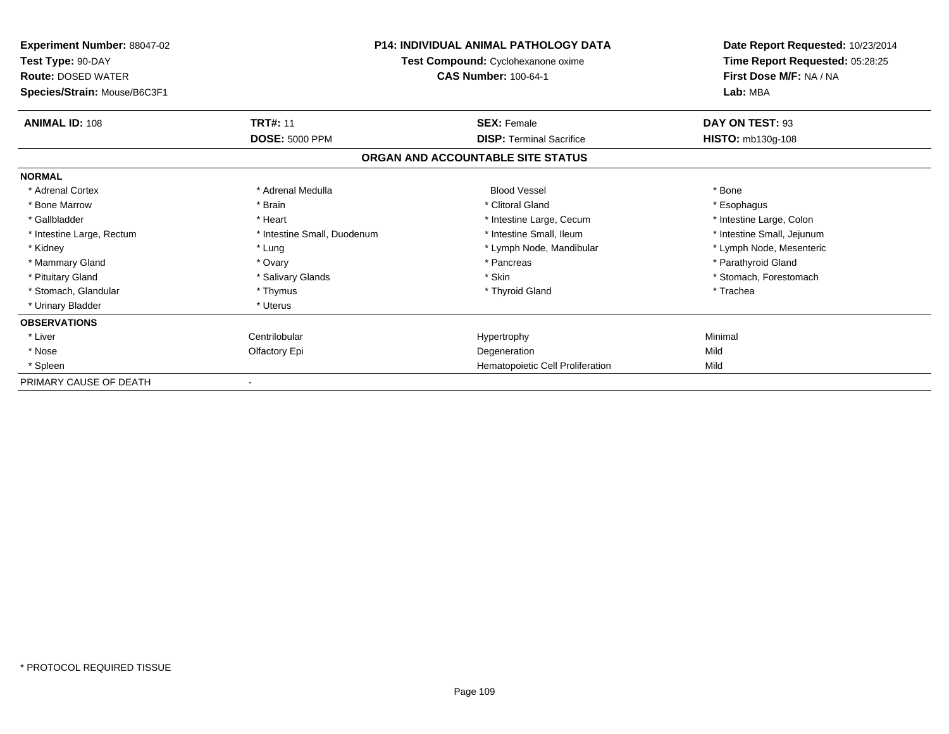| <b>Experiment Number: 88047-02</b><br>Test Type: 90-DAY<br><b>Route: DOSED WATER</b><br>Species/Strain: Mouse/B6C3F1 | <b>P14: INDIVIDUAL ANIMAL PATHOLOGY DATA</b><br>Test Compound: Cyclohexanone oxime<br><b>CAS Number: 100-64-1</b> |                                   | Date Report Requested: 10/23/2014<br>Time Report Requested: 05:28:25<br>First Dose M/F: NA / NA<br>Lab: MBA |  |
|----------------------------------------------------------------------------------------------------------------------|-------------------------------------------------------------------------------------------------------------------|-----------------------------------|-------------------------------------------------------------------------------------------------------------|--|
| <b>ANIMAL ID: 108</b>                                                                                                | <b>TRT#: 11</b>                                                                                                   | <b>SEX: Female</b>                | DAY ON TEST: 93                                                                                             |  |
|                                                                                                                      | <b>DOSE: 5000 PPM</b>                                                                                             | <b>DISP: Terminal Sacrifice</b>   | <b>HISTO: mb130g-108</b>                                                                                    |  |
|                                                                                                                      |                                                                                                                   | ORGAN AND ACCOUNTABLE SITE STATUS |                                                                                                             |  |
| <b>NORMAL</b>                                                                                                        |                                                                                                                   |                                   |                                                                                                             |  |
| * Adrenal Cortex                                                                                                     | * Adrenal Medulla                                                                                                 | <b>Blood Vessel</b>               | * Bone                                                                                                      |  |
| * Bone Marrow                                                                                                        | * Brain                                                                                                           | * Clitoral Gland                  | * Esophagus                                                                                                 |  |
| * Gallbladder                                                                                                        | * Heart                                                                                                           | * Intestine Large, Cecum          | * Intestine Large, Colon                                                                                    |  |
| * Intestine Large, Rectum                                                                                            | * Intestine Small, Duodenum                                                                                       | * Intestine Small, Ileum          | * Intestine Small, Jejunum                                                                                  |  |
| * Kidney                                                                                                             | * Lung                                                                                                            | * Lymph Node, Mandibular          | * Lymph Node, Mesenteric                                                                                    |  |
| * Mammary Gland                                                                                                      | * Ovary                                                                                                           | * Pancreas                        | * Parathyroid Gland                                                                                         |  |
| * Pituitary Gland                                                                                                    | * Salivary Glands                                                                                                 | * Skin                            | * Stomach, Forestomach                                                                                      |  |
| * Stomach, Glandular                                                                                                 | * Thymus                                                                                                          | * Thyroid Gland                   | * Trachea                                                                                                   |  |
| * Urinary Bladder                                                                                                    | * Uterus                                                                                                          |                                   |                                                                                                             |  |
| <b>OBSERVATIONS</b>                                                                                                  |                                                                                                                   |                                   |                                                                                                             |  |
| * Liver                                                                                                              | Centrilobular                                                                                                     | Hypertrophy                       | Minimal                                                                                                     |  |
| * Nose                                                                                                               | Olfactory Epi                                                                                                     | Degeneration                      | Mild                                                                                                        |  |
| * Spleen                                                                                                             |                                                                                                                   | Hematopoietic Cell Proliferation  | Mild                                                                                                        |  |
| PRIMARY CAUSE OF DEATH                                                                                               |                                                                                                                   |                                   |                                                                                                             |  |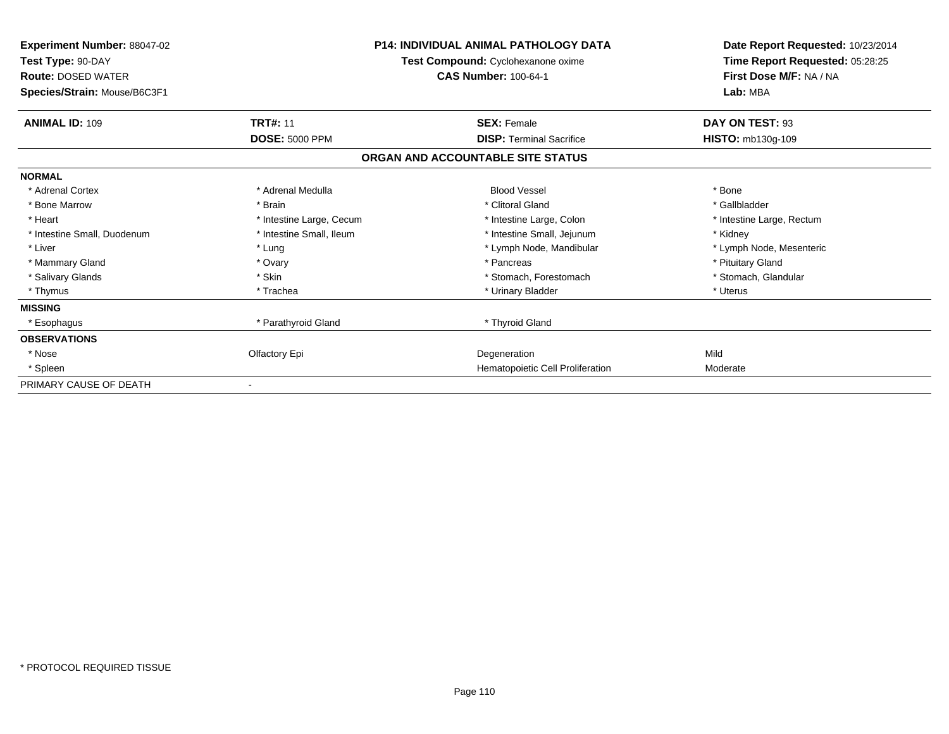| Experiment Number: 88047-02<br>Test Type: 90-DAY<br><b>Route: DOSED WATER</b><br>Species/Strain: Mouse/B6C3F1 |                          | <b>P14: INDIVIDUAL ANIMAL PATHOLOGY DATA</b><br>Test Compound: Cyclohexanone oxime<br><b>CAS Number: 100-64-1</b> | Date Report Requested: 10/23/2014<br>Time Report Requested: 05:28:25<br>First Dose M/F: NA / NA<br>Lab: MBA |  |
|---------------------------------------------------------------------------------------------------------------|--------------------------|-------------------------------------------------------------------------------------------------------------------|-------------------------------------------------------------------------------------------------------------|--|
| <b>ANIMAL ID: 109</b>                                                                                         | <b>TRT#: 11</b>          | <b>SEX: Female</b>                                                                                                | DAY ON TEST: 93                                                                                             |  |
|                                                                                                               | <b>DOSE: 5000 PPM</b>    | <b>DISP: Terminal Sacrifice</b>                                                                                   | HISTO: mb130g-109                                                                                           |  |
|                                                                                                               |                          | ORGAN AND ACCOUNTABLE SITE STATUS                                                                                 |                                                                                                             |  |
| <b>NORMAL</b>                                                                                                 |                          |                                                                                                                   |                                                                                                             |  |
| * Adrenal Cortex                                                                                              | * Adrenal Medulla        | <b>Blood Vessel</b>                                                                                               | * Bone                                                                                                      |  |
| * Bone Marrow                                                                                                 | * Brain                  | * Clitoral Gland                                                                                                  | * Gallbladder                                                                                               |  |
| * Heart                                                                                                       | * Intestine Large, Cecum | * Intestine Large, Colon                                                                                          | * Intestine Large, Rectum                                                                                   |  |
| * Intestine Small, Duodenum                                                                                   | * Intestine Small. Ileum | * Intestine Small, Jejunum                                                                                        | * Kidney                                                                                                    |  |
| * Liver                                                                                                       | * Lung                   | * Lymph Node, Mandibular                                                                                          | * Lymph Node, Mesenteric                                                                                    |  |
| * Mammary Gland                                                                                               | * Ovary                  | * Pancreas                                                                                                        | * Pituitary Gland                                                                                           |  |
| * Salivary Glands                                                                                             | * Skin                   | * Stomach, Forestomach                                                                                            | * Stomach, Glandular                                                                                        |  |
| * Thymus                                                                                                      | * Trachea                | * Urinary Bladder                                                                                                 | * Uterus                                                                                                    |  |
| <b>MISSING</b>                                                                                                |                          |                                                                                                                   |                                                                                                             |  |
| * Esophagus                                                                                                   | * Parathyroid Gland      | * Thyroid Gland                                                                                                   |                                                                                                             |  |
| <b>OBSERVATIONS</b>                                                                                           |                          |                                                                                                                   |                                                                                                             |  |
| * Nose                                                                                                        | Olfactory Epi            | Degeneration                                                                                                      | Mild                                                                                                        |  |
| * Spleen                                                                                                      |                          | Hematopoietic Cell Proliferation                                                                                  | Moderate                                                                                                    |  |
| PRIMARY CAUSE OF DEATH                                                                                        |                          |                                                                                                                   |                                                                                                             |  |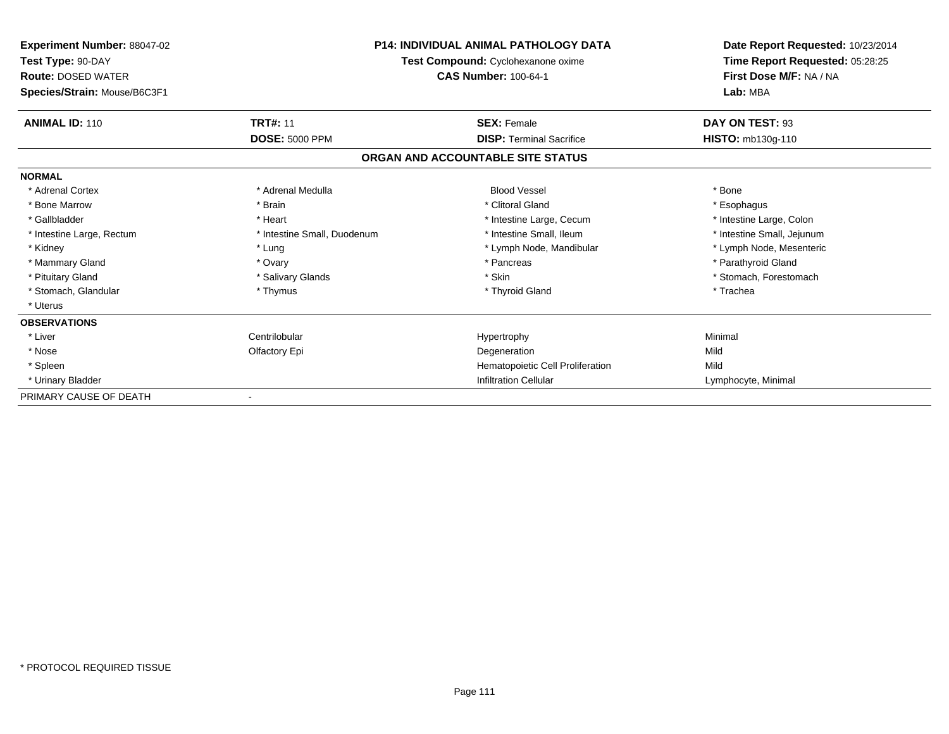| <b>Experiment Number: 88047-02</b><br>Test Type: 90-DAY<br><b>Route: DOSED WATER</b><br>Species/Strain: Mouse/B6C3F1 | <b>P14: INDIVIDUAL ANIMAL PATHOLOGY DATA</b><br>Test Compound: Cyclohexanone oxime<br><b>CAS Number: 100-64-1</b> |                                   | Date Report Requested: 10/23/2014<br>Time Report Requested: 05:28:25<br>First Dose M/F: NA / NA<br>Lab: MBA |
|----------------------------------------------------------------------------------------------------------------------|-------------------------------------------------------------------------------------------------------------------|-----------------------------------|-------------------------------------------------------------------------------------------------------------|
| <b>ANIMAL ID: 110</b>                                                                                                | <b>TRT#: 11</b>                                                                                                   | <b>SEX: Female</b>                | DAY ON TEST: 93                                                                                             |
|                                                                                                                      | <b>DOSE: 5000 PPM</b>                                                                                             | <b>DISP: Terminal Sacrifice</b>   | HISTO: mb130q-110                                                                                           |
|                                                                                                                      |                                                                                                                   | ORGAN AND ACCOUNTABLE SITE STATUS |                                                                                                             |
| <b>NORMAL</b>                                                                                                        |                                                                                                                   |                                   |                                                                                                             |
| * Adrenal Cortex                                                                                                     | * Adrenal Medulla                                                                                                 | <b>Blood Vessel</b>               | * Bone                                                                                                      |
| * Bone Marrow                                                                                                        | * Brain                                                                                                           | * Clitoral Gland                  | * Esophagus                                                                                                 |
| * Gallbladder                                                                                                        | * Heart                                                                                                           | * Intestine Large, Cecum          | * Intestine Large, Colon                                                                                    |
| * Intestine Large, Rectum                                                                                            | * Intestine Small, Duodenum                                                                                       | * Intestine Small, Ileum          | * Intestine Small, Jejunum                                                                                  |
| * Kidney                                                                                                             | * Lung                                                                                                            | * Lymph Node, Mandibular          | * Lymph Node, Mesenteric                                                                                    |
| * Mammary Gland                                                                                                      | * Ovary                                                                                                           | * Pancreas                        | * Parathyroid Gland                                                                                         |
| * Pituitary Gland                                                                                                    | * Salivary Glands                                                                                                 | * Skin                            | * Stomach, Forestomach                                                                                      |
| * Stomach, Glandular                                                                                                 | * Thymus                                                                                                          | * Thyroid Gland                   | * Trachea                                                                                                   |
| * Uterus                                                                                                             |                                                                                                                   |                                   |                                                                                                             |
| <b>OBSERVATIONS</b>                                                                                                  |                                                                                                                   |                                   |                                                                                                             |
| * Liver                                                                                                              | Centrilobular                                                                                                     | Hypertrophy                       | Minimal                                                                                                     |
| * Nose                                                                                                               | Olfactory Epi                                                                                                     | Degeneration                      | Mild                                                                                                        |
| * Spleen                                                                                                             |                                                                                                                   | Hematopoietic Cell Proliferation  | Mild                                                                                                        |
| * Urinary Bladder                                                                                                    |                                                                                                                   | <b>Infiltration Cellular</b>      | Lymphocyte, Minimal                                                                                         |
| PRIMARY CAUSE OF DEATH                                                                                               |                                                                                                                   |                                   |                                                                                                             |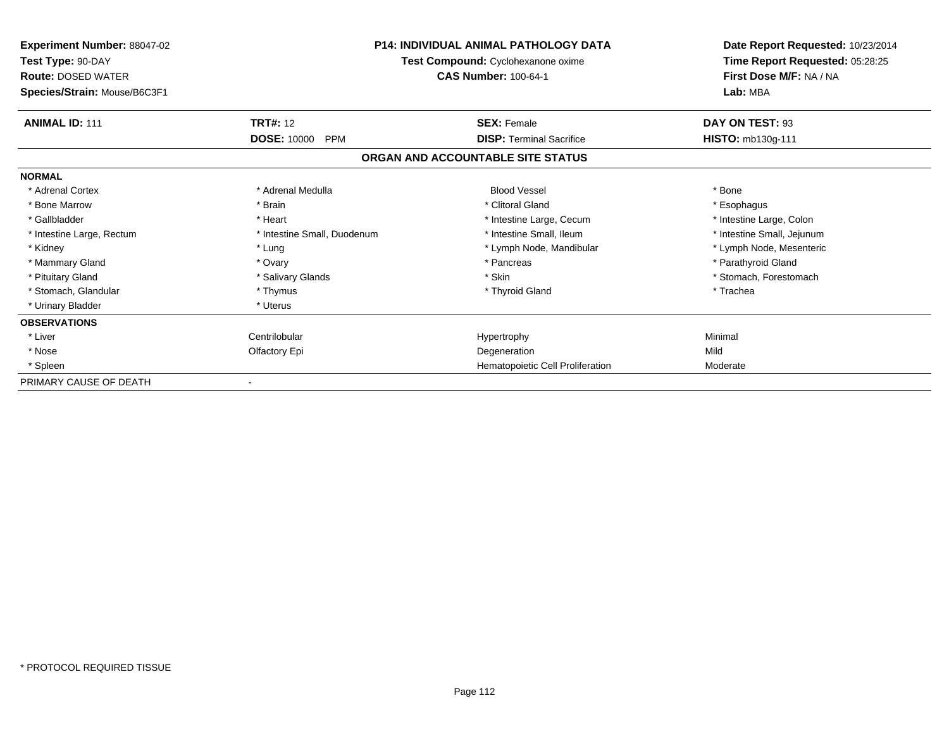| <b>Experiment Number: 88047-02</b><br>Test Type: 90-DAY<br><b>Route: DOSED WATER</b><br>Species/Strain: Mouse/B6C3F1 |                                  | <b>P14: INDIVIDUAL ANIMAL PATHOLOGY DATA</b><br>Test Compound: Cyclohexanone oxime<br><b>CAS Number: 100-64-1</b> | Date Report Requested: 10/23/2014<br>Time Report Requested: 05:28:25<br>First Dose M/F: NA / NA<br>Lab: MBA |  |
|----------------------------------------------------------------------------------------------------------------------|----------------------------------|-------------------------------------------------------------------------------------------------------------------|-------------------------------------------------------------------------------------------------------------|--|
| <b>ANIMAL ID: 111</b>                                                                                                | <b>TRT#: 12</b>                  | <b>SEX: Female</b>                                                                                                | DAY ON TEST: 93                                                                                             |  |
|                                                                                                                      | <b>DOSE: 10000</b><br><b>PPM</b> | <b>DISP: Terminal Sacrifice</b>                                                                                   | HISTO: mb130g-111                                                                                           |  |
|                                                                                                                      |                                  | ORGAN AND ACCOUNTABLE SITE STATUS                                                                                 |                                                                                                             |  |
| <b>NORMAL</b>                                                                                                        |                                  |                                                                                                                   |                                                                                                             |  |
| * Adrenal Cortex                                                                                                     | * Adrenal Medulla                | <b>Blood Vessel</b>                                                                                               | * Bone                                                                                                      |  |
| * Bone Marrow                                                                                                        | * Brain                          | * Clitoral Gland                                                                                                  | * Esophagus                                                                                                 |  |
| * Gallbladder                                                                                                        | * Heart                          | * Intestine Large, Cecum                                                                                          | * Intestine Large, Colon                                                                                    |  |
| * Intestine Large, Rectum                                                                                            | * Intestine Small, Duodenum      | * Intestine Small, Ileum                                                                                          | * Intestine Small, Jejunum                                                                                  |  |
| * Kidney                                                                                                             | * Lung                           | * Lymph Node, Mandibular                                                                                          | * Lymph Node, Mesenteric                                                                                    |  |
| * Mammary Gland                                                                                                      | * Ovary                          | * Pancreas                                                                                                        | * Parathyroid Gland                                                                                         |  |
| * Pituitary Gland                                                                                                    | * Salivary Glands                | * Skin                                                                                                            | * Stomach, Forestomach                                                                                      |  |
| * Stomach, Glandular                                                                                                 | * Thymus                         | * Thyroid Gland                                                                                                   | * Trachea                                                                                                   |  |
| * Urinary Bladder                                                                                                    | * Uterus                         |                                                                                                                   |                                                                                                             |  |
| <b>OBSERVATIONS</b>                                                                                                  |                                  |                                                                                                                   |                                                                                                             |  |
| * Liver                                                                                                              | Centrilobular                    | Hypertrophy                                                                                                       | Minimal                                                                                                     |  |
| * Nose                                                                                                               | Olfactory Epi                    | Degeneration                                                                                                      | Mild                                                                                                        |  |
| * Spleen                                                                                                             |                                  | Hematopoietic Cell Proliferation                                                                                  | Moderate                                                                                                    |  |
| PRIMARY CAUSE OF DEATH                                                                                               |                                  |                                                                                                                   |                                                                                                             |  |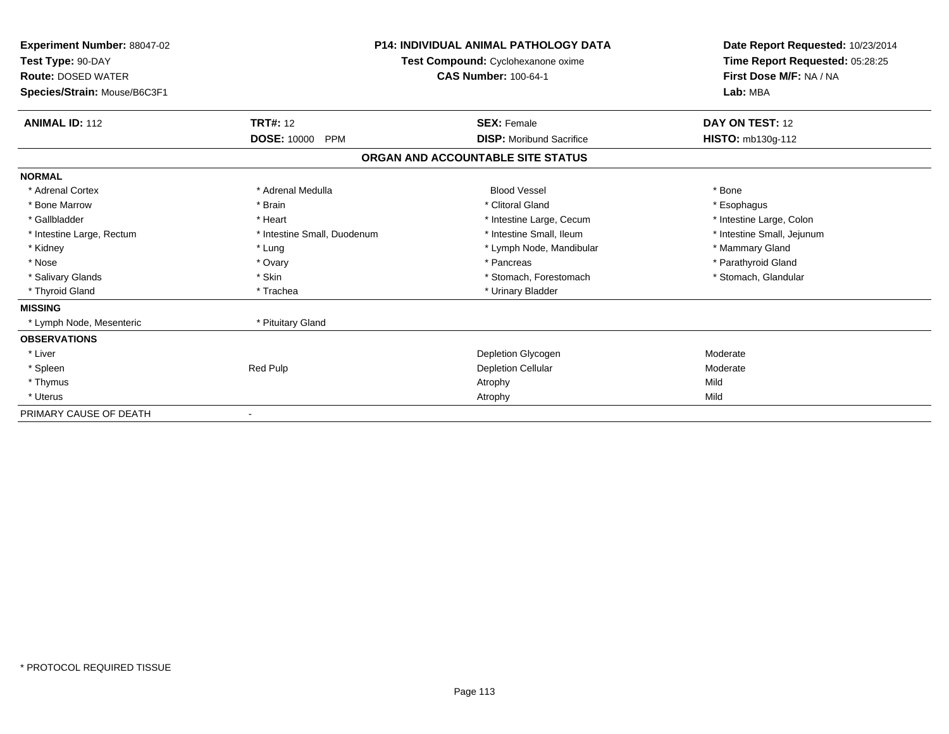| Experiment Number: 88047-02<br>Test Type: 90-DAY<br><b>Route: DOSED WATER</b><br>Species/Strain: Mouse/B6C3F1 | <b>P14: INDIVIDUAL ANIMAL PATHOLOGY DATA</b><br>Test Compound: Cyclohexanone oxime<br><b>CAS Number: 100-64-1</b> |                                   | Date Report Requested: 10/23/2014<br>Time Report Requested: 05:28:25<br>First Dose M/F: NA / NA<br>Lab: MBA |
|---------------------------------------------------------------------------------------------------------------|-------------------------------------------------------------------------------------------------------------------|-----------------------------------|-------------------------------------------------------------------------------------------------------------|
| <b>ANIMAL ID: 112</b>                                                                                         | <b>TRT#: 12</b>                                                                                                   | <b>SEX: Female</b>                | DAY ON TEST: 12                                                                                             |
|                                                                                                               | <b>DOSE: 10000</b><br><b>PPM</b>                                                                                  | <b>DISP:</b> Moribund Sacrifice   | HISTO: mb130g-112                                                                                           |
|                                                                                                               |                                                                                                                   | ORGAN AND ACCOUNTABLE SITE STATUS |                                                                                                             |
| <b>NORMAL</b>                                                                                                 |                                                                                                                   |                                   |                                                                                                             |
| * Adrenal Cortex                                                                                              | * Adrenal Medulla                                                                                                 | <b>Blood Vessel</b>               | * Bone                                                                                                      |
| * Bone Marrow                                                                                                 | * Brain                                                                                                           | * Clitoral Gland                  | * Esophagus                                                                                                 |
| * Gallbladder                                                                                                 | * Heart                                                                                                           | * Intestine Large, Cecum          | * Intestine Large, Colon                                                                                    |
| * Intestine Large, Rectum                                                                                     | * Intestine Small, Duodenum                                                                                       | * Intestine Small, Ileum          | * Intestine Small, Jejunum                                                                                  |
| * Kidney                                                                                                      | * Lung                                                                                                            | * Lymph Node, Mandibular          | * Mammary Gland                                                                                             |
| * Nose                                                                                                        | * Ovary                                                                                                           | * Pancreas                        | * Parathyroid Gland                                                                                         |
| * Salivary Glands                                                                                             | * Skin                                                                                                            | * Stomach, Forestomach            | * Stomach, Glandular                                                                                        |
| * Thyroid Gland                                                                                               | * Trachea                                                                                                         | * Urinary Bladder                 |                                                                                                             |
| <b>MISSING</b>                                                                                                |                                                                                                                   |                                   |                                                                                                             |
| * Lymph Node, Mesenteric                                                                                      | * Pituitary Gland                                                                                                 |                                   |                                                                                                             |
| <b>OBSERVATIONS</b>                                                                                           |                                                                                                                   |                                   |                                                                                                             |
| * Liver                                                                                                       |                                                                                                                   | Depletion Glycogen                | Moderate                                                                                                    |
| * Spleen                                                                                                      | Red Pulp                                                                                                          | <b>Depletion Cellular</b>         | Moderate                                                                                                    |
| * Thymus                                                                                                      |                                                                                                                   | Atrophy                           | Mild                                                                                                        |
| * Uterus                                                                                                      |                                                                                                                   | Atrophy                           | Mild                                                                                                        |
| PRIMARY CAUSE OF DEATH                                                                                        |                                                                                                                   |                                   |                                                                                                             |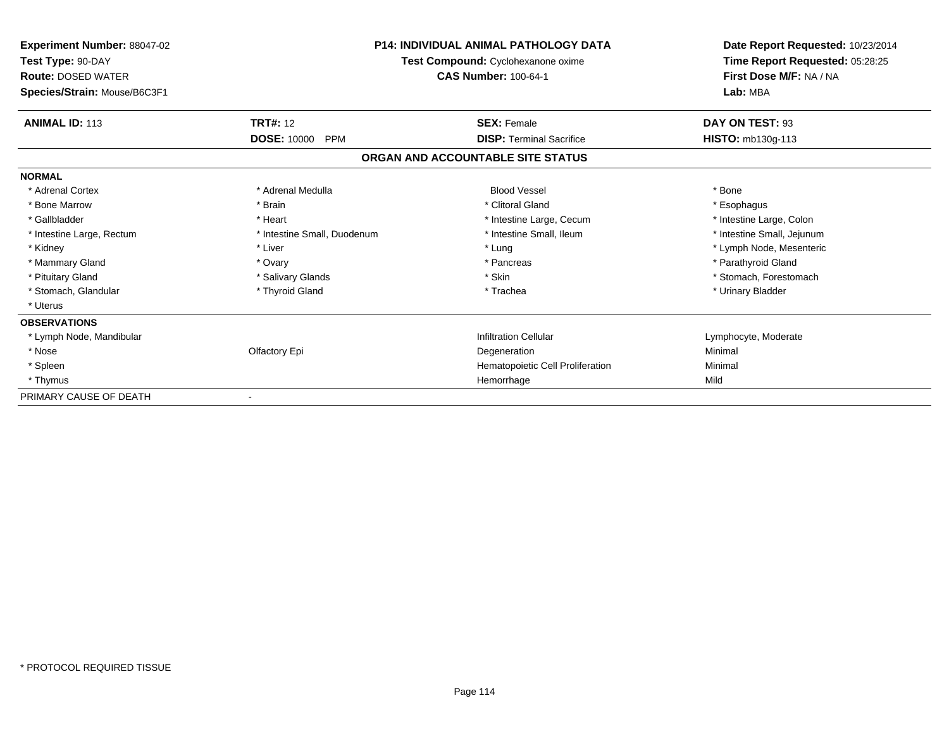| <b>Experiment Number: 88047-02</b><br>Test Type: 90-DAY<br><b>Route: DOSED WATER</b><br>Species/Strain: Mouse/B6C3F1 | <b>P14: INDIVIDUAL ANIMAL PATHOLOGY DATA</b><br>Test Compound: Cyclohexanone oxime<br><b>CAS Number: 100-64-1</b> |                                   | Date Report Requested: 10/23/2014<br>Time Report Requested: 05:28:25<br>First Dose M/F: NA / NA<br>Lab: MBA |
|----------------------------------------------------------------------------------------------------------------------|-------------------------------------------------------------------------------------------------------------------|-----------------------------------|-------------------------------------------------------------------------------------------------------------|
| <b>ANIMAL ID: 113</b>                                                                                                | <b>TRT#: 12</b>                                                                                                   | <b>SEX: Female</b>                | DAY ON TEST: 93                                                                                             |
|                                                                                                                      | <b>DOSE: 10000</b><br><b>PPM</b>                                                                                  | <b>DISP: Terminal Sacrifice</b>   | HISTO: mb130g-113                                                                                           |
|                                                                                                                      |                                                                                                                   | ORGAN AND ACCOUNTABLE SITE STATUS |                                                                                                             |
| <b>NORMAL</b>                                                                                                        |                                                                                                                   |                                   |                                                                                                             |
| * Adrenal Cortex                                                                                                     | * Adrenal Medulla                                                                                                 | <b>Blood Vessel</b>               | * Bone                                                                                                      |
| * Bone Marrow                                                                                                        | * Brain                                                                                                           | * Clitoral Gland                  | * Esophagus                                                                                                 |
| * Gallbladder                                                                                                        | * Heart                                                                                                           | * Intestine Large, Cecum          | * Intestine Large, Colon                                                                                    |
| * Intestine Large, Rectum                                                                                            | * Intestine Small, Duodenum                                                                                       | * Intestine Small, Ileum          | * Intestine Small, Jejunum                                                                                  |
| * Kidney                                                                                                             | * Liver                                                                                                           | * Lung                            | * Lymph Node, Mesenteric                                                                                    |
| * Mammary Gland                                                                                                      | * Ovary                                                                                                           | * Pancreas                        | * Parathyroid Gland                                                                                         |
| * Pituitary Gland                                                                                                    | * Salivary Glands                                                                                                 | * Skin                            | * Stomach, Forestomach                                                                                      |
| * Stomach, Glandular                                                                                                 | * Thyroid Gland                                                                                                   | * Trachea                         | * Urinary Bladder                                                                                           |
| * Uterus                                                                                                             |                                                                                                                   |                                   |                                                                                                             |
| <b>OBSERVATIONS</b>                                                                                                  |                                                                                                                   |                                   |                                                                                                             |
| * Lymph Node, Mandibular                                                                                             |                                                                                                                   | <b>Infiltration Cellular</b>      | Lymphocyte, Moderate                                                                                        |
| * Nose                                                                                                               | Olfactory Epi                                                                                                     | Degeneration                      | Minimal                                                                                                     |
| * Spleen                                                                                                             |                                                                                                                   | Hematopoietic Cell Proliferation  | Minimal                                                                                                     |
| * Thymus                                                                                                             |                                                                                                                   | Hemorrhage                        | Mild                                                                                                        |
| PRIMARY CAUSE OF DEATH                                                                                               |                                                                                                                   |                                   |                                                                                                             |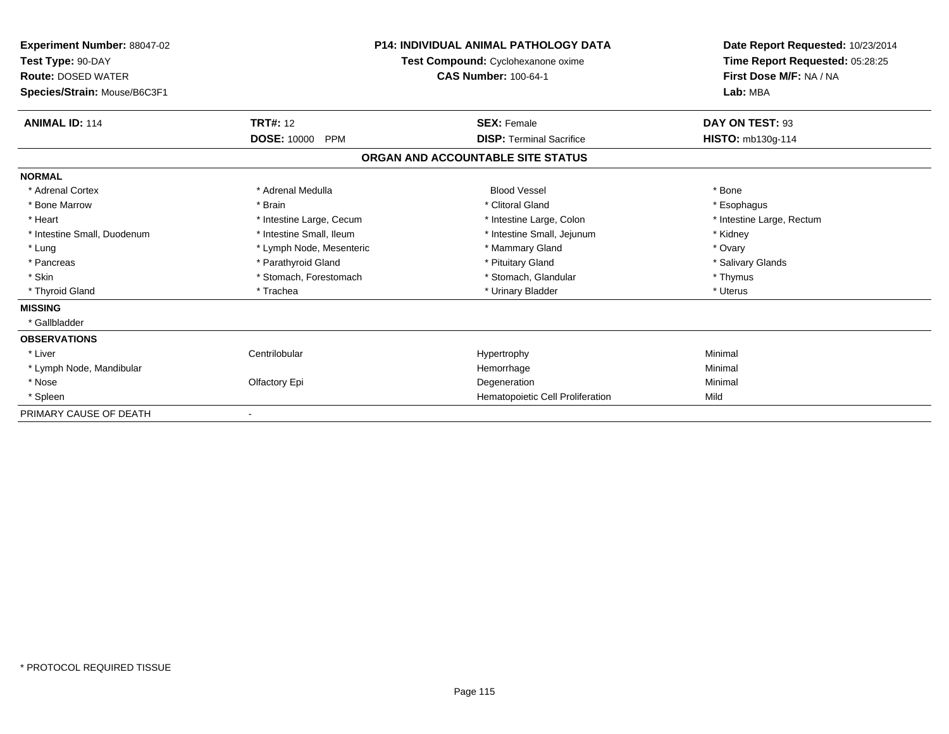| Experiment Number: 88047-02<br>Test Type: 90-DAY<br><b>Route: DOSED WATER</b><br>Species/Strain: Mouse/B6C3F1 | <b>P14: INDIVIDUAL ANIMAL PATHOLOGY DATA</b><br>Test Compound: Cyclohexanone oxime<br><b>CAS Number: 100-64-1</b> |                                   | Date Report Requested: 10/23/2014<br>Time Report Requested: 05:28:25<br>First Dose M/F: NA / NA<br>Lab: MBA |
|---------------------------------------------------------------------------------------------------------------|-------------------------------------------------------------------------------------------------------------------|-----------------------------------|-------------------------------------------------------------------------------------------------------------|
| <b>ANIMAL ID: 114</b>                                                                                         | <b>TRT#: 12</b>                                                                                                   | <b>SEX: Female</b>                | DAY ON TEST: 93                                                                                             |
|                                                                                                               | <b>DOSE: 10000</b><br><b>PPM</b>                                                                                  | <b>DISP: Terminal Sacrifice</b>   | HISTO: mb130q-114                                                                                           |
|                                                                                                               |                                                                                                                   | ORGAN AND ACCOUNTABLE SITE STATUS |                                                                                                             |
| <b>NORMAL</b>                                                                                                 |                                                                                                                   |                                   |                                                                                                             |
| * Adrenal Cortex                                                                                              | * Adrenal Medulla                                                                                                 | <b>Blood Vessel</b>               | * Bone                                                                                                      |
| * Bone Marrow                                                                                                 | * Brain                                                                                                           | * Clitoral Gland                  | * Esophagus                                                                                                 |
| * Heart                                                                                                       | * Intestine Large, Cecum                                                                                          | * Intestine Large, Colon          | * Intestine Large, Rectum                                                                                   |
| * Intestine Small, Duodenum                                                                                   | * Intestine Small, Ileum                                                                                          | * Intestine Small, Jejunum        | * Kidney                                                                                                    |
| * Lung                                                                                                        | * Lymph Node, Mesenteric                                                                                          | * Mammary Gland                   | * Ovary                                                                                                     |
| * Pancreas                                                                                                    | * Parathyroid Gland                                                                                               | * Pituitary Gland                 | * Salivary Glands                                                                                           |
| * Skin                                                                                                        | * Stomach, Forestomach                                                                                            | * Stomach, Glandular              | * Thymus                                                                                                    |
| * Thyroid Gland                                                                                               | * Trachea                                                                                                         | * Urinary Bladder                 | * Uterus                                                                                                    |
| <b>MISSING</b>                                                                                                |                                                                                                                   |                                   |                                                                                                             |
| * Gallbladder                                                                                                 |                                                                                                                   |                                   |                                                                                                             |
| <b>OBSERVATIONS</b>                                                                                           |                                                                                                                   |                                   |                                                                                                             |
| * Liver                                                                                                       | Centrilobular                                                                                                     | Hypertrophy                       | Minimal                                                                                                     |
| * Lymph Node, Mandibular                                                                                      |                                                                                                                   | Hemorrhage                        | Minimal                                                                                                     |
| * Nose                                                                                                        | Olfactory Epi                                                                                                     | Degeneration                      | Minimal                                                                                                     |
| * Spleen                                                                                                      |                                                                                                                   | Hematopoietic Cell Proliferation  | Mild                                                                                                        |
| PRIMARY CAUSE OF DEATH                                                                                        |                                                                                                                   |                                   |                                                                                                             |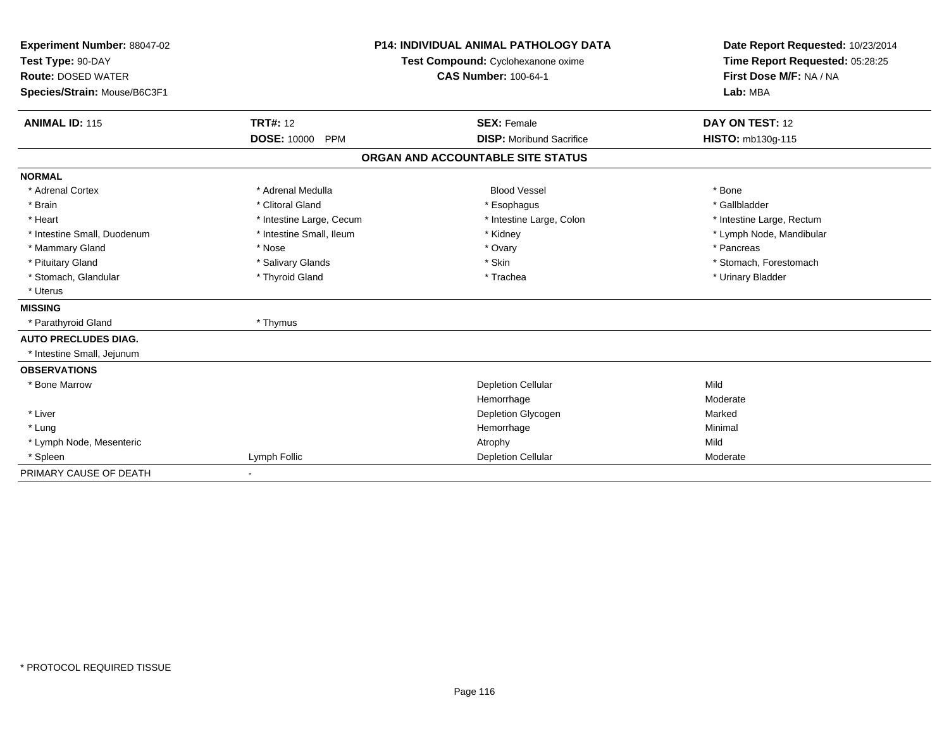| Experiment Number: 88047-02<br>Test Type: 90-DAY<br><b>Route: DOSED WATER</b><br>Species/Strain: Mouse/B6C3F1 |                                  | <b>P14: INDIVIDUAL ANIMAL PATHOLOGY DATA</b><br>Test Compound: Cyclohexanone oxime<br><b>CAS Number: 100-64-1</b> | Date Report Requested: 10/23/2014<br>Time Report Requested: 05:28:25<br>First Dose M/F: NA / NA<br>Lab: MBA |  |
|---------------------------------------------------------------------------------------------------------------|----------------------------------|-------------------------------------------------------------------------------------------------------------------|-------------------------------------------------------------------------------------------------------------|--|
| <b>ANIMAL ID: 115</b>                                                                                         | <b>TRT#: 12</b>                  | <b>SEX: Female</b>                                                                                                | DAY ON TEST: 12                                                                                             |  |
|                                                                                                               | <b>DOSE: 10000</b><br><b>PPM</b> | <b>DISP:</b> Moribund Sacrifice                                                                                   | HISTO: mb130g-115                                                                                           |  |
|                                                                                                               |                                  | ORGAN AND ACCOUNTABLE SITE STATUS                                                                                 |                                                                                                             |  |
| <b>NORMAL</b>                                                                                                 |                                  |                                                                                                                   |                                                                                                             |  |
| * Adrenal Cortex                                                                                              | * Adrenal Medulla                | <b>Blood Vessel</b>                                                                                               | * Bone                                                                                                      |  |
| * Brain                                                                                                       | * Clitoral Gland                 | * Esophagus                                                                                                       | * Gallbladder                                                                                               |  |
| * Heart                                                                                                       | * Intestine Large, Cecum         | * Intestine Large, Colon                                                                                          | * Intestine Large, Rectum                                                                                   |  |
| * Intestine Small, Duodenum                                                                                   | * Intestine Small, Ileum         | * Kidney                                                                                                          | * Lymph Node, Mandibular                                                                                    |  |
| * Mammary Gland                                                                                               | * Nose                           | * Ovary                                                                                                           | * Pancreas                                                                                                  |  |
| * Pituitary Gland                                                                                             | * Salivary Glands                | * Skin                                                                                                            | * Stomach, Forestomach                                                                                      |  |
| * Stomach, Glandular                                                                                          | * Thyroid Gland                  | * Trachea                                                                                                         | * Urinary Bladder                                                                                           |  |
| * Uterus                                                                                                      |                                  |                                                                                                                   |                                                                                                             |  |
| <b>MISSING</b>                                                                                                |                                  |                                                                                                                   |                                                                                                             |  |
| * Parathyroid Gland                                                                                           | * Thymus                         |                                                                                                                   |                                                                                                             |  |
| <b>AUTO PRECLUDES DIAG.</b>                                                                                   |                                  |                                                                                                                   |                                                                                                             |  |
| * Intestine Small, Jejunum                                                                                    |                                  |                                                                                                                   |                                                                                                             |  |
| <b>OBSERVATIONS</b>                                                                                           |                                  |                                                                                                                   |                                                                                                             |  |
| * Bone Marrow                                                                                                 |                                  | <b>Depletion Cellular</b>                                                                                         | Mild                                                                                                        |  |
|                                                                                                               |                                  | Hemorrhage                                                                                                        | Moderate                                                                                                    |  |
| * Liver                                                                                                       |                                  | Depletion Glycogen                                                                                                | Marked                                                                                                      |  |
| * Lung                                                                                                        |                                  | Hemorrhage                                                                                                        | Minimal                                                                                                     |  |
| * Lymph Node, Mesenteric                                                                                      |                                  | Atrophy                                                                                                           | Mild                                                                                                        |  |
| * Spleen                                                                                                      | Lymph Follic                     | <b>Depletion Cellular</b>                                                                                         | Moderate                                                                                                    |  |
| PRIMARY CAUSE OF DEATH                                                                                        |                                  |                                                                                                                   |                                                                                                             |  |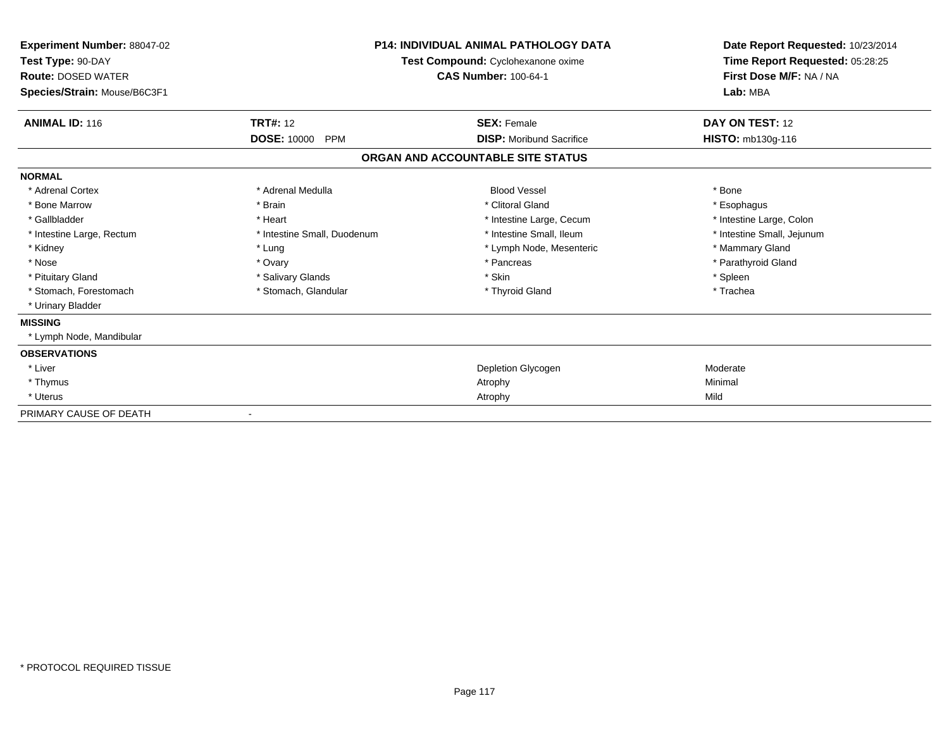| Experiment Number: 88047-02<br>Test Type: 90-DAY<br><b>Route: DOSED WATER</b><br>Species/Strain: Mouse/B6C3F1 | <b>P14: INDIVIDUAL ANIMAL PATHOLOGY DATA</b><br>Test Compound: Cyclohexanone oxime<br><b>CAS Number: 100-64-1</b> |                                   | Date Report Requested: 10/23/2014<br>Time Report Requested: 05:28:25<br>First Dose M/F: NA / NA<br>Lab: MBA |
|---------------------------------------------------------------------------------------------------------------|-------------------------------------------------------------------------------------------------------------------|-----------------------------------|-------------------------------------------------------------------------------------------------------------|
| <b>ANIMAL ID: 116</b>                                                                                         | <b>TRT#: 12</b>                                                                                                   | <b>SEX: Female</b>                | DAY ON TEST: 12                                                                                             |
|                                                                                                               | <b>DOSE: 10000</b><br><b>PPM</b>                                                                                  | <b>DISP:</b> Moribund Sacrifice   | HISTO: mb130g-116                                                                                           |
|                                                                                                               |                                                                                                                   | ORGAN AND ACCOUNTABLE SITE STATUS |                                                                                                             |
| <b>NORMAL</b>                                                                                                 |                                                                                                                   |                                   |                                                                                                             |
| * Adrenal Cortex                                                                                              | * Adrenal Medulla                                                                                                 | <b>Blood Vessel</b>               | * Bone                                                                                                      |
| * Bone Marrow                                                                                                 | * Brain                                                                                                           | * Clitoral Gland                  | * Esophagus                                                                                                 |
| * Gallbladder                                                                                                 | * Heart                                                                                                           | * Intestine Large, Cecum          | * Intestine Large, Colon                                                                                    |
| * Intestine Large, Rectum                                                                                     | * Intestine Small, Duodenum                                                                                       | * Intestine Small, Ileum          | * Intestine Small, Jejunum                                                                                  |
| * Kidney                                                                                                      | * Lung                                                                                                            | * Lymph Node, Mesenteric          | * Mammary Gland                                                                                             |
| * Nose                                                                                                        | * Ovary                                                                                                           | * Pancreas                        | * Parathyroid Gland                                                                                         |
| * Pituitary Gland                                                                                             | * Salivary Glands                                                                                                 | * Skin                            | * Spleen                                                                                                    |
| * Stomach, Forestomach                                                                                        | * Stomach, Glandular                                                                                              | * Thyroid Gland                   | * Trachea                                                                                                   |
| * Urinary Bladder                                                                                             |                                                                                                                   |                                   |                                                                                                             |
| <b>MISSING</b>                                                                                                |                                                                                                                   |                                   |                                                                                                             |
| * Lymph Node, Mandibular                                                                                      |                                                                                                                   |                                   |                                                                                                             |
| <b>OBSERVATIONS</b>                                                                                           |                                                                                                                   |                                   |                                                                                                             |
| * Liver                                                                                                       |                                                                                                                   | Depletion Glycogen                | Moderate                                                                                                    |
| * Thymus                                                                                                      |                                                                                                                   | Atrophy                           | Minimal                                                                                                     |
| * Uterus                                                                                                      |                                                                                                                   | Atrophy                           | Mild                                                                                                        |
| PRIMARY CAUSE OF DEATH                                                                                        |                                                                                                                   |                                   |                                                                                                             |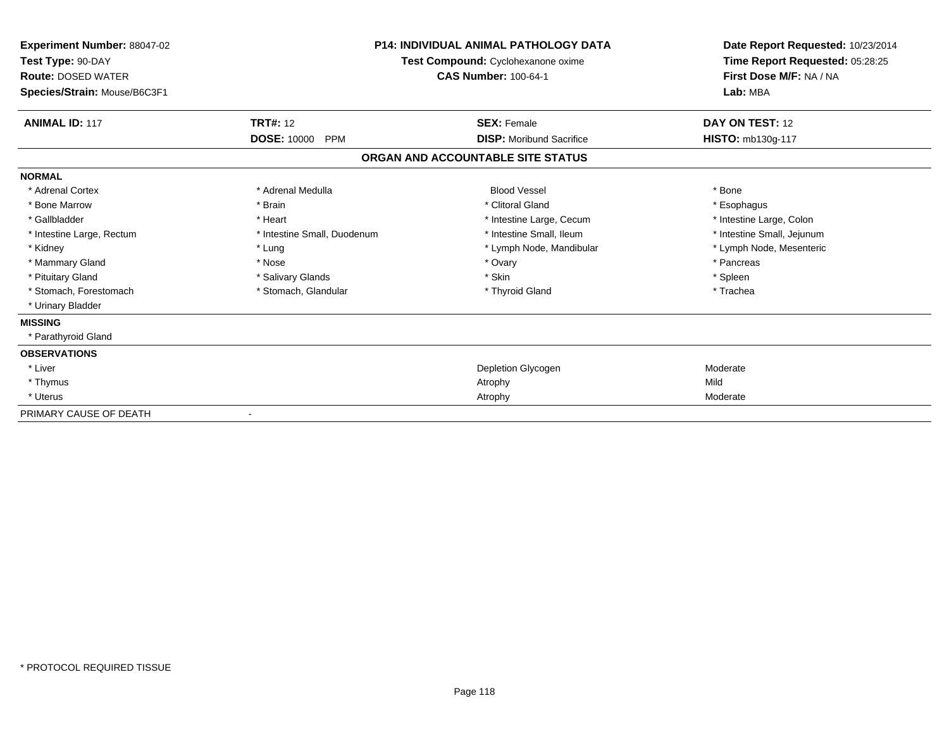| <b>Experiment Number: 88047-02</b><br>Test Type: 90-DAY<br><b>Route: DOSED WATER</b><br>Species/Strain: Mouse/B6C3F1 | <b>P14: INDIVIDUAL ANIMAL PATHOLOGY DATA</b><br>Test Compound: Cyclohexanone oxime<br><b>CAS Number: 100-64-1</b> |                                   | Date Report Requested: 10/23/2014<br>Time Report Requested: 05:28:25<br>First Dose M/F: NA / NA<br>Lab: MBA |  |
|----------------------------------------------------------------------------------------------------------------------|-------------------------------------------------------------------------------------------------------------------|-----------------------------------|-------------------------------------------------------------------------------------------------------------|--|
| <b>ANIMAL ID: 117</b>                                                                                                | <b>TRT#: 12</b>                                                                                                   | <b>SEX: Female</b>                | <b>DAY ON TEST: 12</b>                                                                                      |  |
|                                                                                                                      | <b>DOSE: 10000</b><br><b>PPM</b>                                                                                  | <b>DISP: Moribund Sacrifice</b>   | HISTO: mb130g-117                                                                                           |  |
|                                                                                                                      |                                                                                                                   | ORGAN AND ACCOUNTABLE SITE STATUS |                                                                                                             |  |
| <b>NORMAL</b>                                                                                                        |                                                                                                                   |                                   |                                                                                                             |  |
| * Adrenal Cortex                                                                                                     | * Adrenal Medulla                                                                                                 | <b>Blood Vessel</b>               | * Bone                                                                                                      |  |
| * Bone Marrow                                                                                                        | * Brain                                                                                                           | * Clitoral Gland                  | * Esophagus                                                                                                 |  |
| * Gallbladder                                                                                                        | * Heart                                                                                                           | * Intestine Large, Cecum          | * Intestine Large, Colon                                                                                    |  |
| * Intestine Large, Rectum                                                                                            | * Intestine Small, Duodenum                                                                                       | * Intestine Small, Ileum          | * Intestine Small, Jejunum                                                                                  |  |
| * Kidney                                                                                                             | * Lung                                                                                                            | * Lymph Node, Mandibular          | * Lymph Node, Mesenteric                                                                                    |  |
| * Mammary Gland                                                                                                      | * Nose                                                                                                            | * Ovary                           | * Pancreas                                                                                                  |  |
| * Pituitary Gland                                                                                                    | * Salivary Glands                                                                                                 | * Skin                            | * Spleen                                                                                                    |  |
| * Stomach, Forestomach                                                                                               | * Stomach, Glandular                                                                                              | * Thyroid Gland                   | * Trachea                                                                                                   |  |
| * Urinary Bladder                                                                                                    |                                                                                                                   |                                   |                                                                                                             |  |
| <b>MISSING</b>                                                                                                       |                                                                                                                   |                                   |                                                                                                             |  |
| * Parathyroid Gland                                                                                                  |                                                                                                                   |                                   |                                                                                                             |  |
| <b>OBSERVATIONS</b>                                                                                                  |                                                                                                                   |                                   |                                                                                                             |  |
| * Liver                                                                                                              |                                                                                                                   | Depletion Glycogen                | Moderate                                                                                                    |  |
| * Thymus                                                                                                             |                                                                                                                   | Atrophy                           | Mild                                                                                                        |  |
| * Uterus                                                                                                             |                                                                                                                   | Atrophy                           | Moderate                                                                                                    |  |
| PRIMARY CAUSE OF DEATH                                                                                               |                                                                                                                   |                                   |                                                                                                             |  |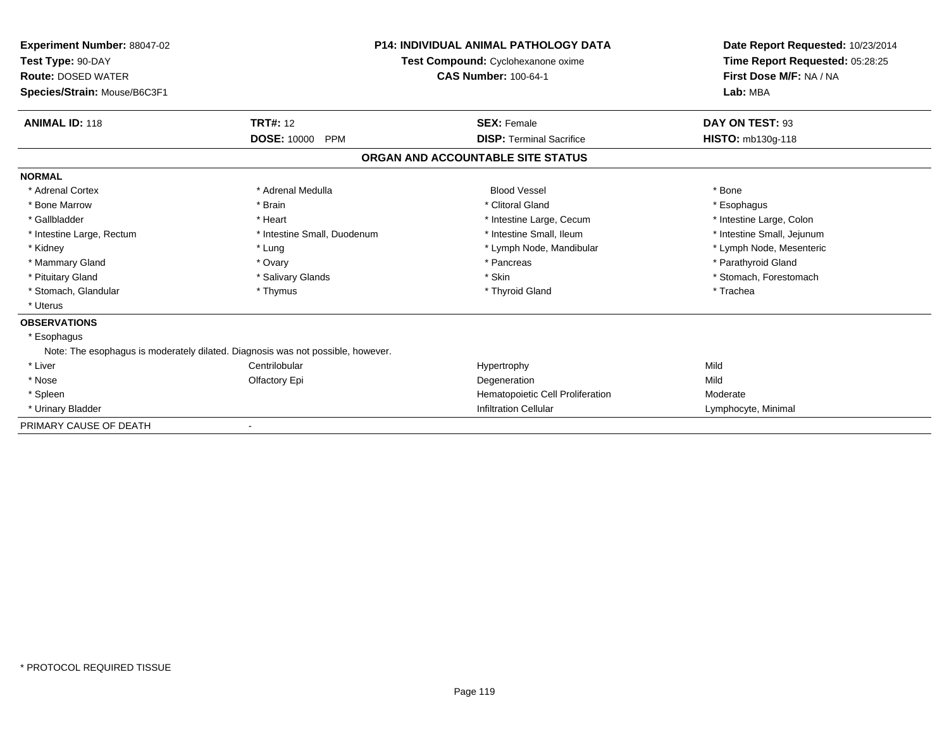| Experiment Number: 88047-02<br>Test Type: 90-DAY<br><b>Route: DOSED WATER</b><br>Species/Strain: Mouse/B6C3F1 | <b>P14: INDIVIDUAL ANIMAL PATHOLOGY DATA</b><br>Test Compound: Cyclohexanone oxime<br><b>CAS Number: 100-64-1</b> |                                   | Date Report Requested: 10/23/2014<br>Time Report Requested: 05:28:25<br>First Dose M/F: NA / NA<br>Lab: MBA |
|---------------------------------------------------------------------------------------------------------------|-------------------------------------------------------------------------------------------------------------------|-----------------------------------|-------------------------------------------------------------------------------------------------------------|
| <b>ANIMAL ID: 118</b>                                                                                         | <b>TRT#: 12</b>                                                                                                   | <b>SEX: Female</b>                | DAY ON TEST: 93                                                                                             |
|                                                                                                               | <b>DOSE: 10000</b><br><b>PPM</b>                                                                                  | <b>DISP: Terminal Sacrifice</b>   | HISTO: mb130g-118                                                                                           |
|                                                                                                               |                                                                                                                   | ORGAN AND ACCOUNTABLE SITE STATUS |                                                                                                             |
| <b>NORMAL</b>                                                                                                 |                                                                                                                   |                                   |                                                                                                             |
| * Adrenal Cortex                                                                                              | * Adrenal Medulla                                                                                                 | <b>Blood Vessel</b>               | * Bone                                                                                                      |
| * Bone Marrow                                                                                                 | * Brain                                                                                                           | * Clitoral Gland                  | * Esophagus                                                                                                 |
| * Gallbladder                                                                                                 | * Heart                                                                                                           | * Intestine Large, Cecum          | * Intestine Large, Colon                                                                                    |
| * Intestine Large, Rectum                                                                                     | * Intestine Small, Duodenum                                                                                       | * Intestine Small. Ileum          | * Intestine Small, Jejunum                                                                                  |
| * Kidney                                                                                                      | * Lung                                                                                                            | * Lymph Node, Mandibular          | * Lymph Node, Mesenteric                                                                                    |
| * Mammary Gland                                                                                               | * Ovary                                                                                                           | * Pancreas                        | * Parathyroid Gland                                                                                         |
| * Pituitary Gland                                                                                             | * Salivary Glands                                                                                                 | * Skin                            | * Stomach, Forestomach                                                                                      |
| * Stomach, Glandular                                                                                          | * Thymus                                                                                                          | * Thyroid Gland                   | * Trachea                                                                                                   |
| * Uterus                                                                                                      |                                                                                                                   |                                   |                                                                                                             |
| <b>OBSERVATIONS</b>                                                                                           |                                                                                                                   |                                   |                                                                                                             |
| * Esophagus                                                                                                   |                                                                                                                   |                                   |                                                                                                             |
|                                                                                                               | Note: The esophagus is moderately dilated. Diagnosis was not possible, however.                                   |                                   |                                                                                                             |
| * Liver                                                                                                       | Centrilobular                                                                                                     | Hypertrophy                       | Mild                                                                                                        |
| * Nose                                                                                                        | Olfactory Epi                                                                                                     | Degeneration                      | Mild                                                                                                        |
| * Spleen                                                                                                      |                                                                                                                   | Hematopoietic Cell Proliferation  | Moderate                                                                                                    |
| * Urinary Bladder                                                                                             |                                                                                                                   | <b>Infiltration Cellular</b>      | Lymphocyte, Minimal                                                                                         |
| PRIMARY CAUSE OF DEATH                                                                                        |                                                                                                                   |                                   |                                                                                                             |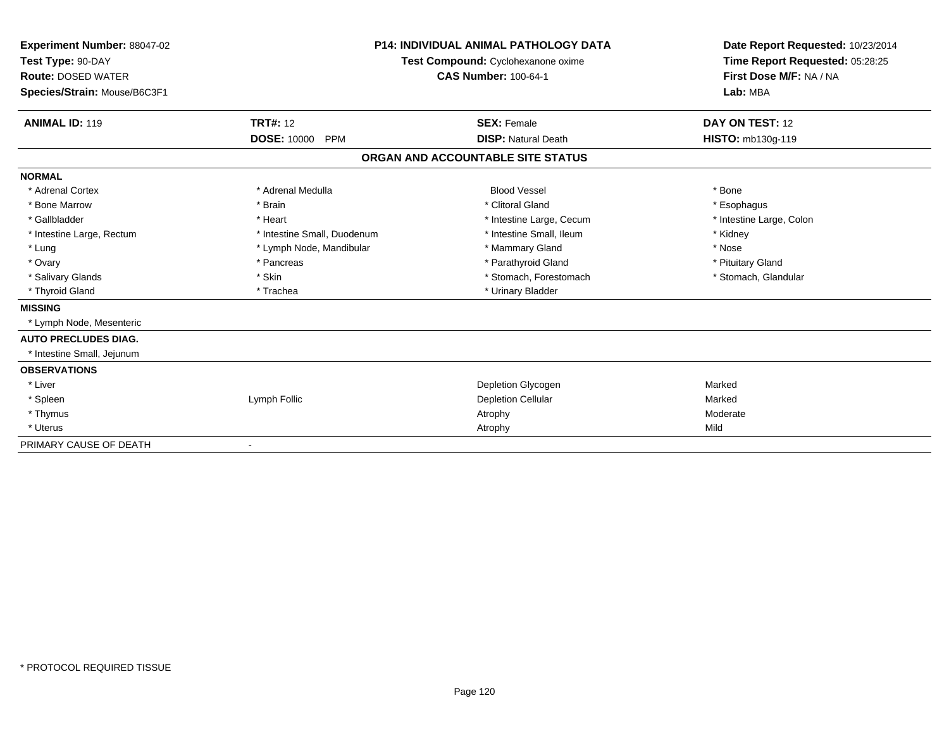| Experiment Number: 88047-02<br>Test Type: 90-DAY<br><b>Route: DOSED WATER</b><br>Species/Strain: Mouse/B6C3F1 | <b>P14: INDIVIDUAL ANIMAL PATHOLOGY DATA</b><br>Test Compound: Cyclohexanone oxime<br><b>CAS Number: 100-64-1</b> |                                   | Date Report Requested: 10/23/2014<br>Time Report Requested: 05:28:25<br>First Dose M/F: NA / NA<br>Lab: MBA |
|---------------------------------------------------------------------------------------------------------------|-------------------------------------------------------------------------------------------------------------------|-----------------------------------|-------------------------------------------------------------------------------------------------------------|
| <b>ANIMAL ID: 119</b>                                                                                         | <b>TRT#: 12</b>                                                                                                   | <b>SEX: Female</b>                | DAY ON TEST: 12                                                                                             |
|                                                                                                               | <b>DOSE: 10000</b><br><b>PPM</b>                                                                                  | <b>DISP: Natural Death</b>        | HISTO: mb130g-119                                                                                           |
|                                                                                                               |                                                                                                                   | ORGAN AND ACCOUNTABLE SITE STATUS |                                                                                                             |
| <b>NORMAL</b>                                                                                                 |                                                                                                                   |                                   |                                                                                                             |
| * Adrenal Cortex                                                                                              | * Adrenal Medulla                                                                                                 | <b>Blood Vessel</b>               | * Bone                                                                                                      |
| * Bone Marrow                                                                                                 | * Brain                                                                                                           | * Clitoral Gland                  | * Esophagus                                                                                                 |
| * Gallbladder                                                                                                 | * Heart                                                                                                           | * Intestine Large, Cecum          | * Intestine Large, Colon                                                                                    |
| * Intestine Large, Rectum                                                                                     | * Intestine Small, Duodenum                                                                                       | * Intestine Small, Ileum          | * Kidney                                                                                                    |
| * Lung                                                                                                        | * Lymph Node, Mandibular                                                                                          | * Mammary Gland                   | * Nose                                                                                                      |
| * Ovary                                                                                                       | * Pancreas                                                                                                        | * Parathyroid Gland               | * Pituitary Gland                                                                                           |
| * Salivary Glands                                                                                             | * Skin                                                                                                            | * Stomach, Forestomach            | * Stomach, Glandular                                                                                        |
| * Thyroid Gland                                                                                               | * Trachea                                                                                                         | * Urinary Bladder                 |                                                                                                             |
| <b>MISSING</b>                                                                                                |                                                                                                                   |                                   |                                                                                                             |
| * Lymph Node, Mesenteric                                                                                      |                                                                                                                   |                                   |                                                                                                             |
| <b>AUTO PRECLUDES DIAG.</b>                                                                                   |                                                                                                                   |                                   |                                                                                                             |
| * Intestine Small, Jejunum                                                                                    |                                                                                                                   |                                   |                                                                                                             |
| <b>OBSERVATIONS</b>                                                                                           |                                                                                                                   |                                   |                                                                                                             |
| * Liver                                                                                                       |                                                                                                                   | Depletion Glycogen                | Marked                                                                                                      |
| * Spleen                                                                                                      | Lymph Follic                                                                                                      | <b>Depletion Cellular</b>         | Marked                                                                                                      |
| * Thymus                                                                                                      |                                                                                                                   | Atrophy                           | Moderate                                                                                                    |
| * Uterus                                                                                                      |                                                                                                                   | Atrophy                           | Mild                                                                                                        |
| PRIMARY CAUSE OF DEATH                                                                                        |                                                                                                                   |                                   |                                                                                                             |